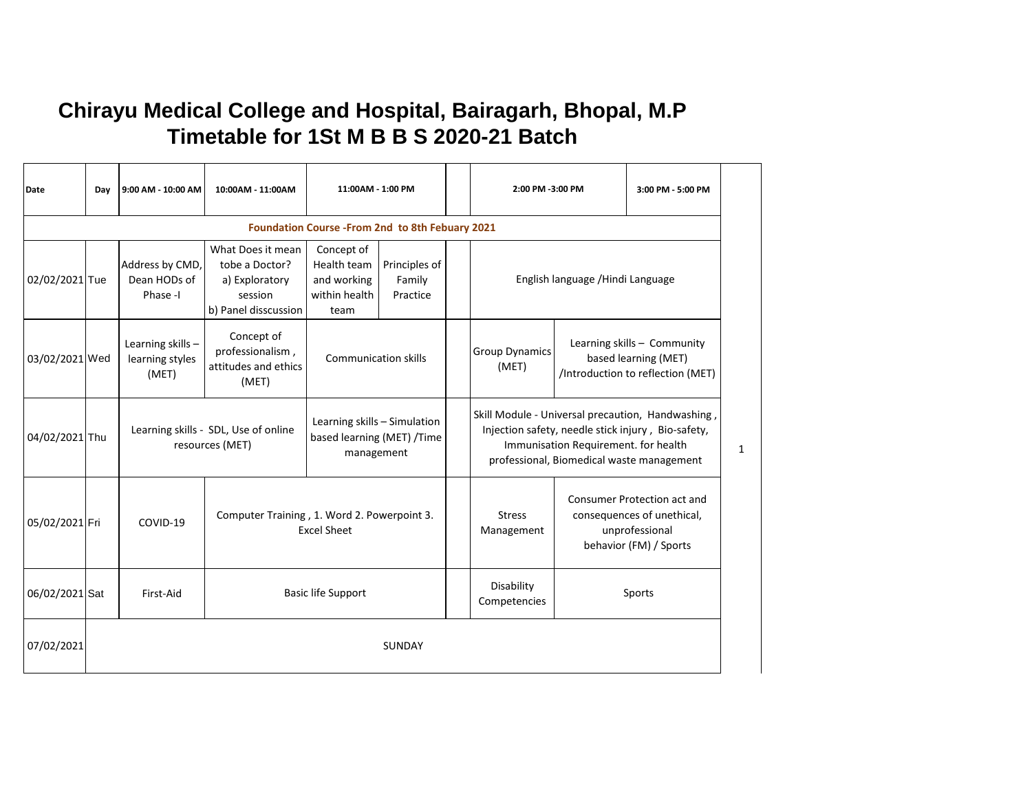## **Chirayu Medical College and Hospital, Bairagarh, Bhopal, M.P Timetable for 1St M B B S 2020-21 Batch**

| Date           | Day    | 9:00 AM - 10:00 AM                            | 10:00AM - 11:00AM                                                                        | 11:00AM - 1:00 PM                                                        |                                                                          |  | 2:00 PM -3:00 PM                                                                                                                                                                             |  | 3:00 PM - 5:00 PM                                                                                            |              |
|----------------|--------|-----------------------------------------------|------------------------------------------------------------------------------------------|--------------------------------------------------------------------------|--------------------------------------------------------------------------|--|----------------------------------------------------------------------------------------------------------------------------------------------------------------------------------------------|--|--------------------------------------------------------------------------------------------------------------|--------------|
|                |        |                                               |                                                                                          | Foundation Course - From 2nd to 8th Febuary 2021                         |                                                                          |  |                                                                                                                                                                                              |  |                                                                                                              |              |
| 02/02/2021 Tue |        | Address by CMD,<br>Dean HODs of<br>Phase-I    | What Does it mean<br>tobe a Doctor?<br>a) Exploratory<br>session<br>b) Panel disscussion | Concept of<br>Health team<br>and working<br>within health<br>team        | Principles of<br>Family<br>English language / Hindi Language<br>Practice |  |                                                                                                                                                                                              |  |                                                                                                              |              |
| 03/02/2021 Wed |        | Learning skills -<br>learning styles<br>(MET) | Concept of<br>professionalism,<br>attitudes and ethics<br>(MET)                          |                                                                          | <b>Group Dynamics</b><br><b>Communication skills</b><br>(MET)            |  |                                                                                                                                                                                              |  | Learning skills - Community<br>based learning (MET)<br>/Introduction to reflection (MET)                     |              |
| 04/02/2021 Thu |        |                                               | Learning skills - SDL, Use of online<br>resources (MET)                                  | Learning skills - Simulation<br>based learning (MET) /Time<br>management |                                                                          |  | Skill Module - Universal precaution, Handwashing,<br>Injection safety, needle stick injury, Bio-safety,<br>Immunisation Requirement. for health<br>professional, Biomedical waste management |  |                                                                                                              | $\mathbf{1}$ |
| 05/02/2021 Fri |        | COVID-19                                      |                                                                                          | Computer Training, 1. Word 2. Powerpoint 3.<br><b>Excel Sheet</b>        |                                                                          |  | <b>Stress</b><br>Management                                                                                                                                                                  |  | <b>Consumer Protection act and</b><br>consequences of unethical,<br>unprofessional<br>behavior (FM) / Sports |              |
| 06/02/2021 Sat |        | First-Aid                                     |                                                                                          | <b>Basic life Support</b>                                                |                                                                          |  | Disability<br>Competencies                                                                                                                                                                   |  | Sports                                                                                                       |              |
| 07/02/2021     | SUNDAY |                                               |                                                                                          |                                                                          |                                                                          |  |                                                                                                                                                                                              |  |                                                                                                              |              |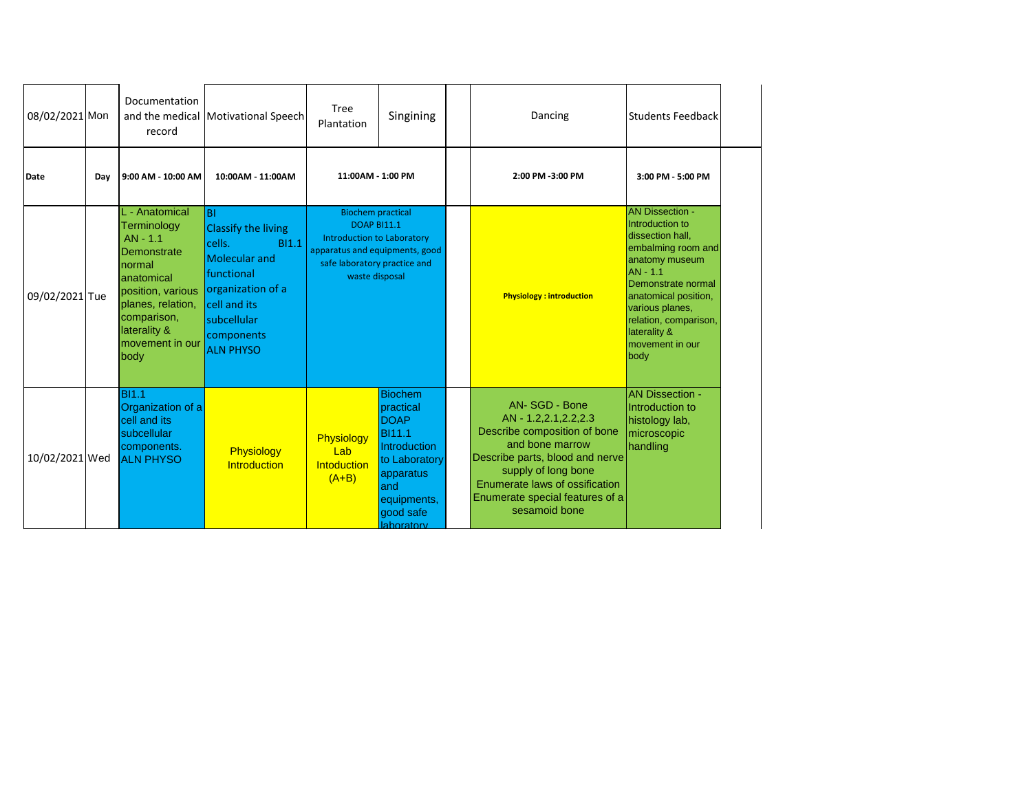| 08/02/2021 Mon |     | Documentation<br>record                                                                                                                                                                 | and the medical Motivational Speech                                                                                                                                                           | Tree<br>Plantation                                                                                                                                                      | Singining                                                                                                                                                         | Dancing                                                                                                                                                                                                                                     | <b>Students Feedback</b>                                                                                                                                                                                                                               |
|----------------|-----|-----------------------------------------------------------------------------------------------------------------------------------------------------------------------------------------|-----------------------------------------------------------------------------------------------------------------------------------------------------------------------------------------------|-------------------------------------------------------------------------------------------------------------------------------------------------------------------------|-------------------------------------------------------------------------------------------------------------------------------------------------------------------|---------------------------------------------------------------------------------------------------------------------------------------------------------------------------------------------------------------------------------------------|--------------------------------------------------------------------------------------------------------------------------------------------------------------------------------------------------------------------------------------------------------|
| Date           | Day | 9:00 AM - 10:00 AM                                                                                                                                                                      | 10:00AM - 11:00AM                                                                                                                                                                             | 11:00AM - 1:00 PM                                                                                                                                                       |                                                                                                                                                                   | 2:00 PM -3:00 PM                                                                                                                                                                                                                            | 3:00 PM - 5:00 PM                                                                                                                                                                                                                                      |
| 09/02/2021 Tue |     | L - Anatomical<br>Terminology<br>$AN - 1.1$<br>Demonstrate<br>normal<br>lanatomical<br>position, various<br>planes, relation,<br>comparison,<br>laterality &<br>movement in our<br>body | <b>BI</b><br><b>Classify the living</b><br>cells.<br><b>BI1.1</b><br><b>Molecular and</b><br>functional<br>organization of a<br>cell and its<br>subcellular<br>components<br><b>ALN PHYSO</b> | <b>Biochem practical</b><br><b>DOAP BI11.1</b><br><b>Introduction to Laboratory</b><br>apparatus and equipments, good<br>safe laboratory practice and<br>waste disposal |                                                                                                                                                                   | <b>Physiology: introduction</b>                                                                                                                                                                                                             | <b>AN Dissection -</b><br>Introduction to<br>dissection hall,<br>embalming room and<br>anatomy museum<br>AN - 1.1<br>Demonstrate normal<br>anatomical position,<br>various planes,<br>relation, comparison,<br>laterality &<br>movement in our<br>body |
| 10/02/2021 Wed |     | <b>BI1.1</b><br>Organization of a<br>cell and its<br>subcellular<br>components.<br><b>ALN PHYSO</b>                                                                                     | Physiology<br>Introduction                                                                                                                                                                    | Physiology<br>Lab<br>Intoduction<br>$(A+B)$                                                                                                                             | <b>Biochem</b><br>practical<br><b>DOAP</b><br><b>BI11.1</b><br><b>Introduction</b><br>to Laboratory<br>apparatus<br>and<br>equipments,<br>good safe<br>laboratory | AN-SGD - Bone<br>AN - 1.2, 2.1, 2.2, 2.3<br>Describe composition of bone<br>and bone marrow<br>Describe parts, blood and nerve<br>supply of long bone<br>Enumerate laws of ossification<br>Enumerate special features of a<br>sesamoid bone | <b>AN Dissection -</b><br>Introduction to<br>histology lab,<br>microscopic<br>handling                                                                                                                                                                 |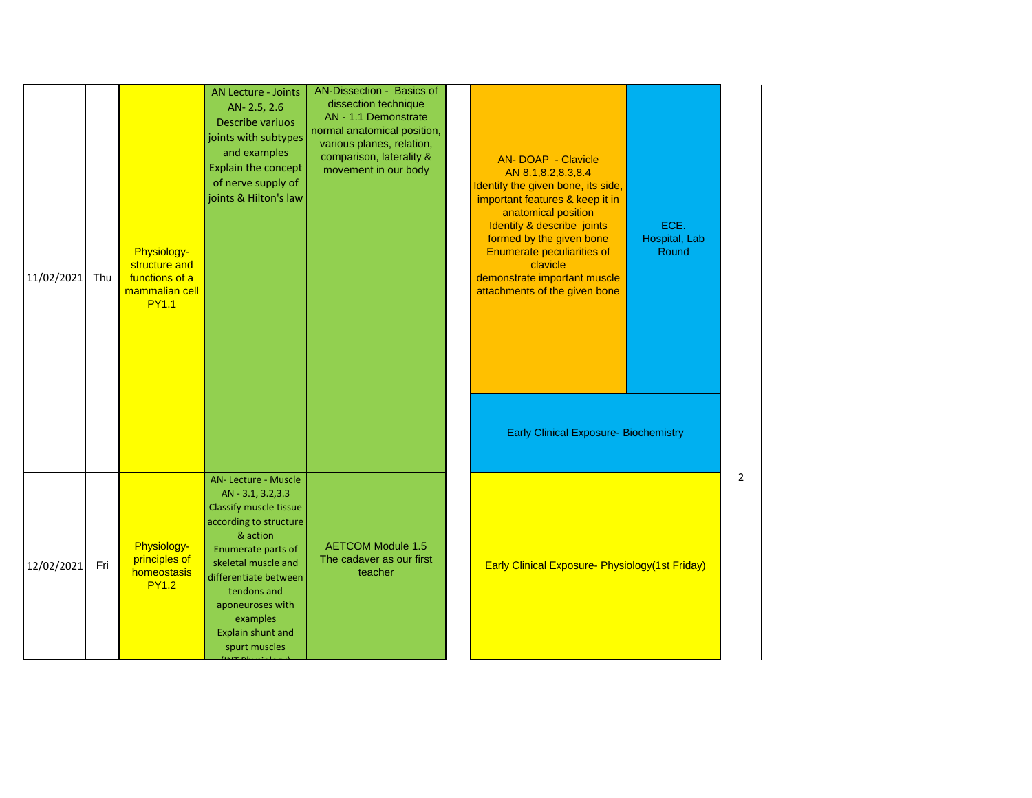| 11/02/2021 | Thu | Physiology-<br>structure and<br>functions of a<br>mammalian cell<br><b>PY1.1</b> | <b>AN Lecture - Joints</b><br>AN- 2.5, 2.6<br>Describe variuos<br>joints with subtypes<br>and examples<br>Explain the concept<br>of nerve supply of<br>joints & Hilton's law                                                                                                                     | AN-Dissection - Basics of<br>dissection technique<br>AN - 1.1 Demonstrate<br>normal anatomical position,<br>various planes, relation,<br>comparison, laterality &<br>movement in our body | <b>AN-DOAP - Clavicle</b><br>AN 8.1,8.2,8.3,8.4<br>Identify the given bone, its side,<br>important features & keep it in<br>anatomical position<br>Identify & describe joints<br>formed by the given bone<br><b>Enumerate peculiarities of</b><br>clavicle<br>demonstrate important muscle<br>attachments of the given bone<br><b>Early Clinical Exposure- Biochemistry</b> | ECE.<br>Hospital, Lab<br>Round |   |
|------------|-----|----------------------------------------------------------------------------------|--------------------------------------------------------------------------------------------------------------------------------------------------------------------------------------------------------------------------------------------------------------------------------------------------|-------------------------------------------------------------------------------------------------------------------------------------------------------------------------------------------|-----------------------------------------------------------------------------------------------------------------------------------------------------------------------------------------------------------------------------------------------------------------------------------------------------------------------------------------------------------------------------|--------------------------------|---|
| 12/02/2021 | Fri | Physiology-<br>principles of<br>homeostasis<br><b>PY1.2</b>                      | AN-Lecture - Muscle<br>AN - 3.1, 3.2, 3.3<br>Classify muscle tissue<br>according to structure<br>& action<br>Enumerate parts of<br>skeletal muscle and<br>differentiate between<br>tendons and<br>aponeuroses with<br>examples<br><b>Explain shunt and</b><br>spurt muscles<br><b>CONTRACTOR</b> | <b>AETCOM Module 1.5</b><br>The cadaver as our first<br>teacher                                                                                                                           | Early Clinical Exposure- Physiology(1st Friday)                                                                                                                                                                                                                                                                                                                             |                                | 2 |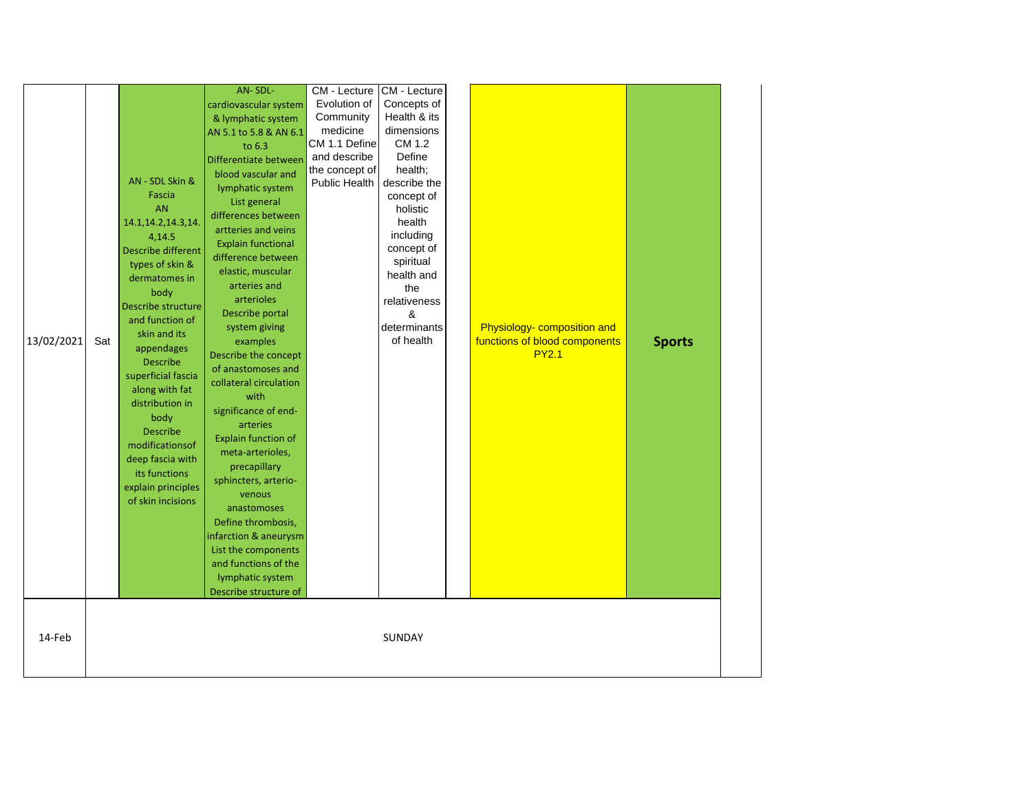|            |     |                       | AN-SDL-                   | CM - Lecture   | CM - Lecture |                               |               |
|------------|-----|-----------------------|---------------------------|----------------|--------------|-------------------------------|---------------|
|            |     |                       | cardiovascular system     | Evolution of   | Concepts of  |                               |               |
|            |     |                       | & lymphatic system        | Community      | Health & its |                               |               |
|            |     |                       | AN 5.1 to 5.8 & AN 6.1    | medicine       | dimensions   |                               |               |
|            |     |                       | to 6.3                    | CM 1.1 Define  | CM 1.2       |                               |               |
|            |     |                       | Differentiate between     | and describe   | Define       |                               |               |
|            |     |                       |                           | the concept of | health;      |                               |               |
|            |     | AN - SDL Skin &       | blood vascular and        | Public Health  | describe the |                               |               |
|            |     | Fascia                | lymphatic system          |                | concept of   |                               |               |
|            |     | <b>AN</b>             | List general              |                | holistic     |                               |               |
|            |     | 14.1, 14.2, 14.3, 14. | differences between       |                | health       |                               |               |
|            |     | 4,14.5                | artteries and veins       |                | including    |                               |               |
|            |     | Describe different    | <b>Explain functional</b> |                | concept of   |                               |               |
|            |     | types of skin &       | difference between        |                | spiritual    |                               |               |
|            |     | dermatomes in         | elastic, muscular         |                | health and   |                               |               |
|            |     | body                  | arteries and              |                | the          |                               |               |
|            |     | Describe structure    | arterioles                |                | relativeness |                               |               |
|            |     | and function of       | Describe portal           |                | &            |                               |               |
|            |     |                       | system giving             |                | determinants | Physiology- composition and   |               |
| 13/02/2021 | Sat | skin and its          | examples                  |                | of health    | functions of blood components | <b>Sports</b> |
|            |     | appendages            | Describe the concept      |                |              | <b>PY2.1</b>                  |               |
|            |     | <b>Describe</b>       | of anastomoses and        |                |              |                               |               |
|            |     | superficial fascia    | collateral circulation    |                |              |                               |               |
|            |     | along with fat        | with                      |                |              |                               |               |
|            |     | distribution in       | significance of end-      |                |              |                               |               |
|            |     | body                  | arteries                  |                |              |                               |               |
|            |     | <b>Describe</b>       |                           |                |              |                               |               |
|            |     | modificationsof       | Explain function of       |                |              |                               |               |
|            |     | deep fascia with      | meta-arterioles,          |                |              |                               |               |
|            |     | its functions         | precapillary              |                |              |                               |               |
|            |     | explain principles    | sphincters, arterio-      |                |              |                               |               |
|            |     | of skin incisions     | venous                    |                |              |                               |               |
|            |     |                       | anastomoses               |                |              |                               |               |
|            |     |                       | Define thrombosis,        |                |              |                               |               |
|            |     |                       | infarction & aneurysm     |                |              |                               |               |
|            |     |                       | List the components       |                |              |                               |               |
|            |     |                       | and functions of the      |                |              |                               |               |
|            |     |                       | lymphatic system          |                |              |                               |               |
|            |     |                       | Describe structure of     |                |              |                               |               |
|            |     |                       |                           |                |              |                               |               |
|            |     |                       |                           |                |              |                               |               |
|            |     |                       |                           |                |              |                               |               |
| 14-Feb     |     |                       |                           |                | SUNDAY       |                               |               |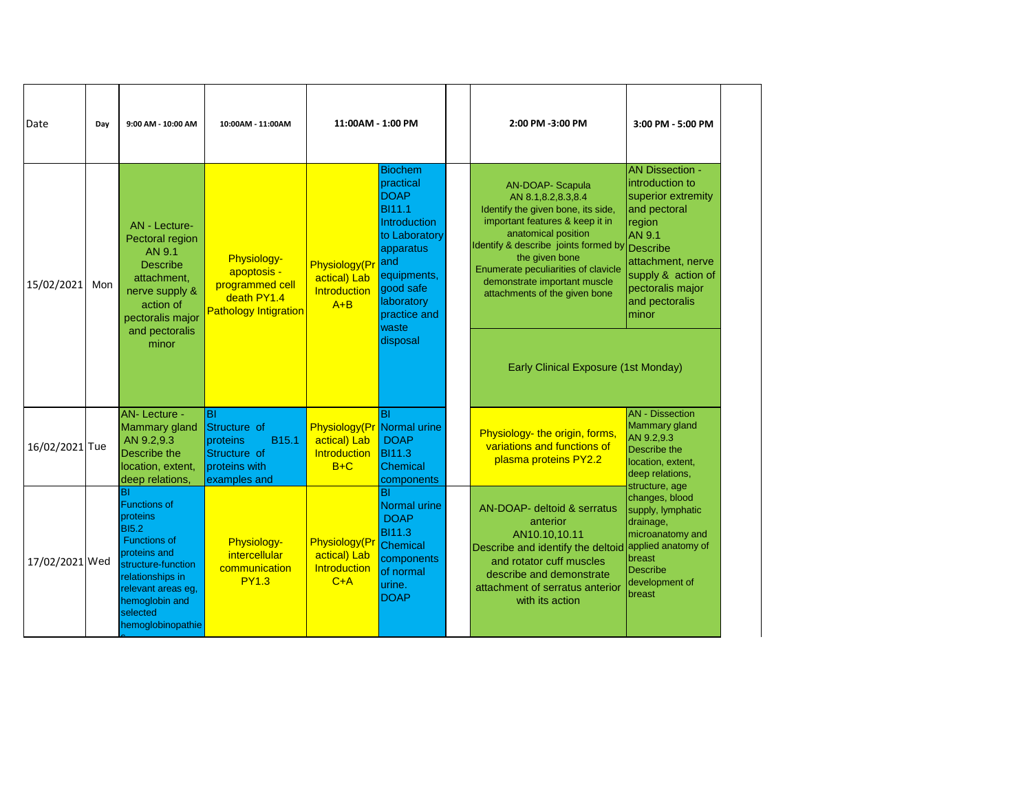| Date           | Day | 9:00 AM - 10:00 AM                                                                                                                                                                                              | 10:00AM - 11:00AM                                                                                           | 11:00AM - 1:00 PM                                              |                                                                                                                                                                                                        | 2:00 PM -3:00 PM                                                                                                                                                                                                                                                                                                | 3:00 PM - 5:00 PM                                                                                                                                                                                         |
|----------------|-----|-----------------------------------------------------------------------------------------------------------------------------------------------------------------------------------------------------------------|-------------------------------------------------------------------------------------------------------------|----------------------------------------------------------------|--------------------------------------------------------------------------------------------------------------------------------------------------------------------------------------------------------|-----------------------------------------------------------------------------------------------------------------------------------------------------------------------------------------------------------------------------------------------------------------------------------------------------------------|-----------------------------------------------------------------------------------------------------------------------------------------------------------------------------------------------------------|
| 15/02/2021     | Mon | <b>AN</b> - Lecture-<br>Pectoral region<br>AN 9.1<br><b>Describe</b><br>attachment,<br>nerve supply &<br>action of<br>pectoralis major<br>and pectoralis<br>minor                                               | Physiology-<br>apoptosis -<br>programmed cell<br>death PY1.4<br><b>Pathology Intigration</b>                | Physiology(P<br>actical) Lab<br>Introduction<br>$A + B$        | <b>Biochem</b><br>practical<br><b>DOAP</b><br><b>BI11.1</b><br><b>Introduction</b><br>to Laboratory<br>apparatus<br>and<br>equipments,<br>good safe<br>laboratory<br>practice and<br>waste<br>disposal | <b>AN-DOAP- Scapula</b><br>AN 8.1,8.2,8.3,8.4<br>Identify the given bone, its side,<br>important features & keep it in<br>anatomical position<br>Identify & describe joints formed by<br>the given bone<br>Enumerate peculiarities of clavicle<br>demonstrate important muscle<br>attachments of the given bone | <b>AN Dissection -</b><br>introduction to<br>superior extremity<br>and pectoral<br>region<br>AN 9.1<br>Describe<br>attachment, nerve<br>supply & action of<br>pectoralis major<br>and pectoralis<br>minor |
| 16/02/2021 Tue |     | <b>AN-Lecture -</b><br>Mammary gland<br>AN 9.2,9.3<br>Describe the<br>location, extent,<br>deep relations,                                                                                                      | <b>BI</b><br>Structure of<br>B <sub>15.1</sub><br>proteins<br>Structure of<br>proteins with<br>examples and | Physiology(Pr<br>actical) Lab<br><b>Introduction</b><br>$B+C$  | $\overline{\mathsf{B}}$<br>Normal urine<br><b>DOAP</b><br><b>BI11.3</b><br>Chemical<br>components                                                                                                      | Early Clinical Exposure (1st Monday)<br>Physiology- the origin, forms,<br>variations and functions of<br>plasma proteins PY2.2                                                                                                                                                                                  | <b>AN</b> - Dissection<br>Mammary gland<br>AN 9.2,9.3<br>Describe the<br>location, extent,<br>deep relations.                                                                                             |
| 17/02/2021 Wed |     | BI<br><b>Functions of</b><br>proteins<br><b>BI5.2</b><br><b>Functions of</b><br>proteins and<br>structure-function<br>relationships in<br>relevant areas eg,<br>hemoglobin and<br>selected<br>hemoglobinopathie | Physiology-<br>intercellular<br>communication<br><b>PY1.3</b>                                               | <b>Physiology</b> (Pr<br>actical) Lab<br>Introduction<br>$C+A$ | BI<br>Normal urine<br><b>DOAP</b><br><b>BI11.3</b><br>Chemical<br>components<br>of normal<br>urine.<br><b>DOAP</b>                                                                                     | AN-DOAP- deltoid & serratus<br>anterior<br>AN10.10,10.11<br>Describe and identify the deltoid<br>and rotator cuff muscles<br>describe and demonstrate<br>attachment of serratus anterior<br>with its action                                                                                                     | structure, age<br>changes, blood<br>supply, lymphatic<br>drainage,<br>microanatomy and<br>applied anatomy of<br>breast<br><b>Describe</b><br>development of<br>breast                                     |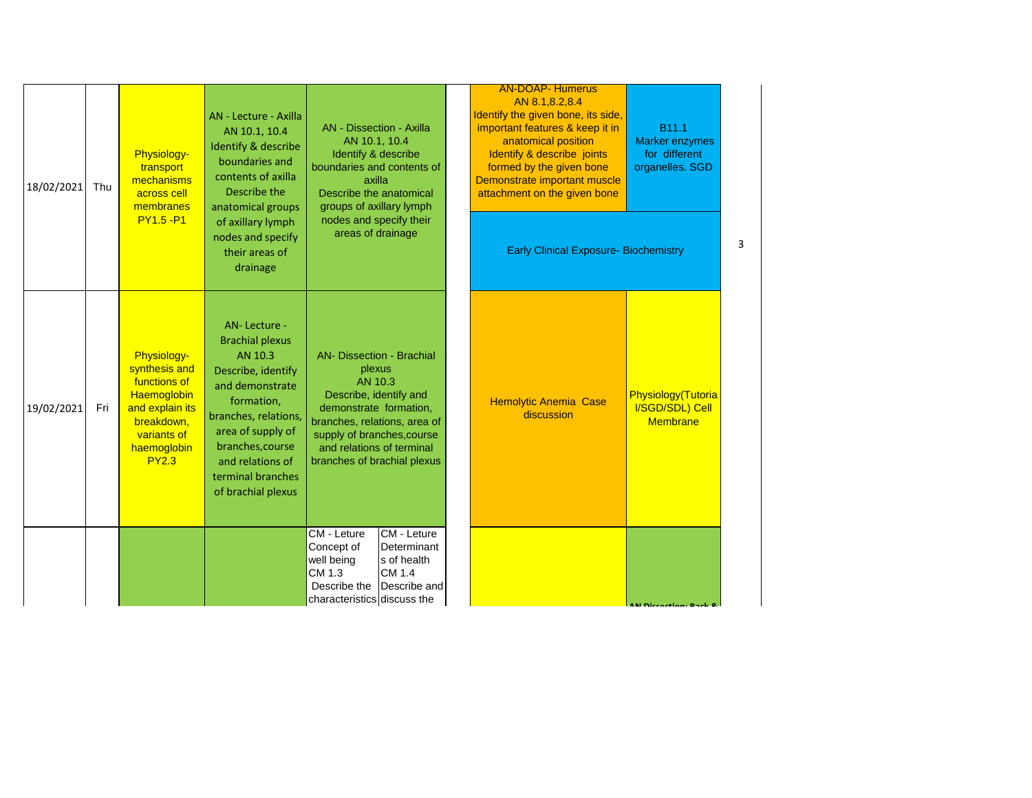| 18/02/2021 | Thu | Physiology-<br>transport<br>mechanisms<br>across cell<br>membranes<br><b>PY1.5 - P1</b>                                                    | AN - Lecture - Axilla<br>AN 10.1, 10.4<br>Identify & describe<br>boundaries and<br>contents of axilla<br>Describe the<br>anatomical groups<br>of axillary lymph<br>nodes and specify<br>their areas of<br>drainage                       | AN - Dissection - Axilla<br>AN 10.1, 10.4<br>Identify & describe<br>boundaries and contents of<br>axilla<br>Describe the anatomical<br>groups of axillary lymph<br>nodes and specify their<br>areas of drainage                     | <b>AN-DOAP- Humerus</b><br>AN 8.1,8.2,8.4<br>Identify the given bone, its side,<br>important features & keep it in<br>anatomical position<br>Identify & describe joints<br>formed by the given bone<br>Demonstrate important muscle<br>attachment on the given bone<br><b>Early Clinical Exposure- Biochemistry</b> | B11.1<br><b>Marker enzymes</b><br>for different<br>organelles. SGD |  |
|------------|-----|--------------------------------------------------------------------------------------------------------------------------------------------|------------------------------------------------------------------------------------------------------------------------------------------------------------------------------------------------------------------------------------------|-------------------------------------------------------------------------------------------------------------------------------------------------------------------------------------------------------------------------------------|---------------------------------------------------------------------------------------------------------------------------------------------------------------------------------------------------------------------------------------------------------------------------------------------------------------------|--------------------------------------------------------------------|--|
| 19/02/2021 | Fri | Physiology-<br>synthesis and<br>functions of<br>Haemoglobin<br>and explain its<br>breakdown,<br>variants of<br>haemoglobin<br><b>PY2.3</b> | AN-Lecture -<br><b>Brachial plexus</b><br>AN 10.3<br>Describe, identify<br>and demonstrate<br>formation,<br>branches, relations,<br>area of supply of<br>branches, course<br>and relations of<br>terminal branches<br>of brachial plexus | <b>AN- Dissection - Brachial</b><br>plexus<br>AN 10.3<br>Describe, identify and<br>demonstrate formation,<br>branches, relations, area of<br>supply of branches, course<br>and relations of terminal<br>branches of brachial plexus | <b>Hemolytic Anemia Case</b><br>discussion                                                                                                                                                                                                                                                                          | Physiology(Tutoria<br>I/SGD/SDL) Cell<br><b>Membrane</b>           |  |
|            |     |                                                                                                                                            |                                                                                                                                                                                                                                          | CM - Leture<br><b>CM</b> - Leture<br>Concept of<br>Determinant<br>well being<br>s of health<br>CM 1.3<br>CM 1.4<br>Describe the<br>Describe and<br>characteristics discuss the                                                      |                                                                                                                                                                                                                                                                                                                     | AN Dissortion: Rook P                                              |  |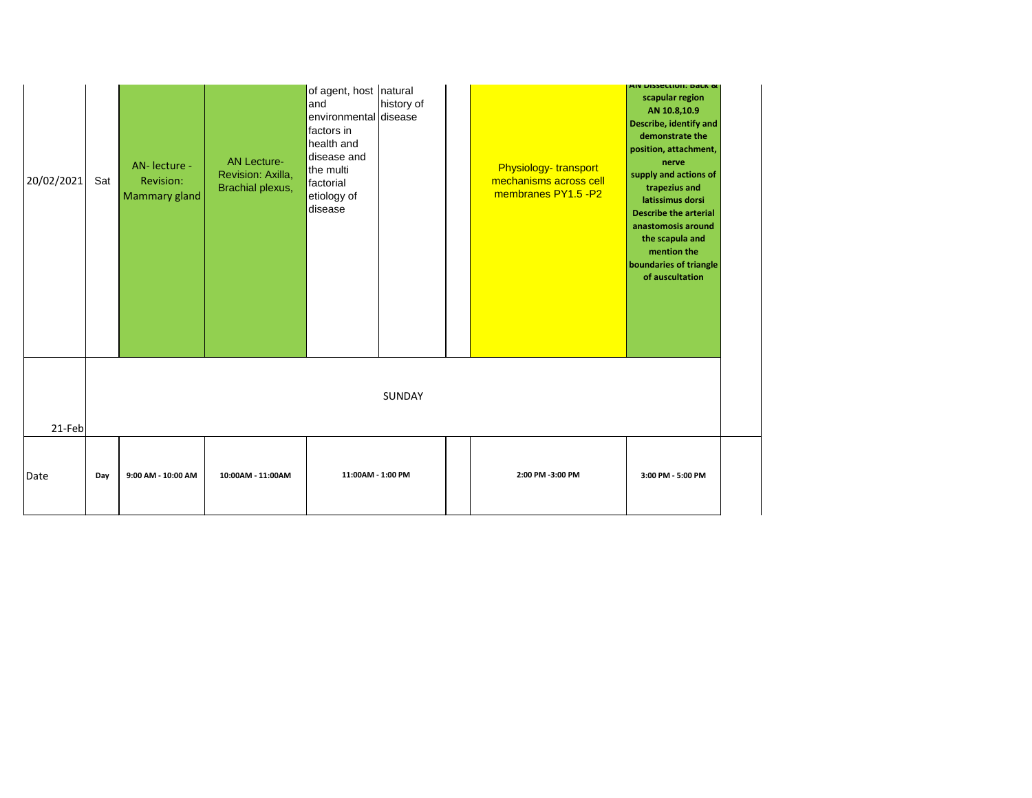| 20/02/2021 | Sat | AN- lecture -<br>Revision:<br>Mammary gland | <b>AN Lecture-</b><br>Revision: Axilla,<br>Brachial plexus, | of agent, host natural<br>and<br>environmental disease<br>factors in<br>health and<br>disease and<br>the multi<br>factorial<br>etiology of<br>disease | history of | Physiology-transport<br>mechanisms across cell<br>membranes PY1.5 -P2 | AIV DISSECTION, DALK &<br>scapular region<br>AN 10.8,10.9<br><b>Describe, identify and</b><br>demonstrate the<br>position, attachment,<br>nerve<br>supply and actions of<br>trapezius and<br>latissimus dorsi<br><b>Describe the arterial</b><br>anastomosis around<br>the scapula and<br>mention the<br>boundaries of triangle<br>of auscultation |  |
|------------|-----|---------------------------------------------|-------------------------------------------------------------|-------------------------------------------------------------------------------------------------------------------------------------------------------|------------|-----------------------------------------------------------------------|----------------------------------------------------------------------------------------------------------------------------------------------------------------------------------------------------------------------------------------------------------------------------------------------------------------------------------------------------|--|
| 21-Feb     |     |                                             |                                                             |                                                                                                                                                       | SUNDAY     |                                                                       |                                                                                                                                                                                                                                                                                                                                                    |  |
| Date       | Day | 9:00 AM - 10:00 AM                          | 10:00AM - 11:00AM                                           | 11:00AM - 1:00 PM                                                                                                                                     |            | 2:00 PM -3:00 PM                                                      | 3:00 PM - 5:00 PM                                                                                                                                                                                                                                                                                                                                  |  |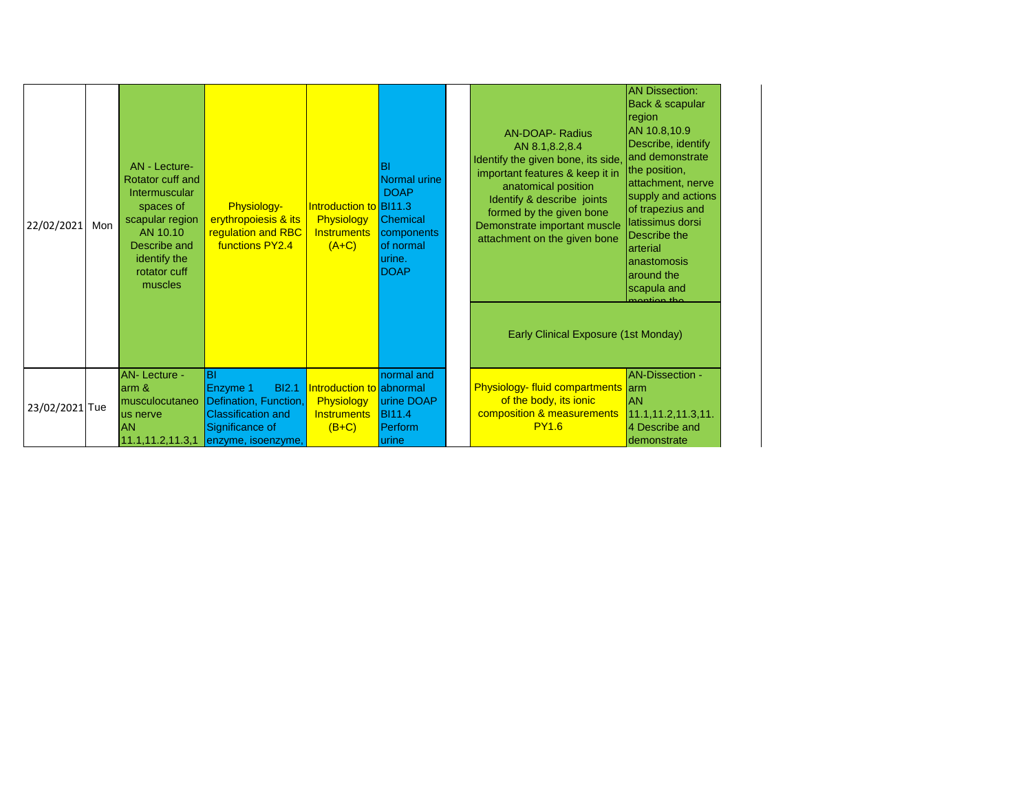| 22/02/2021     | Mon | AN - Lecture-<br>Rotator cuff and<br>Intermuscular<br>spaces of<br>scapular region<br>AN 10.10<br>Describe and<br>identify the<br>rotator cuff<br>muscles | Physiology-<br>erythropoiesis & its<br><b>regulation and RBC</b><br>functions PY2.4                                            | Introduction to BI11.3<br>Physiology<br><b>Instruments</b><br>$(A+C)$   | BI<br><b>Normal urine</b><br><b>DOAP</b><br><b>Chemical</b><br>components<br>of normal<br>urine.<br><b>DOAP</b> | <b>AN-DOAP- Radius</b><br>AN 8.1,8.2,8.4<br>Identify the given bone, its side,<br>important features & keep it in<br>anatomical position<br>Identify & describe joints<br>formed by the given bone<br>Demonstrate important muscle<br>attachment on the given bone<br>Early Clinical Exposure (1st Monday) | <b>AN Dissection:</b><br>Back & scapular<br>region<br>AN 10.8,10.9<br>Describe, identify<br>and demonstrate<br>the position,<br>attachment, nerve<br>supply and actions<br>of trapezius and<br>latissimus dorsi<br>Describe the<br>arterial<br>anastomosis<br>around the<br>scapula and<br>montion tho |  |
|----------------|-----|-----------------------------------------------------------------------------------------------------------------------------------------------------------|--------------------------------------------------------------------------------------------------------------------------------|-------------------------------------------------------------------------|-----------------------------------------------------------------------------------------------------------------|------------------------------------------------------------------------------------------------------------------------------------------------------------------------------------------------------------------------------------------------------------------------------------------------------------|--------------------------------------------------------------------------------------------------------------------------------------------------------------------------------------------------------------------------------------------------------------------------------------------------------|--|
| 23/02/2021 Tue |     | <b>AN-Lecture -</b><br>arm &<br>musculocutaneo<br>us nerve<br><b>AN</b><br>11.1, 11.2, 11.3, 1                                                            | IBI<br><b>BI2.1</b><br>Enzyme 1<br>Defination, Function,<br><b>Classification and</b><br>Significance of<br>enzyme, isoenzyme, | Introduction to abnormal<br>Physiology<br><b>Instruments</b><br>$(B+C)$ | normal and<br>urine DOAP<br><b>B</b> I11.4<br>Perform<br>urine                                                  | <b>Physiology-fluid compartments arm</b><br>of the body, its ionic<br>composition & measurements<br><b>PY1.6</b>                                                                                                                                                                                           | <b>AN-Dissection -</b><br><b>AN</b><br>11.1, 11.2, 11.3, 11.<br>4 Describe and<br>demonstrate                                                                                                                                                                                                          |  |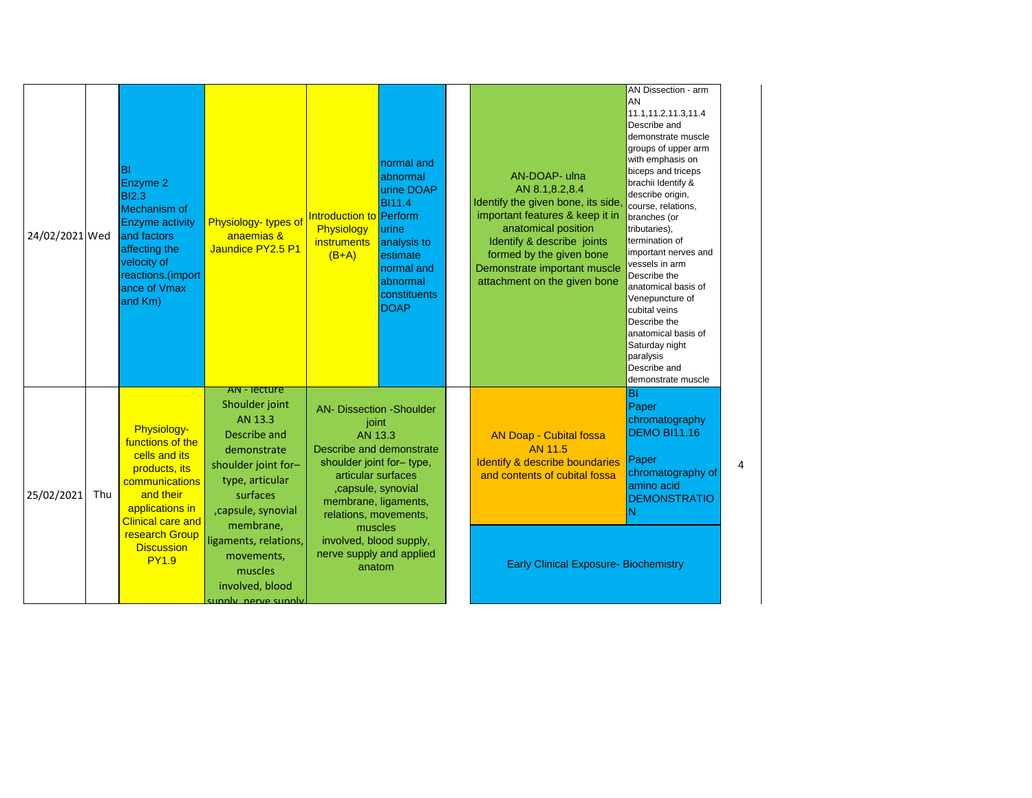| 24/02/2021 Wed |     | BI<br>Enzyme 2<br><b>BI2.3</b><br>Mechanism of<br><b>Enzyme activity</b><br>and factors<br>affecting the<br>velocity of<br>reactions.(import<br>ance of Vmax<br>and Km)                                | Physiology-types of<br>anaemias &<br>Jaundice PY2.5 P1                                                                                                                                                                                                          | Introduction to Perform<br>Physiology<br><i>instruments</i><br>$(B+A)$                                                                                                                                                                                                               | normal and<br>abnormal<br>urine DOAP<br><b>BI11.4</b><br>urine<br>analysis to<br>estimate<br>normal and<br>abnormal<br>constituents<br><b>DOAP</b> | AN-DOAP- ulna<br>AN 8.1,8.2,8.4<br>Identify the given bone, its side<br>important features & keep it in<br>anatomical position<br>Identify & describe joints<br>formed by the given bone<br>Demonstrate important muscle<br>attachment on the given bone | AN Dissection - arm<br>AN<br>11.1,11.2,11.3,11.4<br>Describe and<br>demonstrate muscle<br>groups of upper arm<br>with emphasis on<br>biceps and triceps<br>brachii Identify &<br>describe origin,<br>course, relations,<br>branches (or<br>tributaries),<br>termination of<br>important nerves and<br>vessels in arm<br>Describe the<br>anatomical basis of<br>Venepuncture of<br>cubital veins<br>Describe the<br>anatomical basis of<br>Saturday night<br>paralysis<br>Describe and<br>demonstrate muscle |
|----------------|-----|--------------------------------------------------------------------------------------------------------------------------------------------------------------------------------------------------------|-----------------------------------------------------------------------------------------------------------------------------------------------------------------------------------------------------------------------------------------------------------------|--------------------------------------------------------------------------------------------------------------------------------------------------------------------------------------------------------------------------------------------------------------------------------------|----------------------------------------------------------------------------------------------------------------------------------------------------|----------------------------------------------------------------------------------------------------------------------------------------------------------------------------------------------------------------------------------------------------------|-------------------------------------------------------------------------------------------------------------------------------------------------------------------------------------------------------------------------------------------------------------------------------------------------------------------------------------------------------------------------------------------------------------------------------------------------------------------------------------------------------------|
| 25/02/2021     | Thu | Physiology-<br>functions of the<br>cells and its<br>products, its<br>communications<br>and their<br>applications in<br><b>Clinical care and</b><br>research Group<br><b>Discussion</b><br><b>PY1.9</b> | AN - lecture<br>Shoulder joint<br>AN 13.3<br>Describe and<br>demonstrate<br>shoulder joint for-<br>type, articular<br>surfaces<br>, capsule, synovial<br>membrane,<br>ligaments, relations,<br>movements,<br>muscles<br>involved, blood<br>sunnly, nerve sunnly | <b>AN- Dissection -Shoulder</b><br>joint<br>AN 13.3<br>Describe and demonstrate<br>shoulder joint for-type,<br>articular surfaces<br>,capsule, synovial<br>membrane, ligaments,<br>relations, movements,<br>muscles<br>involved, blood supply,<br>nerve supply and applied<br>anatom |                                                                                                                                                    | <b>AN Doap - Cubital fossa</b><br>AN 11.5<br><b>Identify &amp; describe boundaries</b><br>and contents of cubital fossa<br><b>Early Clinical Exposure- Biochemistry</b>                                                                                  | $\overline{B}$<br>Paper<br>chromatography<br><b>DEMO BI11.16</b><br>Paper<br>chromatography of<br>amino acid<br><b>DEMONSTRATIO</b><br>N                                                                                                                                                                                                                                                                                                                                                                    |

4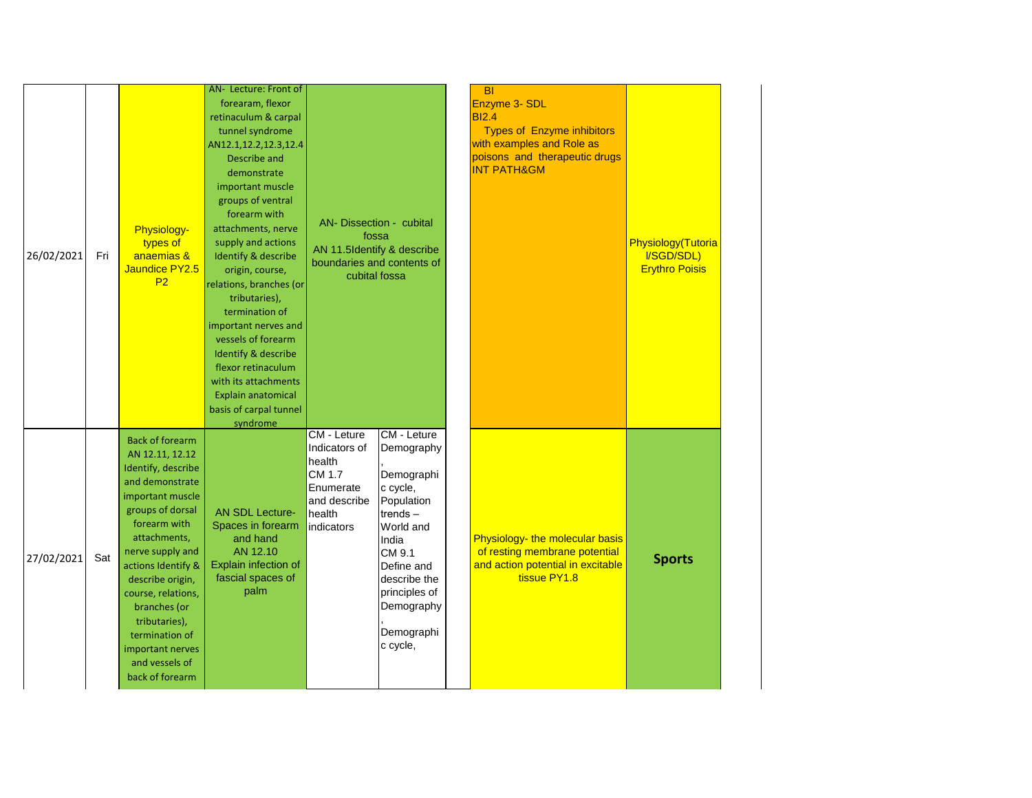| 26/02/2021 | Fri | <b>Physiology-</b><br>types of<br>anaemias &<br>Jaundice PY2.5<br>P2                                                                                                                                                                                                                                                                                       | AN- Lecture: Front of<br>forearam, flexor<br>retinaculum & carpal<br>tunnel syndrome<br>AN12.1,12.2,12.3,12.4<br>Describe and<br>demonstrate<br>important muscle<br>groups of ventral<br>forearm with<br>attachments, nerve<br>supply and actions<br>Identify & describe<br>origin, course,<br>relations, branches (or<br>tributaries),<br>termination of<br>important nerves and<br>vessels of forearm<br>Identify & describe<br>flexor retinaculum<br>with its attachments<br>Explain anatomical<br>basis of carpal tunnel<br>syndrome | AN- Dissection - cubital<br>fossa<br>AN 11.5Identify & describe<br>boundaries and contents of<br>cubital fossa |                                                                                                                                                                                                     | <b>BI</b><br>Enzyme 3- SDL<br><b>BI2.4</b><br><b>Types of Enzyme inhibitors</b><br>with examples and Role as<br>poisons and therapeutic drugs<br><b>INT PATH&amp;GM</b> | <b>Physiology</b> (Tutoria<br>I/SGD/SDL)<br><b>Erythro Poisis</b> |
|------------|-----|------------------------------------------------------------------------------------------------------------------------------------------------------------------------------------------------------------------------------------------------------------------------------------------------------------------------------------------------------------|------------------------------------------------------------------------------------------------------------------------------------------------------------------------------------------------------------------------------------------------------------------------------------------------------------------------------------------------------------------------------------------------------------------------------------------------------------------------------------------------------------------------------------------|----------------------------------------------------------------------------------------------------------------|-----------------------------------------------------------------------------------------------------------------------------------------------------------------------------------------------------|-------------------------------------------------------------------------------------------------------------------------------------------------------------------------|-------------------------------------------------------------------|
| 27/02/2021 | Sat | <b>Back of forearm</b><br>AN 12.11, 12.12<br>Identify, describe<br>and demonstrate<br>important muscle<br>groups of dorsal<br>forearm with<br>attachments,<br>nerve supply and<br>actions Identify &<br>describe origin,<br>course, relations,<br>branches (or<br>tributaries),<br>termination of<br>important nerves<br>and vessels of<br>back of forearm | <b>AN SDL Lecture-</b><br>Spaces in forearm<br>and hand<br>AN 12.10<br>Explain infection of<br>fascial spaces of<br>palm                                                                                                                                                                                                                                                                                                                                                                                                                 | CM - Leture<br>Indicators of<br>health<br>CM 1.7<br>Enumerate<br>and describe<br>health<br>indicators          | CM - Leture<br>Demography<br>Demographi<br>c cycle,<br>Population<br>trends-<br>World and<br>India<br>CM 9.1<br>Define and<br>describe the<br>principles of<br>Demography<br>Demographi<br>c cycle, | Physiology- the molecular basis<br>of resting membrane potential<br>and action potential in excitable<br>tissue PY1.8                                                   | <b>Sports</b>                                                     |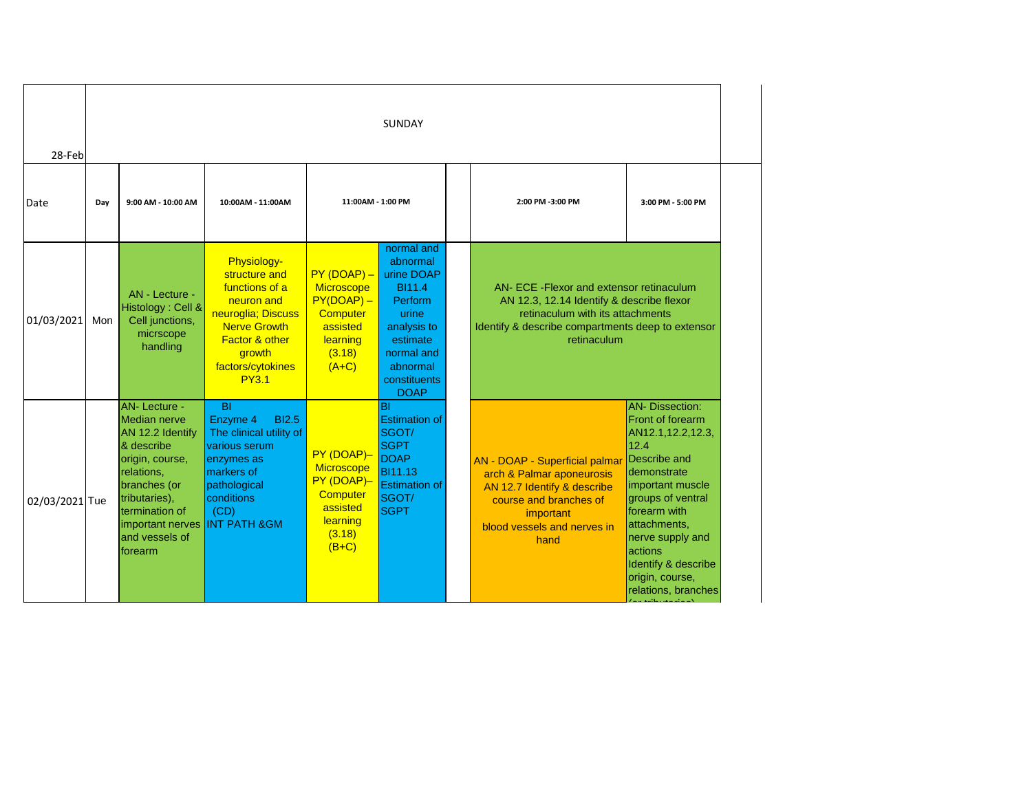| 28-Feb         | <b>SUNDAY</b> |                                                                                                                                                                                                            |                                                                                                                                                                                       |                                                                                                        |                                                                                                                                                               |  |                                                                                                                                                                                              |                                                                                                                                                                                                                                                                                       |  |  |  |
|----------------|---------------|------------------------------------------------------------------------------------------------------------------------------------------------------------------------------------------------------------|---------------------------------------------------------------------------------------------------------------------------------------------------------------------------------------|--------------------------------------------------------------------------------------------------------|---------------------------------------------------------------------------------------------------------------------------------------------------------------|--|----------------------------------------------------------------------------------------------------------------------------------------------------------------------------------------------|---------------------------------------------------------------------------------------------------------------------------------------------------------------------------------------------------------------------------------------------------------------------------------------|--|--|--|
| Date           | Day           | 9:00 AM - 10:00 AM                                                                                                                                                                                         | 10:00AM - 11:00AM                                                                                                                                                                     | 11:00AM - 1:00 PM                                                                                      |                                                                                                                                                               |  | 2:00 PM -3:00 PM                                                                                                                                                                             | 3:00 PM - 5:00 PM                                                                                                                                                                                                                                                                     |  |  |  |
| 01/03/2021     | Mon           | AN - Lecture -<br>Histology: Cell &<br>Cell junctions,<br>micrscope<br>handling                                                                                                                            | Physiology-<br>structure and<br>functions of a<br>neuron and<br>neuroglia; Discuss<br><b>Nerve Growth</b><br><b>Factor &amp; other</b><br>growth<br>factors/cytokines<br><b>PY3.1</b> | $PY(DOAP) -$<br>Microscope<br>$PY(DOAP) -$<br>Computer<br>assisted<br>learning<br>(3.18)<br>$(A+C)$    | normal and<br>abnormal<br>urine DOAP<br><b>BI11.4</b><br>Perform<br>urine<br>analysis to<br>estimate<br>normal and<br>abnormal<br>constituents<br><b>DOAP</b> |  | AN- ECE-Flexor and extensor retinaculum<br>AN 12.3, 12.14 Identify & describe flexor<br>retinaculum with its attachments<br>Identify & describe compartments deep to extensor<br>retinaculum |                                                                                                                                                                                                                                                                                       |  |  |  |
| 02/03/2021 Tue |               | <b>AN-Lecture -</b><br>Median nerve<br>AN 12.2 Identify<br>& describe<br>origin, course,<br>relations,<br>branches (or<br>tributaries),<br>termination of<br>important nerves<br>and vessels of<br>forearm | $\overline{B}$<br><b>BI2.5</b><br>Enzyme 4<br>The clinical utility of<br>various serum<br>enzymes as<br>markers of<br>pathological<br>conditions<br>(CD)<br><b>INT PATH &amp; GM</b>  | PY (DOAP)-<br>Microscope<br>PY (DOAP)-<br><b>Computer</b><br>assisted<br>learning<br>(3.18)<br>$(B+C)$ | <b>BI</b><br><b>Estimation of</b><br>SGOT/<br><b>SGPT</b><br><b>DOAP</b><br><b>BI11.13</b><br><b>Estimation of</b><br>SGOT/<br><b>SGPT</b>                    |  | AN - DOAP - Superficial palmar<br>arch & Palmar aponeurosis<br>AN 12.7 Identify & describe<br>course and branches of<br>important<br>blood vessels and nerves in<br>hand                     | <b>AN-Dissection:</b><br><b>Front of forearm</b><br>AN12.1,12.2,12.3,<br>12.4<br>Describe and<br>demonstrate<br>important muscle<br>groups of ventral<br>forearm with<br>attachments,<br>nerve supply and<br>actions<br>Identify & describe<br>origin, course,<br>relations, branches |  |  |  |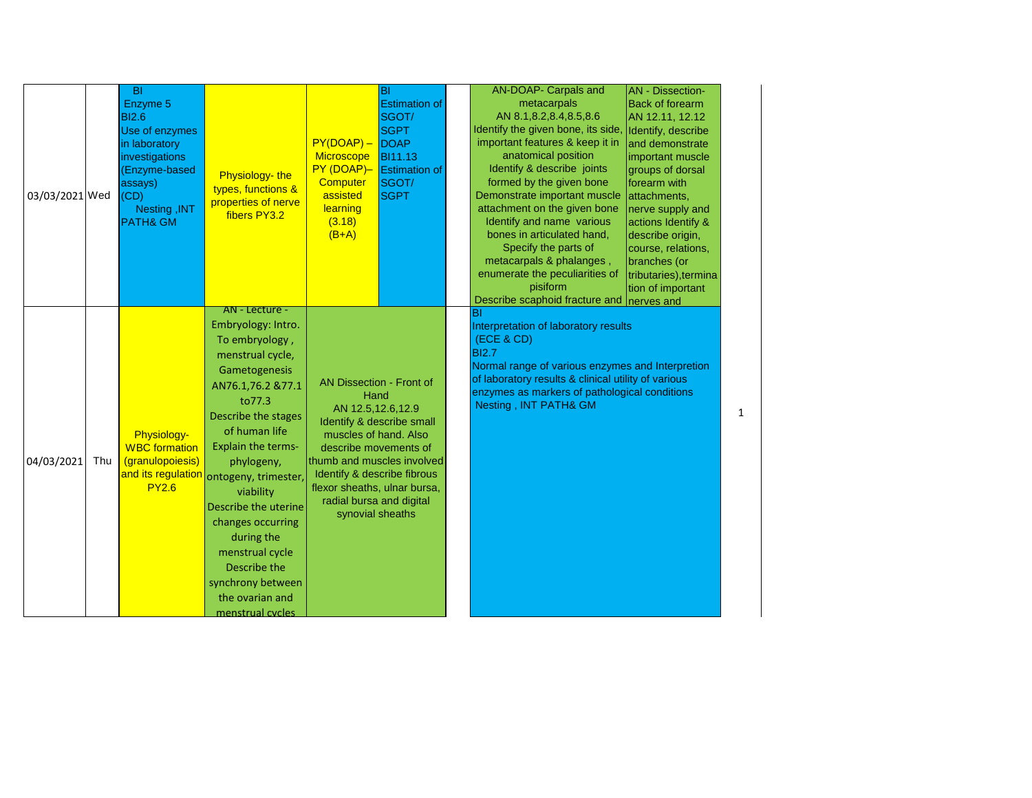| 03/03/2021 Wed |     | <b>BI</b><br>Enzyme 5<br><b>BI2.6</b><br>Use of enzymes<br>in laboratory<br>investigations<br>(Enzyme-based<br>assays)<br>(CD)<br>Nesting, INT<br><b>PATH&amp; GM</b> | Physiology-the<br>types, functions &<br>properties of nerve<br>fibers PY3.2<br>AN - Lecture -                                                                                                                                                                                                                                                                                              | $PY(DOAP) -$<br>Microscope<br>PY (DOAP)-<br>Computer<br>assisted<br>learning<br>(3.18)<br>$(B+A)$                                                                                                                                                    | BI<br><b>Estimation of</b><br>SGOT/<br><b>SGPT</b><br>DOAP<br><b>BI11.13</b><br><b>Estimation of</b><br>SGOT/<br><b>SGPT</b> | AN-DOAP- Carpals and<br>metacarpals<br>AN 8.1,8.2,8.4,8.5,8.6<br>Identify the given bone, its side, Identify, describe<br>important features & keep it in<br>anatomical position<br>Identify & describe joints<br>formed by the given bone<br>Demonstrate important muscle<br>attachment on the given bone<br>Identify and name various<br>bones in articulated hand,<br>Specify the parts of<br>metacarpals & phalanges,<br>enumerate the peculiarities of<br>pisiform<br>Describe scaphoid fracture and nerves and | <b>AN</b> - Dissection-<br><b>Back of forearm</b><br>AN 12.11, 12.12<br>and demonstrate<br>important muscle<br>groups of dorsal<br>forearm with<br>attachments,<br>nerve supply and<br>actions Identify &<br>describe origin,<br>course, relations,<br>branches (or<br>tributaries), termina<br>tion of important |
|----------------|-----|-----------------------------------------------------------------------------------------------------------------------------------------------------------------------|--------------------------------------------------------------------------------------------------------------------------------------------------------------------------------------------------------------------------------------------------------------------------------------------------------------------------------------------------------------------------------------------|------------------------------------------------------------------------------------------------------------------------------------------------------------------------------------------------------------------------------------------------------|------------------------------------------------------------------------------------------------------------------------------|----------------------------------------------------------------------------------------------------------------------------------------------------------------------------------------------------------------------------------------------------------------------------------------------------------------------------------------------------------------------------------------------------------------------------------------------------------------------------------------------------------------------|-------------------------------------------------------------------------------------------------------------------------------------------------------------------------------------------------------------------------------------------------------------------------------------------------------------------|
| 04/03/2021     | Thu | Physiology-<br><b>WBC</b> formation<br>(granulopoiesis)<br>and its regulation<br><b>PY2.6</b>                                                                         | Embryology: Intro.<br>To embryology,<br>menstrual cycle,<br>Gametogenesis<br>AN76.1,76.2 &77.1<br>to77.3<br>Describe the stages<br>of human life<br><b>Explain the terms-</b><br>phylogeny,<br>ontogeny, trimester,<br>viability<br>Describe the uterine<br>changes occurring<br>during the<br>menstrual cycle<br>Describe the<br>synchrony between<br>the ovarian and<br>menstrual cycles | AN Dissection - Front of<br>Hand<br>AN 12.5,12.6,12.9<br>muscles of hand. Also<br>describe movements of<br>thumb and muscles involved<br>Identify & describe fibrous<br>flexor sheaths, ulnar bursa,<br>radial bursa and digital<br>synovial sheaths | Identify & describe small                                                                                                    | Bl<br>Interpretation of laboratory results<br>(ECE & CD)<br><b>BI2.7</b><br>Normal range of various enzymes and Interpretion<br>of laboratory results & clinical utility of various<br>enzymes as markers of pathological conditions<br>Nesting, INT PATH& GM                                                                                                                                                                                                                                                        |                                                                                                                                                                                                                                                                                                                   |

1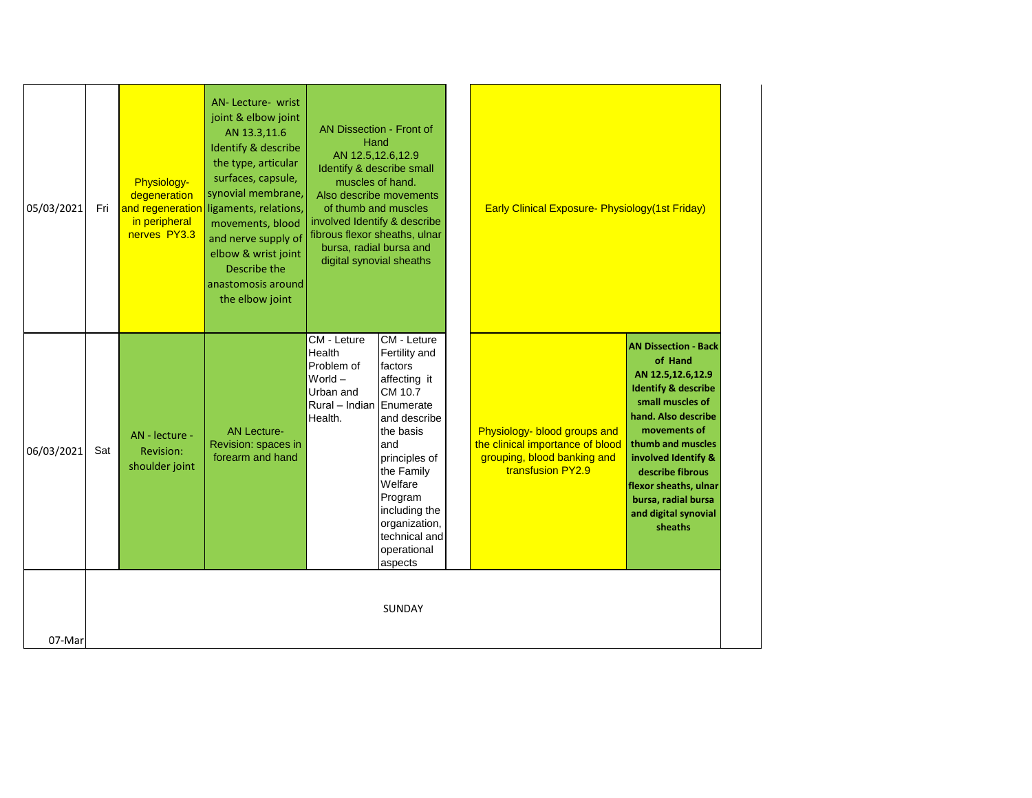| 05/03/2021 | Fri | Physiology-<br>degeneration<br>and regeneration<br>in peripheral<br>nerves PY3.3 | AN-Lecture- wrist<br>joint & elbow joint<br>AN 13.3,11.6<br>Identify & describe<br>the type, articular<br>surfaces, capsule,<br>synovial membrane,<br>ligaments, relations,<br>movements, blood<br>and nerve supply of<br>elbow & wrist joint<br>Describe the<br>anastomosis around<br>the elbow joint | AN Dissection - Front of<br>Hand<br>AN 12.5, 12.6, 12.9<br>Identify & describe small<br>muscles of hand.<br>of thumb and muscles<br>involved Identify & describe<br>fibrous flexor sheaths, ulnar<br>bursa, radial bursa and<br>digital synovial sheaths | Also describe movements                                                                                                                                                                                                                  | <b>Early Clinical Exposure- Physiology (1st Friday)</b>                                                              |                                                                                                                                                                                                                                                                                                             |
|------------|-----|----------------------------------------------------------------------------------|--------------------------------------------------------------------------------------------------------------------------------------------------------------------------------------------------------------------------------------------------------------------------------------------------------|----------------------------------------------------------------------------------------------------------------------------------------------------------------------------------------------------------------------------------------------------------|------------------------------------------------------------------------------------------------------------------------------------------------------------------------------------------------------------------------------------------|----------------------------------------------------------------------------------------------------------------------|-------------------------------------------------------------------------------------------------------------------------------------------------------------------------------------------------------------------------------------------------------------------------------------------------------------|
| 06/03/2021 | Sat | AN - lecture -<br>Revision:<br>shoulder joint                                    | <b>AN Lecture-</b><br>Revision: spaces in<br>forearm and hand                                                                                                                                                                                                                                          | CM - Leture<br>Health<br>Problem of<br>World $-$<br>Urban and<br>Rural - Indian Enumerate<br>Health.                                                                                                                                                     | CM - Leture<br>Fertility and<br>factors<br>affecting it<br>CM 10.7<br>and describe<br>the basis<br>and<br>principles of<br>the Family<br>Welfare<br>Program<br>including the<br>organization,<br>technical and<br>operational<br>aspects | Physiology- blood groups and<br>the clinical importance of blood<br>grouping, blood banking and<br>transfusion PY2.9 | <b>AN Dissection - Back</b><br>of Hand<br>AN 12.5,12.6,12.9<br><b>Identify &amp; describe</b><br>small muscles of<br>hand. Also describe<br>movements of<br>thumb and muscles<br>involved Identify &<br>describe fibrous<br>flexor sheaths, ulnar<br>bursa, radial bursa<br>and digital synovial<br>sheaths |
| 07-Mar     |     |                                                                                  |                                                                                                                                                                                                                                                                                                        |                                                                                                                                                                                                                                                          | SUNDAY                                                                                                                                                                                                                                   |                                                                                                                      |                                                                                                                                                                                                                                                                                                             |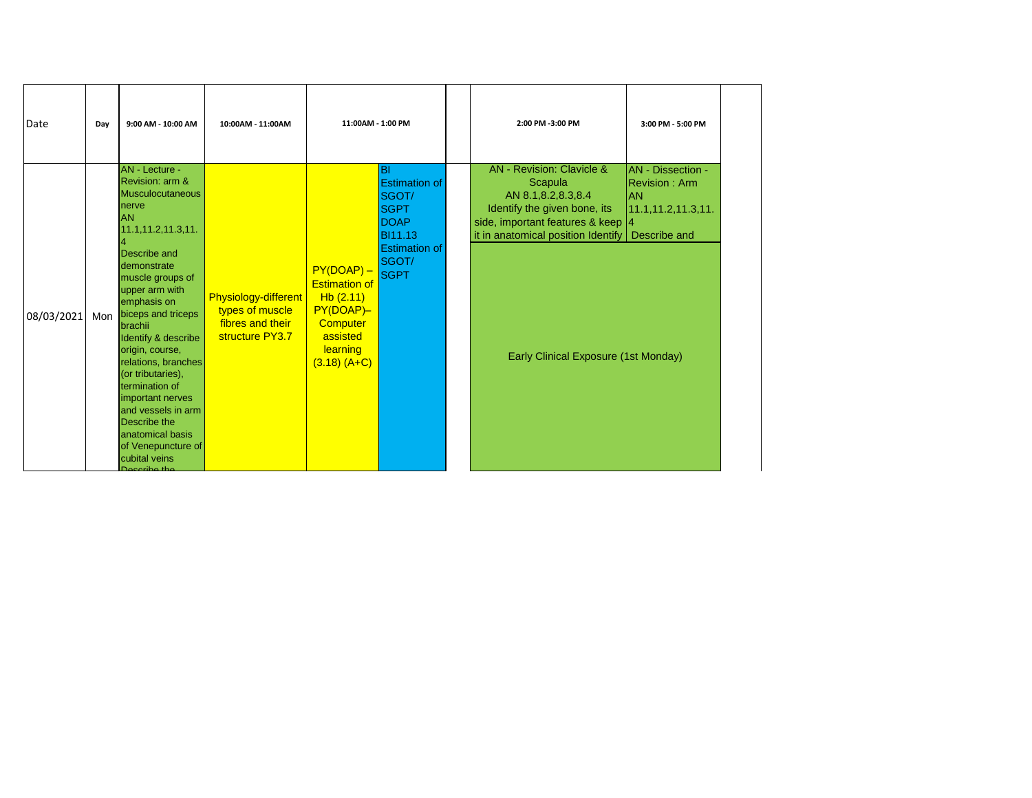| Date       | Day | 9:00 AM - 10:00 AM                                                                                                                                                                                                                                                                                                                                                                                                                                                                               | 10:00AM - 11:00AM                                                              | 11:00AM - 1:00 PM                                                                                                   |                                                                                                                               | 2:00 PM -3:00 PM                                                                                                                                                                                                                   | 3:00 PM - 5:00 PM                                                               |
|------------|-----|--------------------------------------------------------------------------------------------------------------------------------------------------------------------------------------------------------------------------------------------------------------------------------------------------------------------------------------------------------------------------------------------------------------------------------------------------------------------------------------------------|--------------------------------------------------------------------------------|---------------------------------------------------------------------------------------------------------------------|-------------------------------------------------------------------------------------------------------------------------------|------------------------------------------------------------------------------------------------------------------------------------------------------------------------------------------------------------------------------------|---------------------------------------------------------------------------------|
| 08/03/2021 | Mon | AN - Lecture -<br>Revision: arm &<br><b>Musculocutaneous</b><br>nerve<br><b>JAN</b><br>11.1, 11.2, 11.3, 11.<br>Describe and<br>Idemonstrate<br>muscle groups of<br>upper arm with<br>emphasis on<br>biceps and triceps<br><b>I</b> brachii<br>Identify & describe<br>origin, course,<br>relations, branches<br>(or tributaries),<br>termination of<br>important nerves<br>and vessels in arm<br><b>IDescribe the</b><br>anatomical basis<br>of Venepuncture of<br>cubital veins<br>Doceribo the | Physiology-different<br>types of muscle<br>fibres and their<br>structure PY3.7 | $PY(DOAP) -$<br><b>Estimation of</b><br>Hb(2.11)<br>PY(DOAP)-<br>Computer<br>assisted<br>learning<br>$(3.18) (A+C)$ | ΙBΙ<br><b>Estimation of</b><br>SGOT/<br><b>SGPT</b><br><b>DOAP</b><br><b>BI11.13</b><br><b>Estimation of</b><br>SGOT/<br>SGPT | AN - Revision: Clavicle &<br>Scapula<br>AN 8.1,8.2,8.3,8.4<br>Identify the given bone, its<br>side, important features & keep  4<br>it in anatomical position Identify $\log$ Describe and<br>Early Clinical Exposure (1st Monday) | AN - Dissection -<br><b>Revision: Arm</b><br><b>AN</b><br>11.1, 11.2, 11.3, 11. |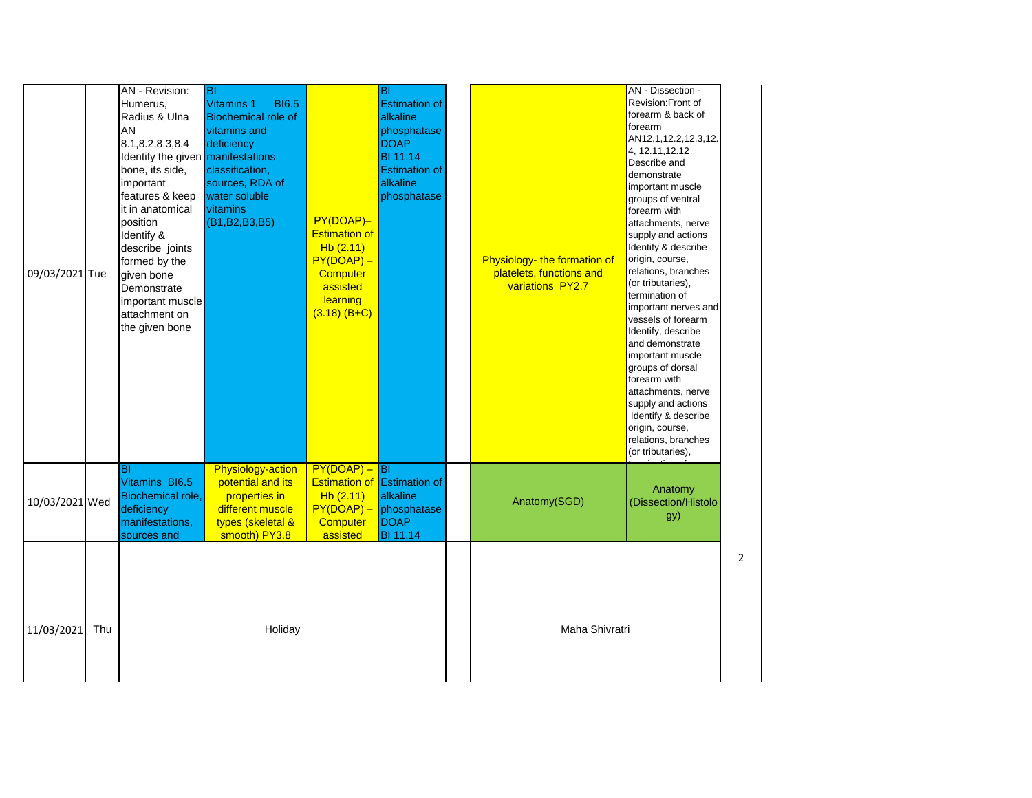| 09/03/2021 Tue |     | AN - Revision:<br>Humerus,<br>Radius & Ulna<br><b>AN</b><br>8.1,8.2,8.3,8.4<br>Identify the given manifestations<br>bone, its side,<br>important<br>features & keep<br>it in anatomical<br>position<br>Identify &<br>describe joints<br>formed by the<br>given bone<br>Demonstrate<br>important muscle<br>attachment on<br>the given bone | <b>BI</b><br><b>Vitamins 1</b><br><b>BI6.5</b><br><b>Biochemical role of</b><br>vitamins and<br>deficiency<br>classification,<br>sources, RDA of<br>water soluble<br>vitamins<br>(B1, B2, B3, B5) | PY(DOAP)-<br><b>Estimation of</b><br>Hb(2.11)<br>$PY(DOAP) -$<br>Computer<br>assisted<br>learning<br>$(3.18)$ (B+C) | BI<br><b>Estimation of</b><br>alkaline<br>phosphatase<br><b>DOAP</b><br><b>BI 11.14</b><br><b>Estimation of</b><br>alkaline<br>phosphatase | Physiology- the formation of<br>platelets, functions and<br>variations PY2.7 | AN - Dissection -<br>Revision:Front of<br>forearm & back of<br>forearm<br>AN12.1,12.2,12.3,12.<br>4, 12.11, 12.12<br>Describe and<br>demonstrate<br>important muscle<br>groups of ventral<br>forearm with<br>attachments, nerve<br>supply and actions<br>Identify & describe<br>origin, course,<br>relations, branches<br>(or tributaries),<br>termination of<br>important nerves and<br>vessels of forearm<br>Identify, describe<br>and demonstrate<br>important muscle<br>groups of dorsal<br>forearm with<br>attachments, nerve<br>supply and actions<br>Identify & describe<br>origin, course,<br>relations, branches<br>(or tributaries), |   |
|----------------|-----|-------------------------------------------------------------------------------------------------------------------------------------------------------------------------------------------------------------------------------------------------------------------------------------------------------------------------------------------|---------------------------------------------------------------------------------------------------------------------------------------------------------------------------------------------------|---------------------------------------------------------------------------------------------------------------------|--------------------------------------------------------------------------------------------------------------------------------------------|------------------------------------------------------------------------------|------------------------------------------------------------------------------------------------------------------------------------------------------------------------------------------------------------------------------------------------------------------------------------------------------------------------------------------------------------------------------------------------------------------------------------------------------------------------------------------------------------------------------------------------------------------------------------------------------------------------------------------------|---|
| 10/03/2021 Wed |     | ΙBΙ<br>Vitamins BI6.5<br>Biochemical role,<br>deficiency<br>manifestations,<br>sources and                                                                                                                                                                                                                                                | Physiology-action<br>potential and its<br>properties in<br>different muscle<br>types (skeletal &<br>smooth) PY3.8                                                                                 | $PY(DOAP) -  BI $<br>Hb(2.11)<br><b>Computer</b><br>assisted                                                        | <b>Estimation of Estimation of</b><br>alkaline<br>$PY(DOAP) -$ phosphatase<br><b>DOAP</b><br><b>BI</b> 11.14                               | Anatomy(SGD)                                                                 | Anatomy<br>(Dissection/Histolo<br>gy)                                                                                                                                                                                                                                                                                                                                                                                                                                                                                                                                                                                                          |   |
| 11/03/2021     | Thu |                                                                                                                                                                                                                                                                                                                                           | Holiday                                                                                                                                                                                           |                                                                                                                     |                                                                                                                                            | Maha Shivratri                                                               |                                                                                                                                                                                                                                                                                                                                                                                                                                                                                                                                                                                                                                                | 2 |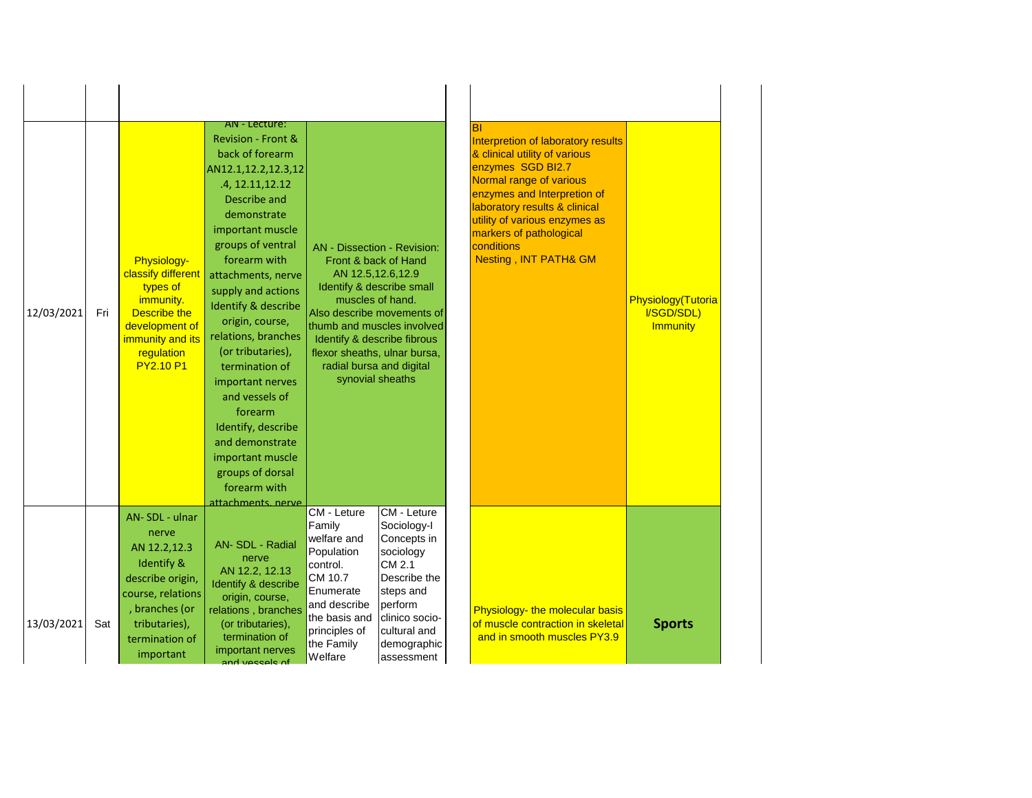| 12/03/2021 | Fri | Physiology-<br>classify different<br>types of<br>immunity.<br>Describe the<br>development of<br>immunity and its<br>regulation<br><b>PY2.10 P1</b>                          | AN - Lecture:<br><b>Revision - Front &amp;</b><br>back of forearm<br>AN12.1,12.2,12.3,12<br>.4, 12.11, 12.12<br>Describe and<br>demonstrate<br>important muscle<br>groups of ventral<br>forearm with<br>attachments, nerve<br>supply and actions<br>Identify & describe<br>origin, course,<br>relations, branches<br>(or tributaries),<br>termination of<br>important nerves<br>and vessels of<br>forearm<br>Identify, describe<br>and demonstrate<br>important muscle<br>groups of dorsal<br>forearm with<br>attachments nerve | AN - Dissection - Revision:<br>AN 12.5,12.6,12.9<br>muscles of hand.<br>thumb and muscles involved<br>Identify & describe fibrous<br>flexor sheaths, ulnar bursa,<br>radial bursa and digital<br>synovial sheaths | Front & back of Hand<br>Identify & describe small<br>Also describe movements of                                                                                          | <b>BI</b><br>Interpretion of laboratory results<br>& clinical utility of various<br>enzymes SGD BI2.7<br>Normal range of various<br>enzymes and Interpretion of<br>laboratory results & clinical<br>utility of various enzymes as<br>markers of pathological<br>conditions<br>Nesting, INT PATH& GM | Physiology(Tutoria<br>I/SGD/SDL)<br><b>Immunity</b> |
|------------|-----|-----------------------------------------------------------------------------------------------------------------------------------------------------------------------------|---------------------------------------------------------------------------------------------------------------------------------------------------------------------------------------------------------------------------------------------------------------------------------------------------------------------------------------------------------------------------------------------------------------------------------------------------------------------------------------------------------------------------------|-------------------------------------------------------------------------------------------------------------------------------------------------------------------------------------------------------------------|--------------------------------------------------------------------------------------------------------------------------------------------------------------------------|-----------------------------------------------------------------------------------------------------------------------------------------------------------------------------------------------------------------------------------------------------------------------------------------------------|-----------------------------------------------------|
| 13/03/2021 | Sat | AN-SDL - ulnar<br>nerve<br>AN 12.2,12.3<br><b>Identify &amp;</b><br>describe origin,<br>course, relations<br>, branches (or<br>tributaries),<br>termination of<br>important | AN-SDL - Radial<br>nerve<br>AN 12.2, 12.13<br>Identify & describe<br>origin, course,<br>relations, branches<br>(or tributaries),<br>termination of<br>important nerves<br>and veccels of                                                                                                                                                                                                                                                                                                                                        | CM - Leture<br>Family<br>welfare and<br>Population<br>control.<br>CM 10.7<br>Enumerate<br>and describe<br>the basis and<br>principles of<br>the Family<br>Welfare                                                 | CM - Leture<br>Sociology-I<br>Concepts in<br>sociology<br>ICM 2.1<br>Describe the<br>steps and<br>perform<br>clinico socio-<br>cultural and<br>demographic<br>assessment | Physiology- the molecular basis<br>of muscle contraction in skeletal<br>and in smooth muscles PY3.9                                                                                                                                                                                                 | <b>Sports</b>                                       |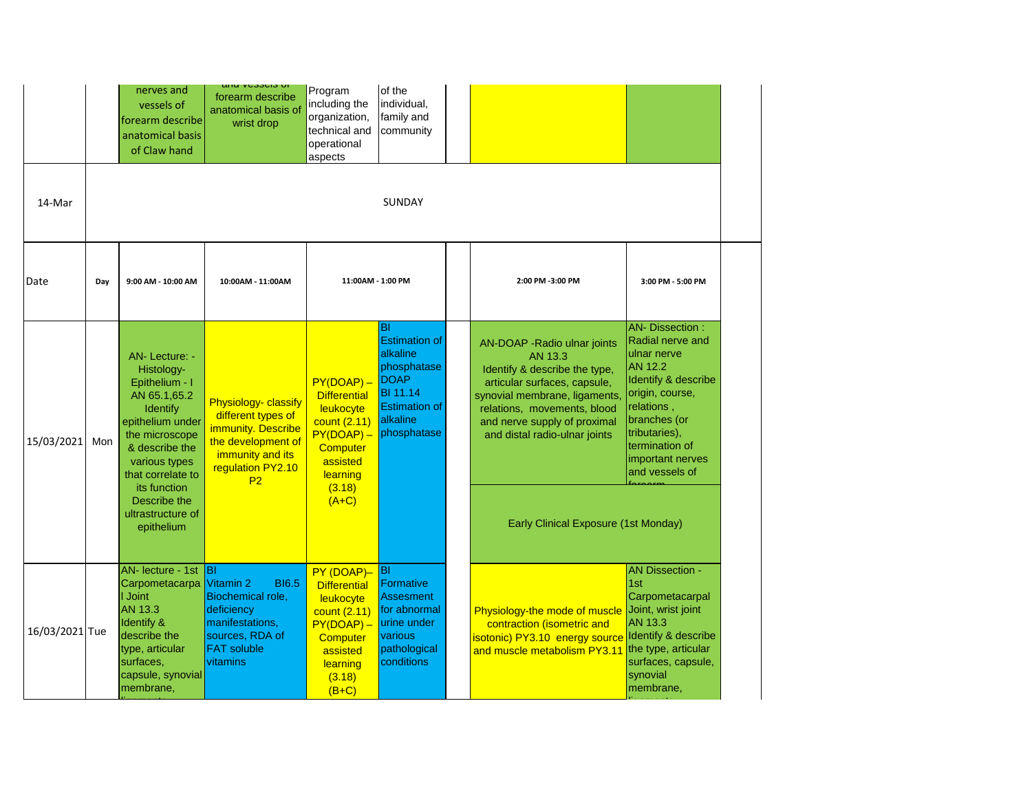|                |     | nerves and<br>vessels of<br>forearm describe<br>anatomical basis<br>of Claw hand                                                                                               | απα ν <del>ο</del> σσοσισ υπ<br>forearm describe<br>anatomical basis of<br>wrist drop                                                             | Program<br>including the<br>organization,<br>technical and<br>operational<br>aspects                                                           | of the<br>individual,<br>family and<br>community                                                                                     |                                                                                                                                                                                                                                          |                                                                                                                                                                                                                              |
|----------------|-----|--------------------------------------------------------------------------------------------------------------------------------------------------------------------------------|---------------------------------------------------------------------------------------------------------------------------------------------------|------------------------------------------------------------------------------------------------------------------------------------------------|--------------------------------------------------------------------------------------------------------------------------------------|------------------------------------------------------------------------------------------------------------------------------------------------------------------------------------------------------------------------------------------|------------------------------------------------------------------------------------------------------------------------------------------------------------------------------------------------------------------------------|
| 14-Mar         |     |                                                                                                                                                                                |                                                                                                                                                   |                                                                                                                                                | SUNDAY                                                                                                                               |                                                                                                                                                                                                                                          |                                                                                                                                                                                                                              |
| Date           | Day | 9:00 AM - 10:00 AM                                                                                                                                                             | 10:00AM - 11:00AM                                                                                                                                 | 11:00AM - 1:00 PM                                                                                                                              |                                                                                                                                      | 2:00 PM -3:00 PM                                                                                                                                                                                                                         | 3:00 PM - 5:00 PM                                                                                                                                                                                                            |
| 15/03/2021     | Mon | AN-Lecture: -<br>Histology-<br>Epithelium - I<br>AN 65.1,65.2<br><b>Identify</b><br>epithelium under<br>the microscope<br>& describe the<br>various types<br>that correlate to | Physiology- classify<br>different types of<br>immunity. Describe<br>the development of<br>immunity and its<br>regulation PY2.10<br>P <sub>2</sub> | $PY(DOAP) -$<br><b>Differential</b><br>leukocyte<br>count (2.11)<br>$PY(DOAP) -$<br>Computer<br>assisted<br>learning                           | ΙBΙ<br><b>Estimation of</b><br>alkaline<br>phosphatase<br>DOAP<br><b>BI</b> 11.14<br><b>Estimation of</b><br>alkaline<br>phosphatase | AN-DOAP - Radio ulnar joints<br>AN 13.3<br>Identify & describe the type,<br>articular surfaces, capsule,<br>synovial membrane, ligaments<br>relations, movements, blood<br>and nerve supply of proximal<br>and distal radio-ulnar joints | <b>AN- Dissection:</b><br>Radial nerve and<br>ulnar nerve<br><b>AN 12.2</b><br>Identify & describe<br>origin, course,<br>relations,<br>branches (or<br>tributaries),<br>termination of<br>important nerves<br>and vessels of |
|                |     | its function<br>Describe the<br>ultrastructure of<br>epithelium                                                                                                                |                                                                                                                                                   | (3.18)<br>$(A+C)$                                                                                                                              |                                                                                                                                      | Early Clinical Exposure (1st Monday)                                                                                                                                                                                                     |                                                                                                                                                                                                                              |
| 16/03/2021 Tue |     | AN- lecture - 1st BI<br>Carpometacarpa Vitamin 2<br>I Joint<br>AN 13.3<br>Identify &<br>describe the<br>type, articular<br>surfaces,<br>capsule, synovial<br>membrane,         | <b>BI6.5</b><br>Biochemical role,<br>deficiency<br>manifestations,<br>sources, RDA of<br><b>FAT soluble</b><br>vitamins                           | PY (DOAP)-<br><b>Differential</b><br>leukocyte<br>count (2.11)<br>$PY(DOAP) -$<br><b>Computer</b><br>assisted<br>learning<br>(3.18)<br>$(B+C)$ | BI<br>Formative<br><b>Assesment</b><br>for abnormal<br>urine under<br>various<br>pathological<br>conditions                          | Physiology-the mode of muscle Joint, wrist joint<br>contraction (isometric and<br>isotonic) PY3.10 energy source Identify & describe<br>and muscle metabolism PY3.11 the type, articular                                                 | <b>AN Dissection -</b><br>1st<br>Carpometacarpal<br><b>AN 13.3</b><br>surfaces, capsule,<br>synovial<br>membrane,                                                                                                            |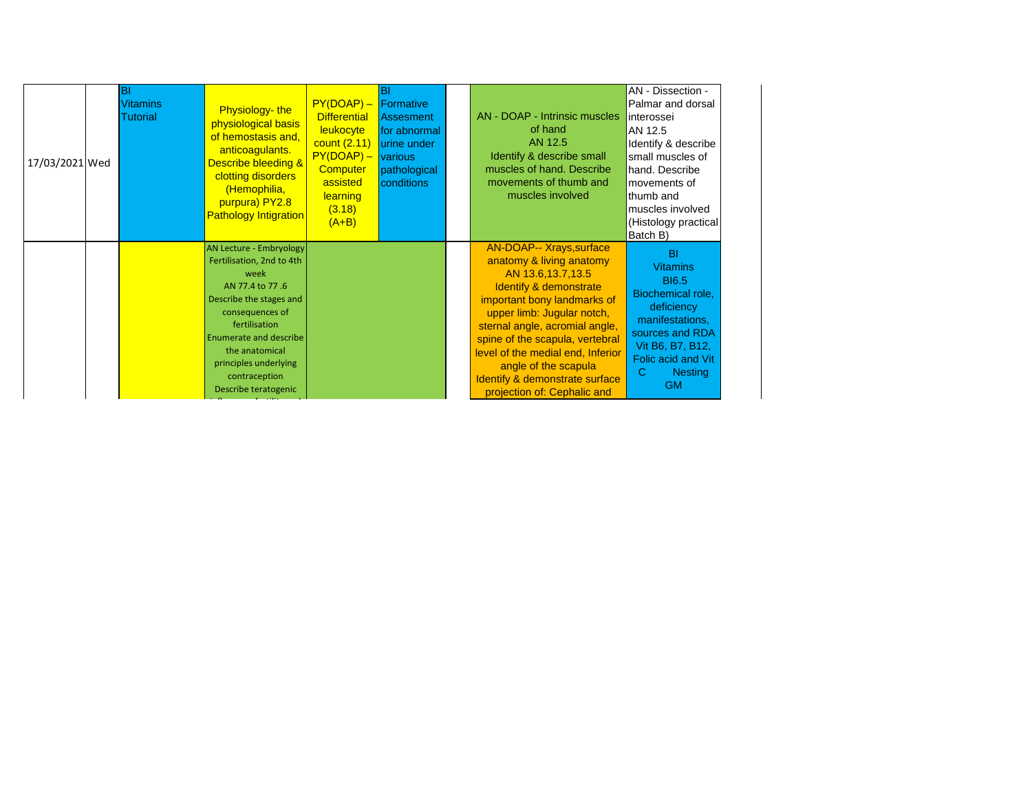| 17/03/2021 Wed | ΙBΙ<br><b>Vitamins</b><br>Tutorial | Physiology-the<br>physiological basis<br>of hemostasis and,<br>anticoagulants.<br><b>Describe bleeding &amp;</b><br>clotting disorders<br>(Hemophilia,<br>purpura) PY2.8<br><b>Pathology Intigration</b>                                                     | $PY(DOAP) -$ Formative<br><b>Differential</b><br>leukocyte<br>count $(2.11)$<br>$PY(DOAP) -$<br>Computer<br>assisted<br>learning<br>(3.18)<br>$(A+B)$ | BI<br><b>Assesment</b><br>for abnormal<br>urine under<br><u>Ivarious</u><br>pathological<br>conditions | AN - DOAP - Intrinsic muscles<br>of hand<br>AN 12.5<br>Identify & describe small<br>muscles of hand. Describe<br>movements of thumb and<br>muscles involved                                                                                                                                                                                                                  | AN - Dissection -<br>Palmar and dorsal<br>interossei<br>AN 12.5<br>Identify & describe<br>small muscles of<br>hand. Describe<br>movements of<br>thumb and<br>muscles involved<br>(Histology practical)<br>Batch B) |
|----------------|------------------------------------|--------------------------------------------------------------------------------------------------------------------------------------------------------------------------------------------------------------------------------------------------------------|-------------------------------------------------------------------------------------------------------------------------------------------------------|--------------------------------------------------------------------------------------------------------|------------------------------------------------------------------------------------------------------------------------------------------------------------------------------------------------------------------------------------------------------------------------------------------------------------------------------------------------------------------------------|--------------------------------------------------------------------------------------------------------------------------------------------------------------------------------------------------------------------|
|                |                                    | AN Lecture - Embryology<br>Fertilisation, 2nd to 4th<br>week<br>AN 77.4 to 77.6<br>Describe the stages and<br>consequences of<br>fertilisation<br>Enumerate and describe<br>the anatomical<br>principles underlying<br>contraception<br>Describe teratogenic |                                                                                                                                                       |                                                                                                        | <b>AN-DOAP-- Xrays, surface</b><br>anatomy & living anatomy<br>AN 13.6, 13.7, 13.5<br>Identify & demonstrate<br>important bony landmarks of<br>upper limb: Jugular notch,<br>sternal angle, acromial angle,<br>spine of the scapula, vertebral<br>level of the medial end, Inferior<br>angle of the scapula<br>Identify & demonstrate surface<br>projection of: Cephalic and | <b>BI</b><br><b>Vitamins</b><br><b>BI6.5</b><br>Biochemical role,<br>deficiency<br>manifestations,<br>sources and RDA<br>Vit B6, B7, B12,<br>Folic acid and Vit<br>C<br><b>Nesting</b><br><b>GM</b>                |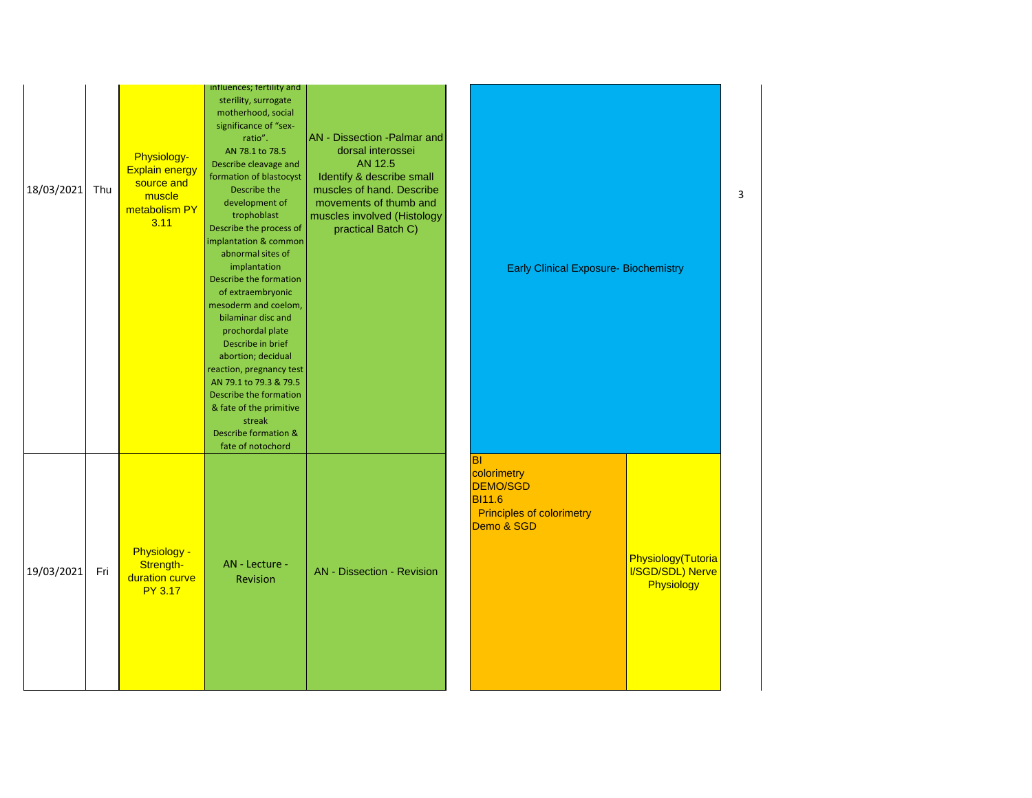| 18/03/2021 | Thu | Physiology-<br><b>Explain energy</b><br>source and<br>muscle<br>metabolism PY<br>3.11 | influences; fertility and<br>sterility, surrogate<br>motherhood, social<br>significance of "sex-<br>ratio".<br>AN 78.1 to 78.5<br>Describe cleavage and<br>formation of blastocyst<br>Describe the<br>development of<br>trophoblast<br>Describe the process of<br>implantation & common<br>abnormal sites of<br>implantation<br>Describe the formation<br>of extraembryonic<br>mesoderm and coelom,<br>bilaminar disc and<br>prochordal plate<br>Describe in brief<br>abortion; decidual<br>reaction, pregnancy test<br>AN 79.1 to 79.3 & 79.5<br>Describe the formation<br>& fate of the primitive<br>streak<br>Describe formation &<br>fate of notochord | <b>AN</b> - Dissection - Palmar and<br>dorsal interossei<br>AN 12.5<br>Identify & describe small<br>muscles of hand. Describe<br>movements of thumb and<br>muscles involved (Histology<br>practical Batch C) | <b>Early Clinical Exposure- Biochemistry</b>                                                                                                                           | 3 |
|------------|-----|---------------------------------------------------------------------------------------|------------------------------------------------------------------------------------------------------------------------------------------------------------------------------------------------------------------------------------------------------------------------------------------------------------------------------------------------------------------------------------------------------------------------------------------------------------------------------------------------------------------------------------------------------------------------------------------------------------------------------------------------------------|--------------------------------------------------------------------------------------------------------------------------------------------------------------------------------------------------------------|------------------------------------------------------------------------------------------------------------------------------------------------------------------------|---|
| 19/03/2021 | Fri | <b>Physiology -</b><br>Strength-<br>duration curve<br><b>PY 3.17</b>                  | AN - Lecture -<br>Revision                                                                                                                                                                                                                                                                                                                                                                                                                                                                                                                                                                                                                                 | <b>AN</b> - Dissection - Revision                                                                                                                                                                            | <b>BI</b><br>colorimetry<br>DEMO/SGD<br><b>BI11.6</b><br><b>Principles of colorimetry</b><br>Demo & SGD<br>Physiology(Tutoria<br><b>I/SGD/SDL) Nerve</b><br>Physiology |   |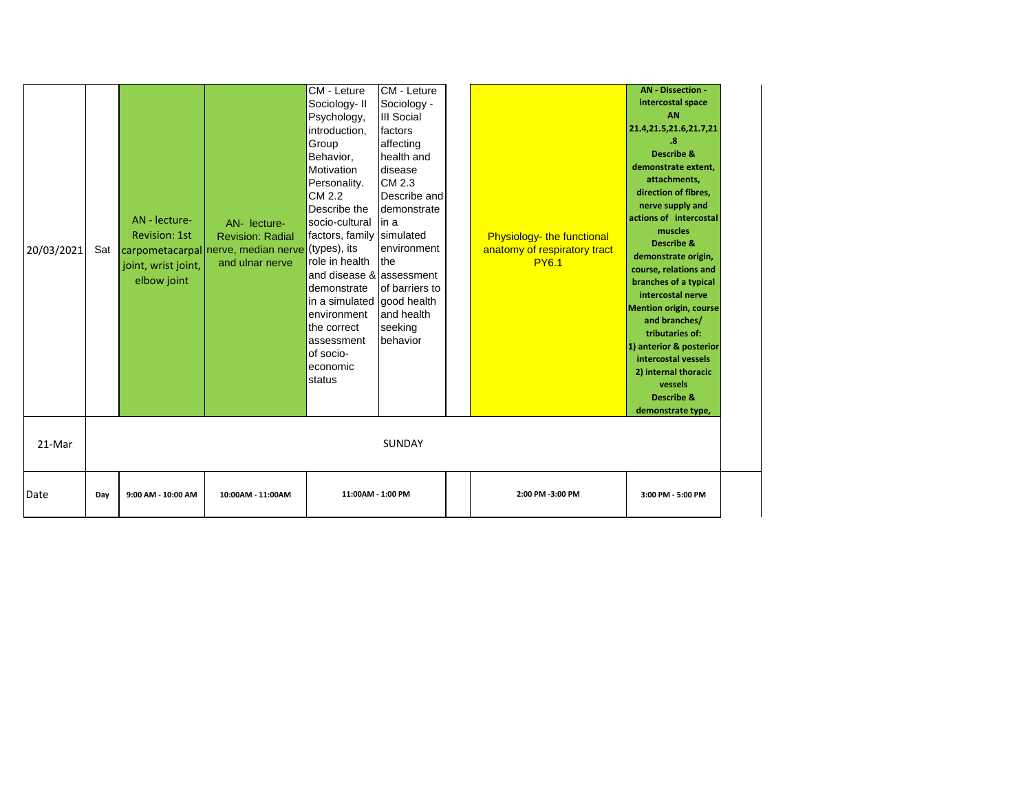| 20/03/2021<br>21-Mar | Sat | AN - lecture-<br><b>Revision: 1st</b><br>joint, wrist joint,<br>elbow joint | AN- lecture-<br><b>Revision: Radial</b><br>carpometacarpal nerve, median nerve (types), its<br>and ulnar nerve | CM - Leture<br>Sociology-II<br>Psychology,<br>introduction,<br>Group<br>Behavior,<br>Motivation<br>Personality.<br>CM 2.2<br>Describe the<br>socio-cultural<br>factors, family<br>role in health<br>and disease & assessment<br>demonstrate<br>in a simulated good health<br>environment<br>the correct<br>assessment<br>of socio-<br>economic<br>status | CM - Leture<br>Sociology -<br><b>III Social</b><br>factors<br>affecting<br>health and<br>disease<br>CM 2.3<br>Describe and<br>demonstrate<br>lin a<br>simulated<br>environment<br>Ithe<br>of barriers to<br>and health<br>seeking<br>behavior<br><b>SUNDAY</b> | Physiology- the functional<br>anatomy of respiratory tract<br><b>PY6.1</b> | <b>AN - Dissection -</b><br>intercostal space<br><b>AN</b><br>21.4,21.5,21.6,21.7,21<br>.8<br><b>Describe &amp;</b><br>demonstrate extent.<br>attachments,<br>direction of fibres,<br>nerve supply and<br>actions of intercostal<br>muscles<br><b>Describe &amp;</b><br>demonstrate origin,<br>course, relations and<br>branches of a typical<br>intercostal nerve<br><b>Mention origin, course</b><br>and branches/<br>tributaries of:<br>1) anterior & posterior<br>intercostal vessels<br>2) internal thoracic<br>vessels<br><b>Describe &amp;</b><br>demonstrate type, |
|----------------------|-----|-----------------------------------------------------------------------------|----------------------------------------------------------------------------------------------------------------|----------------------------------------------------------------------------------------------------------------------------------------------------------------------------------------------------------------------------------------------------------------------------------------------------------------------------------------------------------|----------------------------------------------------------------------------------------------------------------------------------------------------------------------------------------------------------------------------------------------------------------|----------------------------------------------------------------------------|----------------------------------------------------------------------------------------------------------------------------------------------------------------------------------------------------------------------------------------------------------------------------------------------------------------------------------------------------------------------------------------------------------------------------------------------------------------------------------------------------------------------------------------------------------------------------|
|                      |     |                                                                             |                                                                                                                |                                                                                                                                                                                                                                                                                                                                                          |                                                                                                                                                                                                                                                                |                                                                            |                                                                                                                                                                                                                                                                                                                                                                                                                                                                                                                                                                            |
| Date                 | Day | 9:00 AM - 10:00 AM                                                          | 10:00AM - 11:00AM                                                                                              | 11:00AM - 1:00 PM                                                                                                                                                                                                                                                                                                                                        |                                                                                                                                                                                                                                                                | 2:00 PM -3:00 PM                                                           | 3:00 PM - 5:00 PM                                                                                                                                                                                                                                                                                                                                                                                                                                                                                                                                                          |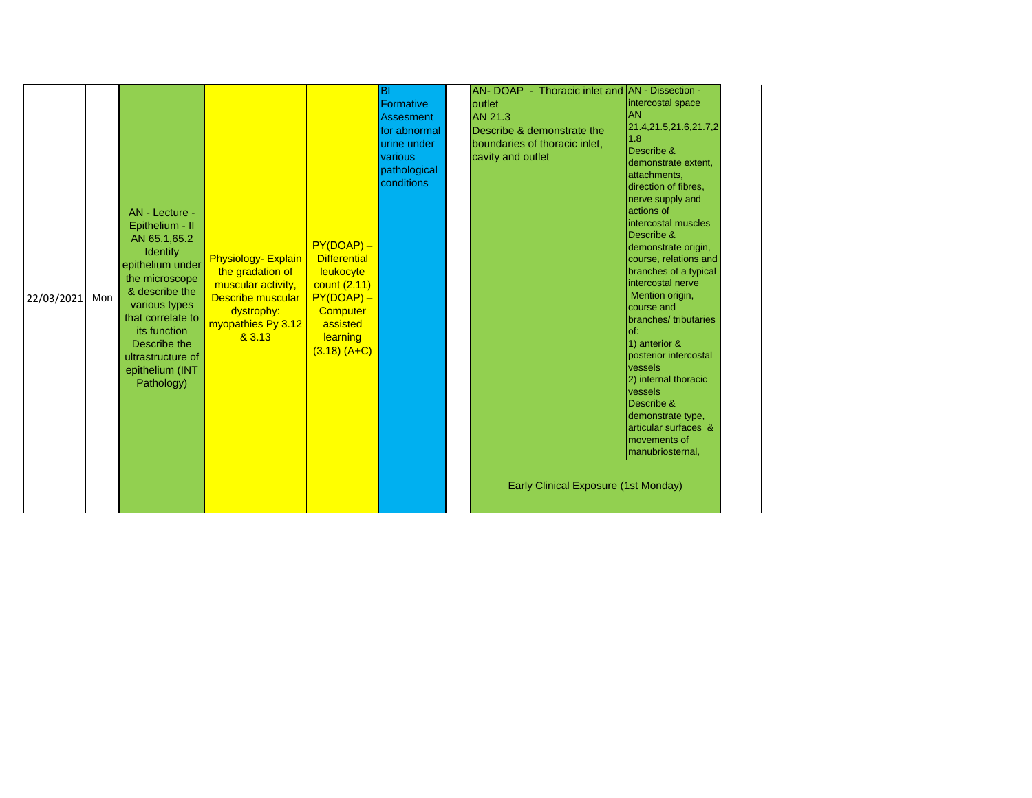| 22/03/2021 | Mon | AN - Lecture -<br>Epithelium - II<br>AN 65.1,65.2<br><b>Identify</b><br>epithelium under<br>the microscope<br>& describe the<br>various types<br>that correlate to<br>its function<br>Describe the<br>ultrastructure of<br>epithelium (INT<br>Pathology) | <b>Physiology- Explain</b><br>the gradation of<br>muscular activity,<br>Describe muscular<br>dystrophy:<br>myopathies Py 3.12<br>83.13 | $PY(DOAP) -$<br><b>Differential</b><br>leukocyte<br>count (2.11)<br>$PY(DOAP) -$<br>Computer<br>assisted<br>learning<br>$(3.18) (A+C)$ | <b>BI</b><br>Formative<br><b>Assesment</b><br>for abnormal<br>urine under<br>various<br>pathological<br>conditions |  | AN- DOAP - Thoracic inlet and AN - Dissection -<br><b>loutlet</b><br>AN 21.3<br>Describe & demonstrate the<br>boundaries of thoracic inlet,<br>cavity and outlet<br>Early Clinical Exposure (1st Monday) | intercostal space<br>IAN<br>21.4,21.5,21.6,21.7,2<br>11.8<br>Describe &<br>demonstrate extent,<br>attachments,<br>direction of fibres,<br>nerve supply and<br>actions of<br>intercostal muscles<br>Describe &<br>demonstrate origin,<br>course, relations and<br>branches of a typical<br>intercostal nerve<br>Mention origin,<br>course and<br>branches/tributaries<br>$I$ of:<br>1) anterior &<br>posterior intercostal<br>vessels<br>2) internal thoracic<br>vessels<br>Describe &<br>demonstrate type,<br>articular surfaces &<br>movements of<br>manubriosternal, |
|------------|-----|----------------------------------------------------------------------------------------------------------------------------------------------------------------------------------------------------------------------------------------------------------|----------------------------------------------------------------------------------------------------------------------------------------|----------------------------------------------------------------------------------------------------------------------------------------|--------------------------------------------------------------------------------------------------------------------|--|----------------------------------------------------------------------------------------------------------------------------------------------------------------------------------------------------------|------------------------------------------------------------------------------------------------------------------------------------------------------------------------------------------------------------------------------------------------------------------------------------------------------------------------------------------------------------------------------------------------------------------------------------------------------------------------------------------------------------------------------------------------------------------------|
|------------|-----|----------------------------------------------------------------------------------------------------------------------------------------------------------------------------------------------------------------------------------------------------------|----------------------------------------------------------------------------------------------------------------------------------------|----------------------------------------------------------------------------------------------------------------------------------------|--------------------------------------------------------------------------------------------------------------------|--|----------------------------------------------------------------------------------------------------------------------------------------------------------------------------------------------------------|------------------------------------------------------------------------------------------------------------------------------------------------------------------------------------------------------------------------------------------------------------------------------------------------------------------------------------------------------------------------------------------------------------------------------------------------------------------------------------------------------------------------------------------------------------------------|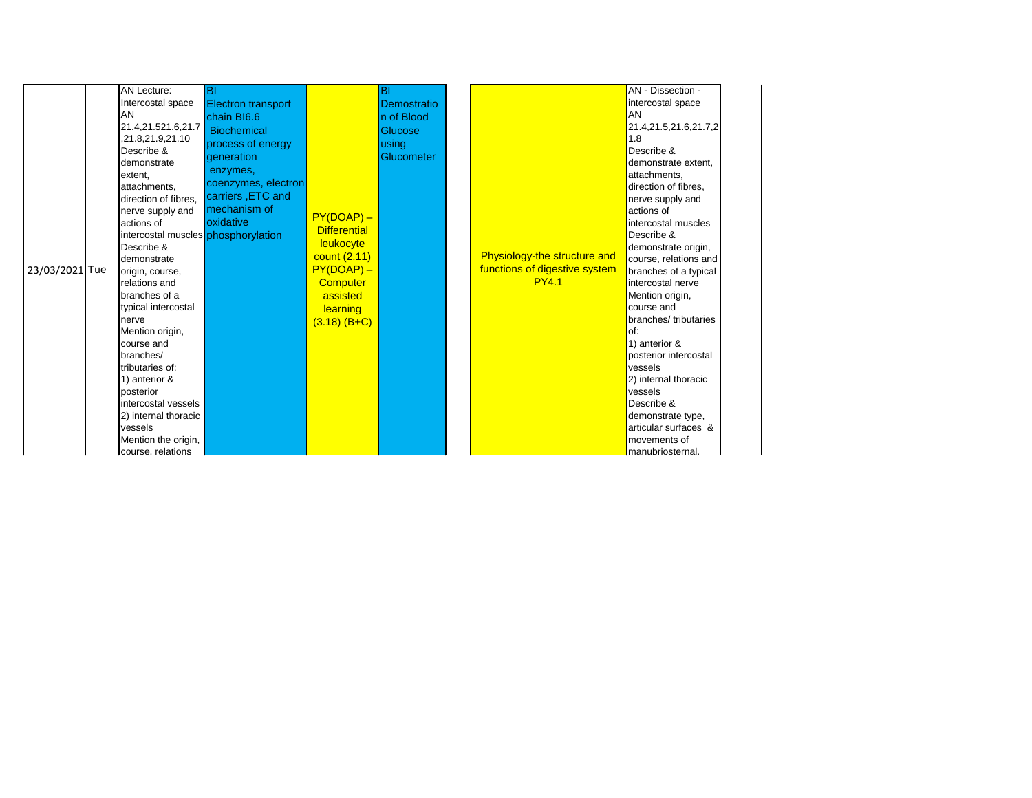| 23/03/2021 Tue | AN Lecture:<br>Intercostal space<br>AN<br>21.4,21.521.6,21.7<br>,21.8,21.9,21.10<br>Describe &<br>demonstrate<br>extent,<br>attachments,<br>direction of fibres.<br>nerve supply and<br>actions of<br>intercostal muscles phosphorylation<br>Describe &<br>demonstrate<br>origin, course,<br>relations and<br>branches of a<br>typical intercostal<br>nerve<br>Mention origin,<br>course and<br>branches/<br>Itributaries of:<br>1) anterior &<br>posterior<br>intercostal vessels<br>2) internal thoracic<br>vessels<br>Mention the origin,<br>course, relations | <b>BI</b><br><b>Electron transport</b><br>chain BI6.6<br>Biochemical<br>process of energy<br>deneration<br>enzymes,<br>coenzymes, electron<br>carriers, ETC and<br>mechanism of<br>oxidative | $PY(DOAP) -$<br><b>Differential</b><br>leukocyte<br>count (2.11)<br>$PY(DOAP) -$<br><b>Computer</b><br>assisted<br>learning<br>$(3.18)$ (B+C) | BI<br>Demostratio<br>n of Blood<br>Glucose<br>using<br>Glucometer |  | Physiology-the structure and<br>functions of digestive system<br><b>PY4.1</b> | AN - Dissection -<br>intercostal space<br>AN<br>21.4,21.5,21.6,21.7,2<br>1.8<br>Describe &<br>demonstrate extent.<br>attachments,<br>direction of fibres.<br>nerve supply and<br>actions of<br>intercostal muscles<br>Describe &<br>demonstrate origin,<br>course, relations and<br>branches of a typical<br>intercostal nerve<br>Mention origin,<br>course and<br>branches/tributaries<br>of:<br>1) anterior &<br>posterior intercostal<br>vessels<br>2) internal thoracic<br>vessels<br>Describe &<br>demonstrate type,<br>articular surfaces &<br>movements of<br>manubriosternal. |  |
|----------------|-------------------------------------------------------------------------------------------------------------------------------------------------------------------------------------------------------------------------------------------------------------------------------------------------------------------------------------------------------------------------------------------------------------------------------------------------------------------------------------------------------------------------------------------------------------------|----------------------------------------------------------------------------------------------------------------------------------------------------------------------------------------------|-----------------------------------------------------------------------------------------------------------------------------------------------|-------------------------------------------------------------------|--|-------------------------------------------------------------------------------|---------------------------------------------------------------------------------------------------------------------------------------------------------------------------------------------------------------------------------------------------------------------------------------------------------------------------------------------------------------------------------------------------------------------------------------------------------------------------------------------------------------------------------------------------------------------------------------|--|
|----------------|-------------------------------------------------------------------------------------------------------------------------------------------------------------------------------------------------------------------------------------------------------------------------------------------------------------------------------------------------------------------------------------------------------------------------------------------------------------------------------------------------------------------------------------------------------------------|----------------------------------------------------------------------------------------------------------------------------------------------------------------------------------------------|-----------------------------------------------------------------------------------------------------------------------------------------------|-------------------------------------------------------------------|--|-------------------------------------------------------------------------------|---------------------------------------------------------------------------------------------------------------------------------------------------------------------------------------------------------------------------------------------------------------------------------------------------------------------------------------------------------------------------------------------------------------------------------------------------------------------------------------------------------------------------------------------------------------------------------------|--|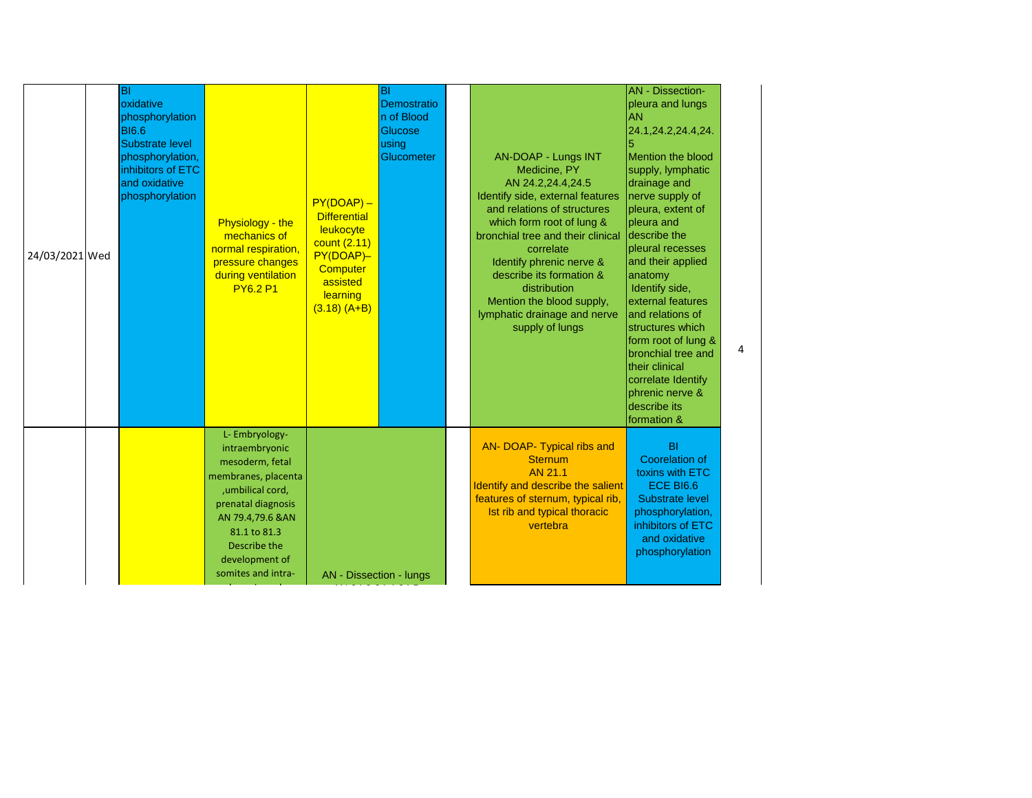| 24/03/2021 Wed | $\overline{B}$<br>oxidative<br>phosphorylation<br><b>BI6.6</b><br><b>Substrate level</b><br>phosphorylation,<br>inhibitors of ETC<br>and oxidative<br>phosphorylation | Physiology - the<br>mechanics of<br>normal respiration,<br>pressure changes<br>during ventilation<br><b>PY6.2 P1</b>                                                                                               | $PY(DOAP) -$<br><b>Differential</b><br>leukocyte<br>count (2.11)<br>PY(DOAP)-<br>Computer<br>assisted<br>learning<br>$(3.18) (A+B)$ | ÌВI<br>Demostratio<br>n of Blood<br>Glucose<br>using<br>Glucometer | AN-DOAP - Lungs INT<br>Medicine, PY<br>AN 24.2,24.4,24.5<br>Identify side, external features<br>and relations of structures<br>which form root of lung &<br>bronchial tree and their clinical<br>correlate<br>Identify phrenic nerve &<br>describe its formation &<br>distribution<br>Mention the blood supply,<br>lymphatic drainage and nerve<br>supply of lungs | <b>AN</b> - Dissection-<br>pleura and lungs<br><b>AN</b><br>24.1,24.2,24.4,24.<br>Mention the blood<br>supply, lymphatic<br>drainage and<br>nerve supply of<br>pleura, extent of<br>pleura and<br>describe the<br>pleural recesses<br>and their applied<br>anatomy<br>Identify side,<br>external features<br>and relations of<br>structures which<br>form root of lung &<br>bronchial tree and<br>their clinical<br>correlate Identify<br>phrenic nerve &<br>describe its<br>formation & | $\overline{a}$ |
|----------------|-----------------------------------------------------------------------------------------------------------------------------------------------------------------------|--------------------------------------------------------------------------------------------------------------------------------------------------------------------------------------------------------------------|-------------------------------------------------------------------------------------------------------------------------------------|--------------------------------------------------------------------|--------------------------------------------------------------------------------------------------------------------------------------------------------------------------------------------------------------------------------------------------------------------------------------------------------------------------------------------------------------------|------------------------------------------------------------------------------------------------------------------------------------------------------------------------------------------------------------------------------------------------------------------------------------------------------------------------------------------------------------------------------------------------------------------------------------------------------------------------------------------|----------------|
|                |                                                                                                                                                                       | L- Embryology-<br>intraembryonic<br>mesoderm, fetal<br>membranes, placenta<br>, umbilical cord,<br>prenatal diagnosis<br>AN 79.4,79.6 & AN<br>81.1 to 81.3<br>Describe the<br>development of<br>somites and intra- | AN - Dissection - lungs                                                                                                             |                                                                    | AN- DOAP- Typical ribs and<br><b>Sternum</b><br>AN 21.1<br>Identify and describe the salient<br>features of sternum, typical rib,<br>Ist rib and typical thoracic<br>vertebra                                                                                                                                                                                      | <b>BI</b><br><b>Coorelation of</b><br>toxins with ETC<br><b>ECE BI6.6</b><br>Substrate level<br>phosphorylation,<br>inhibitors of ETC<br>and oxidative<br>phosphorylation                                                                                                                                                                                                                                                                                                                |                |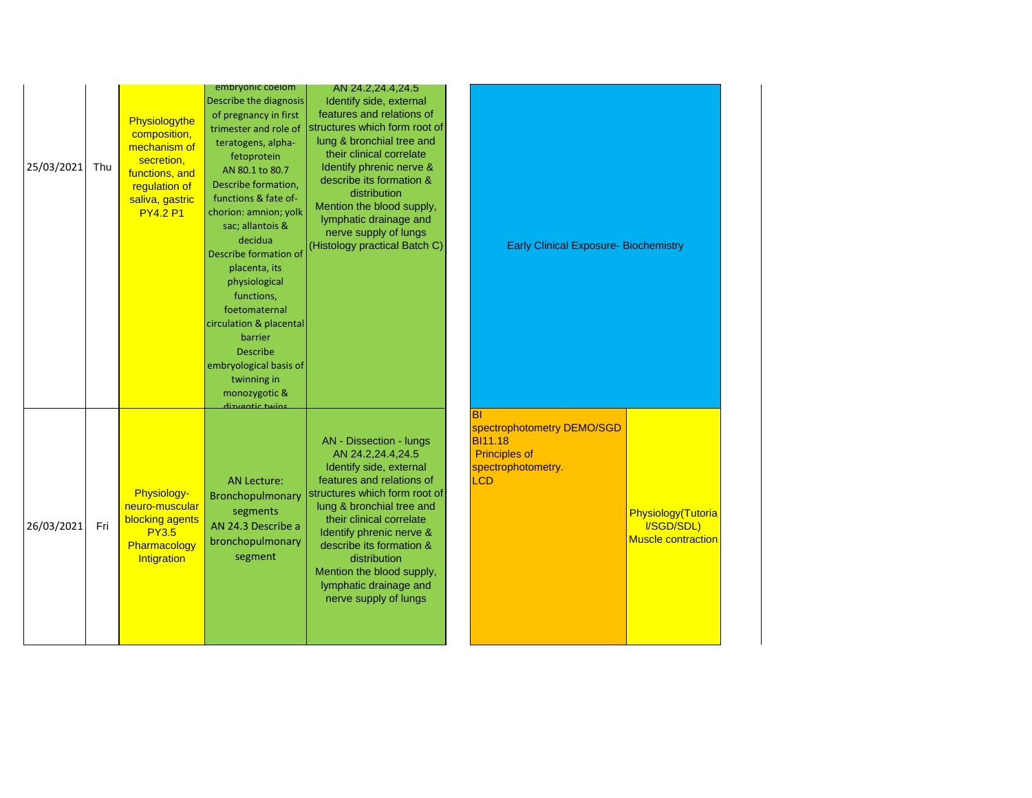| 25/03/2021 | Thu | Physiologythe<br>composition,<br>mechanism of<br>secretion,<br>functions, and<br>regulation of<br>saliva, gastric<br><b>PY4.2 P1</b> | embryonic coelom<br>Describe the diagnosis<br>of pregnancy in first<br>trimester and role of<br>teratogens, alpha-<br>fetoprotein<br>AN 80.1 to 80.7<br>Describe formation,<br>functions & fate of-<br>chorion: amnion; yolk<br>sac; allantois &<br>decidua<br>Describe formation of<br>placenta, its<br>physiological<br>functions,<br>foetomaternal<br>circulation & placental<br><b>barrier</b><br><b>Describe</b><br>embryological basis of<br>twinning in<br>monozygotic &<br>dizvantic twing | AN 24.2,24.4,24.5<br>Identify side, external<br>features and relations of<br>structures which form root of<br>lung & bronchial tree and<br>their clinical correlate<br>Identify phrenic nerve &<br>describe its formation &<br>distribution<br>Mention the blood supply,<br>lymphatic drainage and<br>nerve supply of lungs<br>(Histology practical Batch C) | <b>Early Clinical Exposure- Biochemistry</b>                                                                               |                                                               |  |
|------------|-----|--------------------------------------------------------------------------------------------------------------------------------------|----------------------------------------------------------------------------------------------------------------------------------------------------------------------------------------------------------------------------------------------------------------------------------------------------------------------------------------------------------------------------------------------------------------------------------------------------------------------------------------------------|--------------------------------------------------------------------------------------------------------------------------------------------------------------------------------------------------------------------------------------------------------------------------------------------------------------------------------------------------------------|----------------------------------------------------------------------------------------------------------------------------|---------------------------------------------------------------|--|
| 26/03/2021 | Fri | Physiology-<br>neuro-muscular<br>blocking agents<br><b>PY3.5</b><br>Pharmacology<br>Intigration                                      | <b>AN Lecture:</b><br>Bronchopulmonary<br>segments<br>AN 24.3 Describe a<br>bronchopulmonary<br>segment                                                                                                                                                                                                                                                                                                                                                                                            | AN - Dissection - lungs<br>AN 24.2,24.4,24.5<br>Identify side, external<br>features and relations of<br>structures which form root of<br>lung & bronchial tree and<br>their clinical correlate<br>Identify phrenic nerve &<br>describe its formation &<br>distribution<br>Mention the blood supply,<br>lymphatic drainage and<br>nerve supply of lungs       | $ \mathsf{B} $<br>spectrophotometry DEMO/SGD<br><b>BI11.18</b><br><b>Principles of</b><br>spectrophotometry.<br><b>LCD</b> | Physiology(Tutoria<br>I/SGD/SDL)<br><b>Muscle contraction</b> |  |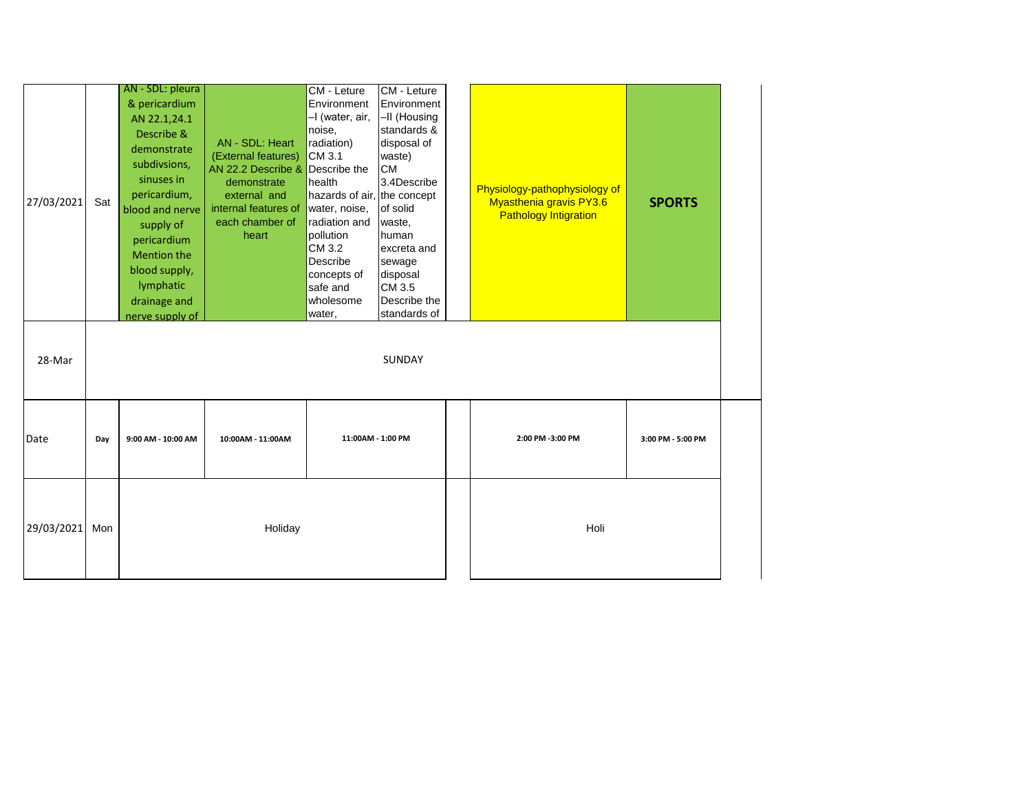| 27/03/2021 | Sat | AN - SDL: pleura<br>& pericardium<br>AN 22.1,24.1<br>Describe &<br>demonstrate<br>subdivsions,<br>sinuses in<br>pericardium,<br>blood and nerve<br>supply of<br>pericardium<br><b>Mention the</b><br>blood supply,<br>lymphatic<br>drainage and<br>nerve supply of | AN - SDL: Heart<br>(External features)<br>AN 22.2 Describe & Describe the<br>demonstrate<br>external and<br>internal features of<br>each chamber of<br>heart | <b>CM - Leture</b><br>Environment<br>-I (water, air,<br>noise,<br>radiation)<br>CM 3.1<br>health<br>hazards of air, the concept<br>water, noise,<br>radiation and<br>pollution<br>CM 3.2<br>Describe<br>concepts of<br>safe and<br>wholesome<br>water, | CM - Leture<br>Environment<br>-II (Housing<br>standards &<br>disposal of<br>waste)<br><b>CM</b><br>3.4Describe<br>of solid<br>waste,<br>human<br>excreta and<br>sewage<br>disposal<br>CM 3.5<br>Describe the<br>standards of | Physiology-pathophysiology of<br><b>Myasthenia gravis PY3.6</b><br><b>Pathology Intigration</b> | <b>SPORTS</b>     |
|------------|-----|--------------------------------------------------------------------------------------------------------------------------------------------------------------------------------------------------------------------------------------------------------------------|--------------------------------------------------------------------------------------------------------------------------------------------------------------|--------------------------------------------------------------------------------------------------------------------------------------------------------------------------------------------------------------------------------------------------------|------------------------------------------------------------------------------------------------------------------------------------------------------------------------------------------------------------------------------|-------------------------------------------------------------------------------------------------|-------------------|
| 28-Mar     |     |                                                                                                                                                                                                                                                                    |                                                                                                                                                              |                                                                                                                                                                                                                                                        | SUNDAY                                                                                                                                                                                                                       |                                                                                                 |                   |
| Date       | Day | 9:00 AM - 10:00 AM                                                                                                                                                                                                                                                 | 10:00AM - 11:00AM                                                                                                                                            | 11:00AM - 1:00 PM                                                                                                                                                                                                                                      |                                                                                                                                                                                                                              | 2:00 PM -3:00 PM                                                                                | 3:00 PM - 5:00 PM |
| 29/03/2021 | Mon |                                                                                                                                                                                                                                                                    | Holiday                                                                                                                                                      |                                                                                                                                                                                                                                                        |                                                                                                                                                                                                                              | Holi                                                                                            |                   |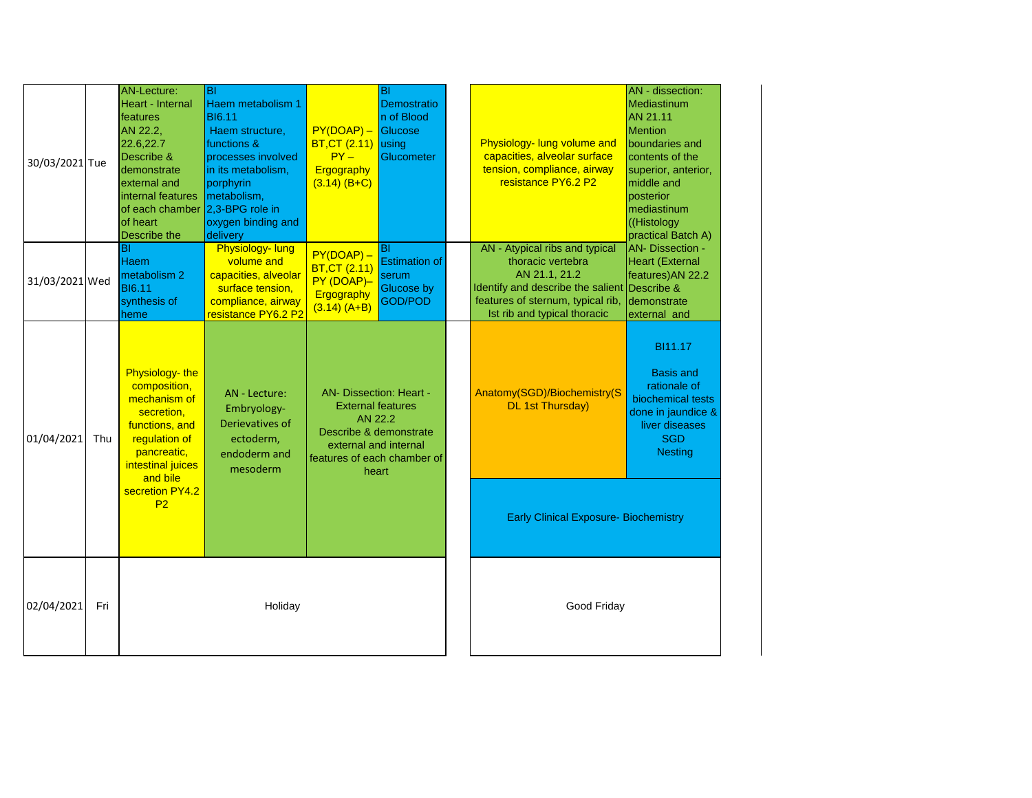| 30/03/2021 Tue |     | <b>AN-Lecture:</b><br>Heart - Internal<br>features<br>AN 22.2,<br>22.6,22.7<br>Describe &<br>demonstrate<br>external and<br>internal features<br>of each chamber<br>of heart<br>Describe the | lвı<br>Haem metabolism 1<br><b>BI6.11</b><br>Haem structure,<br>functions &<br>processes involved<br>in its metabolism,<br>porphyrin<br>metabolism,<br>2,3-BPG role in<br>oxygen binding and<br>delivery | $PY(DOAP) -$<br><b>BT, CT (2.11)</b><br>$PY -$<br>Ergography<br>$(3.14)$ (B+C)                                                                                   | BI<br>Demostratio<br>In of Blood<br>Glucose<br>lusing<br>Glucometer        | Physiology- lung volume and<br>capacities, alveolar surface<br>tension, compliance, airway<br>resistance PY6.2 P2                                                                         | AN - dissection:<br>Mediastinum<br>AN 21.11<br><b>Mention</b><br>boundaries and<br>contents of the<br>superior, anterior,<br>middle and<br>posterior<br>mediastinum<br>((Histology<br>practical Batch A) |
|----------------|-----|----------------------------------------------------------------------------------------------------------------------------------------------------------------------------------------------|----------------------------------------------------------------------------------------------------------------------------------------------------------------------------------------------------------|------------------------------------------------------------------------------------------------------------------------------------------------------------------|----------------------------------------------------------------------------|-------------------------------------------------------------------------------------------------------------------------------------------------------------------------------------------|----------------------------------------------------------------------------------------------------------------------------------------------------------------------------------------------------------|
| 31/03/2021 Wed |     | BI<br>Haem<br>metabolism <sub>2</sub><br><b>BI6.11</b><br>synthesis of<br>heme                                                                                                               | Physiology-lung<br>volume and<br>capacities, alveolar<br>surface tension,<br>compliance, airway<br>resistance PY6.2 P2                                                                                   | $PY(DOAP) -$<br><b>BT, CT (2.11)</b><br>PY (DOAP)-<br>Ergography<br>$(3.14) (A+B)$                                                                               | ΒI<br><b>Estimation of</b><br>serum<br><b>Glucose by</b><br><b>GOD/POD</b> | AN - Atypical ribs and typical<br>thoracic vertebra<br>AN 21.1, 21.2<br>Identify and describe the salient Describe &<br>features of sternum, typical rib,<br>Ist rib and typical thoracic | <b>AN- Dissection -</b><br><b>Heart (External</b><br>features) AN 22.2<br>demonstrate<br>external and                                                                                                    |
| 01/04/2021     | Thu | Physiology-the<br>composition,<br>mechanism of<br>secretion,<br>functions, and<br>regulation of<br>pancreatic,<br>intestinal juices<br>and bile                                              | AN - Lecture:<br>Embryology-<br>Derievatives of<br>ectoderm,<br>endoderm and<br>mesoderm                                                                                                                 | <b>AN- Dissection: Heart -</b><br><b>External features</b><br>AN 22.2<br>Describe & demonstrate<br>external and internal<br>features of each chamber of<br>heart |                                                                            | Anatomy(SGD)/Biochemistry(S<br><b>DL 1st Thursday)</b>                                                                                                                                    | BI11.17<br><b>Basis and</b><br>rationale of<br>biochemical tests<br>done in jaundice &<br>liver diseases<br><b>SGD</b><br><b>Nesting</b>                                                                 |
|                |     | secretion PY4.2<br>P <sub>2</sub>                                                                                                                                                            |                                                                                                                                                                                                          |                                                                                                                                                                  |                                                                            | <b>Early Clinical Exposure- Biochemistry</b>                                                                                                                                              |                                                                                                                                                                                                          |
| 02/04/2021     | Fri |                                                                                                                                                                                              | Holiday                                                                                                                                                                                                  |                                                                                                                                                                  |                                                                            | Good Friday                                                                                                                                                                               |                                                                                                                                                                                                          |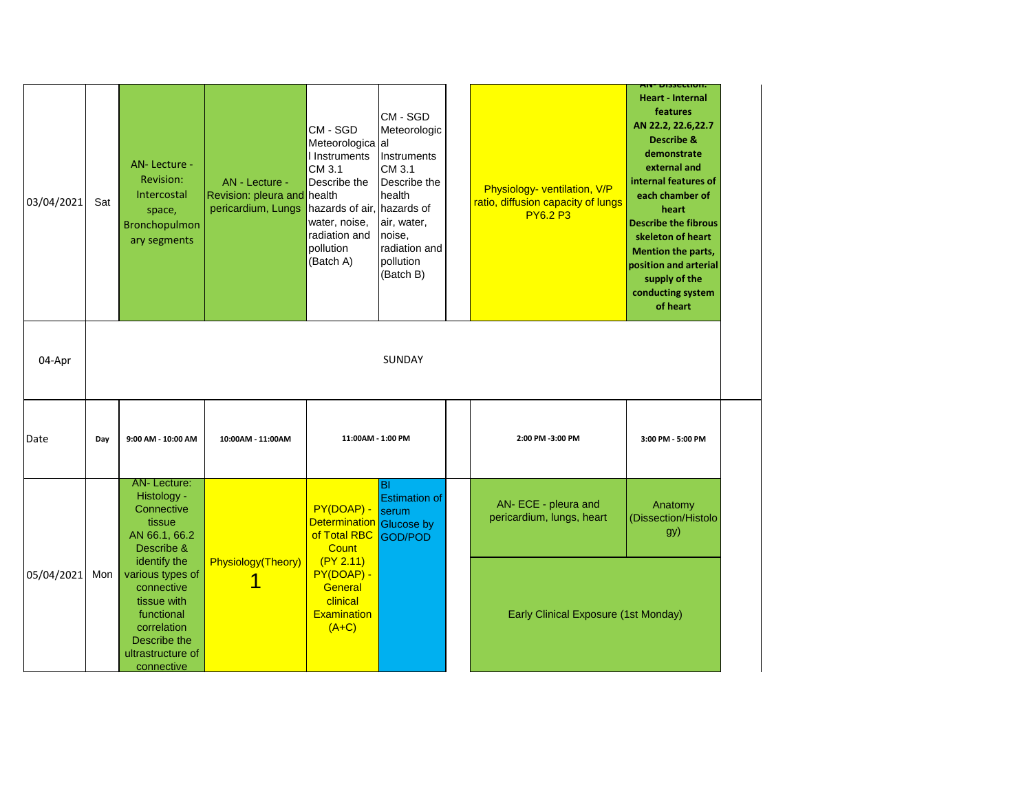| 03/04/2021 | Sat | AN-Lecture -<br>Revision:<br>Intercostal<br>space,<br>Bronchopulmon<br>ary segments               | AN - Lecture -<br>Revision: pleura and health<br>pericardium, Lungs | CM - SGD<br>Meteorologica al<br>I Instruments<br>CM 3.1<br>Describe the<br>hazards of air, hazards of<br>water, noise,<br>radiation and<br>pollution<br>(Batch A) | CM - SGD<br>Meteorologic<br>Instruments<br>CM 3.1<br>Describe the<br>health<br>air, water,<br>noise,<br>radiation and<br>pollution<br>(Batch B) | Physiology- ventilation, V/P<br>ratio, diffusion capacity of lungs<br><b>PY6.2 P3</b> | <u>AIV- DISSELLIUII.</u><br><b>Heart - Internal</b><br>features<br>AN 22.2, 22.6, 22.7<br><b>Describe &amp;</b><br>demonstrate<br>external and<br>internal features of<br>each chamber of<br>heart<br><b>Describe the fibrous</b><br>skeleton of heart<br><b>Mention the parts,</b><br>position and arterial<br>supply of the<br>conducting system<br>of heart |
|------------|-----|---------------------------------------------------------------------------------------------------|---------------------------------------------------------------------|-------------------------------------------------------------------------------------------------------------------------------------------------------------------|-------------------------------------------------------------------------------------------------------------------------------------------------|---------------------------------------------------------------------------------------|----------------------------------------------------------------------------------------------------------------------------------------------------------------------------------------------------------------------------------------------------------------------------------------------------------------------------------------------------------------|
| 04-Apr     |     |                                                                                                   |                                                                     |                                                                                                                                                                   | SUNDAY                                                                                                                                          |                                                                                       |                                                                                                                                                                                                                                                                                                                                                                |
| Date       | Day |                                                                                                   |                                                                     |                                                                                                                                                                   |                                                                                                                                                 |                                                                                       |                                                                                                                                                                                                                                                                                                                                                                |
|            |     | 9:00 AM - 10:00 AM                                                                                | 10:00AM - 11:00AM                                                   | 11:00AM - 1:00 PM                                                                                                                                                 |                                                                                                                                                 | 2:00 PM -3:00 PM                                                                      | 3:00 PM - 5:00 PM                                                                                                                                                                                                                                                                                                                                              |
|            |     | AN-Lecture:<br>Histology -<br>Connective<br>tissue<br>AN 66.1, 66.2<br>Describe &<br>identify the | Physiology(Theory)                                                  | PY(DOAP) -<br>Determination Glucose by<br>of Total RBC<br><b>Count</b><br>(PY 2.11)                                                                               | BI<br><b>Estimation of</b><br>serum<br><b>GOD/POD</b>                                                                                           | AN- ECE - pleura and<br>pericardium, lungs, heart                                     | Anatomy<br>(Dissection/Histolo<br>gy)                                                                                                                                                                                                                                                                                                                          |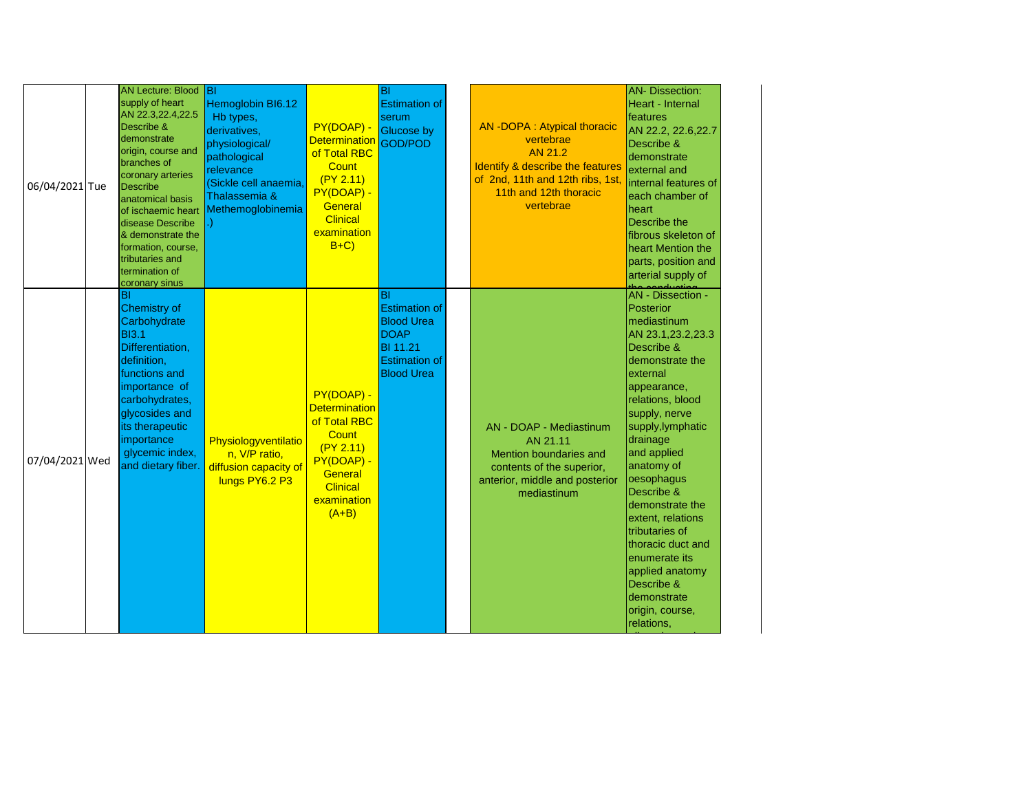| 06/04/2021 Tue | <b>AN Lecture: Blood</b><br>supply of heart<br>AN 22.3,22.4,22.5<br>Describe &<br>demonstrate<br>origin, course and<br>branches of<br>coronary arteries<br>Describe<br>anatomical basis<br>of ischaemic heart<br>disease Describe<br>& demonstrate the<br>formation, course,<br>tributaries and<br>termination of<br>coronary sinus | Iвı<br>Hemoglobin BI6.12<br>Hb types,<br>derivatives,<br>physiological/<br>pathological<br>relevance<br>(Sickle cell anaemia,<br>Thalassemia &<br>Methemoglobinemia | PY(DOAP) -<br><b>Determination</b><br>of Total RBC<br><b>Count</b><br>(PY 2.11)<br>PY(DOAP) -<br>General<br><b>Clinical</b><br>examination<br>$B+C$   | BI<br><b>Estimation of</b><br>serum<br><b>Glucose by</b><br>GOD/POD                                                             | <b>AN-DOPA: Atypical thoracic</b><br>vertebrae<br>AN 21.2<br>Identify & describe the features<br>of 2nd, 11th and 12th ribs, 1st<br>11th and 12th thoracic<br>vertebrae | <b>AN- Dissection:</b><br>Heart - Internal<br>features<br>AN 22.2, 22.6, 22.7<br>Describe &<br>demonstrate<br>external and<br>internal features of<br>each chamber of<br>heart<br>Describe the<br>fibrous skeleton of<br>heart Mention the<br>parts, position and<br>arterial supply of                                                                                                                                                                            |
|----------------|-------------------------------------------------------------------------------------------------------------------------------------------------------------------------------------------------------------------------------------------------------------------------------------------------------------------------------------|---------------------------------------------------------------------------------------------------------------------------------------------------------------------|-------------------------------------------------------------------------------------------------------------------------------------------------------|---------------------------------------------------------------------------------------------------------------------------------|-------------------------------------------------------------------------------------------------------------------------------------------------------------------------|--------------------------------------------------------------------------------------------------------------------------------------------------------------------------------------------------------------------------------------------------------------------------------------------------------------------------------------------------------------------------------------------------------------------------------------------------------------------|
| 07/04/2021 Wed | BI<br><b>Chemistry of</b><br>Carbohydrate<br><b>BI3.1</b><br>Differentiation,<br>definition,<br>functions and<br>importance of<br>carbohydrates,<br>glycosides and<br>its therapeutic<br>importance<br>glycemic index,<br>and dietary fiber.                                                                                        | Physiologyventilatio<br>n, V/P ratio,<br>diffusion capacity of<br>lungs PY6.2 P3                                                                                    | PY(DOAP) -<br><b>Determination</b><br>of Total RBC<br><b>Count</b><br>(PY 2.11)<br>PY(DOAP) -<br>General<br><b>Clinical</b><br>examination<br>$(A+B)$ | ΙBΙ<br><b>Estimation of</b><br><b>Blood Urea</b><br><b>DOAP</b><br><b>BI 11.21</b><br><b>Estimation of</b><br><b>Blood Urea</b> | AN - DOAP - Mediastinum<br>AN 21.11<br>Mention boundaries and<br>contents of the superior,<br>anterior, middle and posterior<br>mediastinum                             | the conduction -<br>AN - Dissection -<br>Posterior<br>mediastinum<br>AN 23.1,23.2,23.3<br>Describe &<br>demonstrate the<br>external<br>appearance,<br>relations, blood<br>supply, nerve<br>supply, lymphatic<br>drainage<br>and applied<br>anatomy of<br>oesophagus<br>Describe &<br>demonstrate the<br>extent, relations<br>tributaries of<br>thoracic duct and<br>enumerate its<br>applied anatomy<br>Describe &<br>demonstrate<br>origin, course,<br>relations, |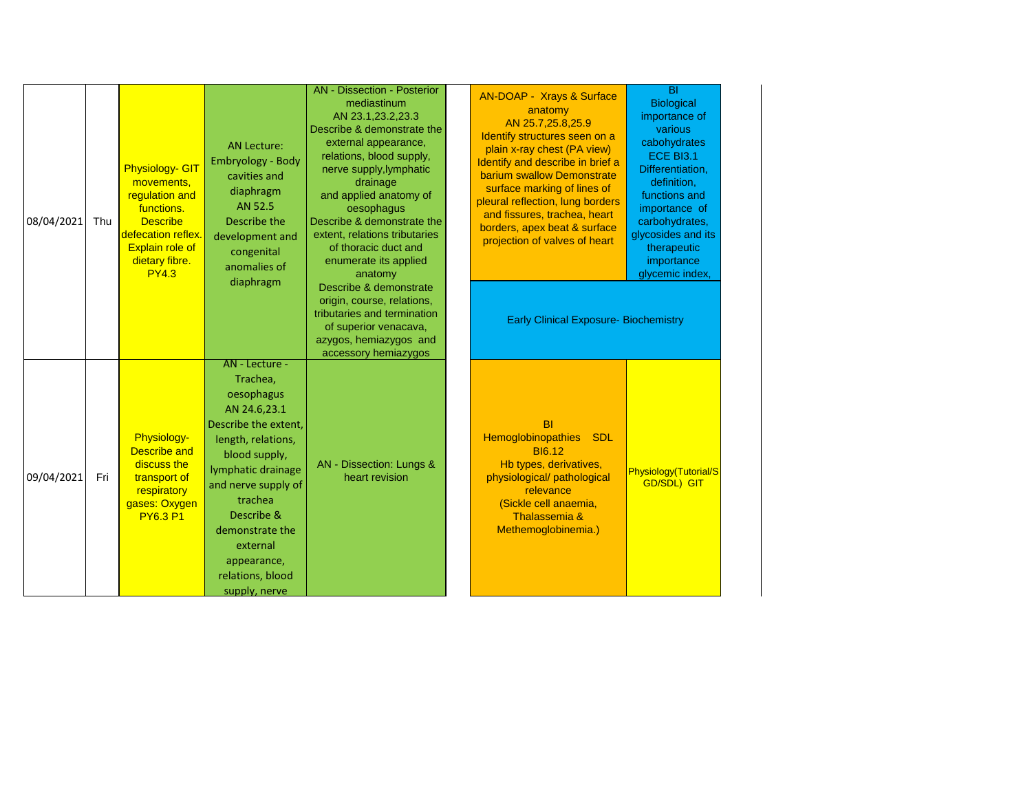| 08/04/2021 | Thu | <b>Physiology- GIT</b><br>movements,<br>regulation and<br>functions.<br><b>Describe</b><br>defecation reflex.<br><b>Explain role of</b><br>dietary fibre.<br><b>PY4.3</b> | <b>AN Lecture:</b><br><b>Embryology - Body</b><br>cavities and<br>diaphragm<br>AN 52.5<br>Describe the<br>development and<br>congenital<br>anomalies of<br>diaphragm                                                                                                             | <b>AN</b> - Dissection - Posterior<br>mediastinum<br>AN 23.1,23.2,23.3<br>Describe & demonstrate the<br>external appearance,<br>relations, blood supply,<br>nerve supply, lymphatic<br>drainage<br>and applied anatomy of<br>oesophagus<br>Describe & demonstrate the<br>extent, relations tributaries<br>of thoracic duct and<br>enumerate its applied<br>anatomy<br>Describe & demonstrate<br>origin, course, relations,<br>tributaries and termination<br>of superior venacava,<br>azygos, hemiazygos and<br>accessory hemiazygos | $\overline{BI}$<br><b>AN-DOAP - Xrays &amp; Surface</b><br><b>Biological</b><br>anatomy<br>importance of<br>AN 25.7,25.8,25.9<br>various<br>Identify structures seen on a<br>cabohydrates<br>plain x-ray chest (PA view)<br>ECE BI3.1<br>Identify and describe in brief a<br>Differentiation,<br>barium swallow Demonstrate<br>definition,<br>surface marking of lines of<br>functions and<br>pleural reflection, lung borders<br>importance of<br>and fissures, trachea, heart<br>carbohydrates,<br>borders, apex beat & surface<br>glycosides and its<br>projection of valves of heart<br>therapeutic<br>importance<br>glycemic index,<br><b>Early Clinical Exposure- Biochemistry</b> |
|------------|-----|---------------------------------------------------------------------------------------------------------------------------------------------------------------------------|----------------------------------------------------------------------------------------------------------------------------------------------------------------------------------------------------------------------------------------------------------------------------------|--------------------------------------------------------------------------------------------------------------------------------------------------------------------------------------------------------------------------------------------------------------------------------------------------------------------------------------------------------------------------------------------------------------------------------------------------------------------------------------------------------------------------------------|------------------------------------------------------------------------------------------------------------------------------------------------------------------------------------------------------------------------------------------------------------------------------------------------------------------------------------------------------------------------------------------------------------------------------------------------------------------------------------------------------------------------------------------------------------------------------------------------------------------------------------------------------------------------------------------|
| 09/04/2021 | Fri | Physiology-<br><b>Describe and</b><br>discuss the<br>transport of<br>respiratory<br>gases: Oxygen<br><b>PY6.3 P1</b>                                                      | AN - Lecture -<br>Trachea,<br>oesophagus<br>AN 24.6,23.1<br>Describe the extent,<br>length, relations,<br>blood supply,<br>lymphatic drainage<br>and nerve supply of<br>trachea<br>Describe &<br>demonstrate the<br>external<br>appearance,<br>relations, blood<br>supply, nerve | AN - Dissection: Lungs &<br>heart revision                                                                                                                                                                                                                                                                                                                                                                                                                                                                                           | <b>BI</b><br><b>Hemoglobinopathies</b><br><b>SDL</b><br><b>BI6.12</b><br>Hb types, derivatives,<br>Physiology(Tutorial/S<br>physiological/ pathological<br><b>GD/SDL) GIT</b><br>relevance<br>(Sickle cell anaemia,<br>Thalassemia &<br>Methemoglobinemia.)                                                                                                                                                                                                                                                                                                                                                                                                                              |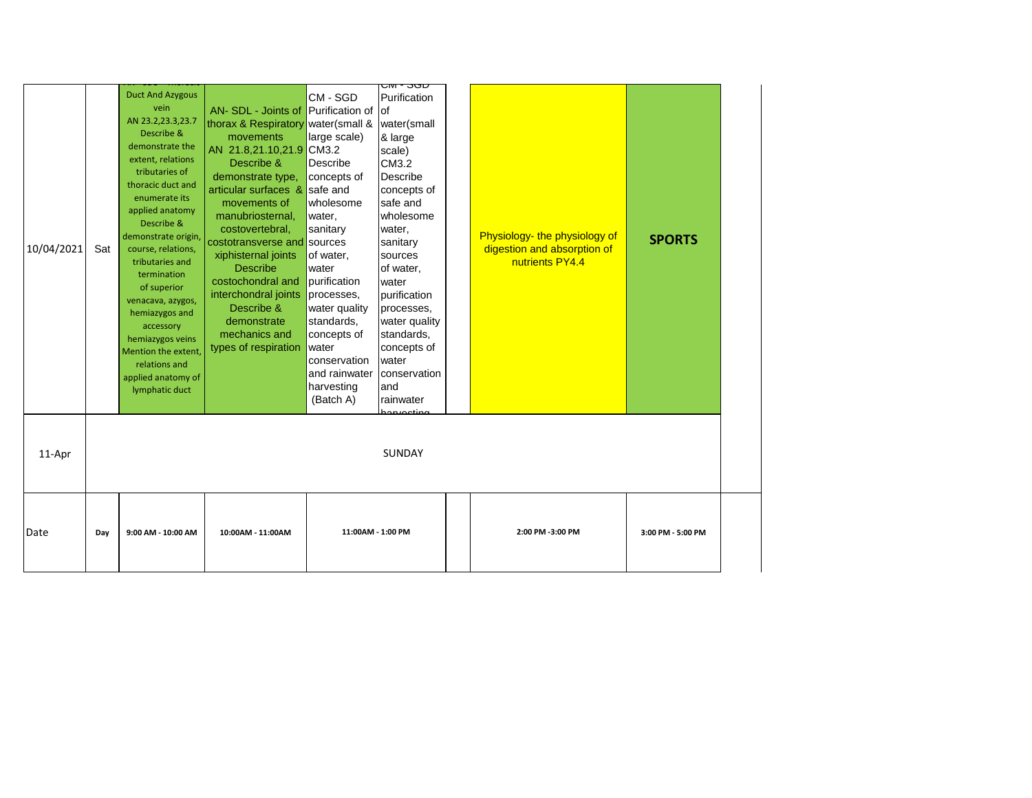|            |     |                                                                                                                                                                                                                                                                                                                                                                                                                                                           |                                                                                                                                                                                                                                                                                                                                                                                                                                           |                                                                                                                                                                                                                                                               | ᠳᠬ᠊᠊ᡂᠣ                                                                                                                                                                                                                                                                                                              |                                                                                 |                   |
|------------|-----|-----------------------------------------------------------------------------------------------------------------------------------------------------------------------------------------------------------------------------------------------------------------------------------------------------------------------------------------------------------------------------------------------------------------------------------------------------------|-------------------------------------------------------------------------------------------------------------------------------------------------------------------------------------------------------------------------------------------------------------------------------------------------------------------------------------------------------------------------------------------------------------------------------------------|---------------------------------------------------------------------------------------------------------------------------------------------------------------------------------------------------------------------------------------------------------------|---------------------------------------------------------------------------------------------------------------------------------------------------------------------------------------------------------------------------------------------------------------------------------------------------------------------|---------------------------------------------------------------------------------|-------------------|
| 10/04/2021 | Sat | <b>Duct And Azygous</b><br>vein<br>AN 23.2,23.3,23.7<br>Describe &<br>demonstrate the<br>extent, relations<br>tributaries of<br>thoracic duct and<br>enumerate its<br>applied anatomy<br>Describe &<br>demonstrate origin,<br>course, relations,<br>tributaries and<br>termination<br>of superior<br>venacava, azygos,<br>hemiazygos and<br>accessory<br>hemiazygos veins<br>Mention the extent,<br>relations and<br>applied anatomy of<br>lymphatic duct | AN- SDL - Joints of Purification of<br>thorax & Respiratory water(small &<br>movements<br>AN 21.8,21.10,21.9 CM3.2<br>Describe &<br>demonstrate type,<br>articular surfaces & safe and<br>movements of<br>manubriosternal,<br>costovertebral,<br>costotransverse and sources<br>xiphisternal joints<br><b>Describe</b><br>costochondral and<br>interchondral joints<br>Describe &<br>demonstrate<br>mechanics and<br>types of respiration | CM - SGD<br>large scale)<br>Describe<br>concepts of<br>wholesome<br>water,<br>sanitary<br>of water,<br>water<br>purification<br>processes,<br>water quality<br>standards,<br>concepts of<br>water<br>conservation<br>and rainwater<br>harvesting<br>(Batch A) | Purification<br>lof<br>water(small<br>& large<br>scale)<br>CM3.2<br>Describe<br>concepts of<br>safe and<br>wholesome<br>water,<br>sanitary<br>sources<br>of water,<br>water<br>purification<br>processes,<br>water quality<br>standards,<br>concepts of<br>Iwater<br>conservation<br>and<br>rainwater<br>on voeting | Physiology- the physiology of<br>digestion and absorption of<br>nutrients PY4.4 | <b>SPORTS</b>     |
| 11-Apr     |     |                                                                                                                                                                                                                                                                                                                                                                                                                                                           |                                                                                                                                                                                                                                                                                                                                                                                                                                           |                                                                                                                                                                                                                                                               | <b>SUNDAY</b>                                                                                                                                                                                                                                                                                                       |                                                                                 |                   |
| Date       | Day | 9:00 AM - 10:00 AM                                                                                                                                                                                                                                                                                                                                                                                                                                        | 10:00AM - 11:00AM                                                                                                                                                                                                                                                                                                                                                                                                                         | 11:00AM - 1:00 PM                                                                                                                                                                                                                                             |                                                                                                                                                                                                                                                                                                                     | 2:00 PM -3:00 PM                                                                | 3:00 PM - 5:00 PM |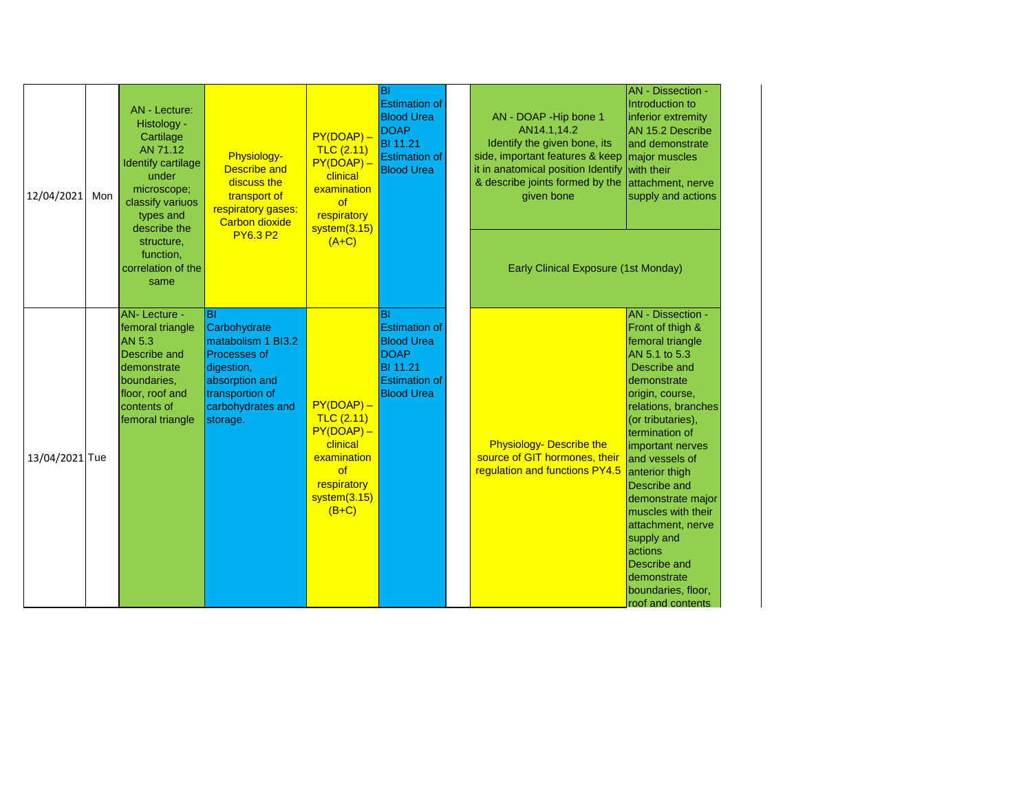| 12/04/2021     | Mon | <b>AN</b> - Lecture:<br>Histology -<br>Cartilage<br>AN 71.12<br><b>Identify cartilage</b><br>under<br>microscope;<br>classify variuos<br>types and<br>describe the | Physiology-<br><b>Describe and</b><br>discuss the<br>transport of<br>respiratory gases:<br><b>Carbon dioxide</b>                                           | $PY(DOAP) -$<br>TLC(2.11)<br>PY(DOAP)-<br>clinical<br>examination<br><b>of</b><br>respiratory<br>system(3.15)                   | BI<br><b>Estimation of</b><br><b>Blood Urea</b><br><b>DOAP</b><br><b>BI</b> 11.21<br><b>Estimation of</b><br><b>Blood Urea</b>  | AN - DOAP - Hip bone 1<br>AN14.1,14.2<br>Identify the given bone, its<br>side, important features & keep<br>it in anatomical position Identify<br>& describe joints formed by the<br>given bone | <b>AN</b> - Dissection -<br>Introduction to<br>inferior extremity<br>AN 15.2 Describe<br>and demonstrate<br>major muscles<br>with their<br>attachment, nerve<br>supply and actions                                                                                                                                                                                                                                                                  |
|----------------|-----|--------------------------------------------------------------------------------------------------------------------------------------------------------------------|------------------------------------------------------------------------------------------------------------------------------------------------------------|---------------------------------------------------------------------------------------------------------------------------------|---------------------------------------------------------------------------------------------------------------------------------|-------------------------------------------------------------------------------------------------------------------------------------------------------------------------------------------------|-----------------------------------------------------------------------------------------------------------------------------------------------------------------------------------------------------------------------------------------------------------------------------------------------------------------------------------------------------------------------------------------------------------------------------------------------------|
|                |     | structure,<br>function,<br>correlation of the<br>same                                                                                                              | <b>PY6.3 P2</b>                                                                                                                                            | $(A+C)$                                                                                                                         |                                                                                                                                 | Early Clinical Exposure (1st Monday)                                                                                                                                                            |                                                                                                                                                                                                                                                                                                                                                                                                                                                     |
| 13/04/2021 Tue |     | <b>AN-Lecture -</b><br>femoral triangle<br>AN 5.3<br>Describe and<br>demonstrate<br>boundaries,<br>floor, roof and<br>contents of<br>femoral triangle              | <b>BI</b><br>Carbohydrate<br>matabolism 1 BI3.2<br><b>Processes of</b><br>digestion,<br>absorption and<br>transportion of<br>carbohydrates and<br>storage. | $PY(DOAP) -$<br>TLC(2.11)<br>$PY(DOAP) -$<br>clinical<br>examination<br><sub>of</sub><br>respiratory<br>system(3.15)<br>$(B+C)$ | IBI<br><b>Estimation of</b><br><b>Blood Urea</b><br><b>DOAP</b><br><b>BI</b> 11.21<br><b>Estimation of</b><br><b>Blood Urea</b> | <b>Physiology- Describe the</b><br>source of GIT hormones, their<br>regulation and functions PY4.5                                                                                              | <b>AN</b> - Dissection -<br>Front of thigh &<br>femoral triangle<br>AN 5.1 to 5.3<br>Describe and<br>demonstrate<br>origin, course,<br>relations, branches<br>(or tributaries),<br>termination of<br>important nerves<br>and vessels of<br>anterior thigh<br><b>Describe and</b><br>demonstrate major<br>muscles with their<br>attachment, nerve<br>supply and<br>actions<br>Describe and<br>demonstrate<br>boundaries, floor,<br>roof and contents |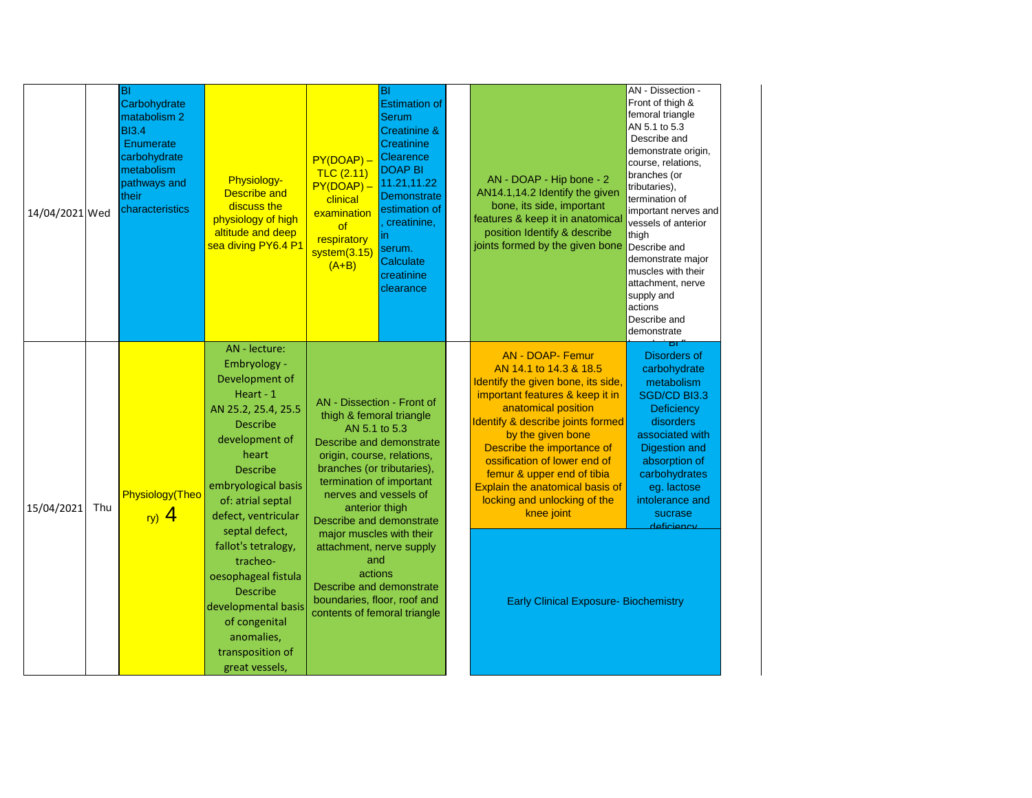| 14/04/2021 Wed |     | lвı<br>Carbohydrate<br>matabolism 2<br><b>BI3.4</b><br>Enumerate<br>carbohydrate<br>metabolism<br>pathways and<br>their<br>characteristics | <b>Physiology-</b><br><b>Describe and</b><br>discuss the<br>physiology of high<br>altitude and deep<br>sea diving PY6.4 P1                                                                                                                                                                                                                                                                                         | $PY(DOAP) -$<br>TLC(2.11)<br>PY(DOAP) -<br>clinical<br>examination<br>of<br>respiratory<br>system(3.15)<br>$(A+B)$                                                                                                                                                                                                                                                                                          | BI<br><b>Estimation of</b><br><b>Serum</b><br>Creatinine &<br><b>Creatinine</b><br>Clearence<br><b>DOAP BI</b><br>11.21,11.22<br>Demonstrate<br>estimation of<br>creatinine,<br>m<br>serum.<br>Calculate<br>creatinine<br>clearance | AN - DOAP - Hip bone - 2<br>AN14.1,14.2 Identify the given<br>bone, its side, important<br>features & keep it in anatomical<br>position Identify & describe<br>joints formed by the given bone                                                                                                                                                                                                                                           | AN - Dissection -<br>Front of thigh &<br>femoral triangle<br>AN 5.1 to 5.3<br>Describe and<br>demonstrate origin,<br>course, relations,<br>branches (or<br>tributaries),<br>termination of<br>important nerves and<br>vessels of anterior<br>thigh<br>Describe and<br>demonstrate major<br>muscles with their<br>attachment, nerve<br>supply and<br>actions<br>Describe and<br>demonstrate |
|----------------|-----|--------------------------------------------------------------------------------------------------------------------------------------------|--------------------------------------------------------------------------------------------------------------------------------------------------------------------------------------------------------------------------------------------------------------------------------------------------------------------------------------------------------------------------------------------------------------------|-------------------------------------------------------------------------------------------------------------------------------------------------------------------------------------------------------------------------------------------------------------------------------------------------------------------------------------------------------------------------------------------------------------|-------------------------------------------------------------------------------------------------------------------------------------------------------------------------------------------------------------------------------------|------------------------------------------------------------------------------------------------------------------------------------------------------------------------------------------------------------------------------------------------------------------------------------------------------------------------------------------------------------------------------------------------------------------------------------------|--------------------------------------------------------------------------------------------------------------------------------------------------------------------------------------------------------------------------------------------------------------------------------------------------------------------------------------------------------------------------------------------|
| 15/04/2021     | Thu | Physiology(Theo<br>ry) $4$                                                                                                                 | AN - lecture:<br>Embryology -<br>Development of<br>Heart - 1<br>AN 25.2, 25.4, 25.5<br><b>Describe</b><br>development of<br>heart<br><b>Describe</b><br>embryological basis<br>of: atrial septal<br>defect, ventricular<br>septal defect,<br>fallot's tetralogy,<br>tracheo-<br>oesophageal fistula<br><b>Describe</b><br>developmental basis<br>of congenital<br>anomalies,<br>transposition of<br>great vessels, | AN - Dissection - Front of<br>thigh & femoral triangle<br>AN 5.1 to 5.3<br>origin, course, relations,<br>branches (or tributaries),<br>termination of important<br>nerves and vessels of<br>anterior thigh<br>Describe and demonstrate<br>major muscles with their<br>attachment, nerve supply<br>and<br>actions<br>Describe and demonstrate<br>boundaries, floor, roof and<br>contents of femoral triangle | Describe and demonstrate                                                                                                                                                                                                            | <b>AN - DOAP- Femur</b><br>AN 14.1 to 14.3 & 18.5<br>Identify the given bone, its side,<br>important features & keep it in<br>anatomical position<br>Identify & describe joints formed<br>by the given bone<br>Describe the importance of<br>ossification of lower end of<br>femur & upper end of tibia<br>Explain the anatomical basis of<br>locking and unlocking of the<br>knee joint<br><b>Early Clinical Exposure- Biochemistry</b> | ы<br><b>Disorders of</b><br>carbohydrate<br>metabolism<br>SGD/CD BI3.3<br>Deficiency<br>disorders<br>associated with<br><b>Digestion and</b><br>absorption of<br>carbohydrates<br>eg. lactose<br>intolerance and<br>sucrase<br>deficiency                                                                                                                                                  |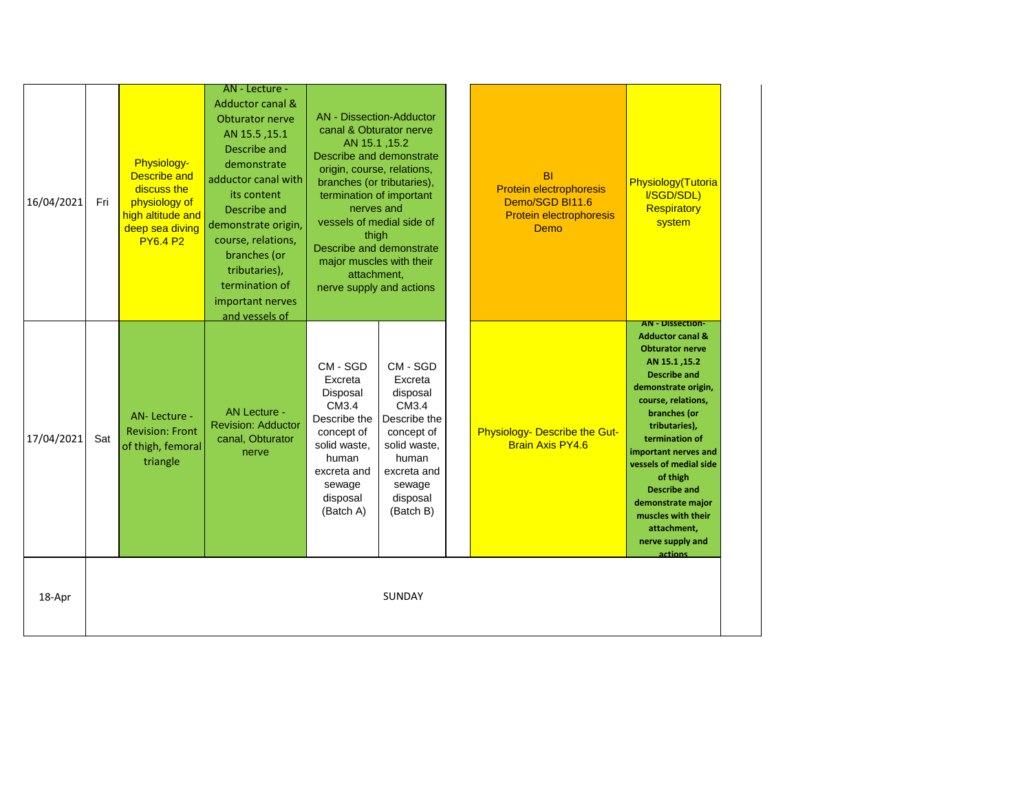| 16/04/2021 | Fri | Physiology-<br><b>Describe and</b><br>discuss the<br>physiology of<br>high altitude and<br>deep sea diving<br><b>PY6.4 P2</b> | AN - Lecture -<br><b>Adductor canal &amp;</b><br><b>Obturator nerve</b><br>AN 15.5, 15.1<br>Describe and<br>demonstrate<br>adductor canal with<br>its content<br>Describe and<br>demonstrate origin,<br>course, relations,<br>branches (or<br>tributaries),<br>termination of<br>important nerves<br>and vessels of | <b>AN</b> - Dissection-Adductor<br>canal & Obturator nerve<br>AN 15.1, 15.2<br>Describe and demonstrate<br>origin, course, relations,<br>branches (or tributaries),<br>termination of important<br>nerves and<br>vessels of medial side of<br>thigh<br>Describe and demonstrate<br>major muscles with their<br>attachment,<br>nerve supply and actions |                                                                                                                                                   | <b>BI</b><br>Protein electrophoresis<br>Demo/SGD BI11.6<br>Protein electrophoresis<br>Demo | Physiology(Tutoria<br>I/SGD/SDL)<br>Respiratory<br>system                                                                                                                                                                                                                                                                                                                                              |
|------------|-----|-------------------------------------------------------------------------------------------------------------------------------|---------------------------------------------------------------------------------------------------------------------------------------------------------------------------------------------------------------------------------------------------------------------------------------------------------------------|--------------------------------------------------------------------------------------------------------------------------------------------------------------------------------------------------------------------------------------------------------------------------------------------------------------------------------------------------------|---------------------------------------------------------------------------------------------------------------------------------------------------|--------------------------------------------------------------------------------------------|--------------------------------------------------------------------------------------------------------------------------------------------------------------------------------------------------------------------------------------------------------------------------------------------------------------------------------------------------------------------------------------------------------|
| 17/04/2021 | Sat | AN-Lecture -<br><b>Revision: Front</b><br>of thigh, femoral<br>triangle                                                       | <b>AN Lecture -</b><br><b>Revision: Adductor</b><br>canal, Obturator<br>nerve                                                                                                                                                                                                                                       | CM - SGD<br>Excreta<br>Disposal<br>CM3.4<br>Describe the<br>concept of<br>solid waste,<br>human<br>excreta and<br>sewage<br>disposal<br>(Batch A)                                                                                                                                                                                                      | CM - SGD<br>Excreta<br>disposal<br>CM3.4<br>Describe the<br>concept of<br>solid waste,<br>human<br>excreta and<br>sewage<br>disposal<br>(Batch B) | Physiology- Describe the Gut-<br><b>Brain Axis PY4.6</b>                                   | <b>AN - Dissection-</b><br><b>Adductor canal &amp;</b><br><b>Obturator nerve</b><br>AN 15.1, 15.2<br><b>Describe and</b><br>demonstrate origin,<br>course, relations,<br>branches (or<br>tributaries),<br>termination of<br>important nerves and<br>vessels of medial side<br>of thigh<br><b>Describe and</b><br>demonstrate major<br>muscles with their<br>attachment,<br>nerve supply and<br>actions |
| 18-Apr     |     |                                                                                                                               |                                                                                                                                                                                                                                                                                                                     |                                                                                                                                                                                                                                                                                                                                                        | <b>SUNDAY</b>                                                                                                                                     |                                                                                            |                                                                                                                                                                                                                                                                                                                                                                                                        |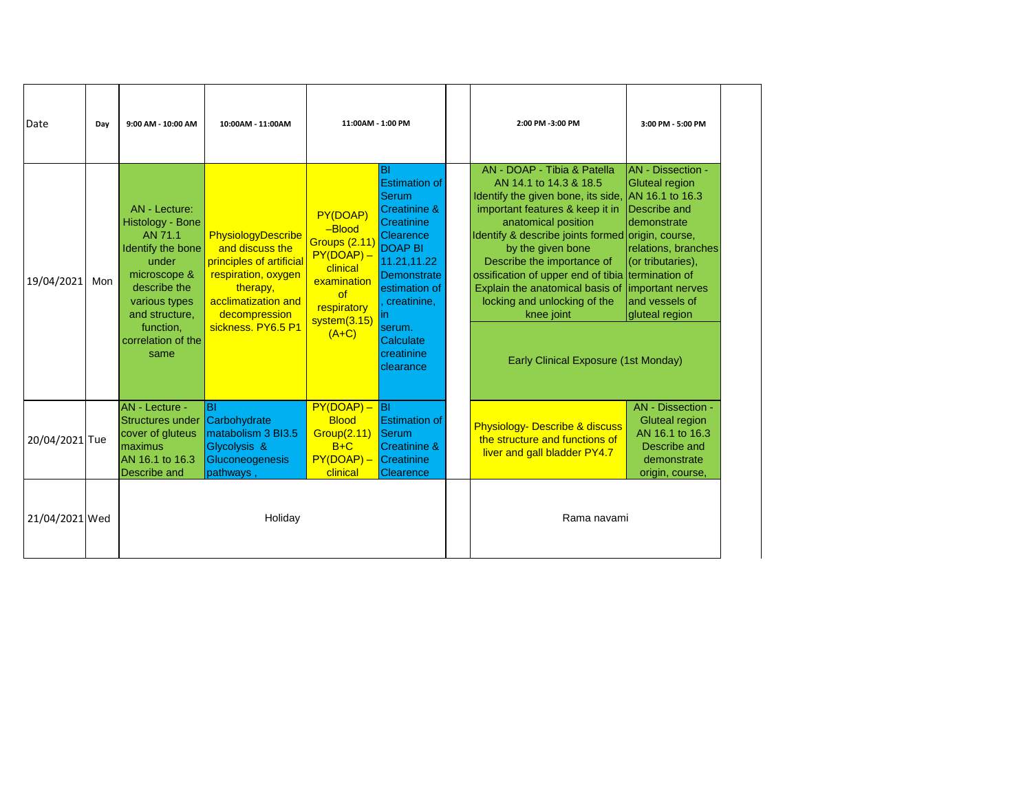| Date           | Day | 9:00 AM - 10:00 AM                                                                                                                                                                       | 10:00AM - 11:00AM                                                                                                                                                  |                                                                                                                                         | 11:00AM - 1:00 PM                                                                                                                                                                                                         |  | 2:00 PM -3:00 PM                                                                                                                                                                                                                                                                                                                                                                                                             | 3:00 PM - 5:00 PM                                                                                                                                                                                                         |
|----------------|-----|------------------------------------------------------------------------------------------------------------------------------------------------------------------------------------------|--------------------------------------------------------------------------------------------------------------------------------------------------------------------|-----------------------------------------------------------------------------------------------------------------------------------------|---------------------------------------------------------------------------------------------------------------------------------------------------------------------------------------------------------------------------|--|------------------------------------------------------------------------------------------------------------------------------------------------------------------------------------------------------------------------------------------------------------------------------------------------------------------------------------------------------------------------------------------------------------------------------|---------------------------------------------------------------------------------------------------------------------------------------------------------------------------------------------------------------------------|
| 19/04/2021     | Mon | AN - Lecture:<br>Histology - Bone<br>AN 71.1<br>Identify the bone<br>under<br>microscope &<br>describe the<br>various types<br>and structure,<br>function,<br>correlation of the<br>same | PhysiologyDescribe<br>and discuss the<br>principles of artificial<br>respiration, oxygen<br>therapy,<br>acclimatization and<br>decompression<br>sickness. PY6.5 P1 | PY(DOAP)<br>$-Blood$<br><b>Groups (2.11)</b><br>$PY(DOAP) -$<br>clinical<br>examination<br>of<br>respiratory<br>system(3.15)<br>$(A+C)$ | lвı<br><b>Estimation of</b><br>Serum<br>Creatinine &<br>Creatinine<br>Clearence<br><b>DOAP BI</b><br>11.21,11.22<br>Demonstrate<br>estimation of<br>creatinine,<br>lin.<br>serum.<br>Calculate<br>creatinine<br>clearance |  | AN - DOAP - Tibia & Patella<br>AN 14.1 to 14.3 & 18.5<br>Identify the given bone, its side,<br>important features & keep it in<br>anatomical position<br>Identify & describe joints formed origin, course,<br>by the given bone<br>Describe the importance of<br>ossification of upper end of tibia<br>Explain the anatomical basis of<br>locking and unlocking of the<br>knee joint<br>Early Clinical Exposure (1st Monday) | <b>AN</b> - Dissection -<br><b>Gluteal region</b><br>AN 16.1 to 16.3<br>Describe and<br>demonstrate<br>relations, branches<br>(or tributaries),<br>termination of<br>important nerves<br>and vessels of<br>gluteal region |
| 20/04/2021 Tue |     | <b>AN</b> - Lecture -<br>Structures under<br>cover of gluteus<br>maximus<br>AN 16.1 to 16.3<br>Describe and                                                                              | <b>BI</b><br>Carbohydrate<br>matabolism 3 BI3.5<br>Glycolysis &<br>Gluconeogenesis<br>pathways,                                                                    | $PY(DOAP) -$<br><b>Blood</b><br><b>Group(2.11)</b><br>$B+C$<br>$PY(DOAP) -$<br>clinical                                                 | <b>B</b> I<br><b>Estimation of</b><br>Serum<br><b>Creatinine &amp;</b><br>Creatinine<br>Clearence                                                                                                                         |  | <b>Physiology- Describe &amp; discuss</b><br>the structure and functions of<br>liver and gall bladder PY4.7                                                                                                                                                                                                                                                                                                                  | AN - Dissection -<br><b>Gluteal region</b><br>AN 16.1 to 16.3<br>Describe and<br>demonstrate<br>origin, course,                                                                                                           |
| 21/04/2021 Wed |     |                                                                                                                                                                                          | Holiday                                                                                                                                                            |                                                                                                                                         |                                                                                                                                                                                                                           |  | Rama navami                                                                                                                                                                                                                                                                                                                                                                                                                  |                                                                                                                                                                                                                           |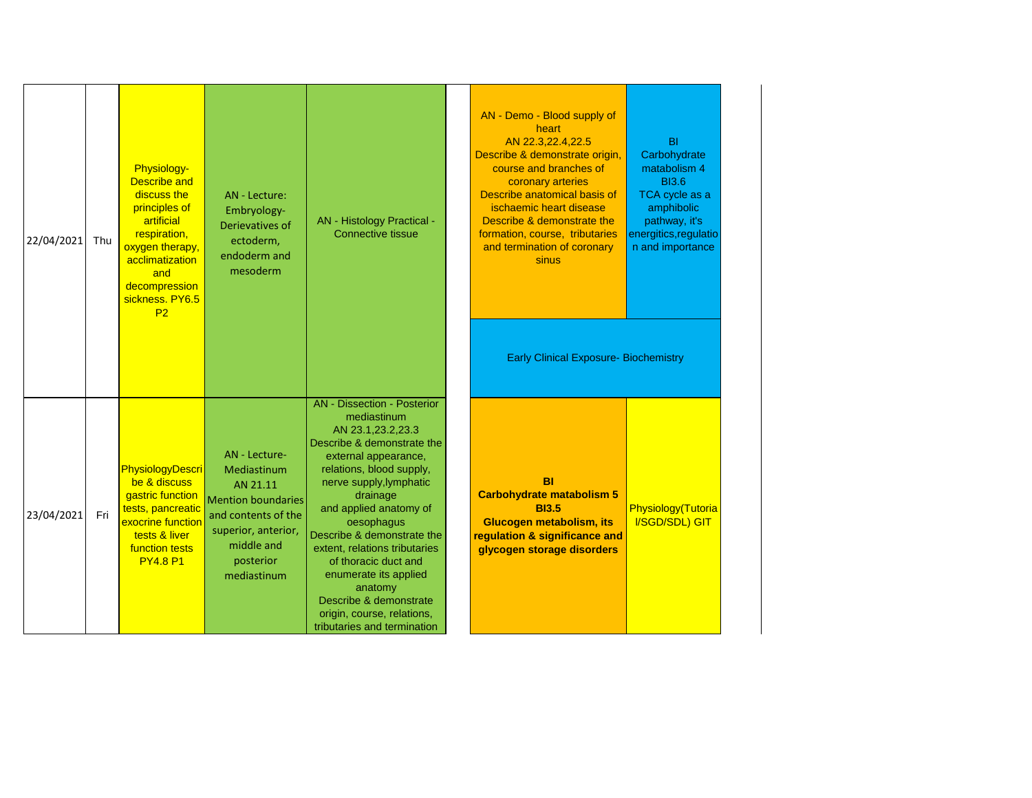| 22/04/2021 | Thu | Physiology-<br><b>Describe and</b><br>discuss the<br>principles of<br>artificial<br>respiration,<br>oxygen therapy,<br>acclimatization<br>and<br>decompression<br>sickness. PY6.5<br>P <sub>2</sub> | AN - Lecture:<br>Embryology-<br>Derievatives of<br>ectoderm,<br>endoderm and<br>mesoderm                                                                      | AN - Histology Practical -<br><b>Connective tissue</b>                                                                                                                                                                                                                                                                                                                                                                                                    | AN - Demo - Blood supply of<br>heart<br>AN 22.3,22.4,22.5<br>Describe & demonstrate origin,<br>course and branches of<br>coronary arteries<br>Describe anatomical basis of<br>ischaemic heart disease<br>Describe & demonstrate the<br>formation, course, tributaries<br>and termination of coronary<br>sinus<br><b>Early Clinical Exposure- Biochemistry</b> | BI<br>Carbohydrate<br>matabolism 4<br><b>BI3.6</b><br>TCA cycle as a<br>amphibolic<br>pathway, it's<br>energitics, regulatio<br>n and importance |
|------------|-----|-----------------------------------------------------------------------------------------------------------------------------------------------------------------------------------------------------|---------------------------------------------------------------------------------------------------------------------------------------------------------------|-----------------------------------------------------------------------------------------------------------------------------------------------------------------------------------------------------------------------------------------------------------------------------------------------------------------------------------------------------------------------------------------------------------------------------------------------------------|---------------------------------------------------------------------------------------------------------------------------------------------------------------------------------------------------------------------------------------------------------------------------------------------------------------------------------------------------------------|--------------------------------------------------------------------------------------------------------------------------------------------------|
| 23/04/2021 | Fri | <b>PhysiologyDescri</b><br>be & discuss<br>gastric function<br>tests, pancreatic<br>exocrine function<br>tests & liver<br><b>function tests</b><br><b>PY4.8 P1</b>                                  | AN - Lecture-<br>Mediastinum<br>AN 21.11<br><b>Mention boundaries</b><br>and contents of the<br>superior, anterior,<br>middle and<br>posterior<br>mediastinum | <b>AN</b> - Dissection - Posterior<br>mediastinum<br>AN 23.1,23.2,23.3<br>Describe & demonstrate the<br>external appearance,<br>relations, blood supply,<br>nerve supply, lymphatic<br>drainage<br>and applied anatomy of<br>oesophagus<br>Describe & demonstrate the<br>extent, relations tributaries<br>of thoracic duct and<br>enumerate its applied<br>anatomy<br>Describe & demonstrate<br>origin, course, relations,<br>tributaries and termination | BI<br><b>Carbohydrate matabolism 5</b><br><b>BI3.5</b><br>Glucogen metabolism, its<br>regulation & significance and<br>glycogen storage disorders                                                                                                                                                                                                             | Physiology(Tutoria<br>I/SGD/SDL) GIT                                                                                                             |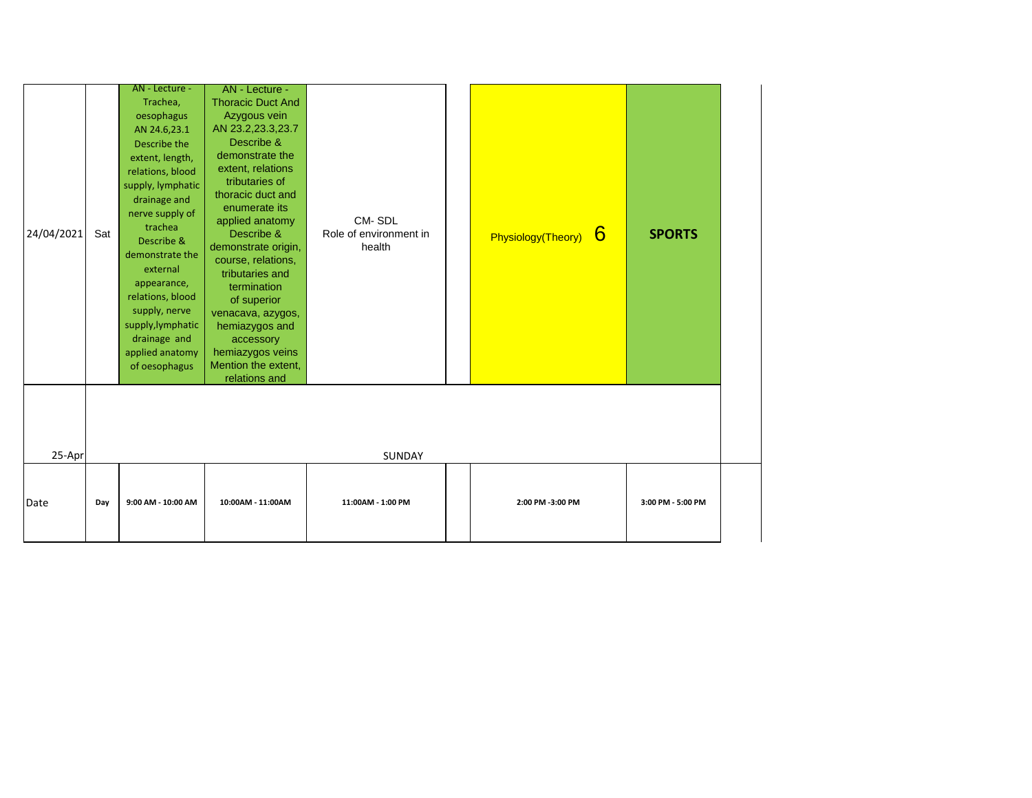| 24/04/2021 | Sat | AN - Lecture -<br>Trachea,<br>oesophagus<br>AN 24.6,23.1<br>Describe the<br>extent, length,<br>relations, blood<br>supply, lymphatic<br>drainage and<br>nerve supply of<br>trachea<br>Describe &<br>demonstrate the<br>external<br>appearance,<br>relations, blood<br>supply, nerve<br>supply, lymphatic<br>drainage and<br>applied anatomy<br>of oesophagus | AN - Lecture -<br><b>Thoracic Duct And</b><br>Azygous vein<br>AN 23.2,23.3,23.7<br>Describe &<br>demonstrate the<br>extent, relations<br>tributaries of<br>thoracic duct and<br>enumerate its<br>applied anatomy<br>Describe &<br>demonstrate origin,<br>course, relations,<br>tributaries and<br>termination<br>of superior<br>venacava, azygos,<br>hemiazygos and<br>accessory<br>hemiazygos veins<br>Mention the extent,<br>relations and | CM-SDL<br>Role of environment in<br>health | Physiology(Theory) 6 | <b>SPORTS</b>     |  |
|------------|-----|--------------------------------------------------------------------------------------------------------------------------------------------------------------------------------------------------------------------------------------------------------------------------------------------------------------------------------------------------------------|----------------------------------------------------------------------------------------------------------------------------------------------------------------------------------------------------------------------------------------------------------------------------------------------------------------------------------------------------------------------------------------------------------------------------------------------|--------------------------------------------|----------------------|-------------------|--|
| 25-Apr     |     |                                                                                                                                                                                                                                                                                                                                                              |                                                                                                                                                                                                                                                                                                                                                                                                                                              | SUNDAY                                     |                      |                   |  |
| Date       | Day | 9:00 AM - 10:00 AM                                                                                                                                                                                                                                                                                                                                           | 10:00AM - 11:00AM                                                                                                                                                                                                                                                                                                                                                                                                                            | 11:00AM - 1:00 PM                          | 2:00 PM -3:00 PM     | 3:00 PM - 5:00 PM |  |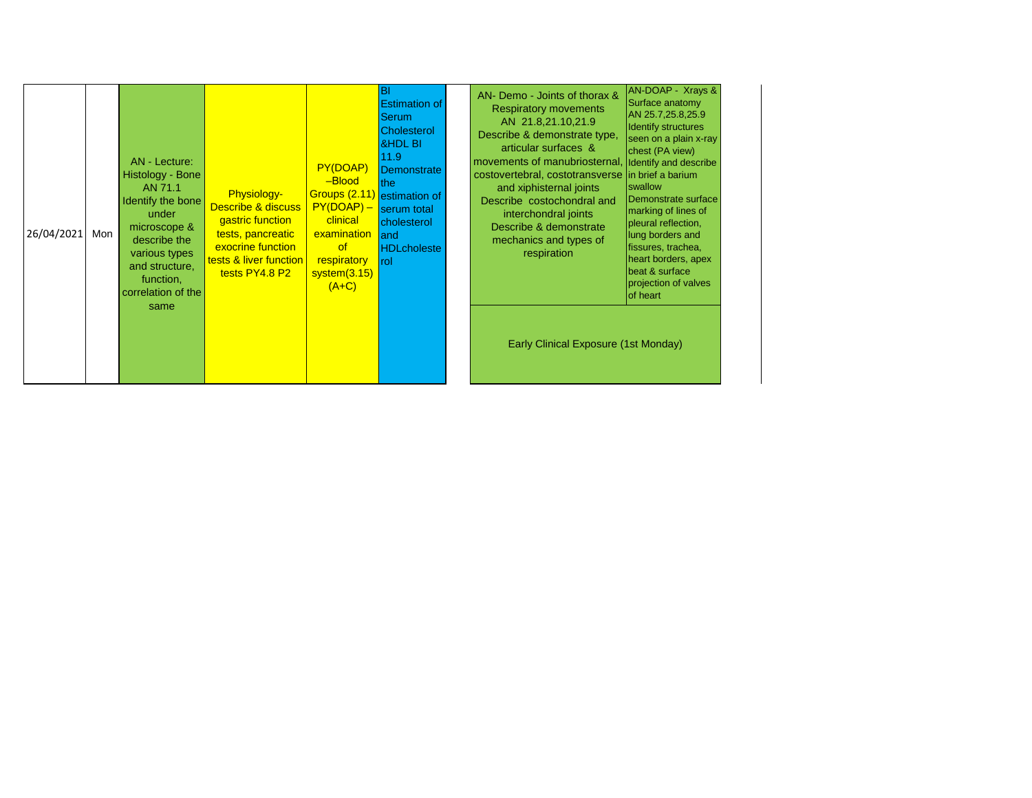| 26/04/2021 | Mon | AN - Lecture:<br>Histology - Bone<br>AN 71.1<br>Identify the bone<br>under<br>microscope &<br>describe the<br>various types<br>and structure,<br>function,<br>correlation of the | <b>Physiology-</b><br>Describe & discuss  <br>gastric function<br>tests, pancreatic<br>exocrine function<br>tests & liver function<br>tests PY4.8 P2 | PY(DOAP)<br>-Blood<br>Groups (2.11) estimation of<br>$PY(DOAP) -$<br>clinical<br>examination<br><b>of</b><br>respiratory<br>system(3.15)<br>$(A+C)$ | BI<br><b>Estimation of</b><br>Serum.<br><b>Cholesterol</b><br><b>&amp;HDL BI</b><br>11.9<br>Demonstrate<br>lthe:<br>serum total<br>cholesterol<br>land<br><b>HDLcholeste</b><br>rol | AN- Demo - Joints of thorax &<br><b>Respiratory movements</b><br>AN 21.8,21.10,21.9<br>Describe & demonstrate type,<br>articular surfaces &<br>movements of manubriosternal,<br>costovertebral, costotransverse in brief a barium<br>and xiphisternal joints<br>Describe costochondral and<br>interchondral joints<br>Describe & demonstrate<br>mechanics and types of<br>respiration | AN-DOAP - Xrays &<br>Surface anatomy<br>AN 25.7,25.8,25.9<br><b>Identify structures</b><br>seen on a plain x-ray<br>chest (PA view)<br>Identify and describe<br>swallow<br>Demonstrate surface<br>marking of lines of<br>pleural reflection,<br>lung borders and<br>fissures, trachea,<br>heart borders, apex<br>beat & surface<br>projection of valves<br>of heart |
|------------|-----|----------------------------------------------------------------------------------------------------------------------------------------------------------------------------------|------------------------------------------------------------------------------------------------------------------------------------------------------|-----------------------------------------------------------------------------------------------------------------------------------------------------|-------------------------------------------------------------------------------------------------------------------------------------------------------------------------------------|---------------------------------------------------------------------------------------------------------------------------------------------------------------------------------------------------------------------------------------------------------------------------------------------------------------------------------------------------------------------------------------|---------------------------------------------------------------------------------------------------------------------------------------------------------------------------------------------------------------------------------------------------------------------------------------------------------------------------------------------------------------------|
|            |     | same                                                                                                                                                                             |                                                                                                                                                      |                                                                                                                                                     |                                                                                                                                                                                     | Early Clinical Exposure (1st Monday)                                                                                                                                                                                                                                                                                                                                                  |                                                                                                                                                                                                                                                                                                                                                                     |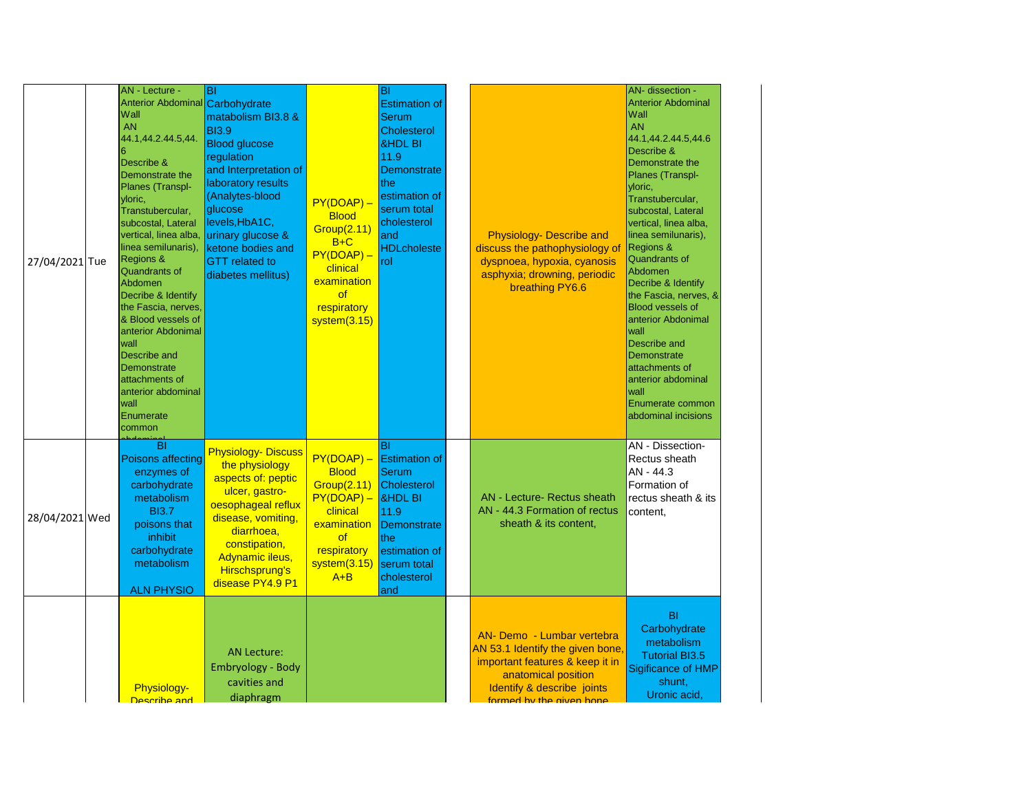| 27/04/2021 Tue | AN - Lecture -<br>Anterior Abdominal Carbohydrate<br>Wall<br><b>AN</b><br>44.1,44.2.44.5,44.<br>Describe &<br>Demonstrate the<br>Planes (Transpl-<br>yloric,<br>Transtubercular,<br>subcostal, Lateral<br>vertical, linea alba,<br>linea semilunaris),<br>Regions &<br><b>Quandrants of</b><br>Abdomen<br>Decribe & Identify<br>the Fascia, nerves,<br>& Blood vessels of<br>anterior Abdonimal<br>wall<br>Describe and<br>Demonstrate<br>attachments of<br>anterior abdominal<br>wall<br>Enumerate<br>common | BI<br>matabolism BI3.8 &<br><b>BI3.9</b><br><b>Blood glucose</b><br>regulation<br>and Interpretation of<br>laboratory results<br>(Analytes-blood<br>glucose<br>levels, HbA1C,<br>urinary glucose &<br>ketone bodies and<br><b>GTT</b> related to<br>diabetes mellitus) | $PY(DOAP) -$<br><b>Blood</b><br><b>Group(2.11)</b><br>$B+C$<br>$PY(DOAP) -$<br>clinical<br>examination<br><b>of</b><br>respiratory<br>system(3.15) | BI<br><b>Estimation of</b><br>Serum<br>Cholesterol<br><b>&amp;HDL BI</b><br>11.9<br>Demonstrate<br>the<br>estimation of<br>serum total<br>cholesterol<br>and<br><b>HDLcholeste</b><br>rol | <b>Physiology- Describe and</b><br>discuss the pathophysiology of<br>dyspnoea, hypoxia, cyanosis<br>asphyxia; drowning, periodic<br>breathing PY6.6                                | AN- dissection -<br><b>Anterior Abdominal</b><br>Wall<br><b>AN</b><br>44.1,44.2.44.5,44.6<br>Describe &<br>Demonstrate the<br>Planes (Transpl-<br>yloric,<br>Transtubercular,<br>subcostal, Lateral<br>vertical, linea alba,<br>linea semilunaris),<br><b>Regions &amp;</b><br>Quandrants of<br>Abdomen<br>Decribe & Identify<br>the Fascia, nerves, &<br><b>Blood vessels of</b><br>anterior Abdonimal<br><b>wall</b><br>Describe and<br>Demonstrate<br>attachments of<br>anterior abdominal<br>wall<br>Enumerate common<br>abdominal incisions |
|----------------|---------------------------------------------------------------------------------------------------------------------------------------------------------------------------------------------------------------------------------------------------------------------------------------------------------------------------------------------------------------------------------------------------------------------------------------------------------------------------------------------------------------|------------------------------------------------------------------------------------------------------------------------------------------------------------------------------------------------------------------------------------------------------------------------|----------------------------------------------------------------------------------------------------------------------------------------------------|-------------------------------------------------------------------------------------------------------------------------------------------------------------------------------------------|------------------------------------------------------------------------------------------------------------------------------------------------------------------------------------|--------------------------------------------------------------------------------------------------------------------------------------------------------------------------------------------------------------------------------------------------------------------------------------------------------------------------------------------------------------------------------------------------------------------------------------------------------------------------------------------------------------------------------------------------|
| 28/04/2021 Wed | BI<br>Poisons affecting<br>enzymes of<br>carbohydrate<br>metabolism<br><b>BI3.7</b><br>poisons that<br>inhibit<br>carbohydrate<br>metabolism<br><b>ALN PHYSIO</b>                                                                                                                                                                                                                                                                                                                                             | <b>Physiology- Discuss</b><br>the physiology<br>aspects of: peptic<br>ulcer, gastro-<br>oesophageal reflux<br>disease, vomiting,<br>diarrhoea,<br>constipation,<br>Adynamic ileus,<br><b>Hirschsprung's</b><br>disease PY4.9 P1                                        | $PY(DOAP) -$<br><b>Blood</b><br>Group(2.11)<br>$PY(DOAP) -$<br>clinical<br>examination<br><b>of</b><br>respiratory<br>system(3.15)<br>$A + B$      | ΙBΙ<br><b>Estimation of</b><br>Serum<br><b>Cholesterol</b><br><b>&amp;HDL BI</b><br>11.9<br>Demonstrate<br>the<br>estimation of<br>serum total<br>cholesterol<br>and                      | <b>AN</b> - Lecture- Rectus sheath<br>AN - 44.3 Formation of rectus<br>sheath & its content,                                                                                       | AN - Dissection-<br>Rectus sheath<br>AN - 44.3<br>Formation of<br>rectus sheath & its<br>content,                                                                                                                                                                                                                                                                                                                                                                                                                                                |
|                | Physiology-<br>Describe and                                                                                                                                                                                                                                                                                                                                                                                                                                                                                   | <b>AN Lecture:</b><br>Embryology - Body<br>cavities and<br>diaphragm                                                                                                                                                                                                   |                                                                                                                                                    |                                                                                                                                                                                           | AN- Demo - Lumbar vertebra<br>AN 53.1 Identify the given bone,<br>important features & keep it in<br>anatomical position<br>Identify & describe joints<br>formed by the given bone | B <sub>l</sub><br>Carbohydrate<br>metabolism<br><b>Tutorial BI3.5</b><br>Sigificance of HMP<br>shunt,<br>Uronic acid,                                                                                                                                                                                                                                                                                                                                                                                                                            |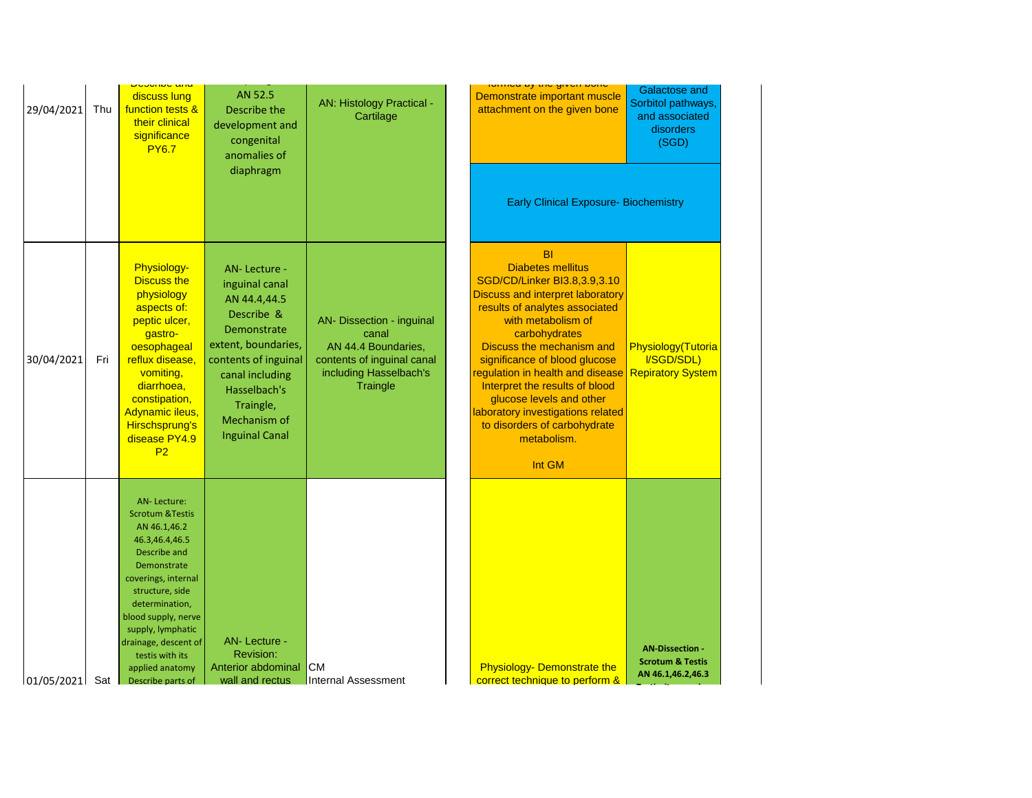| 29/04/2021     | Thu | <u>Duaunuu anu</u><br>discuss lung<br>function tests &<br>their clinical<br>significance<br><b>PY6.7</b>                                                                                                                                                                                                      | AN 52.5<br>Describe the<br>development and<br>congenital<br>anomalies of<br>diaphragm                                                                                                                               | <b>AN: Histology Practical -</b><br>Cartilage                                                                                 | <u>יטווווטע גון עווי קע געווווטו</u><br>Demonstrate important muscle<br>attachment on the given bone                                                                                                                                                                                                                                                                                                                                                    | <b>Galactose and</b><br>Sorbitol pathways,<br>and associated<br>disorders<br>(SGD) |
|----------------|-----|---------------------------------------------------------------------------------------------------------------------------------------------------------------------------------------------------------------------------------------------------------------------------------------------------------------|---------------------------------------------------------------------------------------------------------------------------------------------------------------------------------------------------------------------|-------------------------------------------------------------------------------------------------------------------------------|---------------------------------------------------------------------------------------------------------------------------------------------------------------------------------------------------------------------------------------------------------------------------------------------------------------------------------------------------------------------------------------------------------------------------------------------------------|------------------------------------------------------------------------------------|
|                |     |                                                                                                                                                                                                                                                                                                               |                                                                                                                                                                                                                     |                                                                                                                               | <b>Early Clinical Exposure- Biochemistry</b>                                                                                                                                                                                                                                                                                                                                                                                                            |                                                                                    |
| 30/04/2021     | Fri | Physiology-<br><b>Discuss the</b><br>physiology<br>aspects of:<br>peptic ulcer,<br>gastro-<br>oesophageal<br>reflux disease,<br>vomiting,<br>diarrhoea,<br>constipation,<br>Adynamic ileus,<br>Hirschsprung's<br>disease PY4.9<br>P <sub>2</sub>                                                              | AN-Lecture -<br>inguinal canal<br>AN 44.4,44.5<br>Describe &<br>Demonstrate<br>extent, boundaries,<br>contents of inguinal<br>canal including<br>Hasselbach's<br>Traingle,<br>Mechanism of<br><b>Inguinal Canal</b> | AN- Dissection - inguinal<br>canal<br>AN 44.4 Boundaries,<br>contents of inguinal canal<br>including Hasselbach's<br>Traingle | <b>BI</b><br><b>Diabetes mellitus</b><br>SGD/CD/Linker BI3.8,3.9,3.10<br><b>Discuss and interpret laboratory</b><br>results of analytes associated<br>with metabolism of<br>carbohydrates<br>Discuss the mechanism and<br>significance of blood glucose<br>regulation in health and disease<br>Interpret the results of blood<br>glucose levels and other<br>laboratory investigations related<br>to disorders of carbohydrate<br>metabolism.<br>Int GM | Physiology(Tutoria<br>I/SGD/SDL)<br><b>Repiratory System</b>                       |
| 01/05/2021 Sat |     | <b>AN-Lecture:</b><br><b>Scrotum &amp; Testis</b><br>AN 46.1,46.2<br>46.3,46.4,46.5<br>Describe and<br>Demonstrate<br>coverings, internal<br>structure, side<br>determination,<br>blood supply, nerve<br>supply, lymphatic<br>drainage, descent of<br>testis with its<br>applied anatomy<br>Describe parts of | AN-Lecture -<br>Revision:<br>Anterior abdominal<br>wall and rectus                                                                                                                                                  | <b>CM</b><br><b>Internal Assessment</b>                                                                                       | <b>Physiology- Demonstrate the</b><br>correct technique to perform &                                                                                                                                                                                                                                                                                                                                                                                    | <b>AN-Dissection -</b><br><b>Scrotum &amp; Testis</b><br>AN 46.1,46.2,46.3         |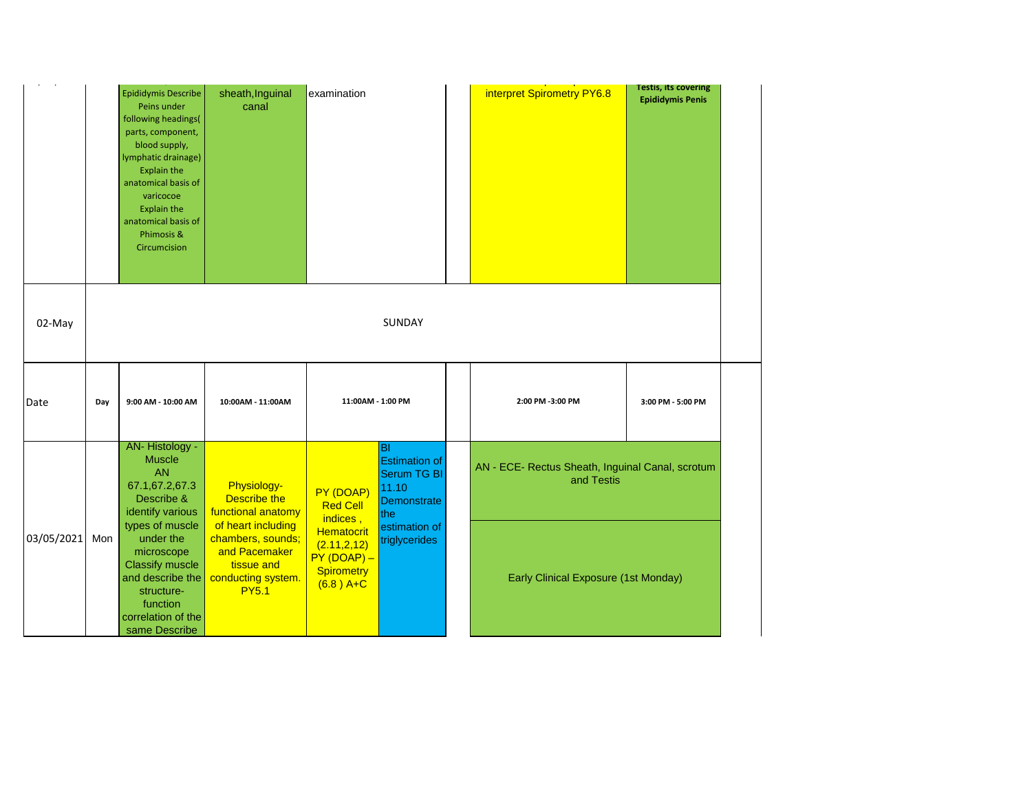|            |                                                                                                                                                                                                                                                                                                                                                                     | Epididymis Describe<br>Peins under<br>following headings(<br>parts, component,<br>blood supply,<br>lymphatic drainage)<br><b>Explain the</b><br>anatomical basis of<br>varicocoe<br><b>Explain the</b><br>anatomical basis of<br>Phimosis &<br>Circumcision | sheath, Inguinal<br>canal                         | examination                              |                                                                                  | interpret Spirometry PY6.8                                     | <b>Testis, its covering</b><br><b>Epididymis Penis</b> |
|------------|---------------------------------------------------------------------------------------------------------------------------------------------------------------------------------------------------------------------------------------------------------------------------------------------------------------------------------------------------------------------|-------------------------------------------------------------------------------------------------------------------------------------------------------------------------------------------------------------------------------------------------------------|---------------------------------------------------|------------------------------------------|----------------------------------------------------------------------------------|----------------------------------------------------------------|--------------------------------------------------------|
| 02-May     |                                                                                                                                                                                                                                                                                                                                                                     |                                                                                                                                                                                                                                                             |                                                   |                                          | <b>SUNDAY</b>                                                                    |                                                                |                                                        |
| Date       | Day                                                                                                                                                                                                                                                                                                                                                                 | 9:00 AM - 10:00 AM                                                                                                                                                                                                                                          | 10:00AM - 11:00AM                                 |                                          | 11:00AM - 1:00 PM                                                                | 2:00 PM -3:00 PM                                               | 3:00 PM - 5:00 PM                                      |
|            |                                                                                                                                                                                                                                                                                                                                                                     | AN-Histology -<br><b>Muscle</b><br><b>AN</b><br>67.1,67.2,67.3<br>Describe &<br>identify various                                                                                                                                                            | Physiology-<br>Describe the<br>functional anatomy | PY (DOAP)<br><b>Red Cell</b><br>indices, | lвı<br><b>Estimation of</b><br><b>Serum TG BI</b><br>11.10<br>Demonstrate<br>the | AN - ECE- Rectus Sheath, Inguinal Canal, scrotum<br>and Testis |                                                        |
| 03/05/2021 | types of muscle<br>of heart including<br>Hematocrit<br>under the<br>chambers, sounds;<br>Mon<br>(2.11, 2, 12)<br>and Pacemaker<br>microscope<br>$PY(DOAP) -$<br><b>Classify muscle</b><br>tissue and<br><b>Spirometry</b><br>and describe the<br>conducting system.<br>$(6.8)$ A+C<br><b>PY5.1</b><br>structure-<br>function<br>correlation of the<br>same Describe |                                                                                                                                                                                                                                                             | estimation of<br>triglycerides                    | Early Clinical Exposure (1st Monday)     |                                                                                  |                                                                |                                                        |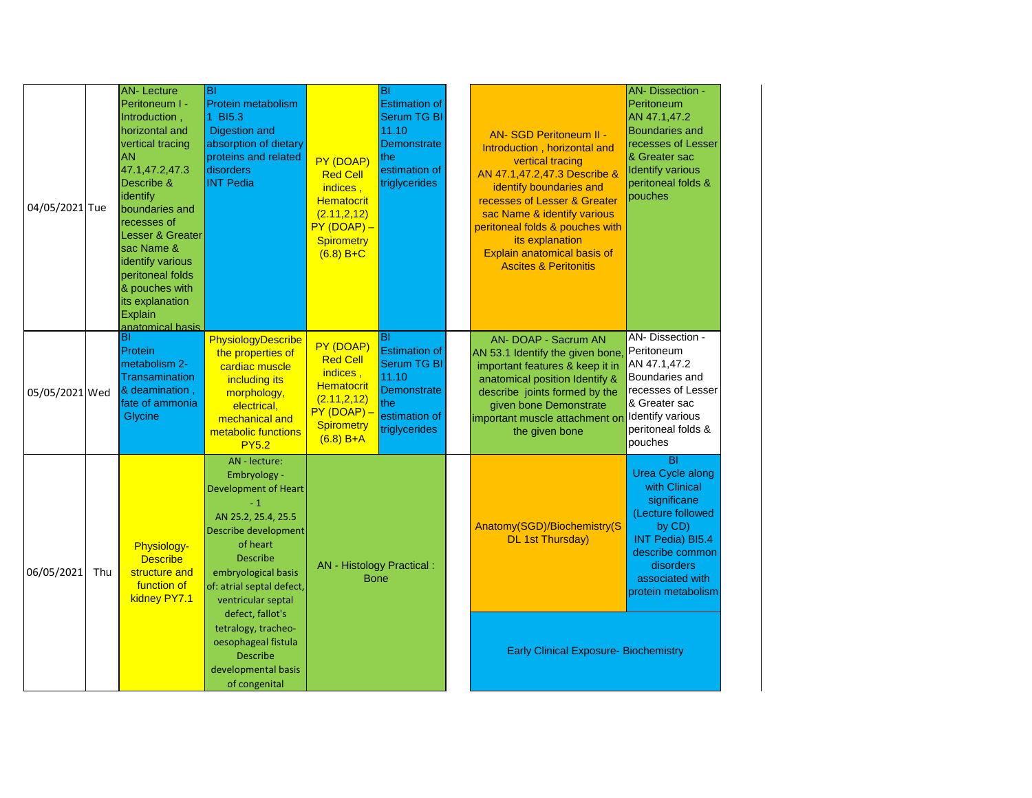| 04/05/2021 Tue |     | <b>AN-Lecture</b><br>Peritoneum I -<br>Introduction,<br>horizontal and<br>vertical tracing<br><b>AN</b><br>47.1,47.2,47.3<br>Describe &<br>identify<br>boundaries and<br>recesses of<br><b>Lesser &amp; Greater</b><br>sac Name &<br>identify various<br>peritoneal folds<br>& pouches with<br>its explanation<br>Explain<br>anatomical basis | BI<br>Protein metabolism<br><b>BI5.3</b><br><b>Digestion and</b><br>absorption of dietary<br>proteins and related<br>disorders<br><b>INT Pedia</b>                                                                    | PY (DOAP)<br><b>Red Cell</b><br>indices,<br><b>Hematocrit</b><br>(2.11, 2, 12)<br>$PY(DOAP) -$<br><b>Spirometry</b><br>$(6.8) B + C$ | BI<br><b>Estimation of</b><br><b>Serum TG BI</b><br>11.10<br><b>Demonstrate</b><br>the<br>estimation of<br>triglycerides |  | <b>AN-SGD Peritoneum II -</b><br>Introduction, horizontal and<br>vertical tracing<br>AN 47.1,47.2,47.3 Describe &<br>identify boundaries and<br>recesses of Lesser & Greater<br>sac Name & identify various<br>peritoneal folds & pouches with<br>its explanation<br>Explain anatomical basis of<br><b>Ascites &amp; Peritonitis</b> | <b>AN- Dissection -</b><br>Peritoneum<br>AN 47.1,47.2<br><b>Boundaries and</b><br>recesses of Lesser<br>& Greater sac<br><b>Identify various</b><br>peritoneal folds &<br>pouches         |
|----------------|-----|-----------------------------------------------------------------------------------------------------------------------------------------------------------------------------------------------------------------------------------------------------------------------------------------------------------------------------------------------|-----------------------------------------------------------------------------------------------------------------------------------------------------------------------------------------------------------------------|--------------------------------------------------------------------------------------------------------------------------------------|--------------------------------------------------------------------------------------------------------------------------|--|--------------------------------------------------------------------------------------------------------------------------------------------------------------------------------------------------------------------------------------------------------------------------------------------------------------------------------------|-------------------------------------------------------------------------------------------------------------------------------------------------------------------------------------------|
| 05/05/2021 Wed |     | ΙBΙ<br>Protein<br>metabolism 2-<br>Transamination<br>& deamination,<br>fate of ammonia<br>Glycine                                                                                                                                                                                                                                             | PhysiologyDescribe<br>the properties of<br>cardiac muscle<br>including its<br>morphology,<br>electrical,<br>mechanical and<br>metabolic functions<br><b>PY5.2</b>                                                     | PY (DOAP)<br><b>Red Cell</b><br>indices,<br><b>Hematocrit</b><br>(2.11, 2, 12)<br>PY (DOAP) -<br><b>Spirometry</b><br>$(6.8) B+A$    | BI<br><b>Estimation of</b><br><b>Serum TG BI</b><br>11.10<br><b>Demonstrate</b><br>the<br>estimation of<br>triglycerides |  | AN- DOAP - Sacrum AN<br>AN 53.1 Identify the given bone<br>important features & keep it in<br>anatomical position Identify &<br>describe joints formed by the<br>given bone Demonstrate<br>important muscle attachment or<br>the given bone                                                                                          | AN-Dissection -<br>Peritoneum<br>AN 47.1,47.2<br>Boundaries and<br>recesses of Lesser<br>& Greater sac<br>Identify various<br>peritoneal folds &<br>pouches                               |
| 06/05/2021     | Thu | Physiology-<br><b>Describe</b><br>structure and<br>function of<br>kidney PY7.1                                                                                                                                                                                                                                                                | AN - lecture:<br>Embryology -<br><b>Development of Heart</b><br>$-1$<br>AN 25.2, 25.4, 25.5<br>Describe development<br>of heart<br>Describe<br>embryological basis<br>of: atrial septal defect,<br>ventricular septal | AN - Histology Practical :<br><b>Bone</b>                                                                                            |                                                                                                                          |  | Anatomy(SGD)/Biochemistry(S<br><b>DL 1st Thursday)</b>                                                                                                                                                                                                                                                                               | BI<br><b>Urea Cycle along</b><br>with Clinical<br>significane<br>(Lecture followed<br>by CD)<br>INT Pedia) BI5.4<br>describe common<br>disorders<br>associated with<br>protein metabolism |
|                |     |                                                                                                                                                                                                                                                                                                                                               | defect, fallot's<br>tetralogy, tracheo-<br>oesophageal fistula<br><b>Describe</b><br>developmental basis<br>of congenital                                                                                             |                                                                                                                                      |                                                                                                                          |  | <b>Early Clinical Exposure- Biochemistry</b>                                                                                                                                                                                                                                                                                         |                                                                                                                                                                                           |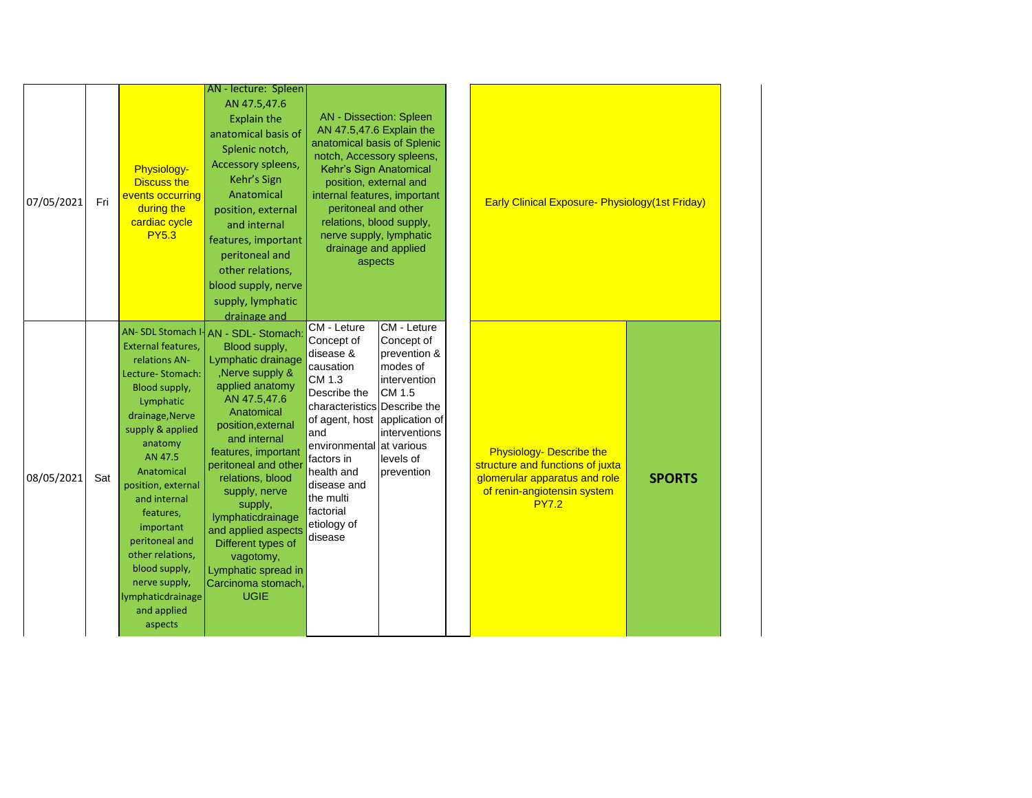| 07/05/2021 | Fri | <b>Physiology-</b><br><b>Discuss the</b><br>events occurring<br>during the<br>cardiac cycle<br><b>PY5.3</b>                                                                                                                                                                                                                                             | AN - lecture: Spleen<br>AN 47.5,47.6<br><b>Explain the</b><br>anatomical basis of<br>Splenic notch,<br>Accessory spleens,<br>Kehr's Sign<br>Anatomical<br>position, external<br>and internal<br>features, important<br>peritoneal and<br>other relations,                                                                                                                                                                                                                                     | <b>AN</b> - Dissection: Spleen<br>AN 47.5,47.6 Explain the<br>anatomical basis of Splenic<br>notch, Accessory spleens,<br>Kehr's Sign Anatomical<br>position, external and<br>internal features, important<br>peritoneal and other<br>relations, blood supply,<br>nerve supply, lymphatic<br>drainage and applied<br>aspects |                                                                                                                             | <b>Early Clinical Exposure- Physiology (1st Friday)</b>                                                                                             |               |
|------------|-----|---------------------------------------------------------------------------------------------------------------------------------------------------------------------------------------------------------------------------------------------------------------------------------------------------------------------------------------------------------|-----------------------------------------------------------------------------------------------------------------------------------------------------------------------------------------------------------------------------------------------------------------------------------------------------------------------------------------------------------------------------------------------------------------------------------------------------------------------------------------------|------------------------------------------------------------------------------------------------------------------------------------------------------------------------------------------------------------------------------------------------------------------------------------------------------------------------------|-----------------------------------------------------------------------------------------------------------------------------|-----------------------------------------------------------------------------------------------------------------------------------------------------|---------------|
| 08/05/2021 | Sat | External features,<br>relations AN-<br>Lecture-Stomach:<br>Blood supply,<br>Lymphatic<br>drainage, Nerve<br>supply & applied<br>anatomy<br>AN 47.5<br>Anatomical<br>position, external<br>and internal<br>features,<br>important<br>peritoneal and<br>other relations,<br>blood supply,<br>nerve supply,<br>lymphaticdrainage<br>and applied<br>aspects | blood supply, nerve<br>supply, lymphatic<br>drainage and<br>AN- SDL Stomach I- AN - SDL- Stomach:<br>Blood supply,<br>Lymphatic drainage<br>, Nerve supply &<br>applied anatomy<br>AN 47.5,47.6<br>Anatomical<br>position, external<br>and internal<br>features, important<br>peritoneal and other<br>relations, blood<br>supply, nerve<br>supply,<br>lymphaticdrainage<br>and applied aspects<br>Different types of<br>vagotomy,<br>Lymphatic spread in<br>Carcinoma stomach,<br><b>UGIE</b> | CM - Leture<br>Concept of<br>disease &<br>causation<br>CM 1.3<br>Describe the<br>characteristics Describe the<br>of agent, host application of<br>and<br>environmental at various<br>factors in<br>health and<br>disease and<br>the multi<br>factorial<br>etiology of<br>disease                                             | CM - Leture<br>Concept of<br>prevention &<br>modes of<br>intervention<br>CM 1.5<br>interventions<br>levels of<br>prevention | <b>Physiology- Describe the</b><br>structure and functions of juxta<br>glomerular apparatus and role<br>of renin-angiotensin system<br><b>PY7.2</b> | <b>SPORTS</b> |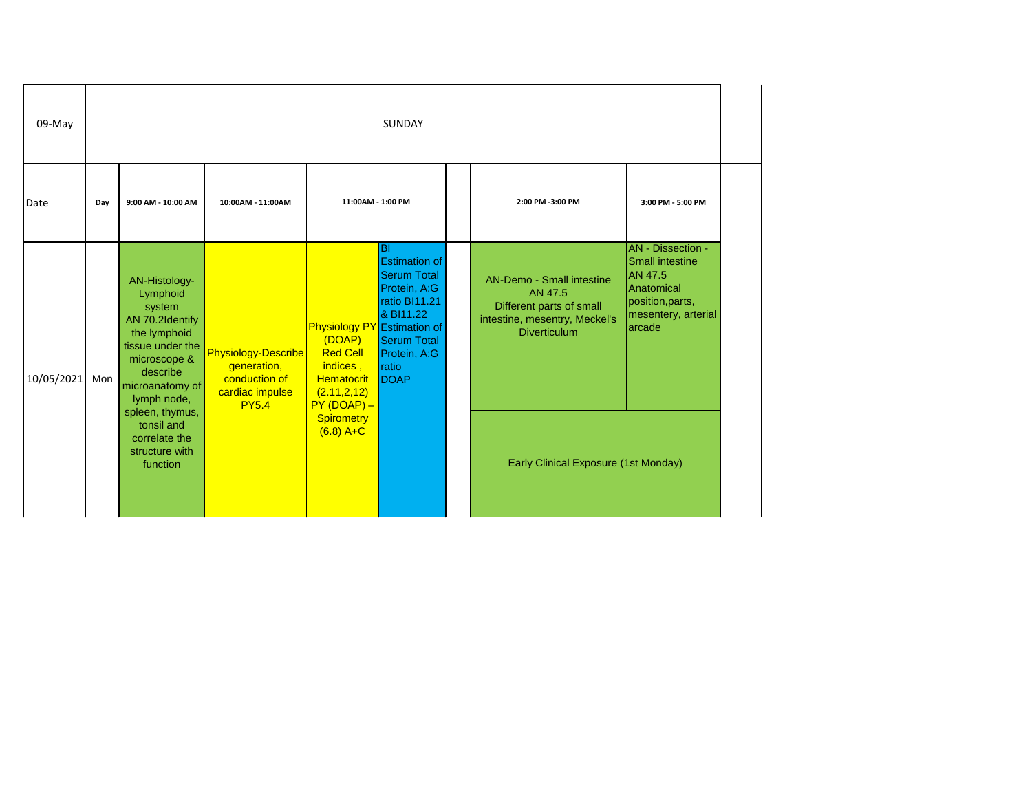| 09-May     |     | SUNDAY                                                                                                                                                   |                                                                                        |                                                                                                                                  |                                                                                                                                                        |  |                                                                                                                                 |                                                                                                                           |  |  |  |
|------------|-----|----------------------------------------------------------------------------------------------------------------------------------------------------------|----------------------------------------------------------------------------------------|----------------------------------------------------------------------------------------------------------------------------------|--------------------------------------------------------------------------------------------------------------------------------------------------------|--|---------------------------------------------------------------------------------------------------------------------------------|---------------------------------------------------------------------------------------------------------------------------|--|--|--|
| Date       | Day | 9:00 AM - 10:00 AM                                                                                                                                       | 10:00AM - 11:00AM                                                                      | 11:00AM - 1:00 PM                                                                                                                |                                                                                                                                                        |  | 2:00 PM -3:00 PM                                                                                                                | 3:00 PM - 5:00 PM                                                                                                         |  |  |  |
| 10/05/2021 | Mon | AN-Histology-<br>Lymphoid<br>system<br>AN 70.2Identify<br>the lymphoid<br>tissue under the<br>microscope &<br>describe<br>microanatomy of<br>lymph node, | Physiology-Describe<br>generation,<br>conduction of<br>cardiac impulse<br><b>PY5.4</b> | <b>Physiology PY</b> Estimation of<br>(DOAP)<br><b>Red Cell</b><br>indices,<br><b>Hematocrit</b><br>(2.11, 2.12)<br>$PY(DOAP) -$ | lвı<br><b>Estimation of</b><br><b>Serum Total</b><br>Protein, A:G<br>ratio BI11.21<br>& BI11.22<br><b>Serum Total</b><br>Protein, A:G<br>ratio<br>DOAP |  | <b>AN-Demo - Small intestine</b><br>AN 47.5<br>Different parts of small<br>intestine, mesentry, Meckel's<br><b>Diverticulum</b> | AN - Dissection -<br><b>Small intestine</b><br>AN 47.5<br>Anatomical<br>position, parts,<br>mesentery, arterial<br>arcade |  |  |  |
|            |     | spleen, thymus,<br>tonsil and<br>correlate the<br>structure with<br>function                                                                             |                                                                                        | <b>Spirometry</b><br>$(6.8)$ A+C                                                                                                 |                                                                                                                                                        |  | Early Clinical Exposure (1st Monday)                                                                                            |                                                                                                                           |  |  |  |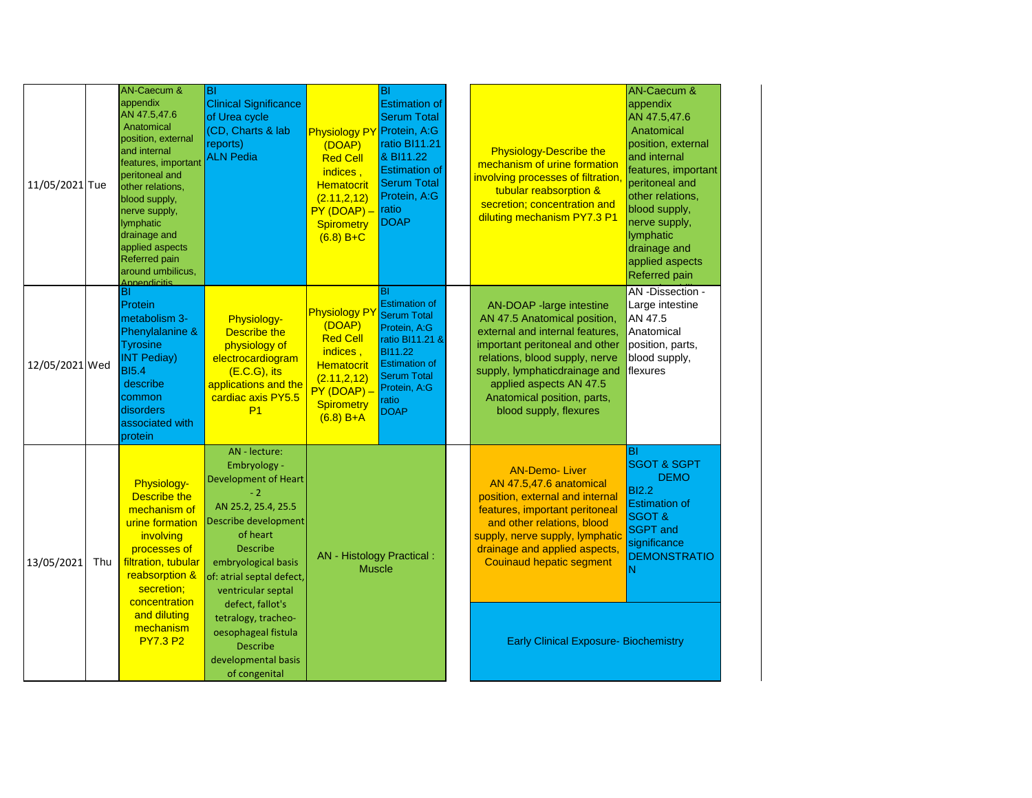| 11/05/2021 Tue | AN-Caecum &<br>appendix<br>AN 47.5,47.6<br>Anatomical<br>position, external<br>and internal<br>features, important<br>peritoneal and<br>other relations,<br>blood supply,<br>nerve supply,<br>lymphatic<br>drainage and<br>applied aspects<br><b>Referred pain</b><br>around umbilicus,<br>Annendicitis | BI<br><b>Clinical Significance</b><br>of Urea cycle<br>(CD, Charts & lab<br>reports)<br><b>ALN Pedia</b>                                                                                                                     | <b>Physiology PY</b><br>(DOAP)<br><b>Red Cell</b><br>indices,<br><b>Hematocrit</b><br>(2.11, 2.12)<br>$PY(DOAP) -$<br>Spirometry<br>$(6.8) B + C$       | BI<br><b>Estimation of</b><br><b>Serum Total</b><br>Protein, A:G<br>ratio BI11.21<br>& BI11.22<br><b>Estimation of</b><br><b>Serum Total</b><br>Protein, A:G<br>ratio<br><b>DOAP</b> | <b>Physiology-Describe the</b><br>mechanism of urine formation<br>involving processes of filtration,<br>tubular reabsorption &<br>secretion; concentration and<br>diluting mechanism PY7.3 P1                                                                                        | <b>AN-Caecum &amp;</b><br>appendix<br>AN 47.5,47.6<br>Anatomical<br>position, external<br>and internal<br>features, important<br>peritoneal and<br>other relations,<br>blood supply,<br>nerve supply,<br>lymphatic<br>drainage and<br>applied aspects<br>Referred pain |
|----------------|---------------------------------------------------------------------------------------------------------------------------------------------------------------------------------------------------------------------------------------------------------------------------------------------------------|------------------------------------------------------------------------------------------------------------------------------------------------------------------------------------------------------------------------------|---------------------------------------------------------------------------------------------------------------------------------------------------------|--------------------------------------------------------------------------------------------------------------------------------------------------------------------------------------|--------------------------------------------------------------------------------------------------------------------------------------------------------------------------------------------------------------------------------------------------------------------------------------|------------------------------------------------------------------------------------------------------------------------------------------------------------------------------------------------------------------------------------------------------------------------|
| 12/05/2021 Wed | BI<br>Protein<br>metabolism 3-<br>Phenylalanine &<br><b>Tyrosine</b><br><b>INT Pediay)</b><br><b>BI5.4</b><br>describe<br>common<br>disorders<br>associated with<br>protein                                                                                                                             | Physiology-<br>Describe the<br>physiology of<br>electrocardiogram<br>$(E.C.G)$ , its<br>applications and the<br>cardiac axis PY5.5<br>P <sub>1</sub>                                                                         | <b>Physiology PY</b><br>(DOAP)<br><b>Red Cell</b><br>indices,<br><b>Hematocrit</b><br>(2.11, 2, 12)<br>$PY(DOAP) -$<br><b>Spirometry</b><br>$(6.8) B+A$ | BI<br><b>Estimation of</b><br><b>Serum Total</b><br>Protein, A:G<br>ratio BI11.21 &<br>BI11.22<br><b>Estimation of</b><br><b>Serum Total</b><br>Protein, A:G<br>ratio<br><b>DOAP</b> | AN-DOAP -large intestine<br>AN 47.5 Anatomical position,<br>external and internal features,<br>important peritoneal and other<br>relations, blood supply, nerve<br>supply, lymphaticdrainage and<br>applied aspects AN 47.5<br>Anatomical position, parts,<br>blood supply, flexures | AN -Dissection -<br>Large intestine<br>AN 47.5<br>Anatomical<br>position, parts,<br>blood supply,<br>flexures                                                                                                                                                          |
| 13/05/2021 Thu | Physiology-<br>Describe the<br>mechanism of<br>urine formation<br>involving<br>processes of<br>filtration, tubular<br>reabsorption &<br>secretion;<br>concentration                                                                                                                                     | AN - lecture:<br>Embryology -<br><b>Development of Heart</b><br>$-2$<br>AN 25.2, 25.4, 25.5<br>Describe development<br>of heart<br><b>Describe</b><br>embryological basis<br>of: atrial septal defect,<br>ventricular septal | AN - Histology Practical :<br><b>Muscle</b>                                                                                                             |                                                                                                                                                                                      | <b>AN-Demo-Liver</b><br>AN 47.5,47.6 anatomical<br>position, external and internal<br>features, important peritoneal<br>and other relations, blood<br>supply, nerve supply, lymphatic<br>drainage and applied aspects,<br><b>Couinaud hepatic segment</b>                            | BI<br><b>SGOT &amp; SGPT</b><br><b>DEMO</b><br><b>BI2.2</b><br><b>Estimation of</b><br><b>SGOT &amp;</b><br><b>SGPT</b> and<br>significance<br><b>DEMONSTRATIO</b><br>İN                                                                                               |
|                | and diluting<br>mechanism<br><b>PY7.3 P2</b>                                                                                                                                                                                                                                                            | defect, fallot's<br>tetralogy, tracheo-<br>oesophageal fistula<br><b>Describe</b><br>developmental basis<br>of congenital                                                                                                    |                                                                                                                                                         |                                                                                                                                                                                      | <b>Early Clinical Exposure- Biochemistry</b>                                                                                                                                                                                                                                         |                                                                                                                                                                                                                                                                        |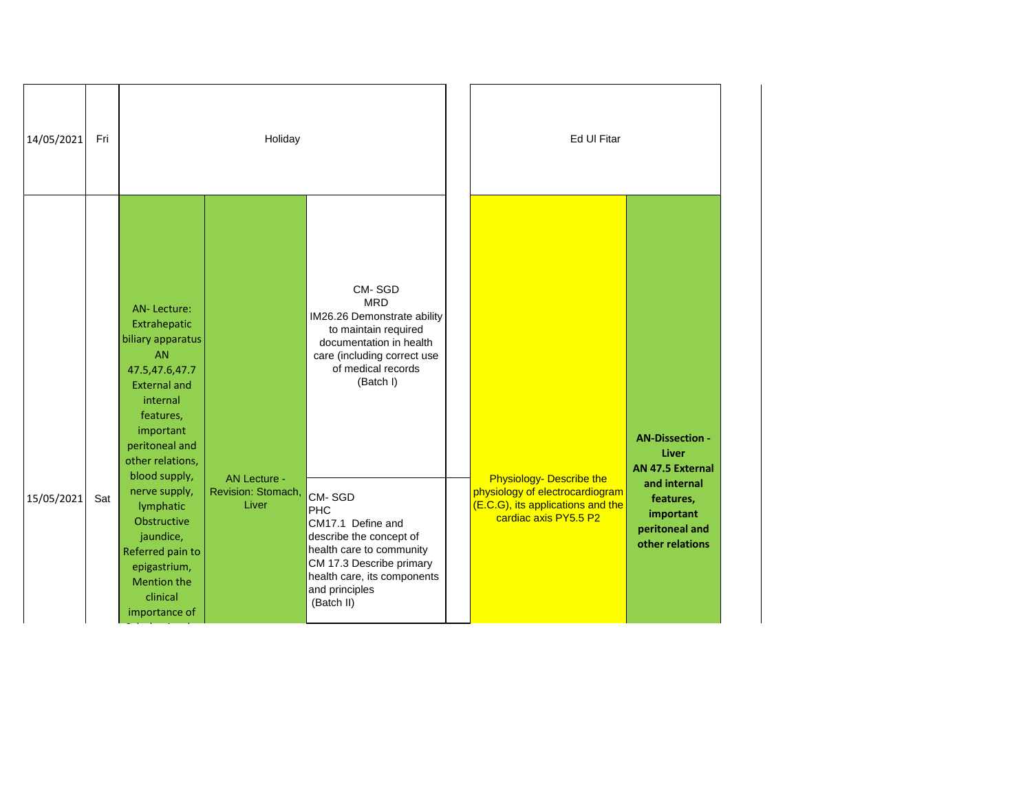| 14/05/2021 | Fri |                                                                                                                                                                                                                                                                                                                                                             | Holiday                                            |                                                                                                                                                                                                                                                                                                                                                                         | Ed Ul Fitar                                                                                                                      |                                                                                                                                                  |
|------------|-----|-------------------------------------------------------------------------------------------------------------------------------------------------------------------------------------------------------------------------------------------------------------------------------------------------------------------------------------------------------------|----------------------------------------------------|-------------------------------------------------------------------------------------------------------------------------------------------------------------------------------------------------------------------------------------------------------------------------------------------------------------------------------------------------------------------------|----------------------------------------------------------------------------------------------------------------------------------|--------------------------------------------------------------------------------------------------------------------------------------------------|
| 15/05/2021 | Sat | <b>AN-Lecture:</b><br>Extrahepatic<br>biliary apparatus<br><b>AN</b><br>47.5,47.6,47.7<br><b>External and</b><br>internal<br>features,<br>important<br>peritoneal and<br>other relations,<br>blood supply,<br>nerve supply,<br>lymphatic<br>Obstructive<br>jaundice,<br>Referred pain to<br>epigastrium,<br><b>Mention the</b><br>clinical<br>importance of | <b>AN Lecture -</b><br>Revision: Stomach,<br>Liver | CM-SGD<br><b>MRD</b><br>IM26.26 Demonstrate ability<br>to maintain required<br>documentation in health<br>care (including correct use<br>of medical records<br>(Batch I)<br>CM-SGD<br><b>PHC</b><br>CM17.1 Define and<br>describe the concept of<br>health care to community<br>CM 17.3 Describe primary<br>health care, its components<br>and principles<br>(Batch II) | <b>Physiology- Describe the</b><br>physiology of electrocardiogram<br>(E.C.G), its applications and the<br>cardiac axis PY5.5 P2 | <b>AN-Dissection -</b><br><b>Liver</b><br><b>AN 47.5 External</b><br>and internal<br>features,<br>important<br>peritoneal and<br>other relations |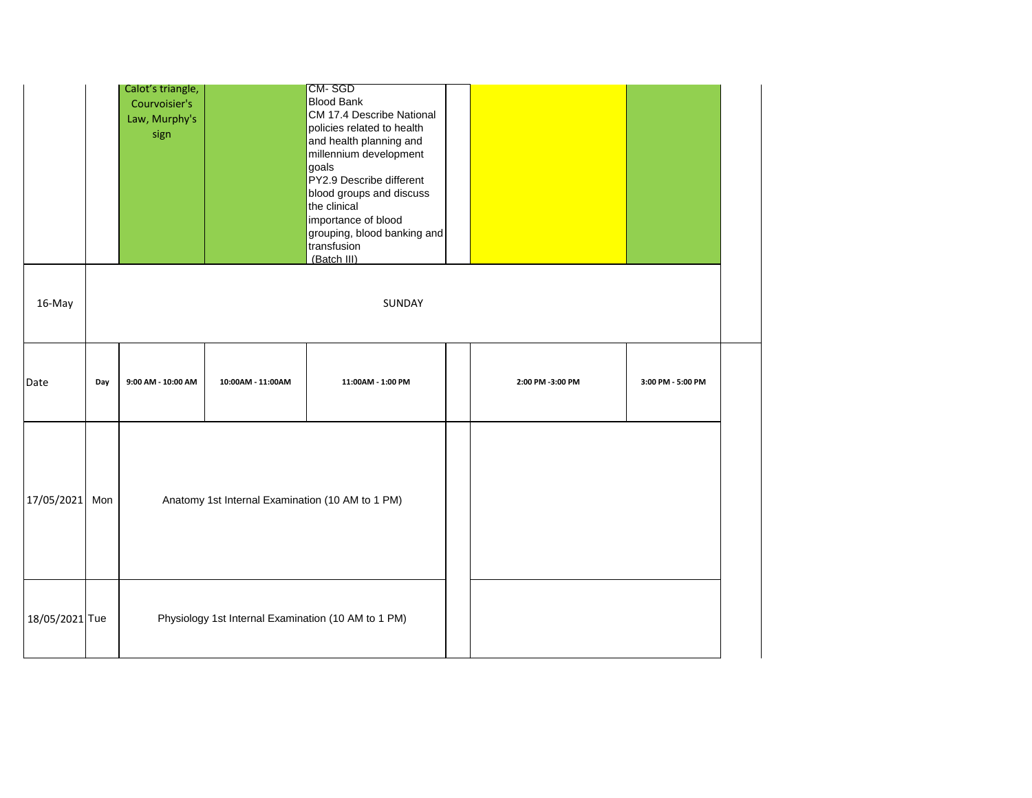|                |     | Calot's triangle,<br>Courvoisier's<br>Law, Murphy's<br>sign |                                                  | CM-SGD<br><b>Blood Bank</b><br>CM 17.4 Describe National<br>policies related to health<br>and health planning and<br>millennium development<br>goals<br>PY2.9 Describe different<br>blood groups and discuss<br>the clinical<br>importance of blood<br>grouping, blood banking and<br>transfusion<br>(Batch III) |                  |                   |  |
|----------------|-----|-------------------------------------------------------------|--------------------------------------------------|------------------------------------------------------------------------------------------------------------------------------------------------------------------------------------------------------------------------------------------------------------------------------------------------------------------|------------------|-------------------|--|
| 16-May         |     |                                                             |                                                  | SUNDAY                                                                                                                                                                                                                                                                                                           |                  |                   |  |
| Date           | Day | 9:00 AM - 10:00 AM                                          | 10:00AM - 11:00AM                                | 11:00AM - 1:00 PM                                                                                                                                                                                                                                                                                                | 2:00 PM -3:00 PM | 3:00 PM - 5:00 PM |  |
| 17/05/2021     | Mon |                                                             | Anatomy 1st Internal Examination (10 AM to 1 PM) |                                                                                                                                                                                                                                                                                                                  |                  |                   |  |
| 18/05/2021 Tue |     |                                                             |                                                  | Physiology 1st Internal Examination (10 AM to 1 PM)                                                                                                                                                                                                                                                              |                  |                   |  |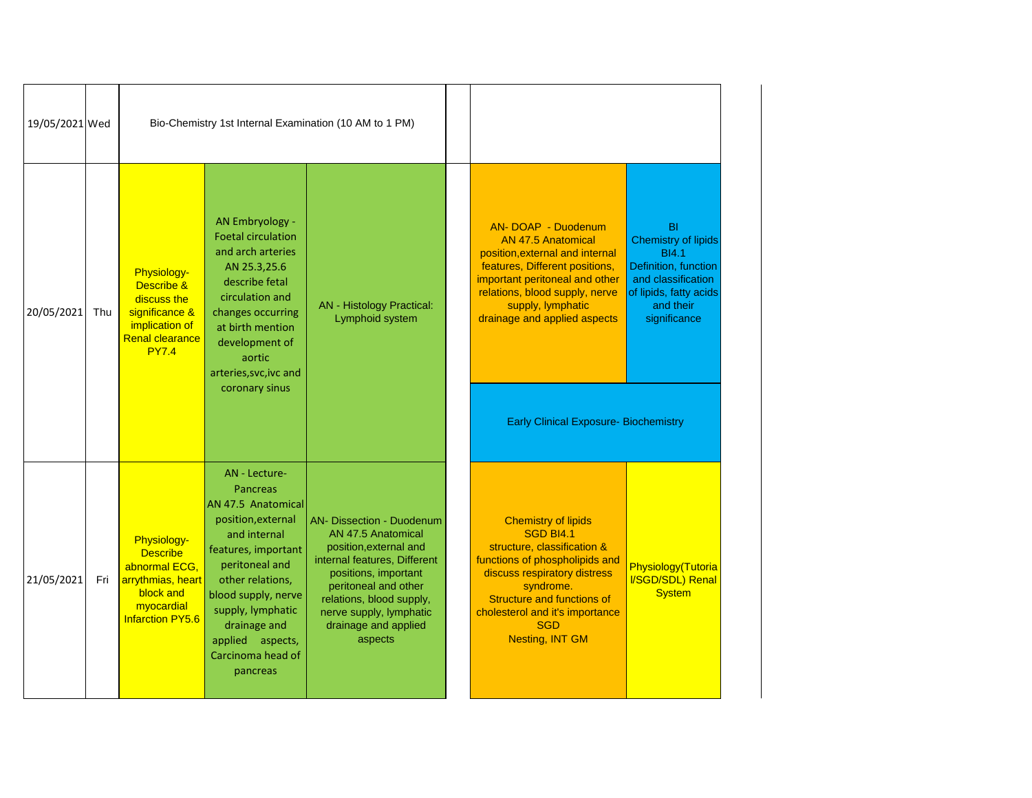| 19/05/2021 Wed |     |                                                                                                                            |                                                                                                                                                                                                                                                                               | Bio-Chemistry 1st Internal Examination (10 AM to 1 PM)                                                                                                                                                                                              |                                                                                                                                                                                                                                                                              |                                                                                                                                                       |
|----------------|-----|----------------------------------------------------------------------------------------------------------------------------|-------------------------------------------------------------------------------------------------------------------------------------------------------------------------------------------------------------------------------------------------------------------------------|-----------------------------------------------------------------------------------------------------------------------------------------------------------------------------------------------------------------------------------------------------|------------------------------------------------------------------------------------------------------------------------------------------------------------------------------------------------------------------------------------------------------------------------------|-------------------------------------------------------------------------------------------------------------------------------------------------------|
| 20/05/2021     | Thu | Physiology-<br>Describe &<br>discuss the<br>significance &<br>implication of<br><b>Renal clearance</b><br><b>PY7.4</b>     | AN Embryology -<br><b>Foetal circulation</b><br>and arch arteries<br>AN 25.3,25.6<br>describe fetal<br>circulation and<br>changes occurring<br>at birth mention<br>development of<br>aortic<br>arteries, svc, ivc and<br>coronary sinus                                       | <b>AN</b> - Histology Practical:<br>Lymphoid system                                                                                                                                                                                                 | AN-DOAP - Duodenum<br><b>AN 47.5 Anatomical</b><br>position, external and internal<br>features, Different positions,<br>important peritoneal and other<br>relations, blood supply, nerve<br>supply, lymphatic<br>drainage and applied aspects                                | <b>BI</b><br>Chemistry of lipids<br><b>BI4.1</b><br>Definition, function<br>and classification<br>of lipids, fatty acids<br>and their<br>significance |
|                |     |                                                                                                                            |                                                                                                                                                                                                                                                                               |                                                                                                                                                                                                                                                     | <b>Early Clinical Exposure- Biochemistry</b>                                                                                                                                                                                                                                 |                                                                                                                                                       |
| 21/05/2021     | Fri | Physiology-<br><b>Describe</b><br>abnormal ECG,<br>arrythmias, heart<br>block and<br>myocardial<br><b>Infarction PY5.6</b> | AN - Lecture-<br><b>Pancreas</b><br>AN 47.5 Anatomical<br>position, external<br>and internal<br>features, important<br>peritoneal and<br>other relations,<br>blood supply, nerve<br>supply, lymphatic<br>drainage and<br>applied<br>aspects,<br>Carcinoma head of<br>pancreas | AN- Dissection - Duodenum<br>AN 47.5 Anatomical<br>position, external and<br>internal features, Different<br>positions, important<br>peritoneal and other<br>relations, blood supply,<br>nerve supply, lymphatic<br>drainage and applied<br>aspects | <b>Chemistry of lipids</b><br><b>SGD BI4.1</b><br>structure, classification &<br>functions of phospholipids and<br>discuss respiratory distress<br>syndrome.<br><b>Structure and functions of</b><br>cholesterol and it's importance<br><b>SGD</b><br><b>Nesting, INT GM</b> | Physiology(Tutoria<br>I/SGD/SDL) Renal<br><b>System</b>                                                                                               |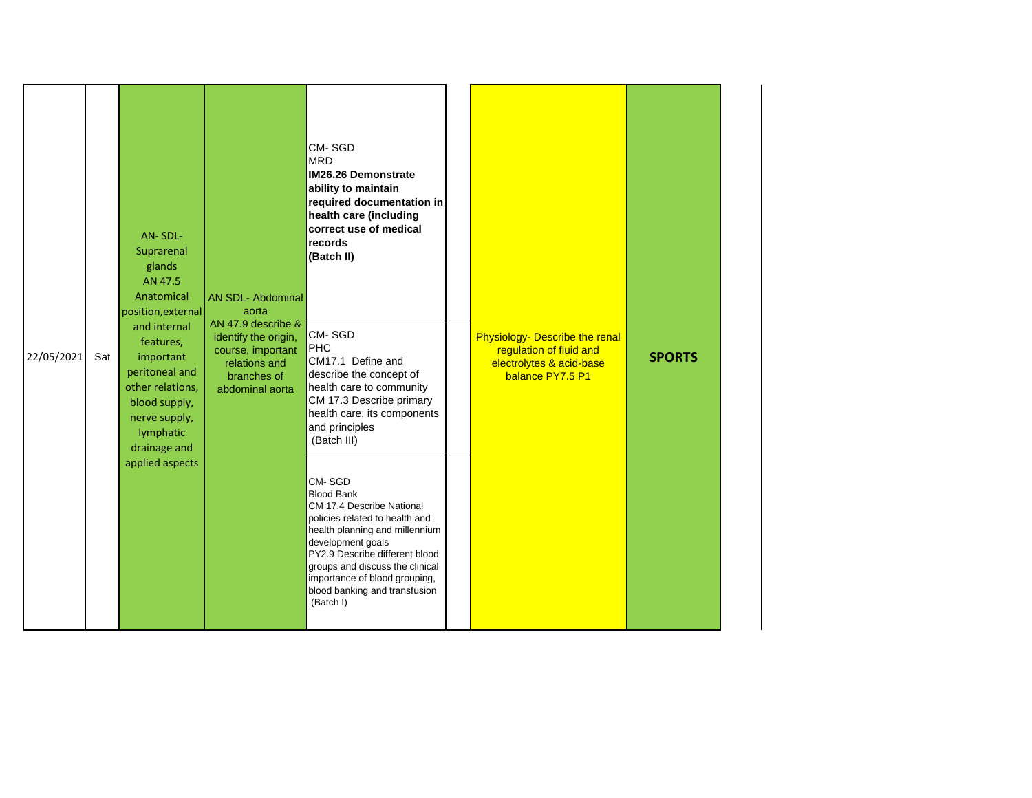|            |     | AN-SDL-<br>Suprarenal<br>glands<br>AN 47.5<br>Anatomical<br>position, external                                                              | <b>AN SDL- Abdominal</b><br>aorta<br>AN 47.9 describe &                                      | CM-SGD<br><b>MRD</b><br><b>IM26.26 Demonstrate</b><br>ability to maintain<br>required documentation in<br>health care (including<br>correct use of medical<br>records<br>(Batch II)                                                                                                                   |                                                                                                           |               |
|------------|-----|---------------------------------------------------------------------------------------------------------------------------------------------|----------------------------------------------------------------------------------------------|-------------------------------------------------------------------------------------------------------------------------------------------------------------------------------------------------------------------------------------------------------------------------------------------------------|-----------------------------------------------------------------------------------------------------------|---------------|
| 22/05/2021 | Sat | and internal<br>features,<br>important<br>peritoneal and<br>other relations,<br>blood supply,<br>nerve supply,<br>lymphatic<br>drainage and | identify the origin,<br>course, important<br>relations and<br>branches of<br>abdominal aorta | CM-SGD<br>PHC<br>CM17.1 Define and<br>describe the concept of<br>health care to community<br>CM 17.3 Describe primary<br>health care, its components<br>and principles<br>(Batch III)                                                                                                                 | Physiology- Describe the renal<br>regulation of fluid and<br>electrolytes & acid-base<br>balance PY7.5 P1 | <b>SPORTS</b> |
|            |     | applied aspects                                                                                                                             |                                                                                              | CM-SGD<br><b>Blood Bank</b><br>CM 17.4 Describe National<br>policies related to health and<br>health planning and millennium<br>development goals<br>PY2.9 Describe different blood<br>groups and discuss the clinical<br>importance of blood grouping,<br>blood banking and transfusion<br>(Batch I) |                                                                                                           |               |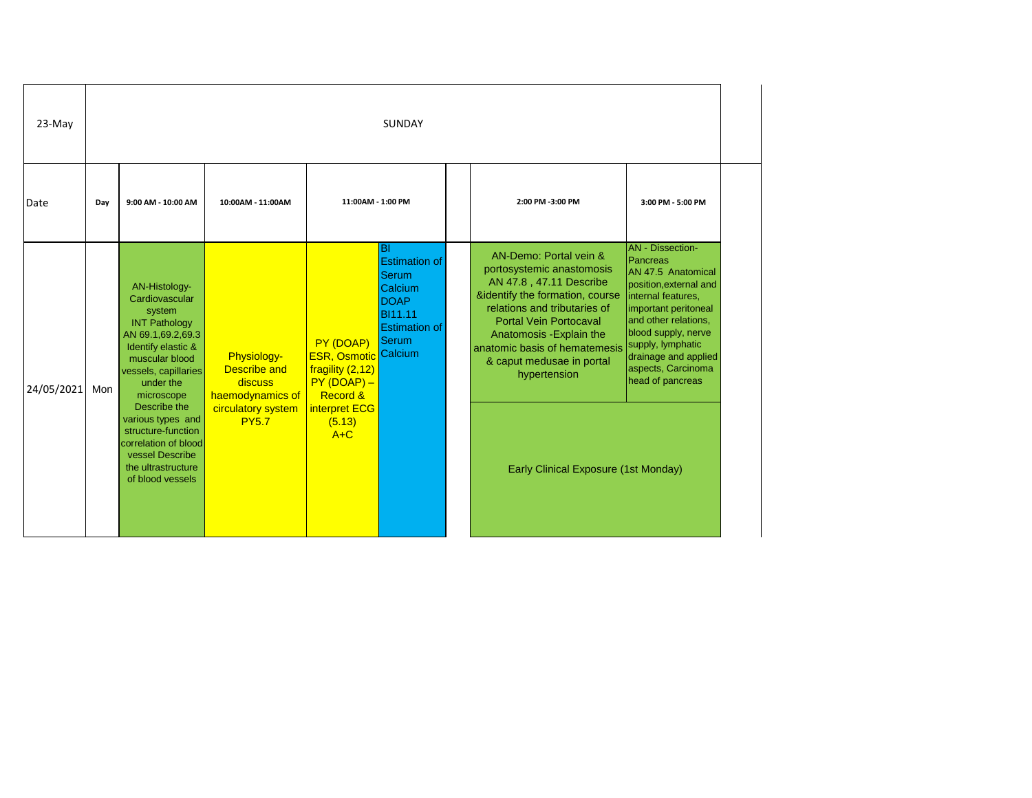| 23-May     |     |                                                                                                                                                                                                   |                                                                                         |                                                                                                                      | <b>SUNDAY</b>                                                                                                           |                                                                                                                                                                                                                                                                                              |                                                                                                                                                                                                                                                                         |
|------------|-----|---------------------------------------------------------------------------------------------------------------------------------------------------------------------------------------------------|-----------------------------------------------------------------------------------------|----------------------------------------------------------------------------------------------------------------------|-------------------------------------------------------------------------------------------------------------------------|----------------------------------------------------------------------------------------------------------------------------------------------------------------------------------------------------------------------------------------------------------------------------------------------|-------------------------------------------------------------------------------------------------------------------------------------------------------------------------------------------------------------------------------------------------------------------------|
| Date       | Day | 9:00 AM - 10:00 AM                                                                                                                                                                                | 10:00AM - 11:00AM                                                                       | 11:00AM - 1:00 PM                                                                                                    |                                                                                                                         | 2:00 PM -3:00 PM                                                                                                                                                                                                                                                                             | 3:00 PM - 5:00 PM                                                                                                                                                                                                                                                       |
| 24/05/2021 | Mon | AN-Histology-<br>Cardiovascular<br>system<br><b>INT Pathology</b><br>AN 69.1,69.2,69.3<br>Identify elastic &<br>muscular blood<br>vessels, capillaries<br>under the<br>microscope<br>Describe the | Physiology-<br><b>Describe and</b><br>discuss<br>haemodynamics of<br>circulatory system | PY (DOAP)<br><b>ESR, Osmotic Calcium</b><br>fragility (2,12)<br>$PY(DOAP) -$<br><b>Record &amp;</b><br>interpret ECG | <b>BI</b><br><b>Estimation of</b><br><b>Serum</b><br>Calcium<br><b>DOAP</b><br>BI11.11<br><b>Estimation of</b><br>Serum | AN-Demo: Portal vein &<br>portosystemic anastomosis<br>AN 47.8, 47.11 Describe<br>&identify the formation, course<br>relations and tributaries of<br><b>Portal Vein Portocaval</b><br>Anatomosis - Explain the<br>anatomic basis of hematemesis<br>& caput medusae in portal<br>hypertension | <b>AN</b> - Dissection-<br>Pancreas<br>AN 47.5 Anatomical<br>position, external and<br>internal features,<br>important peritoneal<br>and other relations,<br>blood supply, nerve<br>supply, lymphatic<br>drainage and applied<br>aspects, Carcinoma<br>head of pancreas |
|            |     | various types and<br>structure-function<br>correlation of blood<br>vessel Describe<br>the ultrastructure<br>of blood vessels                                                                      | <b>PY5.7</b>                                                                            | (5.13)<br>$A+C$                                                                                                      |                                                                                                                         | Early Clinical Exposure (1st Monday)                                                                                                                                                                                                                                                         |                                                                                                                                                                                                                                                                         |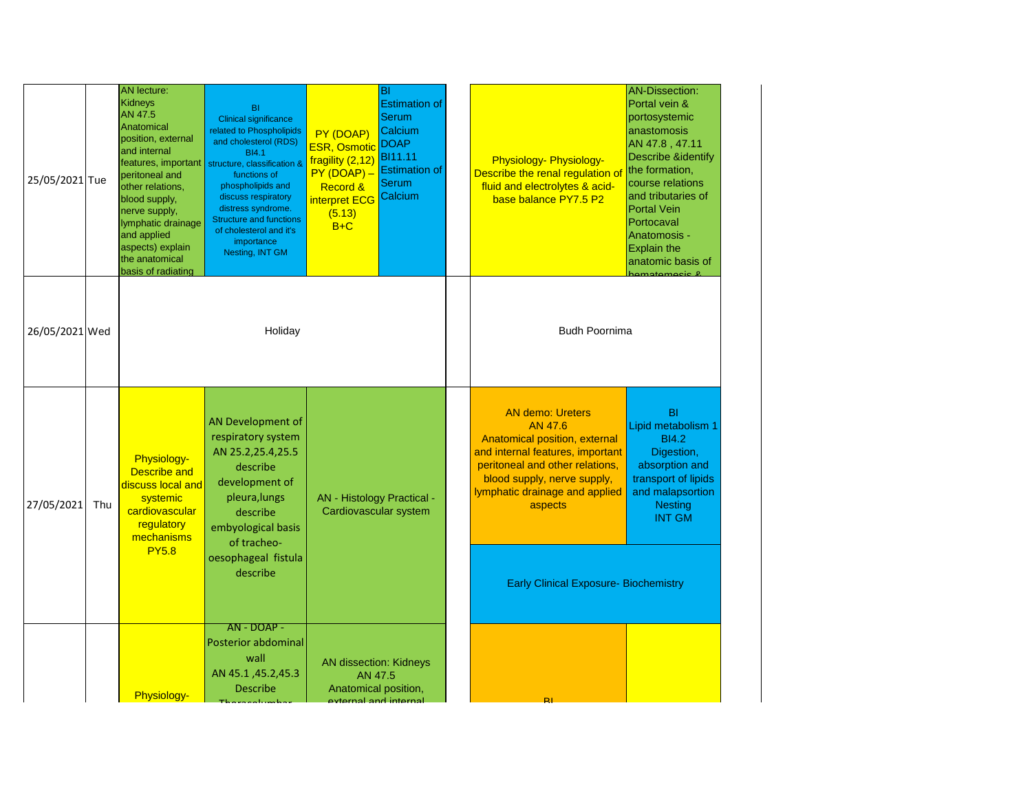| 25/05/2021 Tue |     | <b>AN</b> lecture:<br>Kidneys<br>AN 47.5<br>Anatomical<br>position, external<br>and internal<br>features, important<br>peritoneal and<br>other relations,<br>blood supply,<br>nerve supply,<br>lymphatic drainage<br>and applied<br>aspects) explain<br>the anatomical<br>basis of radiating | BI<br><b>Clinical significance</b><br>related to Phospholipids<br>and cholesterol (RDS)<br><b>BI4.1</b><br>structure, classification &<br>functions of<br>phospholipids and<br>discuss respiratory<br>distress syndrome.<br><b>Structure and functions</b><br>of cholesterol and it's<br>importance<br>Nesting, INT GM | PY (DOAP)<br><b>ESR, Osmotic</b><br>fragility (2,12)<br>$PY(DOAP) -$<br>Record &<br>interpret ECG<br>(5.13)<br>$B+C$ | BI<br><b>Estimation of</b><br><b>Serum</b><br>Calcium<br><b>DOAP</b><br><b>BI11.11</b><br><b>Estimation of</b><br><b>Serum</b><br>Calcium | <b>Physiology- Physiology-</b><br>Describe the renal regulation o<br>fluid and electrolytes & acid-<br>base balance PY7.5 P2                                                                                                                                           | <b>AN-Dissection:</b><br>Portal vein &<br>portosystemic<br>anastomosis<br>AN 47.8, 47.11<br><b>Describe &amp;identify</b><br>the formation,<br>course relations<br>and tributaries of<br><b>Portal Vein</b><br>Portocaval<br>Anatomosis -<br><b>Explain the</b><br>anatomic basis of<br>hamatamasis 8 |
|----------------|-----|----------------------------------------------------------------------------------------------------------------------------------------------------------------------------------------------------------------------------------------------------------------------------------------------|------------------------------------------------------------------------------------------------------------------------------------------------------------------------------------------------------------------------------------------------------------------------------------------------------------------------|----------------------------------------------------------------------------------------------------------------------|-------------------------------------------------------------------------------------------------------------------------------------------|------------------------------------------------------------------------------------------------------------------------------------------------------------------------------------------------------------------------------------------------------------------------|-------------------------------------------------------------------------------------------------------------------------------------------------------------------------------------------------------------------------------------------------------------------------------------------------------|
| 26/05/2021 Wed |     |                                                                                                                                                                                                                                                                                              | Holiday                                                                                                                                                                                                                                                                                                                |                                                                                                                      |                                                                                                                                           | <b>Budh Poornima</b>                                                                                                                                                                                                                                                   |                                                                                                                                                                                                                                                                                                       |
| 27/05/2021     | Thu | <b>Physiology-</b><br><b>Describe and</b><br>discuss local and<br>systemic<br>cardiovascular<br>regulatory<br>mechanisms<br><b>PY5.8</b>                                                                                                                                                     | AN Development of<br>respiratory system<br>AN 25.2,25.4,25.5<br>describe<br>development of<br>pleura, lungs<br>describe<br>embyological basis<br>of tracheo-<br>oesophageal fistula<br>describe                                                                                                                        | <b>AN - Histology Practical -</b><br>Cardiovascular system                                                           |                                                                                                                                           | <b>AN demo: Ureters</b><br>AN 47.6<br>Anatomical position, external<br>and internal features, important<br>peritoneal and other relations,<br>blood supply, nerve supply,<br>lymphatic drainage and applied<br>aspects<br><b>Early Clinical Exposure- Biochemistry</b> | <b>BI</b><br>Lipid metabolism 1<br><b>BI4.2</b><br>Digestion,<br>absorption and<br>transport of lipids<br>and malapsortion<br><b>Nesting</b><br><b>INT GM</b>                                                                                                                                         |
|                |     | <b>Physiology-</b>                                                                                                                                                                                                                                                                           | AN - DOAP -<br><b>Posterior abdominal</b><br>wall<br>AN 45.1, 45.2, 45.3<br><b>Describe</b>                                                                                                                                                                                                                            | <b>AN dissection: Kidneys</b><br>AN 47.5<br>Anatomical position,<br>external and internal                            |                                                                                                                                           | PI                                                                                                                                                                                                                                                                     |                                                                                                                                                                                                                                                                                                       |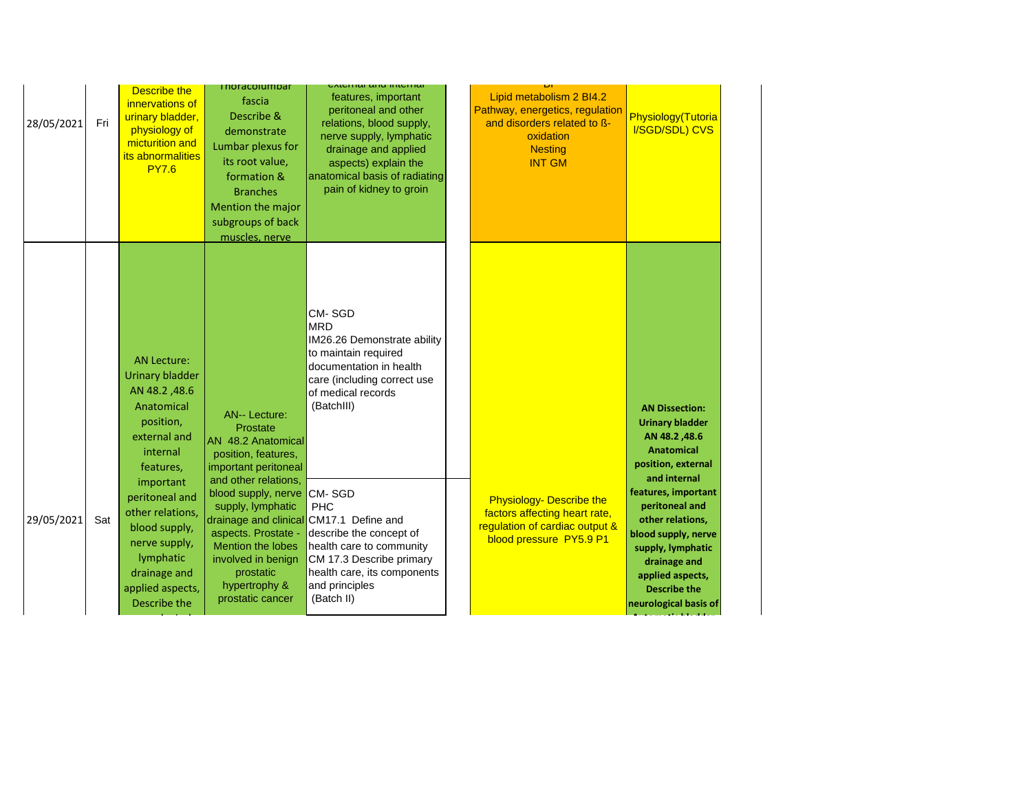| 28/05/2021 | Fri | Describe the<br>innervations of<br>urinary bladder,<br>physiology of<br>micturition and<br>its abnormalities<br><b>PY7.6</b>                       | <b>I NOI dCOIUMD dI</b><br>fascia<br>Describe &<br>demonstrate<br>Lumbar plexus for<br>its root value,<br>formation &<br><b>Branches</b><br>Mention the major<br>subgroups of back<br>muscles, nerve | skiemiai anu miemiai<br>features, important<br>peritoneal and other<br>relations, blood supply,<br>nerve supply, lymphatic<br>drainage and applied<br>aspects) explain the<br>anatomical basis of radiating<br>pain of kidney to groin | Lipid metabolism 2 BI4.2<br>Pathway, energetics, regulation<br>and disorders related to ß-<br>oxidation<br><b>Nesting</b><br><b>INT GM</b> | Physiology(Tutoria<br>I/SGD/SDL) CVS                                                                                                                                                      |
|------------|-----|----------------------------------------------------------------------------------------------------------------------------------------------------|------------------------------------------------------------------------------------------------------------------------------------------------------------------------------------------------------|----------------------------------------------------------------------------------------------------------------------------------------------------------------------------------------------------------------------------------------|--------------------------------------------------------------------------------------------------------------------------------------------|-------------------------------------------------------------------------------------------------------------------------------------------------------------------------------------------|
|            |     | <b>AN Lecture:</b><br><b>Urinary bladder</b><br>AN 48.2, 48.6<br>Anatomical<br>position,<br>external and<br>internal<br>features,                  | <b>AN-- Lecture:</b><br>Prostate<br>AN 48.2 Anatomical<br>position, features,<br>important peritoneal                                                                                                | <b>CM-SGD</b><br><b>MRD</b><br>IM26.26 Demonstrate ability<br>to maintain required<br>documentation in health<br>care (including correct use<br>of medical records<br>(BatchIII)                                                       |                                                                                                                                            | <b>AN Dissection:</b><br><b>Urinary bladder</b><br>AN 48.2,48.6<br><b>Anatomical</b><br>position, external<br>and internal                                                                |
| 29/05/2021 | Sat | important<br>peritoneal and<br>other relations,<br>blood supply,<br>nerve supply,<br>lymphatic<br>drainage and<br>applied aspects,<br>Describe the | and other relations,<br>blood supply, nerve<br>supply, lymphatic<br>aspects. Prostate -<br>Mention the lobes<br>involved in benign<br>prostatic<br>hypertrophy &<br>prostatic cancer                 | CM-SGD<br><b>PHC</b><br>drainage and clinical CM17.1 Define and<br>describe the concept of<br>health care to community<br>CM 17.3 Describe primary<br>health care, its components<br>and principles<br>(Batch II)                      | <b>Physiology- Describe the</b><br>factors affecting heart rate,<br>regulation of cardiac output &<br>blood pressure PY5.9 P1              | features, important<br>peritoneal and<br>other relations,<br>blood supply, nerve<br>supply, lymphatic<br>drainage and<br>applied aspects,<br><b>Describe the</b><br>neurological basis of |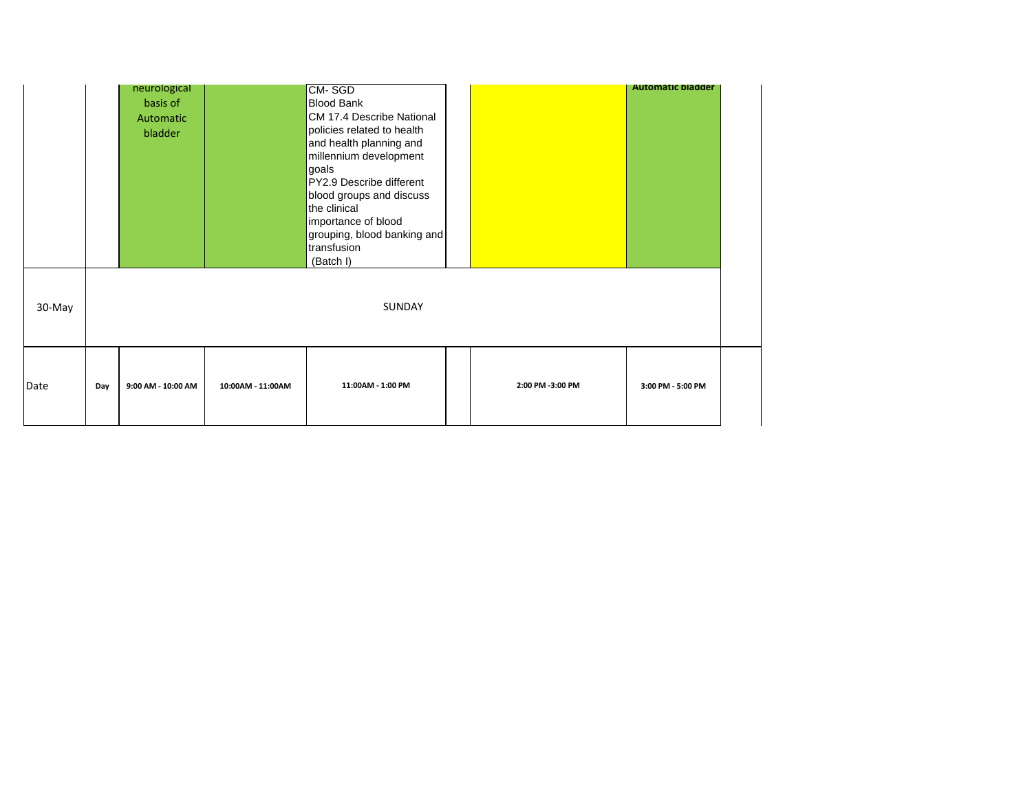|        |     | neurological<br>basis of<br>Automatic<br>bladder |                   | CM-SGD<br><b>Blood Bank</b><br>CM 17.4 Describe National<br>policies related to health<br>and health planning and<br>millennium development<br>goals<br>PY2.9 Describe different<br>blood groups and discuss<br>the clinical<br>importance of blood<br>grouping, blood banking and<br>transfusion<br>(Batch I) |                  | <b>Automatic bladder</b> |  |
|--------|-----|--------------------------------------------------|-------------------|----------------------------------------------------------------------------------------------------------------------------------------------------------------------------------------------------------------------------------------------------------------------------------------------------------------|------------------|--------------------------|--|
| 30-May |     |                                                  |                   | SUNDAY                                                                                                                                                                                                                                                                                                         |                  |                          |  |
| Date   | Day | 9:00 AM - 10:00 AM                               | 10:00AM - 11:00AM | 11:00AM - 1:00 PM                                                                                                                                                                                                                                                                                              | 2:00 PM -3:00 PM | 3:00 PM - 5:00 PM        |  |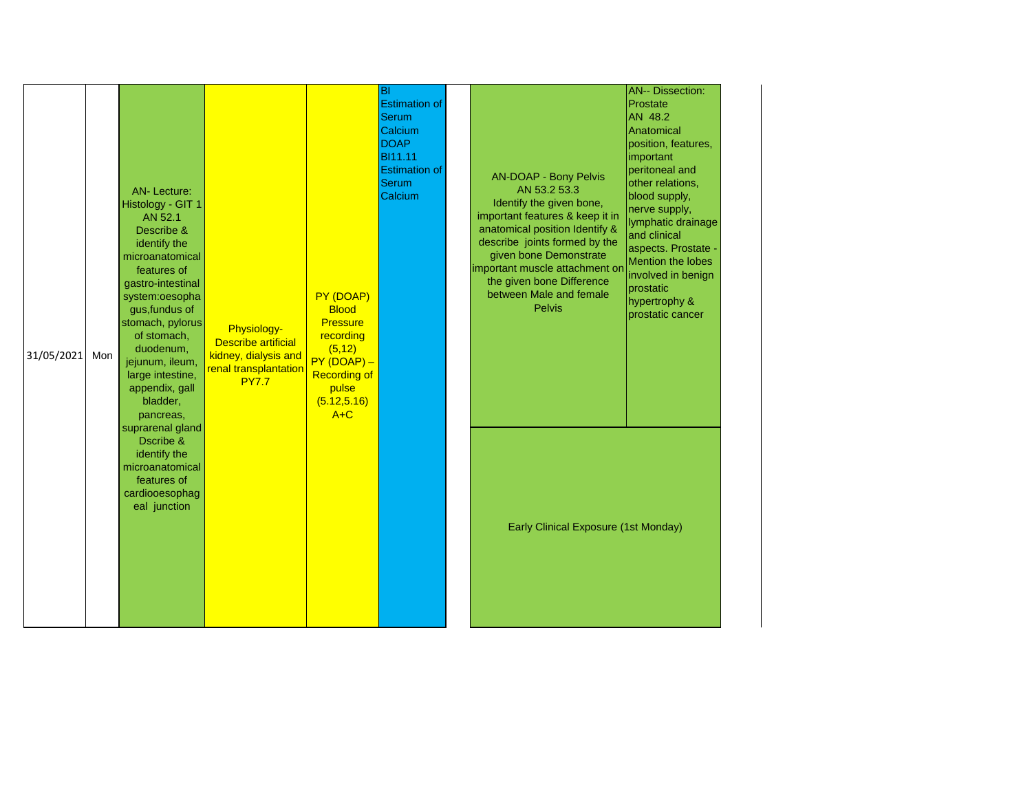| 31/05/2021 | Mon | <b>AN-Lecture:</b><br>Histology - GIT 1<br>AN 52.1<br>Describe &<br>identify the<br>microanatomical<br>features of<br>gastro-intestinal<br>system:oesopha<br>gus, fundus of<br>stomach, pylorus<br>of stomach,<br>duodenum,<br>jejunum, ileum,<br>large intestine,<br>appendix, gall<br>bladder,<br>pancreas, | Physiology-<br><b>Describe artificial</b><br>kidney, dialysis and<br>renal transplantation<br><b>PY7.7</b> | PY (DOAP)<br><b>Blood</b><br>Pressure<br>recording<br>(5, 12)<br>$PY(DOAP) -$<br><b>Recording of</b><br>pulse<br>(5.12, 5.16)<br>$A+C$ | <b>BI</b><br><b>Estimation of</b><br><b>Serum</b><br>Calcium<br><b>DOAP</b><br><b>BI11.11</b><br><b>Estimation of</b><br><b>Serum</b><br>Calcium | <b>AN-DOAP - Bony Pelvis</b><br>AN 53.2 53.3<br>Identify the given bone,<br>important features & keep it in<br>anatomical position Identify &<br>describe joints formed by the<br>given bone Demonstrate<br>important muscle attachment or<br>the given bone Difference<br>between Male and female<br><b>Pelvis</b> | <b>AN-- Dissection:</b><br>Prostate<br>AN 48.2<br>Anatomical<br>position, features,<br>important<br>peritoneal and<br>other relations,<br>blood supply,<br>nerve supply,<br>lymphatic drainage<br>and clinical<br>aspects. Prostate -<br>Mention the lobes<br>involved in benign<br>prostatic<br>hypertrophy &<br>prostatic cancer |  |
|------------|-----|---------------------------------------------------------------------------------------------------------------------------------------------------------------------------------------------------------------------------------------------------------------------------------------------------------------|------------------------------------------------------------------------------------------------------------|----------------------------------------------------------------------------------------------------------------------------------------|--------------------------------------------------------------------------------------------------------------------------------------------------|---------------------------------------------------------------------------------------------------------------------------------------------------------------------------------------------------------------------------------------------------------------------------------------------------------------------|------------------------------------------------------------------------------------------------------------------------------------------------------------------------------------------------------------------------------------------------------------------------------------------------------------------------------------|--|
|            |     | suprarenal gland<br>Dscribe &<br>identify the<br>microanatomical<br>features of<br>cardiooesophag<br>eal junction                                                                                                                                                                                             |                                                                                                            |                                                                                                                                        |                                                                                                                                                  | <b>Early Clinical Exposure (1st Monday)</b>                                                                                                                                                                                                                                                                         |                                                                                                                                                                                                                                                                                                                                    |  |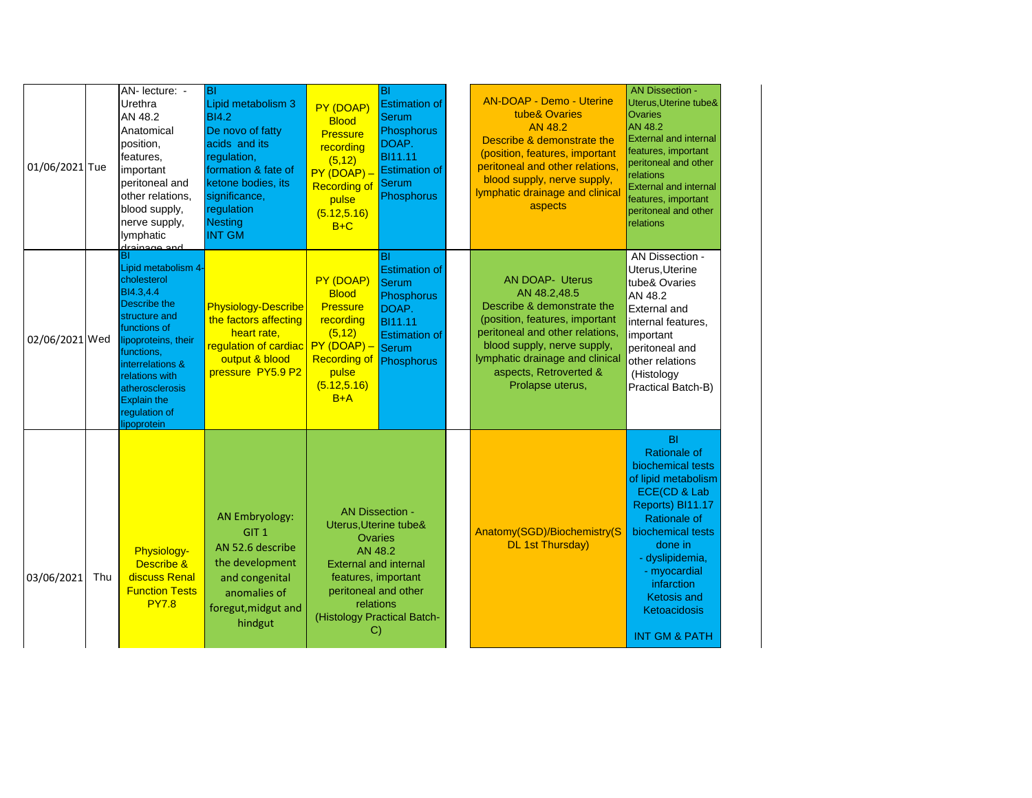| 01/06/2021 Tue |     | AN- lecture: -<br>Urethra<br>AN 48.2<br>Anatomical<br>position,<br>features,<br>important<br>peritoneal and<br>other relations,<br>blood supply,<br>nerve supply,<br>lymphatic<br>drainaga and                                                                      | <b>BI</b><br>Lipid metabolism 3<br><b>BI4.2</b><br>De novo of fatty<br>acids and its<br>regulation,<br>formation & fate of<br>ketone bodies, its<br>significance,<br>regulation<br>Nesting<br><b>INT GM</b> | PY (DOAP)<br><b>Blood</b><br><b>Pressure</b><br>recording<br>(5, 12)<br>$PY(DOAP) -$<br><b>Recording of</b><br>pulse<br>(5.12, 5.16)<br>$B+C$                   | BI<br><b>Estimation of</b><br>Serum<br>Phosphorus<br>DOAP.<br><b>BI11.11</b><br><b>Estimation of</b><br><b>Serum</b><br>Phosphorus | <b>AN-DOAP - Demo - Uterine</b><br>tube& Ovaries<br>AN 48.2<br>Describe & demonstrate the<br>(position, features, important<br>peritoneal and other relations,<br>blood supply, nerve supply,<br>lymphatic drainage and clinical<br>aspects               | <b>AN Dissection -</b><br>Uterus, Uterine tube&<br><b>Ovaries</b><br>AN 48.2<br><b>External and internal</b><br>features, important<br>peritoneal and other<br>relations<br><b>External and internal</b><br>features, important<br>peritoneal and other<br>relations                       |
|----------------|-----|---------------------------------------------------------------------------------------------------------------------------------------------------------------------------------------------------------------------------------------------------------------------|-------------------------------------------------------------------------------------------------------------------------------------------------------------------------------------------------------------|-----------------------------------------------------------------------------------------------------------------------------------------------------------------|------------------------------------------------------------------------------------------------------------------------------------|-----------------------------------------------------------------------------------------------------------------------------------------------------------------------------------------------------------------------------------------------------------|--------------------------------------------------------------------------------------------------------------------------------------------------------------------------------------------------------------------------------------------------------------------------------------------|
| 02/06/2021 Wed |     | Lipid metabolism 4-<br>cholesterol<br>BI4.3,4.4<br><b>Describe the</b><br><b>Istructure and</b><br>functions of<br>lipoproteins, their<br>functions,<br>interrelations &<br>relations with<br>atherosclerosis<br><b>Explain the</b><br>regulation of<br>lipoprotein | <b>Physiology-Describe</b><br>the factors affecting<br>heart rate,<br>regulation of cardiac $PV(DOAP) -$<br>output & blood<br>pressure PY5.9 P2                                                             | PY (DOAP)<br><b>Blood</b><br><b>Pressure</b><br>recording<br>(5, 12)<br><b>Recording of</b><br>pulse<br>(5.12, 5.16)<br>$B+A$                                   | BI<br><b>Estimation of</b><br>Serum<br>Phosphorus<br>DOAP.<br><b>BI11.11</b><br><b>Estimation of</b><br>Serum<br>Phosphorus        | <b>AN DOAP- Uterus</b><br>AN 48.2,48.5<br>Describe & demonstrate the<br>(position, features, important<br>peritoneal and other relations,<br>blood supply, nerve supply,<br>lymphatic drainage and clinical<br>aspects, Retroverted &<br>Prolapse uterus, | AN Dissection -<br>Uterus, Uterine<br>tube& Ovaries<br>AN 48.2<br><b>External and</b><br>internal features,<br>important<br>peritoneal and<br>other relations<br>(Histology<br>Practical Batch-B)                                                                                          |
| 03/06/2021     | Thu | Physiology-<br>Describe &<br>discuss Renal<br><b>Function Tests</b><br><b>PY7.8</b>                                                                                                                                                                                 | AN Embryology:<br>GIT <sub>1</sub><br>AN 52.6 describe<br>the development<br>and congenital<br>anomalies of<br>foregut, midgut and<br>hindgut                                                               | Uterus, Uterine tube&<br><b>Ovaries</b><br>AN 48.2<br><b>External and internal</b><br>features, important<br>peritoneal and other<br>relations<br>$\mathcal{C}$ | <b>AN Dissection -</b><br>(Histology Practical Batch-                                                                              | Anatomy(SGD)/Biochemistry(S<br><b>DL 1st Thursday)</b>                                                                                                                                                                                                    | <b>BI</b><br><b>Rationale of</b><br>biochemical tests<br>of lipid metabolism<br>ECE(CD & Lab<br>Reports) BI11.17<br><b>Rationale of</b><br>biochemical tests<br>done in<br>- dyslipidemia,<br>- myocardial<br>infarction<br><b>Ketosis and</b><br>Ketoacidosis<br><b>INT GM &amp; PATH</b> |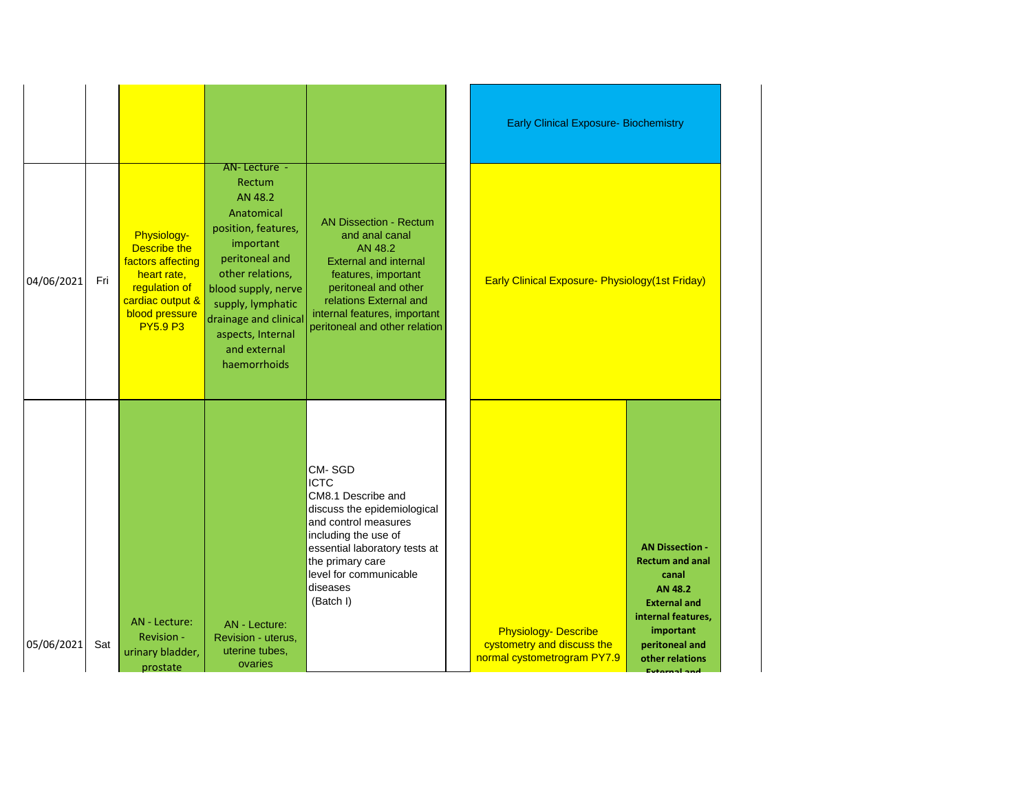|            |     |                                                                                                                                                  |                                                                                                                                                                                                                                                     |                                                                                                                                                                                                                                      | <b>Early Clinical Exposure- Biochemistry</b>                                             |                                                                                                                                                                              |
|------------|-----|--------------------------------------------------------------------------------------------------------------------------------------------------|-----------------------------------------------------------------------------------------------------------------------------------------------------------------------------------------------------------------------------------------------------|--------------------------------------------------------------------------------------------------------------------------------------------------------------------------------------------------------------------------------------|------------------------------------------------------------------------------------------|------------------------------------------------------------------------------------------------------------------------------------------------------------------------------|
| 04/06/2021 | Fri | Physiology-<br><b>Describe the</b><br>factors affecting<br>heart rate,<br>regulation of<br>cardiac output &<br>blood pressure<br><b>PY5.9 P3</b> | AN-Lecture -<br>Rectum<br>AN 48.2<br>Anatomical<br>position, features,<br>important<br>peritoneal and<br>other relations,<br>blood supply, nerve<br>supply, lymphatic<br>drainage and clinical<br>aspects, Internal<br>and external<br>haemorrhoids | <b>AN Dissection - Rectum</b><br>and anal canal<br>AN 48.2<br><b>External and internal</b><br>features, important<br>peritoneal and other<br>relations External and<br>internal features, important<br>peritoneal and other relation | <b>Early Clinical Exposure- Physiology (1st Friday)</b>                                  |                                                                                                                                                                              |
| 05/06/2021 | Sat | AN - Lecture:<br>Revision -<br>urinary bladder,<br>prostate                                                                                      | AN - Lecture:<br>Revision - uterus,<br>uterine tubes,<br>ovaries                                                                                                                                                                                    | CM-SGD<br><b>ICTC</b><br>CM8.1 Describe and<br>discuss the epidemiological<br>and control measures<br>including the use of<br>essential laboratory tests at<br>the primary care<br>level for communicable<br>diseases<br>(Batch I)   | <b>Physiology- Describe</b><br>cystometry and discuss the<br>normal cystometrogram PY7.9 | <b>AN Dissection -</b><br>Rectum and anal<br>canal<br>AN 48.2<br><b>External and</b><br>internal features,<br>important<br>peritoneal and<br>other relations<br>Evtornal and |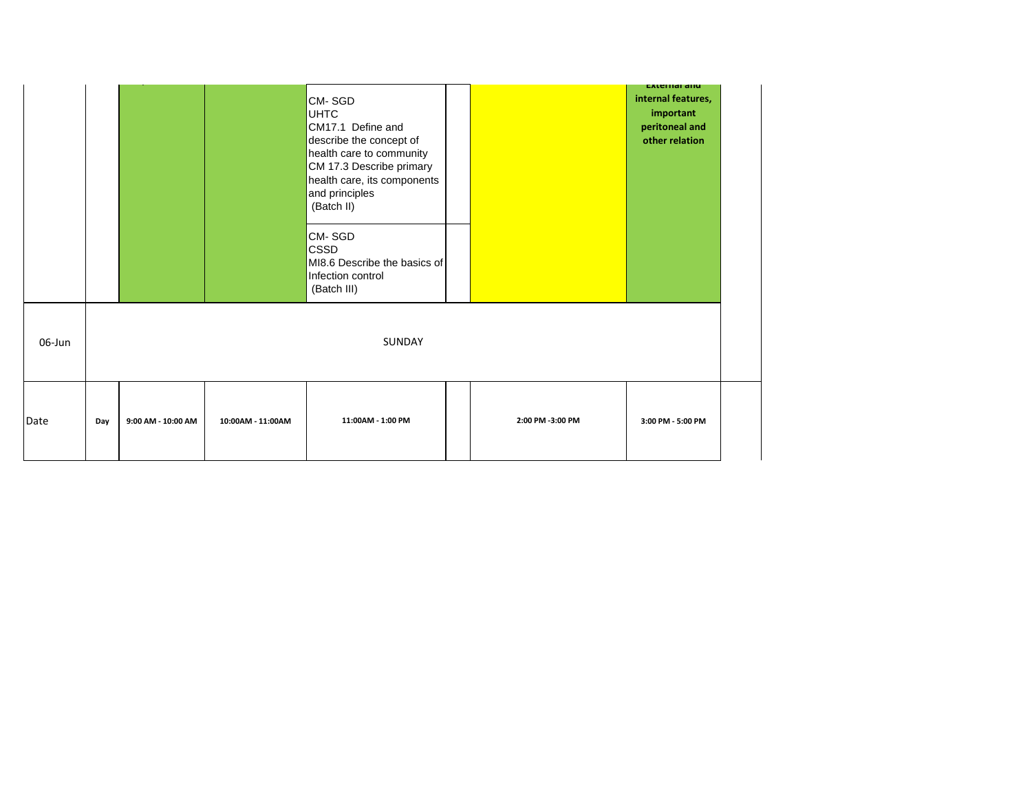|        |     |                    |                   |                                                                                                                                                                                              |                  | <b>EXTERNAL QUIL</b>                                                |
|--------|-----|--------------------|-------------------|----------------------------------------------------------------------------------------------------------------------------------------------------------------------------------------------|------------------|---------------------------------------------------------------------|
|        |     |                    |                   | CM-SGD<br><b>UHTC</b><br>CM17.1 Define and<br>describe the concept of<br>health care to community<br>CM 17.3 Describe primary<br>health care, its components<br>and principles<br>(Batch II) |                  | internal features,<br>important<br>peritoneal and<br>other relation |
|        |     |                    |                   | CM-SGD<br><b>CSSD</b><br>MI8.6 Describe the basics of<br>Infection control<br>(Batch III)                                                                                                    |                  |                                                                     |
| 06-Jun |     |                    |                   | SUNDAY                                                                                                                                                                                       |                  |                                                                     |
| Date   | Day | 9:00 AM - 10:00 AM | 10:00AM - 11:00AM | 11:00AM - 1:00 PM                                                                                                                                                                            | 2:00 PM -3:00 PM | 3:00 PM - 5:00 PM                                                   |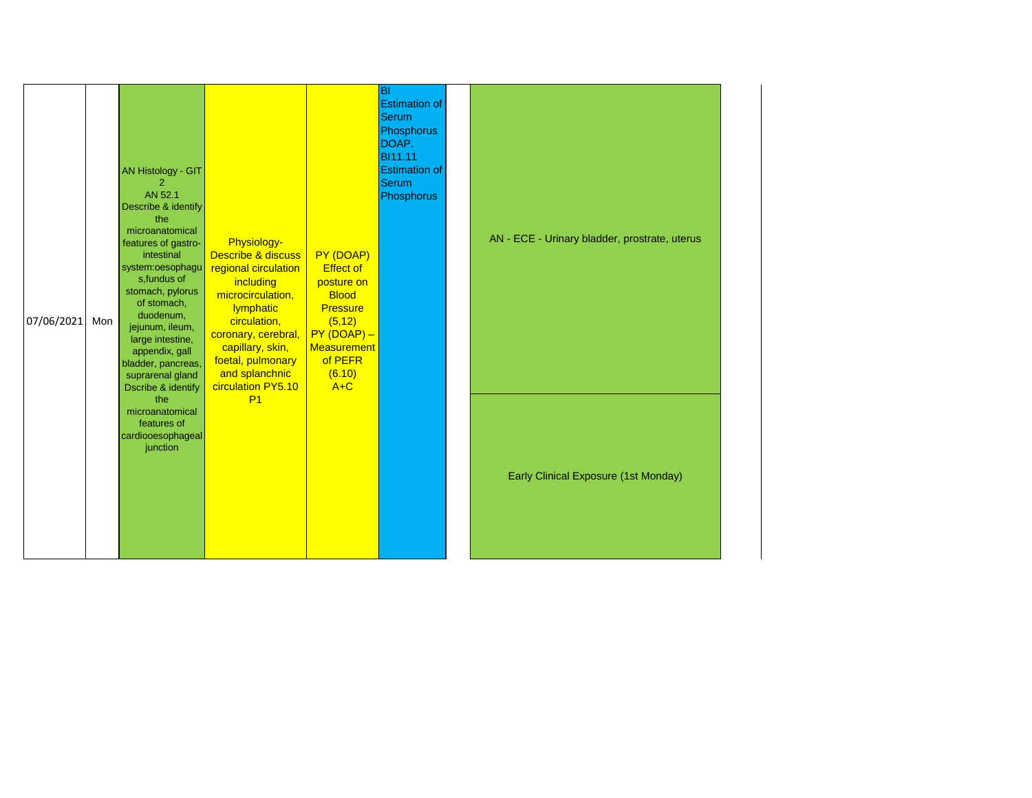| 07/06/2021 | Mon | AN Histology - GIT<br>2<br>AN 52.1<br>Describe & identify<br>the<br>microanatomical<br>features of gastro-<br>intestinal<br>system:oesophagu<br>s, fundus of<br>stomach, pylorus<br>of stomach,<br>duodenum,<br>jejunum, ileum,<br>large intestine,<br>appendix, gall<br>bladder, pancreas,<br>suprarenal gland<br><b>Dscribe &amp; identify</b> | Physiology-<br>Describe & discuss<br>regional circulation<br>including<br>microcirculation,<br>lymphatic<br>circulation,<br>coronary, cerebral,<br>capillary, skin,<br>foetal, pulmonary<br>and splanchnic<br>circulation PY5.10 | PY (DOAP)<br><b>Effect of</b><br>posture on<br><b>Blood</b><br><b>Pressure</b><br>(5, 12)<br>$PY(DOAP) -$<br><b>Measurement</b><br>of PEFR<br>(6.10)<br>$A+C$ | lвı<br><b>Estimation of</b><br><b>Serum</b><br>Phosphorus<br>DOAP.<br><b>BI11.11</b><br><b>Estimation of</b><br><b>Serum</b><br>Phosphorus | AN - ECE - Urinary bladder, prostrate, uterus |
|------------|-----|--------------------------------------------------------------------------------------------------------------------------------------------------------------------------------------------------------------------------------------------------------------------------------------------------------------------------------------------------|----------------------------------------------------------------------------------------------------------------------------------------------------------------------------------------------------------------------------------|---------------------------------------------------------------------------------------------------------------------------------------------------------------|--------------------------------------------------------------------------------------------------------------------------------------------|-----------------------------------------------|
|            |     | the<br>microanatomical<br>features of<br>cardiooesophageal<br>junction                                                                                                                                                                                                                                                                           | P <sub>1</sub>                                                                                                                                                                                                                   |                                                                                                                                                               |                                                                                                                                            | Early Clinical Exposure (1st Monday)          |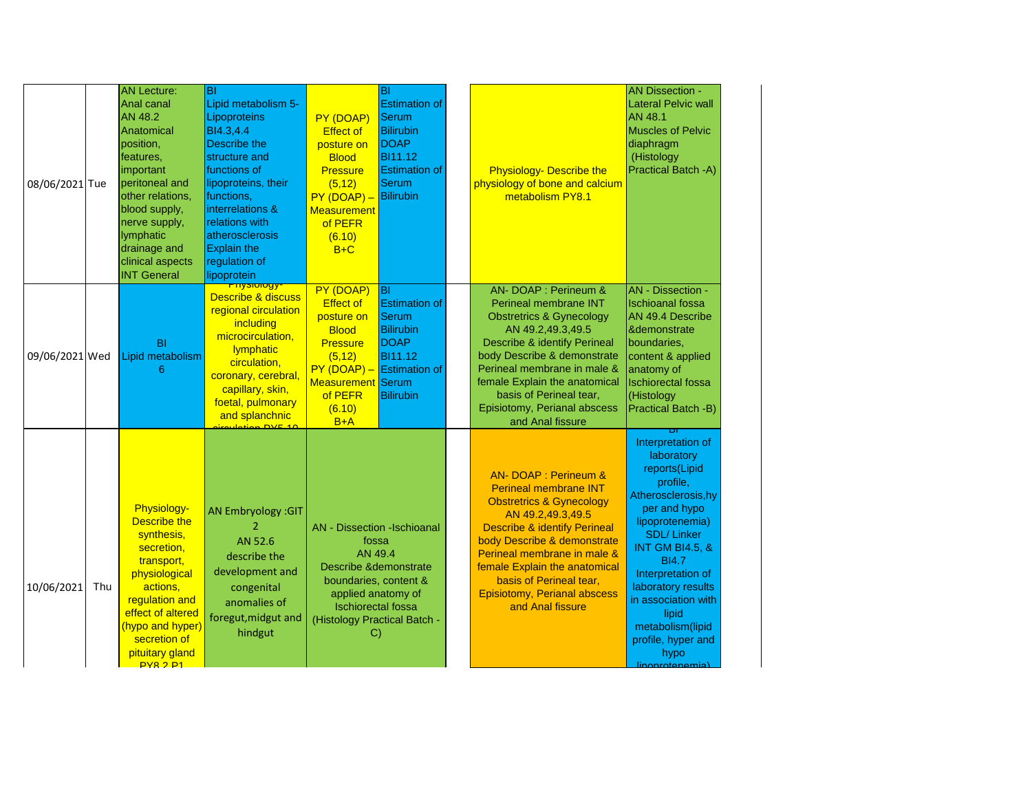| 08/06/2021 Tue |     | <b>AN Lecture:</b><br>Anal canal<br><b>AN 48.2</b><br>Anatomical<br>position,<br>features,<br>important<br>peritoneal and<br>other relations,<br>blood supply,<br>nerve supply,<br>lymphatic<br>drainage and<br>clinical aspects<br><b>INT General</b> | ΙBΙ<br>Lipid metabolism 5-<br>Lipoproteins<br>BI4.3,4.4<br>Describe the<br>structure and<br>functions of<br>lipoproteins, their<br>functions,<br>interrelations &<br>relations with<br>atherosclerosis<br><b>Explain the</b><br>regulation of<br>lipoprotein  | PY (DOAP)<br><b>Effect of</b><br>posture on<br><b>Blood</b><br><b>Pressure</b><br>(5, 12)<br>$PY(DOAP) -$<br><b>Measurement</b><br>of PEFR<br>(6.10)<br>$B+C$                                                | BI<br><b>Estimation of</b><br>Serum<br><b>Bilirubin</b><br><b>DOAP</b><br><b>BI11.12</b><br><b>Estimation of</b><br>Serum<br>Bilirubin | <b>Physiology- Describe the</b><br>physiology of bone and calcium<br>metabolism PY8.1                                                                                                                                                                                                                                                                      | <b>AN Dissection -</b><br><b>Lateral Pelvic wall</b><br><b>AN 48.1</b><br><b>Muscles of Pelvic</b><br>diaphragm<br>(Histology<br>Practical Batch -A)                                                                                                                                                                                      |
|----------------|-----|--------------------------------------------------------------------------------------------------------------------------------------------------------------------------------------------------------------------------------------------------------|---------------------------------------------------------------------------------------------------------------------------------------------------------------------------------------------------------------------------------------------------------------|--------------------------------------------------------------------------------------------------------------------------------------------------------------------------------------------------------------|----------------------------------------------------------------------------------------------------------------------------------------|------------------------------------------------------------------------------------------------------------------------------------------------------------------------------------------------------------------------------------------------------------------------------------------------------------------------------------------------------------|-------------------------------------------------------------------------------------------------------------------------------------------------------------------------------------------------------------------------------------------------------------------------------------------------------------------------------------------|
| 09/06/2021 Wed |     | <b>BI</b><br>Lipid metabolism<br>6                                                                                                                                                                                                                     | <mark>יפטוטופענדי</mark><br><b>Describe &amp; discuss</b><br>regional circulation<br>including<br>microcirculation,<br>lymphatic<br>circulation,<br>coronary, cerebral,<br>capillary, skin,<br>foetal, pulmonary<br>and splanchnic<br><u>roulation DVE 10</u> | PY (DOAP)<br><b>Effect of</b><br>posture on<br><b>Blood</b><br><b>Pressure</b><br>(5, 12)<br><b>Measurement Serum</b><br>of PEFR<br>(6.10)<br>$B+A$                                                          | lвı<br><b>Estimation of</b><br>Serum<br><b>Bilirubin</b><br>DOAP<br><b>BI11.12</b><br>$PY (DOAP) - Estimation of$<br><b>Bilirubin</b>  | AN- DOAP : Perineum &<br>Perineal membrane INT<br><b>Obstretrics &amp; Gynecology</b><br>AN 49.2,49.3,49.5<br><b>Describe &amp; identify Perineal</b><br>body Describe & demonstrate<br>Perineal membrane in male &<br>female Explain the anatomical<br>basis of Perineal tear,<br>Episiotomy, Perianal abscess<br>and Anal fissure                        | AN - Dissection -<br><b>Ischioanal fossa</b><br>AN 49.4 Describe<br><b>&amp;demonstrate</b><br>boundaries,<br>content & applied<br>anatomy of<br><b>Ischiorectal fossa</b><br>(Histology<br>Practical Batch -B)                                                                                                                           |
| 10/06/2021     | Thu | Physiology-<br><b>Describe the</b><br>synthesis,<br>secretion,<br>transport,<br>physiological<br>actions,<br>regulation and<br>effect of altered<br>(hypo and hyper)<br>secretion of<br>pituitary gland<br>PYR <sub>2</sub> P <sub>1</sub>             | <b>AN Embryology: GIT</b><br>AN 52.6<br>describe the<br>development and<br>congenital<br>anomalies of<br>foregut, midgut and<br>hindgut                                                                                                                       | <b>AN</b> - Dissection -Ischioanal<br>fossa<br>AN 49.4<br><b>Describe &amp;demonstrate</b><br>boundaries, content &<br>applied anatomy of<br><b>Ischiorectal fossa</b><br>(Histology Practical Batch -<br>C) |                                                                                                                                        | <b>AN-DOAP: Perineum &amp;</b><br><b>Perineal membrane INT</b><br><b>Obstretrics &amp; Gynecology</b><br>AN 49.2,49.3,49.5<br><b>Describe &amp; identify Perineal</b><br>body Describe & demonstrate<br>Perineal membrane in male &<br>female Explain the anatomical<br>basis of Perineal tear,<br><b>Episiotomy, Perianal abscess</b><br>and Anal fissure | Interpretation of<br>laboratory<br>reports(Lipid<br>profile,<br>Atherosclerosis, hy<br>per and hypo<br>lipoprotenemia)<br><b>SDL/Linker</b><br><b>INT GM BI4.5, &amp;</b><br><b>BI4.7</b><br>Interpretation of<br>laboratory results<br>in association with<br>lipid<br>metabolism(lipid<br>profile, hyper and<br>hypo<br>linoprotenemial |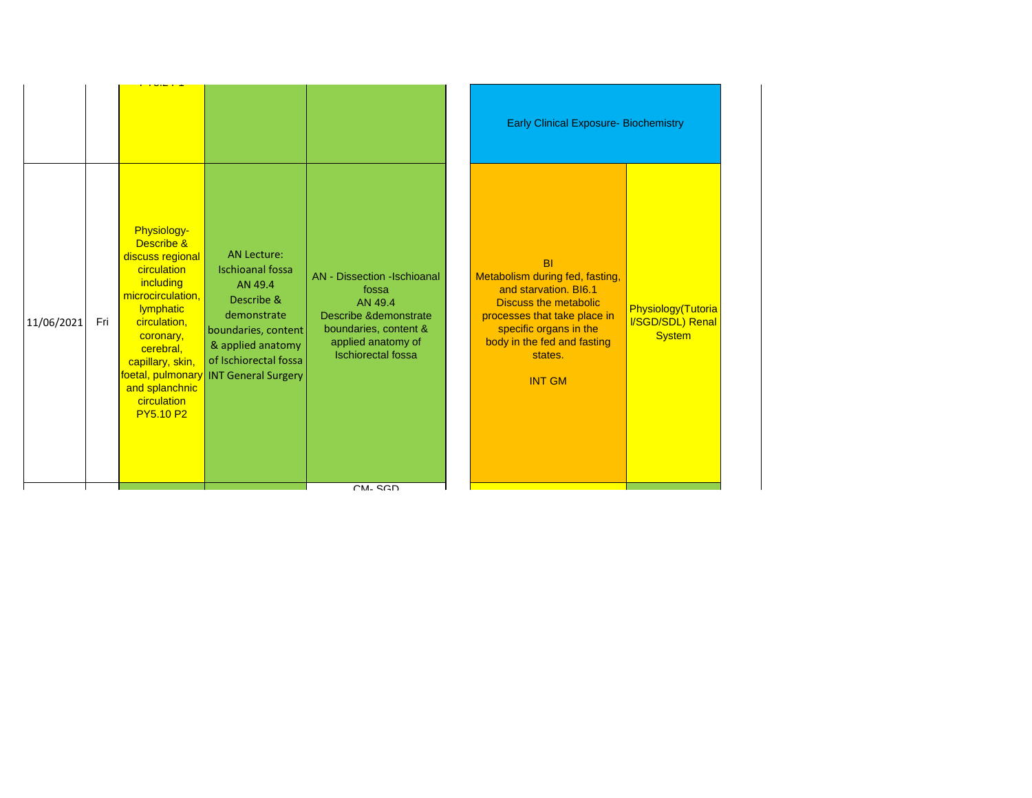|            |     |                                                                                                                                                                                                                                       |                                                                                                                                                                                                     |                                                                                                                                                                                    | <b>Early Clinical Exposure- Biochemistry</b>                                                                                                                                                                               |                                                         |
|------------|-----|---------------------------------------------------------------------------------------------------------------------------------------------------------------------------------------------------------------------------------------|-----------------------------------------------------------------------------------------------------------------------------------------------------------------------------------------------------|------------------------------------------------------------------------------------------------------------------------------------------------------------------------------------|----------------------------------------------------------------------------------------------------------------------------------------------------------------------------------------------------------------------------|---------------------------------------------------------|
| 11/06/2021 | Fri | <b>Physiology-</b><br>Describe &<br>discuss regional<br>circulation<br>including<br>microcirculation,<br>lymphatic<br>circulation,<br>coronary,<br>cerebral,<br>capillary, skin,<br>and splanchnic<br>circulation<br><b>PY5.10 P2</b> | <b>AN Lecture:</b><br><b>Ischioanal fossa</b><br>AN 49.4<br>Describe &<br>demonstrate<br>boundaries, content<br>& applied anatomy<br>of Ischiorectal fossa<br>foetal, pulmonary INT General Surgery | <b>AN</b> - Dissection -Ischioanal<br>fossa<br>AN 49.4<br><b>Describe &amp;demonstrate</b><br>boundaries, content &<br>applied anatomy of<br><b>Ischiorectal</b> fossa<br>$CM-SGD$ | <b>BI</b><br>Metabolism during fed, fasting,<br>and starvation, BI6.1<br><b>Discuss the metabolic</b><br>processes that take place in<br>specific organs in the<br>body in the fed and fasting<br>states.<br><b>INT GM</b> | Physiology(Tutoria<br>I/SGD/SDL) Renal<br><b>System</b> |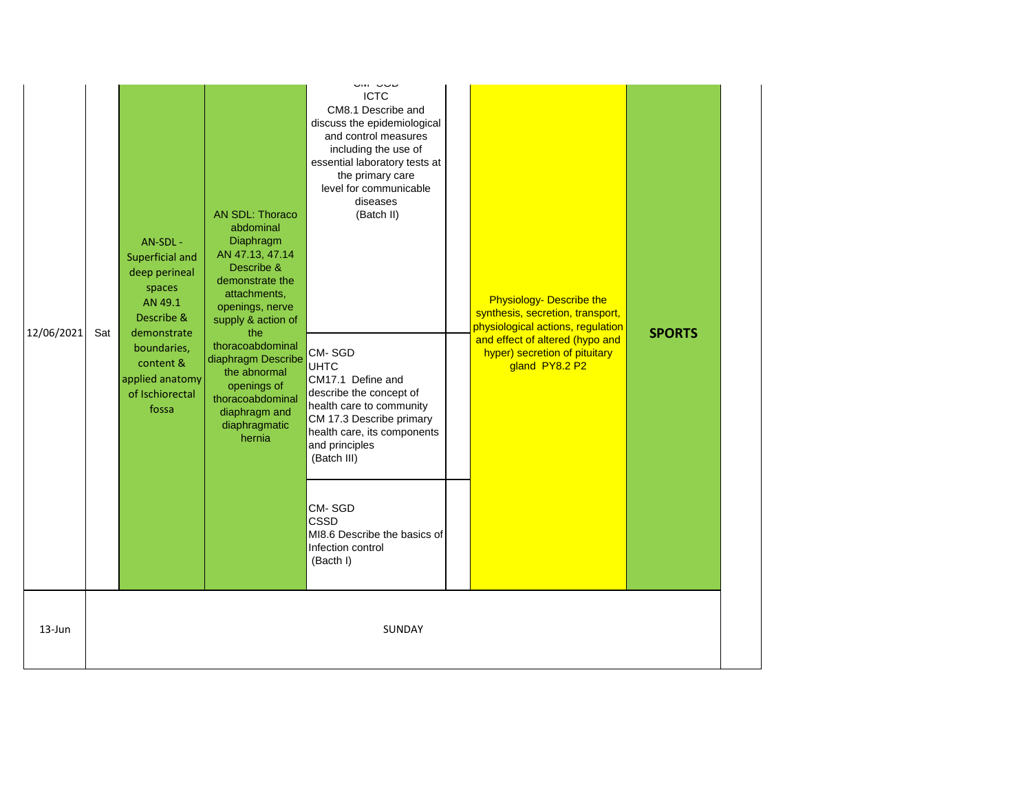| 12/06/2021 | Sat | AN-SDL -<br>Superficial and<br>deep perineal<br>spaces<br>AN 49.1<br>Describe &<br>demonstrate<br>boundaries,<br>content &<br>applied anatomy<br>of Ischiorectal<br>fossa | AN SDL: Thoraco<br>abdominal<br>Diaphragm<br>AN 47.13, 47.14<br>Describe &<br>demonstrate the<br>attachments,<br>openings, nerve<br>supply & action of<br>the<br>thoracoabdominal<br>diaphragm Describe<br>the abnormal<br>openings of<br>thoracoabdominal<br>diaphragm and<br>diaphragmatic<br>hernia | טוער וואוט<br><b>ICTC</b><br>CM8.1 Describe and<br>discuss the epidemiological<br>and control measures<br>including the use of<br>essential laboratory tests at<br>the primary care<br>level for communicable<br>diseases<br>(Batch II)<br>CM-SGD<br><b>UHTC</b><br>CM17.1 Define and<br>describe the concept of<br>health care to community<br>CM 17.3 Describe primary<br>health care, its components<br>and principles<br>(Batch III) | <b>Physiology- Describe the</b><br>synthesis, secretion, transport,<br>physiological actions, regulation<br>and effect of altered (hypo and<br>hyper) secretion of pituitary<br>gland PY8.2 P2 | <b>SPORTS</b> |  |
|------------|-----|---------------------------------------------------------------------------------------------------------------------------------------------------------------------------|--------------------------------------------------------------------------------------------------------------------------------------------------------------------------------------------------------------------------------------------------------------------------------------------------------|------------------------------------------------------------------------------------------------------------------------------------------------------------------------------------------------------------------------------------------------------------------------------------------------------------------------------------------------------------------------------------------------------------------------------------------|------------------------------------------------------------------------------------------------------------------------------------------------------------------------------------------------|---------------|--|
|            |     |                                                                                                                                                                           |                                                                                                                                                                                                                                                                                                        | CM-SGD<br><b>CSSD</b><br>MI8.6 Describe the basics of<br>Infection control<br>(Bacth I)                                                                                                                                                                                                                                                                                                                                                  |                                                                                                                                                                                                |               |  |
| 13-Jun     |     |                                                                                                                                                                           |                                                                                                                                                                                                                                                                                                        | SUNDAY                                                                                                                                                                                                                                                                                                                                                                                                                                   |                                                                                                                                                                                                |               |  |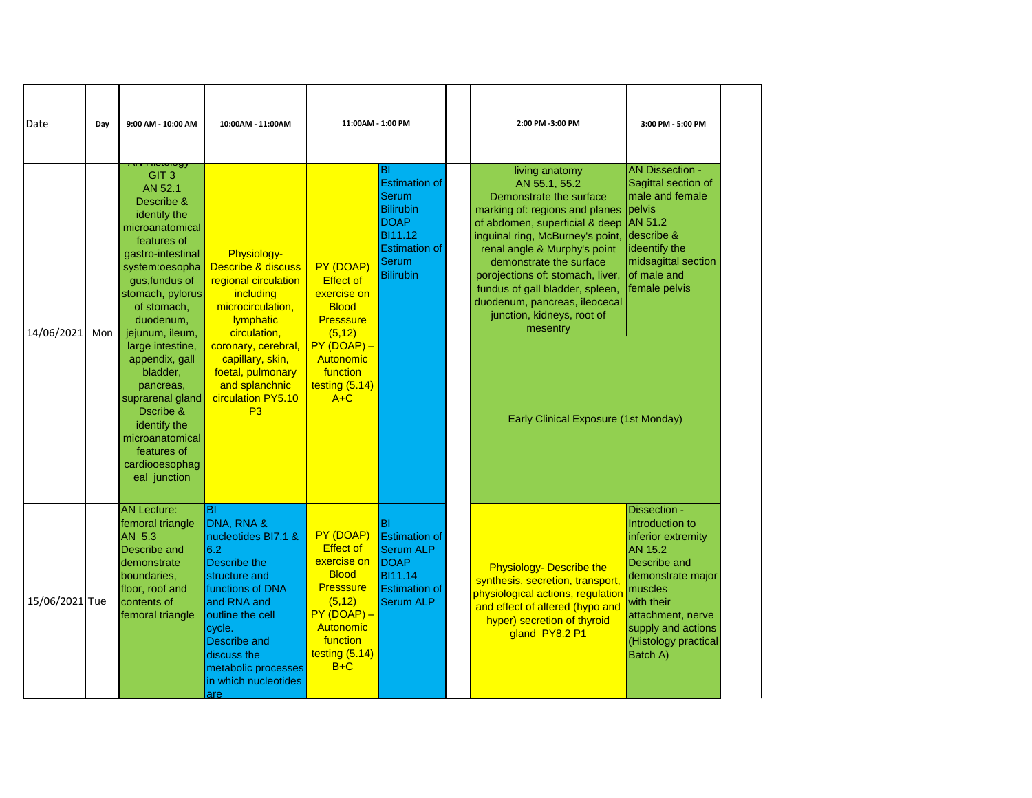| Date           | Day | 9:00 AM - 10:00 AM                                                                                                                                                                                                                                                                                                                                                                                                      | 10:00AM - 11:00AM                                                                                                                                                                                                                                 | 11:00AM - 1:00 PM                                                                                                                                                 |                                                                                                                                                | 2:00 PM -3:00 PM                                                                                                                                                                                                                                                                                                                                                                                                                | 3:00 PM - 5:00 PM                                                                                                                                                                                             |
|----------------|-----|-------------------------------------------------------------------------------------------------------------------------------------------------------------------------------------------------------------------------------------------------------------------------------------------------------------------------------------------------------------------------------------------------------------------------|---------------------------------------------------------------------------------------------------------------------------------------------------------------------------------------------------------------------------------------------------|-------------------------------------------------------------------------------------------------------------------------------------------------------------------|------------------------------------------------------------------------------------------------------------------------------------------------|---------------------------------------------------------------------------------------------------------------------------------------------------------------------------------------------------------------------------------------------------------------------------------------------------------------------------------------------------------------------------------------------------------------------------------|---------------------------------------------------------------------------------------------------------------------------------------------------------------------------------------------------------------|
| 14/06/2021     | Mon | motorogy<br>GIT <sub>3</sub><br>AN 52.1<br>Describe &<br>identify the<br>microanatomical<br>features of<br>gastro-intestinal<br>system:oesopha<br>gus, fundus of<br>stomach, pylorus<br>of stomach,<br>duodenum,<br>jejunum, ileum,<br>large intestine,<br>appendix, gall<br>bladder,<br>pancreas,<br>suprarenal gland<br>Dscribe &<br>identify the<br>microanatomical<br>features of<br>cardiooesophag<br>eal junction | Physiology-<br><b>Describe &amp; discuss</b><br>regional circulation<br>including<br>microcirculation,<br>lymphatic<br>circulation,<br>coronary, cerebral,<br>capillary, skin,<br>foetal, pulmonary<br>and splanchnic<br>circulation PY5.10<br>P3 | PY (DOAP)<br><b>Effect of</b><br>exercise on<br><b>Blood</b><br><b>Presssure</b><br>(5, 12)<br>$PY(DOAP) -$<br>Autonomic<br>function<br>testing $(5.14)$<br>$A+C$ | ΙBΙ<br><b>Estimation of</b><br>Serum<br><b>Bilirubin</b><br><b>DOAP</b><br><b>BI11.12</b><br><b>Estimation of</b><br>Serum<br><b>Bilirubin</b> | living anatomy<br>AN 55.1, 55.2<br>Demonstrate the surface<br>marking of: regions and planes<br>of abdomen, superficial & deep AN 51.2<br>inguinal ring, McBurney's point,<br>renal angle & Murphy's point<br>demonstrate the surface<br>porojections of: stomach, liver,<br>fundus of gall bladder, spleen,<br>duodenum, pancreas, ileocecal<br>junction, kidneys, root of<br>mesentry<br>Early Clinical Exposure (1st Monday) | <b>AN Dissection -</b><br>Sagittal section of<br>male and female<br>pelvis<br>describe &<br>ideentify the<br>midsagittal section<br>of male and<br>female pelvis                                              |
| 15/06/2021 Tue |     | <b>AN Lecture:</b><br>femoral triangle<br>AN 5.3<br>Describe and<br> demonstrate<br>boundaries,<br>floor, roof and<br>contents of<br>femoral triangle                                                                                                                                                                                                                                                                   | Iвı<br>DNA, RNA &<br>nucleotides BI7.1 &<br>6.2<br>Describe the<br>structure and<br>functions of DNA<br>and RNA and<br>outline the cell<br>cycle.<br><b>Describe and</b><br>discuss the<br>metabolic processes<br>in which nucleotides<br>lare    | PY (DOAP)<br><b>Effect of</b><br>exercise on<br><b>Blood</b><br><b>Presssure</b><br>(5, 12)<br>$PY(DOAP) -$<br>Autonomic<br>function<br>testing $(5.14)$<br>$B+C$ | ΙBΙ<br><b>Estimation of</b><br><b>Serum ALP</b><br>DOAP<br><b>BI11.14</b><br><b>Estimation of</b><br><b>Serum ALP</b>                          | <b>Physiology- Describe the</b><br>synthesis, secretion, transport,<br>physiological actions, regulation<br>and effect of altered (hypo and<br>hyper) secretion of thyroid<br>gland PY8.2 P1                                                                                                                                                                                                                                    | Dissection -<br>Introduction to<br>inferior extremity<br>AN 15.2<br>Describe and<br>demonstrate major<br>muscles<br>with their<br>attachment, nerve<br>supply and actions<br>(Histology practical<br>Batch A) |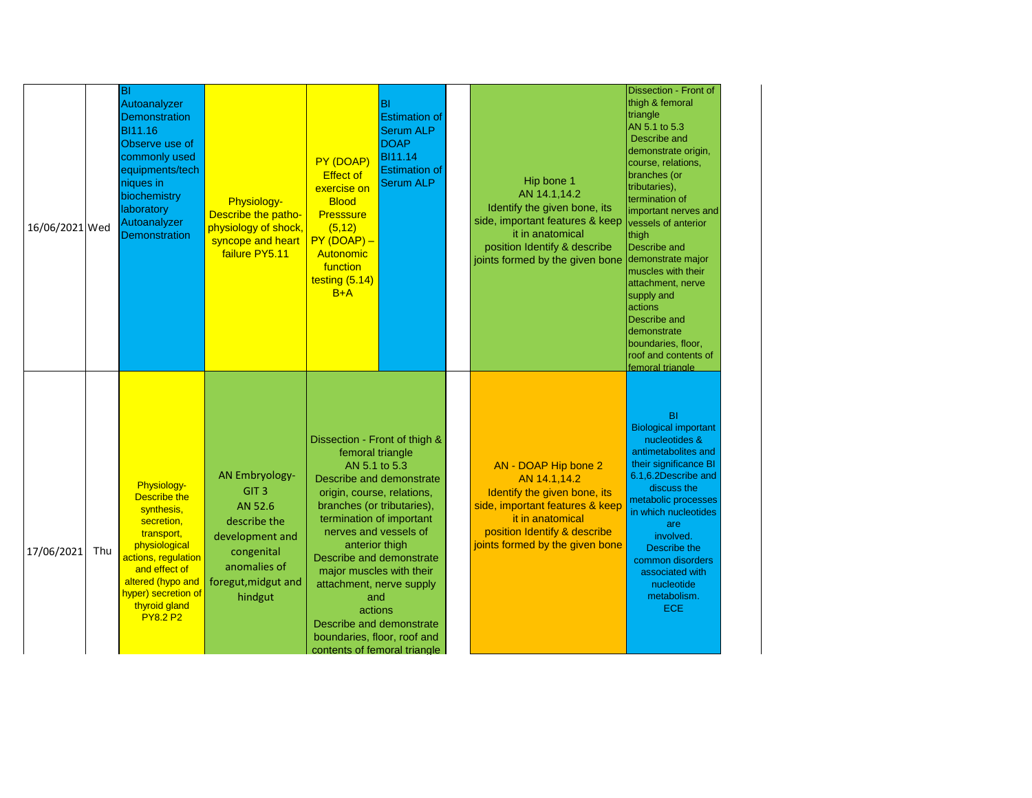| 16/06/2021 Wed |     | BI<br>Autoanalyzer<br><b>Demonstration</b><br>BI11.16<br>Observe use of<br>commonly used<br>equipments/tech<br>niques in<br>biochemistry<br>laboratory<br>Autoanalyzer<br><b>Demonstration</b>                 | Physiology-<br>Describe the patho-<br>physiology of shock,<br>syncope and heart<br>failure PY5.11                                                       | PY (DOAP)<br><b>Effect of</b><br>exercise on<br><b>Blood</b><br><b>Presssure</b><br>(5, 12)<br>$PY(DOAP) -$<br>Autonomic<br>function<br>testing (5.14)<br>$B+A$                                                                                                                                                                                                        | BI<br><b>Estimation of</b><br><b>Serum ALP</b><br><b>DOAP</b><br><b>BI11.14</b><br><b>Estimation of</b><br><b>Serum ALP</b> | Hip bone 1<br>AN 14.1,14.2<br>Identify the given bone, its<br>side, important features & keep<br>it in anatomical<br>position Identify & describe<br>joints formed by the given bone           | Dissection - Front of<br>thigh & femoral<br>triangle<br>AN 5.1 to 5.3<br>Describe and<br>demonstrate origin,<br>course, relations,<br>branches (or<br>tributaries),<br>termination of<br>important nerves and<br>vessels of anterior<br>thigh<br>Describe and<br>demonstrate major<br>muscles with their<br>attachment, nerve<br>supply and<br>actions<br>Describe and<br>demonstrate<br>boundaries, floor,<br>roof and contents of<br>femoral triangle |
|----------------|-----|----------------------------------------------------------------------------------------------------------------------------------------------------------------------------------------------------------------|---------------------------------------------------------------------------------------------------------------------------------------------------------|------------------------------------------------------------------------------------------------------------------------------------------------------------------------------------------------------------------------------------------------------------------------------------------------------------------------------------------------------------------------|-----------------------------------------------------------------------------------------------------------------------------|------------------------------------------------------------------------------------------------------------------------------------------------------------------------------------------------|---------------------------------------------------------------------------------------------------------------------------------------------------------------------------------------------------------------------------------------------------------------------------------------------------------------------------------------------------------------------------------------------------------------------------------------------------------|
| 17/06/2021     | Thu | Physiology-<br>Describe the<br>synthesis,<br>secretion,<br>transport,<br>physiological<br>actions, regulation<br>and effect of<br>altered (hypo and<br>hyper) secretion of<br>thyroid gland<br><b>PY8.2 P2</b> | <b>AN Embryology-</b><br>GIT <sub>3</sub><br>AN 52.6<br>describe the<br>development and<br>congenital<br>anomalies of<br>foregut, midgut and<br>hindgut | Dissection - Front of thigh &<br>femoral triangle<br>AN 5.1 to 5.3<br>origin, course, relations,<br>branches (or tributaries),<br>termination of important<br>nerves and vessels of<br>anterior thigh<br>Describe and demonstrate<br>major muscles with their<br>attachment, nerve supply<br>and<br>actions<br>Describe and demonstrate<br>boundaries, floor, roof and | Describe and demonstrate<br>contents of femoral triangle                                                                    | AN - DOAP Hip bone 2<br>AN 14.1,14.2<br>Identify the given bone, its<br>side, important features & keep<br>it in anatomical<br>position Identify & describe<br>joints formed by the given bone | <b>BI</b><br><b>Biological important</b><br>nucleotides &<br>antimetabolites and<br>their significance BI<br>6.1,6.2Describe and<br>discuss the<br>metabolic processes<br>in which nucleotides<br>are<br>involved.<br>Describe the<br>common disorders<br>associated with<br>nucleotide<br>metabolism.<br><b>ECE</b>                                                                                                                                    |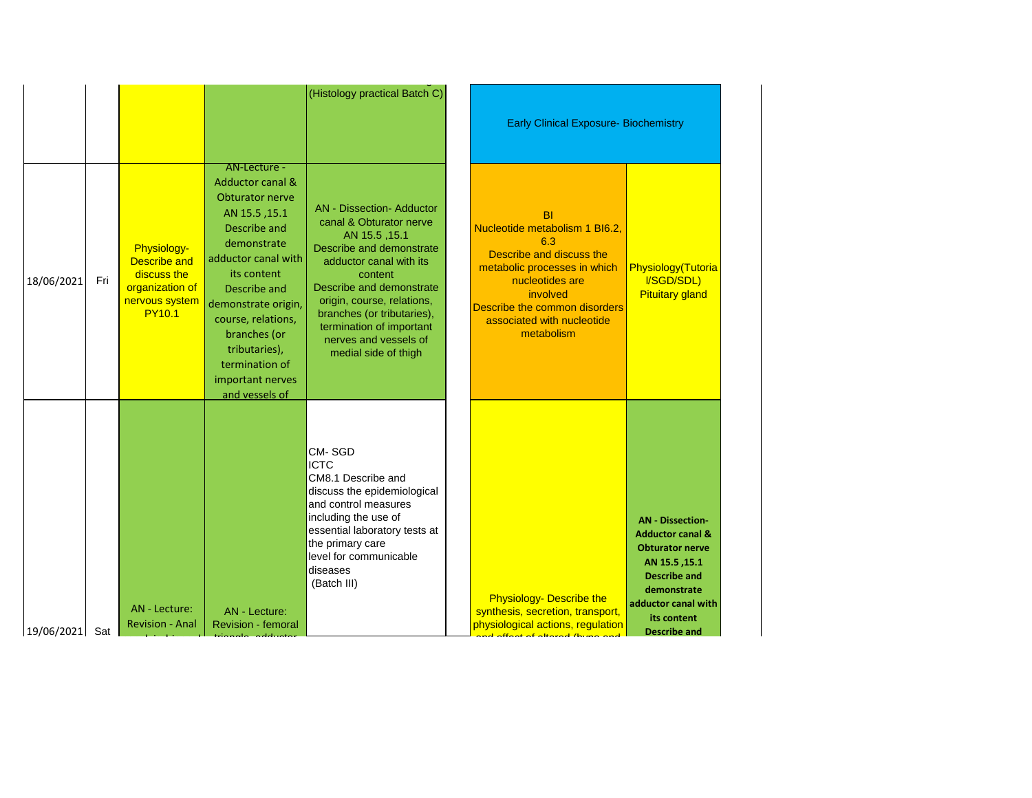|            |     |                                                                                                         |                                                                                                                                                                                                                                                                                                            | (Histology practical Batch C)                                                                                                                                                                                                                                                                                       | <b>Early Clinical Exposure- Biochemistry</b>                                                                                                                                                                        |                                                                                                                                                                                                      |
|------------|-----|---------------------------------------------------------------------------------------------------------|------------------------------------------------------------------------------------------------------------------------------------------------------------------------------------------------------------------------------------------------------------------------------------------------------------|---------------------------------------------------------------------------------------------------------------------------------------------------------------------------------------------------------------------------------------------------------------------------------------------------------------------|---------------------------------------------------------------------------------------------------------------------------------------------------------------------------------------------------------------------|------------------------------------------------------------------------------------------------------------------------------------------------------------------------------------------------------|
| 18/06/2021 | Fri | Physiology-<br><b>Describe and</b><br>discuss the<br>organization of<br>nervous system<br><b>PY10.1</b> | AN-Lecture -<br><b>Adductor canal &amp;</b><br>Obturator nerve<br>AN 15.5, 15.1<br>Describe and<br>demonstrate<br>adductor canal with<br>its content<br>Describe and<br>demonstrate origin,<br>course, relations,<br>branches (or<br>tributaries),<br>termination of<br>important nerves<br>and vessels of | <b>AN</b> - Dissection- Adductor<br>canal & Obturator nerve<br>AN 15.5, 15.1<br>Describe and demonstrate<br>adductor canal with its<br>content<br>Describe and demonstrate<br>origin, course, relations,<br>branches (or tributaries),<br>termination of important<br>nerves and vessels of<br>medial side of thigh | BI<br>Nucleotide metabolism 1 BI6.2,<br>6.3<br>Describe and discuss the<br>metabolic processes in which<br>nucleotides are<br>involved<br>Describe the common disorders<br>associated with nucleotide<br>metabolism | Physiology(Tutoria<br>I/SGD/SDL)<br><b>Pituitary gland</b>                                                                                                                                           |
| 19/06/2021 | Sat | AN - Lecture:<br><b>Revision - Anal</b>                                                                 | AN - Lecture:<br>Revision - femoral                                                                                                                                                                                                                                                                        | CM-SGD<br><b>ICTC</b><br>CM8.1 Describe and<br>discuss the epidemiological<br>and control measures<br>including the use of<br>essential laboratory tests at<br>the primary care<br>level for communicable<br>diseases<br>(Batch III)                                                                                | <b>Physiology- Describe the</b><br>synthesis, secretion, transport,<br>physiological actions, regulation<br>1. <i>March of alleged theme</i> and the same                                                           | <b>AN</b> - Dissection-<br><b>Adductor canal &amp;</b><br><b>Obturator nerve</b><br>AN 15.5, 15.1<br><b>Describe and</b><br>demonstrate<br>adductor canal with<br>its content<br><b>Describe and</b> |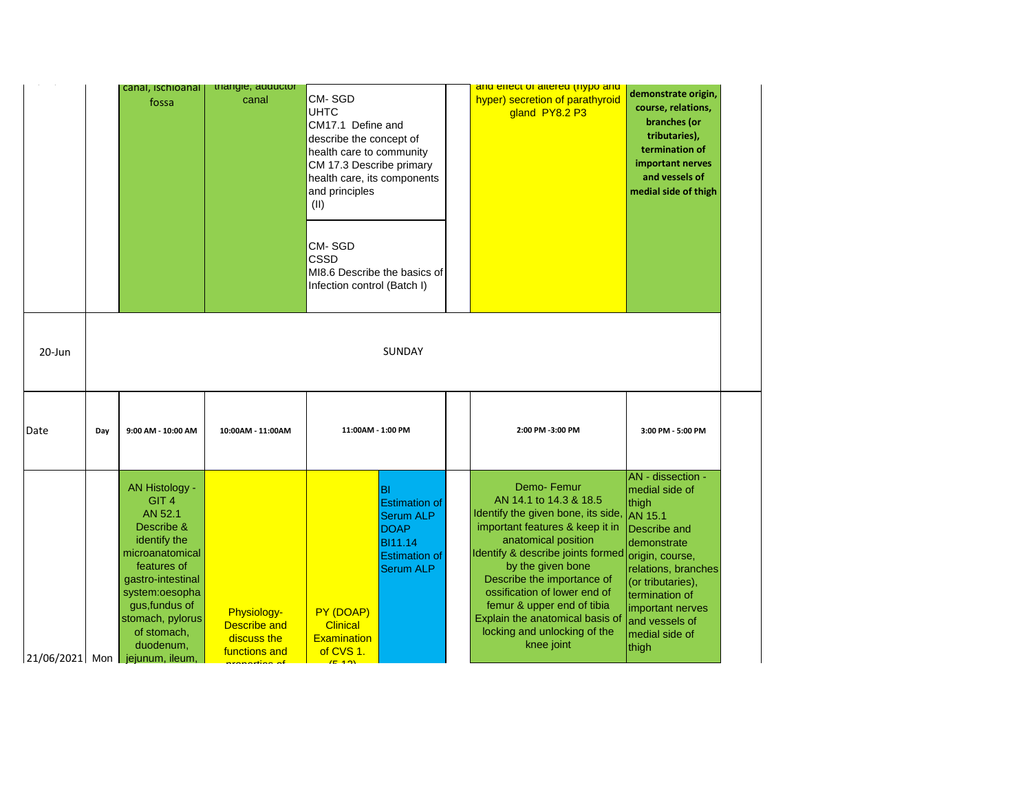|        |     | canal, ischioanal<br>fossa                                                                                                                                                                                                                                                           | triangle, adductor<br>canal                                                                                      | <b>CM-SGD</b><br><b>UHTC</b><br>CM17.1 Define and<br>describe the concept of<br>health care to community<br>CM 17.3 Describe primary<br>health care, its components<br>and principles<br>(II)<br><b>CM-SGD</b><br><b>CSSD</b><br>MI8.6 Describe the basics of<br>Infection control (Batch I) |                                                                                                                              | and effect of altered (nypo and<br>hyper) secretion of parathyroid<br>gland PY8.2 P3                                                                                                                                                                                                                                                                                                                | demonstrate origin,<br>course, relations,<br>branches (or<br>tributaries),<br>termination of<br>important nerves<br>and vessels of<br>medial side of thigh                                                 |
|--------|-----|--------------------------------------------------------------------------------------------------------------------------------------------------------------------------------------------------------------------------------------------------------------------------------------|------------------------------------------------------------------------------------------------------------------|----------------------------------------------------------------------------------------------------------------------------------------------------------------------------------------------------------------------------------------------------------------------------------------------|------------------------------------------------------------------------------------------------------------------------------|-----------------------------------------------------------------------------------------------------------------------------------------------------------------------------------------------------------------------------------------------------------------------------------------------------------------------------------------------------------------------------------------------------|------------------------------------------------------------------------------------------------------------------------------------------------------------------------------------------------------------|
| 20-Jun |     |                                                                                                                                                                                                                                                                                      |                                                                                                                  |                                                                                                                                                                                                                                                                                              | <b>SUNDAY</b>                                                                                                                |                                                                                                                                                                                                                                                                                                                                                                                                     |                                                                                                                                                                                                            |
| Date   | Day | 9:00 AM - 10:00 AM                                                                                                                                                                                                                                                                   | 10:00AM - 11:00AM                                                                                                | 11:00AM - 1:00 PM                                                                                                                                                                                                                                                                            |                                                                                                                              | 2:00 PM -3:00 PM                                                                                                                                                                                                                                                                                                                                                                                    | 3:00 PM - 5:00 PM                                                                                                                                                                                          |
|        |     | AN Histology -<br>GIT <sub>4</sub><br>AN 52.1<br>Describe &<br>identify the<br>microanatomical<br>features of<br>gastro-intestinal<br>system:oesopha<br>gus, fundus of<br>stomach, pylorus<br>of stomach,<br>duodenum,<br>$\lfloor 21/06/2021 \rfloor$ Mon $\lfloor$ jejunum, ileum, | Physiology-<br><b>Describe and</b><br>discuss the<br>functions and<br><b>Contract Contract Contract Contract</b> | PY (DOAP)<br><b>Clinical</b><br><b>Examination</b><br>of CVS 1.                                                                                                                                                                                                                              | ΙBΙ<br><b>Estimation of</b><br><b>Serum ALP</b><br><b>DOAP</b><br><b>BI11.14</b><br><b>Estimation of</b><br><b>Serum ALP</b> | Demo-Femur<br>AN 14.1 to 14.3 & 18.5<br>Identify the given bone, its side, AN 15.1<br>important features & keep it in<br>anatomical position<br>Identify & describe joints formed origin, course,<br>by the given bone<br>Describe the importance of<br>ossification of lower end of<br>femur & upper end of tibia<br>Explain the anatomical basis of<br>locking and unlocking of the<br>knee joint | AN - dissection -<br>medial side of<br>thigh<br>Describe and<br>demonstrate<br>relations, branches<br>(or tributaries),<br>termination of<br>important nerves<br>and vessels of<br>medial side of<br>thigh |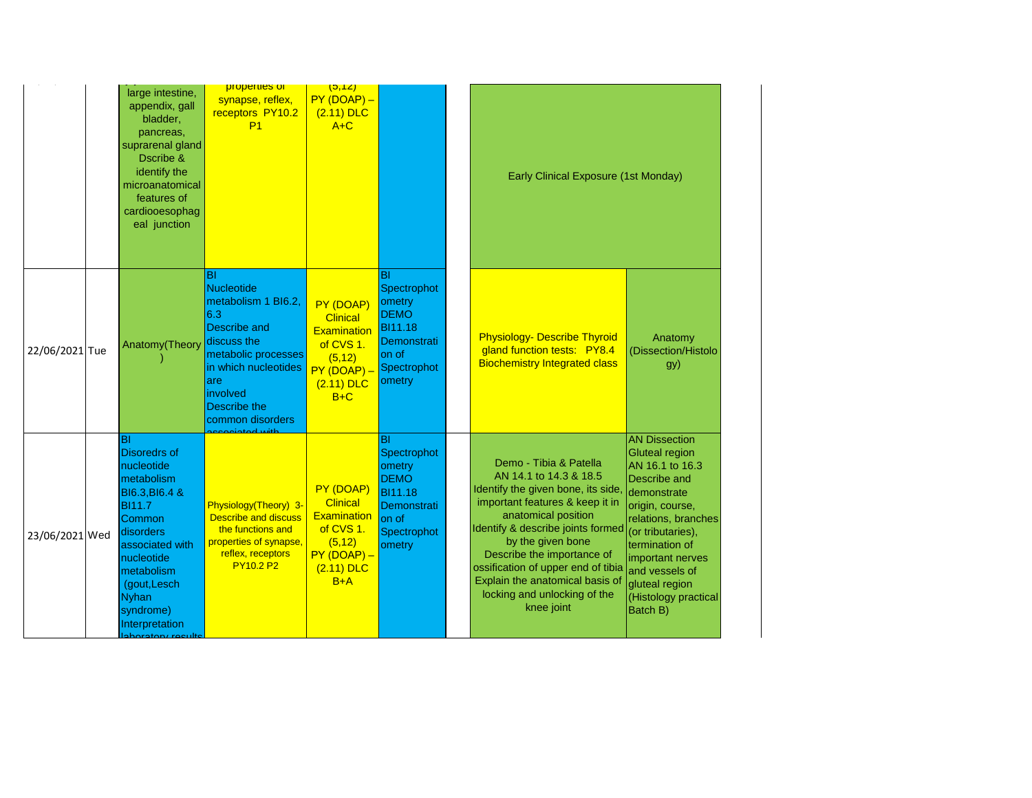|                | large intestine,<br>appendix, gall<br>bladder,<br>pancreas,<br>suprarenal gland<br>Dscribe &<br>identify the<br>microanatomical<br>features of<br>cardiooesophag<br>eal junction                                                                              | properties of<br>synapse, reflex,<br>receptors PY10.2<br>P <sub>1</sub>                                                                                                                     | (5,12)<br>$PY(DOAP) -$<br>$(2.11)$ DLC<br>$A+C$                                                                     |                                                                                                               | Early Clinical Exposure (1st Monday)                                                                                                                                                                                                                                                                                                                            |                                                                                                                                                                                                                                                                       |
|----------------|---------------------------------------------------------------------------------------------------------------------------------------------------------------------------------------------------------------------------------------------------------------|---------------------------------------------------------------------------------------------------------------------------------------------------------------------------------------------|---------------------------------------------------------------------------------------------------------------------|---------------------------------------------------------------------------------------------------------------|-----------------------------------------------------------------------------------------------------------------------------------------------------------------------------------------------------------------------------------------------------------------------------------------------------------------------------------------------------------------|-----------------------------------------------------------------------------------------------------------------------------------------------------------------------------------------------------------------------------------------------------------------------|
| 22/06/2021 Tue | Anatomy(Theory                                                                                                                                                                                                                                                | ΙBΙ<br><b>Nucleotide</b><br>metabolism 1 BI6.2,<br>6.3<br>Describe and<br>discuss the<br>metabolic processes<br>in which nucleotides<br>are<br>involved<br>Describe the<br>common disorders | PY (DOAP)<br><b>Clinical</b><br><b>Examination</b><br>of CVS 1.<br>(5, 12)<br>$PY(DOAP) -$<br>$(2.11)$ DLC<br>$B+C$ | BI<br>Spectrophot<br>ometry<br><b>DEMO</b><br>BI11.18<br>Demonstrati<br>on of<br>Spectrophot<br>ometry        | <b>Physiology- Describe Thyroid</b><br>gland function tests: PY8.4<br><b>Biochemistry Integrated class</b>                                                                                                                                                                                                                                                      | Anatomy<br>(Dissection/Histolo<br>gy)                                                                                                                                                                                                                                 |
| 23/06/2021 Wed | BI<br><b>Disoredrs of</b><br>nucleotide<br>metabolism<br><b>BI6.3, BI6.4 &amp;</b><br><b>BI11.7</b><br>Common<br>disorders<br>associated with<br>nucleotide<br>metabolism<br>(gout, Lesch<br><b>Nyhan</b><br>syndrome)<br>Interpretation<br>aboratory roculta | pintod with<br>Physiology(Theory) 3-<br><b>Describe and discuss</b><br>the functions and<br>properties of synapse,<br>reflex, receptors<br><b>PY10.2 P2</b>                                 | PY (DOAP)<br><b>Clinical</b><br><b>Examination</b><br>of CVS 1.<br>(5, 12)<br>PY (DOAP) -<br>$(2.11)$ DLC<br>$B+A$  | BI<br>Spectrophot<br>ometry<br><b>DEMO</b><br><b>BI11.18</b><br>Demonstrati<br>on of<br>Spectrophot<br>ometry | Demo - Tibia & Patella<br>AN 14.1 to 14.3 & 18.5<br>Identify the given bone, its side,<br>important features & keep it in<br>anatomical position<br>Identify & describe joints formed<br>by the given bone<br>Describe the importance of<br>ossification of upper end of tibia<br>Explain the anatomical basis of<br>locking and unlocking of the<br>knee joint | <b>AN Dissection</b><br>Gluteal region<br>AN 16.1 to 16.3<br>Describe and<br>demonstrate<br>origin, course,<br>relations, branches<br>(or tributaries),<br>termination of<br>important nerves<br>and vessels of<br>gluteal region<br>(Histology practical<br>Batch B) |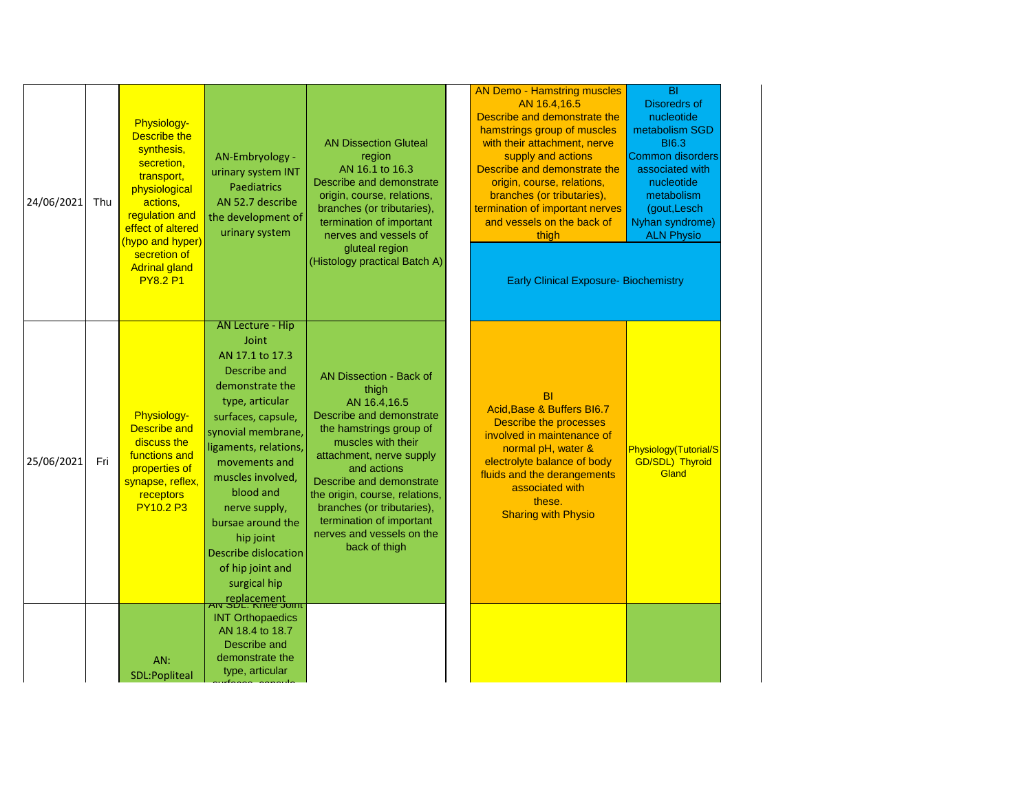| 24/06/2021 | Thu | <b>Physiology-</b><br><b>Describe the</b><br>synthesis,<br>secretion,<br>transport,<br>physiological<br>actions,<br>regulation and<br>effect of altered<br>(hypo and hyper)<br>secretion of<br><b>Adrinal gland</b><br><b>PY8.2 P1</b> | AN-Embryology -<br>urinary system INT<br><b>Paediatrics</b><br>AN 52.7 describe<br>the development of<br>urinary system                                                                                                                                                                                                                                                               | <b>AN Dissection Gluteal</b><br>region<br>AN 16.1 to 16.3<br>Describe and demonstrate<br>origin, course, relations,<br>branches (or tributaries),<br>termination of important<br>nerves and vessels of<br>gluteal region<br>(Histology practical Batch A)                                                                                      | <b>AN Demo - Hamstring muscles</b><br>AN 16.4,16.5<br>Describe and demonstrate the<br>hamstrings group of muscles<br>with their attachment, nerve<br>supply and actions<br>Describe and demonstrate the<br>origin, course, relations,<br>branches (or tributaries),<br>termination of important nerves<br>and vessels on the back of<br>thigh<br><b>Early Clinical Exposure- Biochemistry</b> | $\overline{BI}$<br><b>Disoredrs of</b><br>nucleotide<br>metabolism SGD<br><b>BI6.3</b><br>Common disorders<br>associated with<br>nucleotide<br>metabolism<br>(gout, Lesch<br>Nyhan syndrome)<br><b>ALN Physio</b> |
|------------|-----|----------------------------------------------------------------------------------------------------------------------------------------------------------------------------------------------------------------------------------------|---------------------------------------------------------------------------------------------------------------------------------------------------------------------------------------------------------------------------------------------------------------------------------------------------------------------------------------------------------------------------------------|------------------------------------------------------------------------------------------------------------------------------------------------------------------------------------------------------------------------------------------------------------------------------------------------------------------------------------------------|-----------------------------------------------------------------------------------------------------------------------------------------------------------------------------------------------------------------------------------------------------------------------------------------------------------------------------------------------------------------------------------------------|-------------------------------------------------------------------------------------------------------------------------------------------------------------------------------------------------------------------|
| 25/06/2021 | Fri | Physiology-<br><b>Describe and</b><br>discuss the<br>functions and<br>properties of<br>synapse, reflex,<br>receptors<br><b>PY10.2 P3</b>                                                                                               | <b>AN Lecture - Hip</b><br>Joint<br>AN 17.1 to 17.3<br>Describe and<br>demonstrate the<br>type, articular<br>surfaces, capsule,<br>synovial membrane,<br>ligaments, relations,<br>movements and<br>muscles involved,<br>blood and<br>nerve supply,<br>bursae around the<br>hip joint<br>Describe dislocation<br>of hip joint and<br>surgical hip<br>replacement<br>AN SDL. Knee Joint | AN Dissection - Back of<br>thigh<br>AN 16.4,16.5<br>Describe and demonstrate<br>the hamstrings group of<br>muscles with their<br>attachment, nerve supply<br>and actions<br>Describe and demonstrate<br>the origin, course, relations,<br>branches (or tributaries),<br>termination of important<br>nerves and vessels on the<br>back of thigh | BI<br>Acid, Base & Buffers BI6.7<br><b>Describe the processes</b><br>involved in maintenance of<br>normal pH, water &<br>electrolyte balance of body<br>fluids and the derangements<br>associated with<br>these.<br><b>Sharing with Physio</b>                                                                                                                                                | Physiology(Tutorial/S<br><b>GD/SDL) Thyroid</b><br>Gland                                                                                                                                                          |
|            |     | AN:<br>SDL:Popliteal                                                                                                                                                                                                                   | <b>INT Orthopaedics</b><br>AN 18.4 to 18.7<br>Describe and<br>demonstrate the<br>type, articular                                                                                                                                                                                                                                                                                      |                                                                                                                                                                                                                                                                                                                                                |                                                                                                                                                                                                                                                                                                                                                                                               |                                                                                                                                                                                                                   |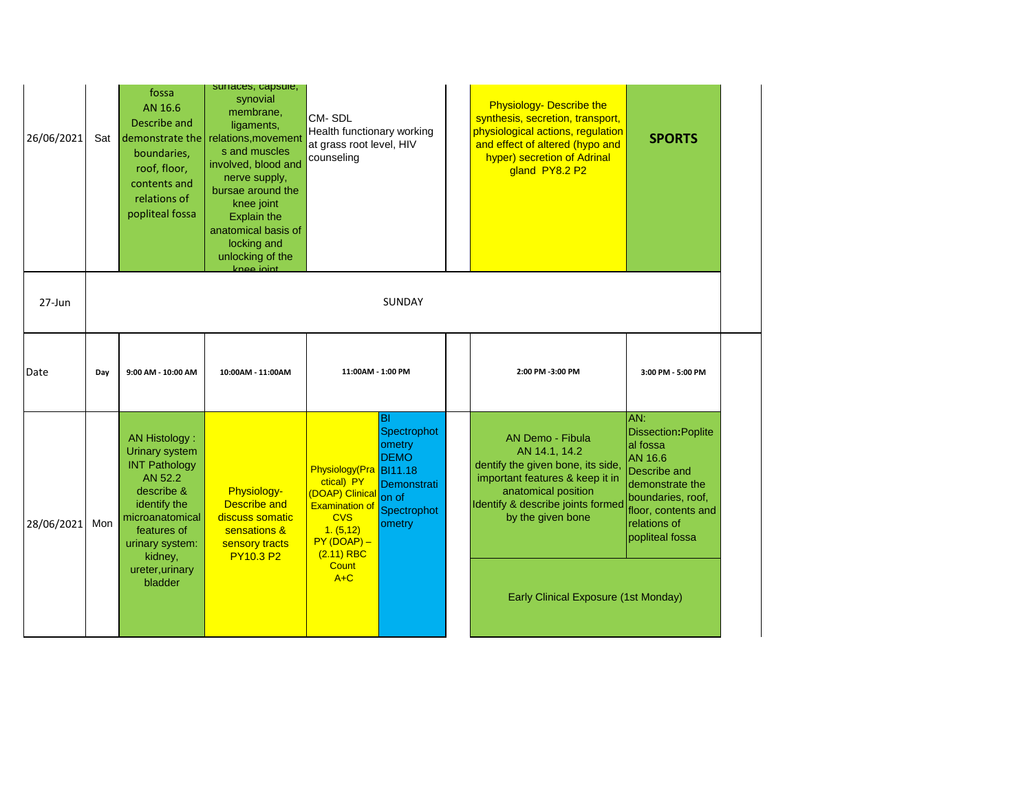| 26/06/2021 | Sat | fossa<br>AN 16.6<br>Describe and<br>demonstrate the<br>boundaries,<br>roof, floor,<br>contents and<br>relations of<br>popliteal fossa                                                                 | surraces, capsule,<br>synovial<br>membrane,<br>ligaments,<br>relations, movement<br>s and muscles<br>involved, blood and<br>nerve supply,<br>bursae around the<br>knee joint<br><b>Explain the</b><br>anatomical basis of<br>locking and<br>unlocking of the<br>knee joint | <b>CM-SDL</b><br>Health functionary working<br>at grass root level, HIV<br>counseling                                                                                 |                                                                                             | <b>Physiology- Describe the</b><br>synthesis, secretion, transport,<br>physiological actions, regulation<br>and effect of altered (hypo and<br>hyper) secretion of Adrinal<br>gland PY8.2 P2                                              | <b>SPORTS</b>                                                                                                                                                              |
|------------|-----|-------------------------------------------------------------------------------------------------------------------------------------------------------------------------------------------------------|----------------------------------------------------------------------------------------------------------------------------------------------------------------------------------------------------------------------------------------------------------------------------|-----------------------------------------------------------------------------------------------------------------------------------------------------------------------|---------------------------------------------------------------------------------------------|-------------------------------------------------------------------------------------------------------------------------------------------------------------------------------------------------------------------------------------------|----------------------------------------------------------------------------------------------------------------------------------------------------------------------------|
| 27-Jun     |     |                                                                                                                                                                                                       |                                                                                                                                                                                                                                                                            |                                                                                                                                                                       | SUNDAY                                                                                      |                                                                                                                                                                                                                                           |                                                                                                                                                                            |
| Date       | Day | 9:00 AM - 10:00 AM                                                                                                                                                                                    | 10:00AM - 11:00AM                                                                                                                                                                                                                                                          | 11:00AM - 1:00 PM                                                                                                                                                     |                                                                                             | 2:00 PM -3:00 PM                                                                                                                                                                                                                          | 3:00 PM - 5:00 PM                                                                                                                                                          |
| 28/06/2021 | Mon | AN Histology:<br><b>Urinary system</b><br><b>INT Pathology</b><br>AN 52.2<br>describe &<br>identify the<br>microanatomical<br>features of<br>urinary system:<br>kidney,<br>ureter, urinary<br>bladder | Physiology-<br><b>Describe and</b><br>discuss somatic<br>sensations &<br>sensory tracts<br><b>PY10.3 P2</b>                                                                                                                                                                | Physiology(Pra BI11.18<br>ctical) PY<br>(DOAP) Clinical<br><b>Examination of</b><br><b>CVS</b><br>1. (5, 12)<br>$PY(DOAP) -$<br>$(2.11)$ RBC<br><b>Count</b><br>$A+C$ | BI<br>Spectrophot<br>ometry<br><b>DEMO</b><br>Demonstrati<br>on of<br>Spectrophot<br>ometry | <b>AN Demo - Fibula</b><br>AN 14.1, 14.2<br>dentify the given bone, its side,<br>important features & keep it in<br>anatomical position<br>Identify & describe joints formed<br>by the given bone<br>Early Clinical Exposure (1st Monday) | AN:<br><b>Dissection: Poplite</b><br>al fossa<br>AN 16.6<br>Describe and<br>demonstrate the<br>boundaries, roof,<br>floor, contents and<br>relations of<br>popliteal fossa |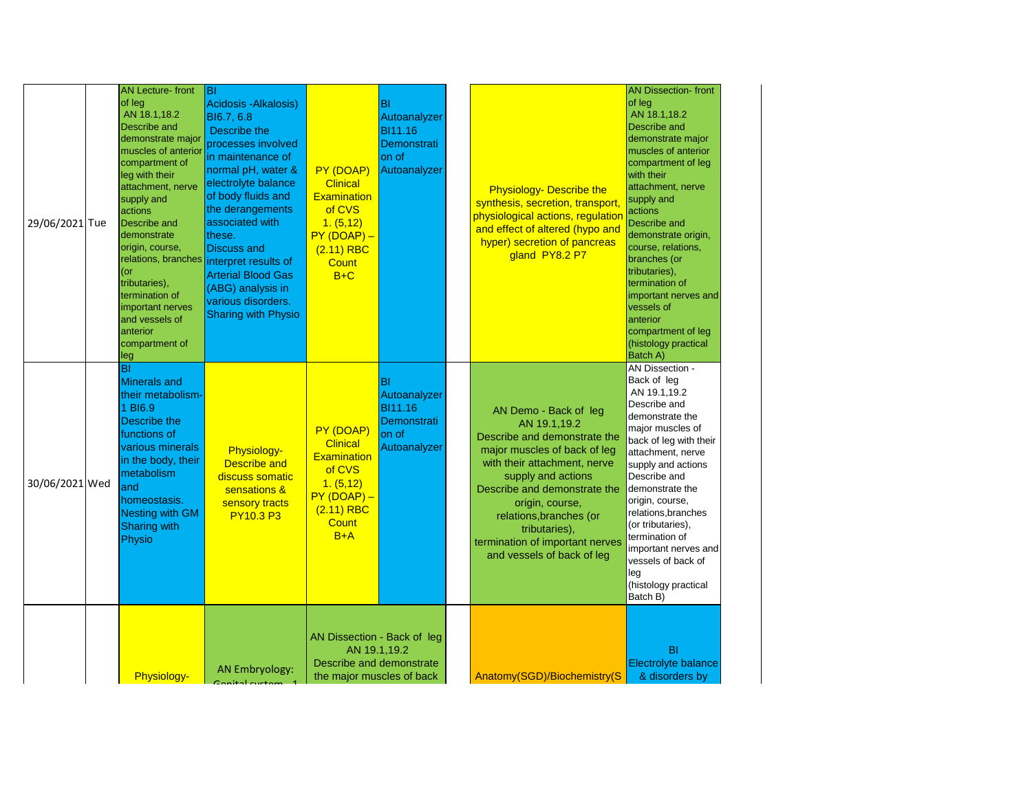| 29/06/2021 Tue | <b>AN Lecture-front</b><br>of leg<br>AN 18.1,18.2<br>Describe and<br>demonstrate major<br>muscles of anterior<br>compartment of<br>leg with their<br>attachment, nerve<br>supply and<br>actions<br>Describe and<br>demonstrate<br>origin, course,<br>relations, branches<br>(or<br>tributaries),<br>termination of<br>important nerves<br>and vessels of<br>anterior<br>compartment of<br>leg | <b>BI</b><br>Acidosis - Alkalosis)<br>BI6.7, 6.8<br>Describe the<br>processes involved<br>in maintenance of<br>normal pH, water &<br>electrolyte balance<br>of body fluids and<br>the derangements<br>associated with<br>these.<br><b>Discuss and</b><br>interpret results of<br><b>Arterial Blood Gas</b><br>(ABG) analysis in<br>various disorders.<br><b>Sharing with Physio</b> | PY (DOAP)<br><b>Clinical</b><br><b>Examination</b><br>of CVS<br>1. (5, 12)<br>$PY(DOAP) -$<br>$(2.11)$ RBC<br><b>Count</b><br>$B+C$ | BI<br>Autoanalyzer<br>BI11.16<br>Demonstrati<br>on of<br>Autoanalyzer | <b>Physiology- Describe the</b><br>synthesis, secretion, transport,<br>physiological actions, regulation<br>and effect of altered (hypo and<br>hyper) secretion of pancreas<br>gland PY8.2 P7                                                                                                                               | <b>AN Dissection-front</b><br>of leg<br>AN 18.1,18.2<br>Describe and<br>demonstrate major<br>muscles of anterior<br>compartment of leg<br>with their<br>attachment, nerve<br>supply and<br>actions<br>Describe and<br>demonstrate origin,<br>course, relations,<br>branches (or<br>tributaries),<br>termination of<br>important nerves and<br>vessels of<br>anterior<br>compartment of leg<br>(histology practical<br>Batch A) |
|----------------|-----------------------------------------------------------------------------------------------------------------------------------------------------------------------------------------------------------------------------------------------------------------------------------------------------------------------------------------------------------------------------------------------|-------------------------------------------------------------------------------------------------------------------------------------------------------------------------------------------------------------------------------------------------------------------------------------------------------------------------------------------------------------------------------------|-------------------------------------------------------------------------------------------------------------------------------------|-----------------------------------------------------------------------|-----------------------------------------------------------------------------------------------------------------------------------------------------------------------------------------------------------------------------------------------------------------------------------------------------------------------------|--------------------------------------------------------------------------------------------------------------------------------------------------------------------------------------------------------------------------------------------------------------------------------------------------------------------------------------------------------------------------------------------------------------------------------|
| 30/06/2021 Wed | BI<br><b>Minerals and</b><br>their metabolism-<br>1 BI6.9<br>Describe the<br>functions of<br>various minerals<br>in the body, their<br>metabolism<br>and<br>homeostasis.<br>Nesting with GM<br><b>Sharing with</b><br>Physio                                                                                                                                                                  | Physiology-<br><b>Describe and</b><br>discuss somatic<br>sensations &<br>sensory tracts<br><b>PY10.3 P3</b>                                                                                                                                                                                                                                                                         | PY (DOAP)<br><b>Clinical</b><br><b>Examination</b><br>of CVS<br>1. (5, 12)<br>$PY(DOAP) -$<br>$(2.11)$ RBC<br><b>Count</b><br>$B+A$ | BI<br>Autoanalyzer<br>BI11.16<br>Demonstrati<br>on of<br>Autoanalyzer | AN Demo - Back of leg<br>AN 19.1,19.2<br>Describe and demonstrate the<br>major muscles of back of leg<br>with their attachment, nerve<br>supply and actions<br>Describe and demonstrate the<br>origin, course,<br>relations, branches (or<br>tributaries),<br>termination of important nerves<br>and vessels of back of leg | AN Dissection -<br>Back of leg<br>AN 19.1,19.2<br>Describe and<br>demonstrate the<br>major muscles of<br>back of leg with their<br>attachment, nerve<br>supply and actions<br>Describe and<br>demonstrate the<br>origin, course,<br>relations, branches<br>(or tributaries),<br>termination of<br>important nerves and<br>vessels of back of<br>leg<br>(histology practical<br>Batch B)                                        |
|                | Physiology-                                                                                                                                                                                                                                                                                                                                                                                   | <b>AN Embryology:</b>                                                                                                                                                                                                                                                                                                                                                               | AN Dissection - Back of leg                                                                                                         | AN 19.1,19.2<br>Describe and demonstrate<br>the major muscles of back | Anatomy(SGD)/Biochemistry(S                                                                                                                                                                                                                                                                                                 | <b>BI</b><br>Electrolyte balance<br>& disorders by                                                                                                                                                                                                                                                                                                                                                                             |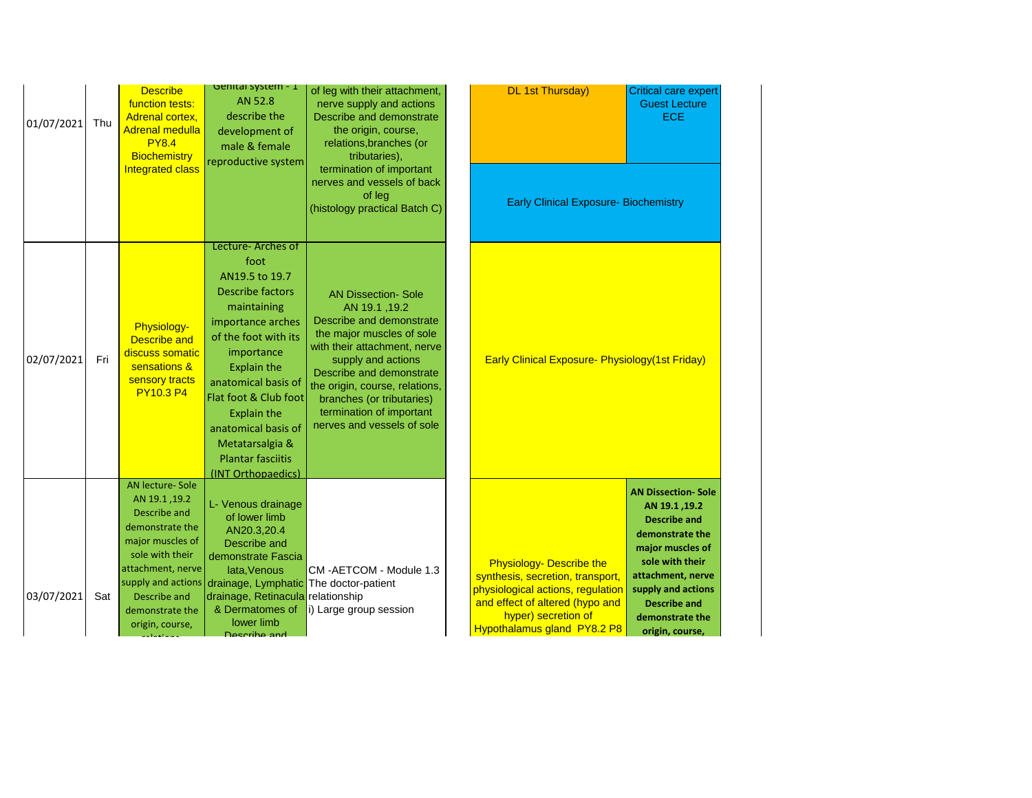| 01/07/2021 | Thu | <b>Describe</b><br>function tests:<br><b>Adrenal cortex,</b><br><b>Adrenal medulla</b><br><b>PY8.4</b><br><b>Biochemistry</b><br><b>Integrated class</b>                                                           | <b>UBILITY SAPELLI - T</b><br>AN 52.8<br>describe the<br>development of<br>male & female<br>reproductive system                                                                                                                                                                                                                           | of leg with their attachment,<br>nerve supply and actions<br>Describe and demonstrate<br>the origin, course,<br>relations, branches (or<br>tributaries),<br>termination of important<br>nerves and vessels of back<br>of leg<br>(histology practical Batch C)                                                   | <b>DL 1st Thursday)</b><br><b>Early Clinical Exposure- Biochemistry</b>                                                                                                                           | Critical care expert<br><b>Guest Lecture</b><br><b>ECE</b>                                                                                                                                                                           |
|------------|-----|--------------------------------------------------------------------------------------------------------------------------------------------------------------------------------------------------------------------|-------------------------------------------------------------------------------------------------------------------------------------------------------------------------------------------------------------------------------------------------------------------------------------------------------------------------------------------|-----------------------------------------------------------------------------------------------------------------------------------------------------------------------------------------------------------------------------------------------------------------------------------------------------------------|---------------------------------------------------------------------------------------------------------------------------------------------------------------------------------------------------|--------------------------------------------------------------------------------------------------------------------------------------------------------------------------------------------------------------------------------------|
| 02/07/2021 | Fri | Physiology-<br><b>Describe and</b><br>discuss somatic<br>sensations &<br>sensory tracts<br><b>PY10.3 P4</b>                                                                                                        | Lecture- Arches of<br>foot<br>AN19.5 to 19.7<br><b>Describe factors</b><br>maintaining<br>importance arches<br>of the foot with its<br>importance<br><b>Explain the</b><br>anatomical basis of<br>Flat foot & Club foot<br><b>Explain the</b><br>anatomical basis of<br>Metatarsalgia &<br><b>Plantar fasciitis</b><br>(INT Orthopaedics) | <b>AN Dissection- Sole</b><br>AN 19.1, 19.2<br>Describe and demonstrate<br>the major muscles of sole<br>with their attachment, nerve<br>supply and actions<br>Describe and demonstrate<br>the origin, course, relations,<br>branches (or tributaries)<br>termination of important<br>nerves and vessels of sole | Early Clinical Exposure- Physiology (1st Friday)                                                                                                                                                  |                                                                                                                                                                                                                                      |
| 03/07/2021 | Sat | <b>AN lecture-Sole</b><br>AN 19.1, 19.2<br>Describe and<br>demonstrate the<br>major muscles of<br>sole with their<br>attachment, nerve<br>supply and actions<br>Describe and<br>demonstrate the<br>origin, course, | L- Venous drainage<br>of lower limb<br>AN20.3,20.4<br>Describe and<br>demonstrate Fascia<br>lata, Venous<br>drainage, Lymphatic The doctor-patient<br>drainage, Retinacula relationship<br>& Dermatomes of<br>lower limb<br>Deecribe and                                                                                                  | CM-AETCOM - Module 1.3<br>i) Large group session                                                                                                                                                                                                                                                                | <b>Physiology- Describe the</b><br>synthesis, secretion, transport,<br>physiological actions, regulation<br>and effect of altered (hypo and<br>hyper) secretion of<br>Hypothalamus gland PY8.2 P8 | <b>AN Dissection- Sole</b><br>AN 19.1, 19.2<br><b>Describe and</b><br>demonstrate the<br>major muscles of<br>sole with their<br>attachment, nerve<br>supply and actions<br><b>Describe and</b><br>demonstrate the<br>origin, course, |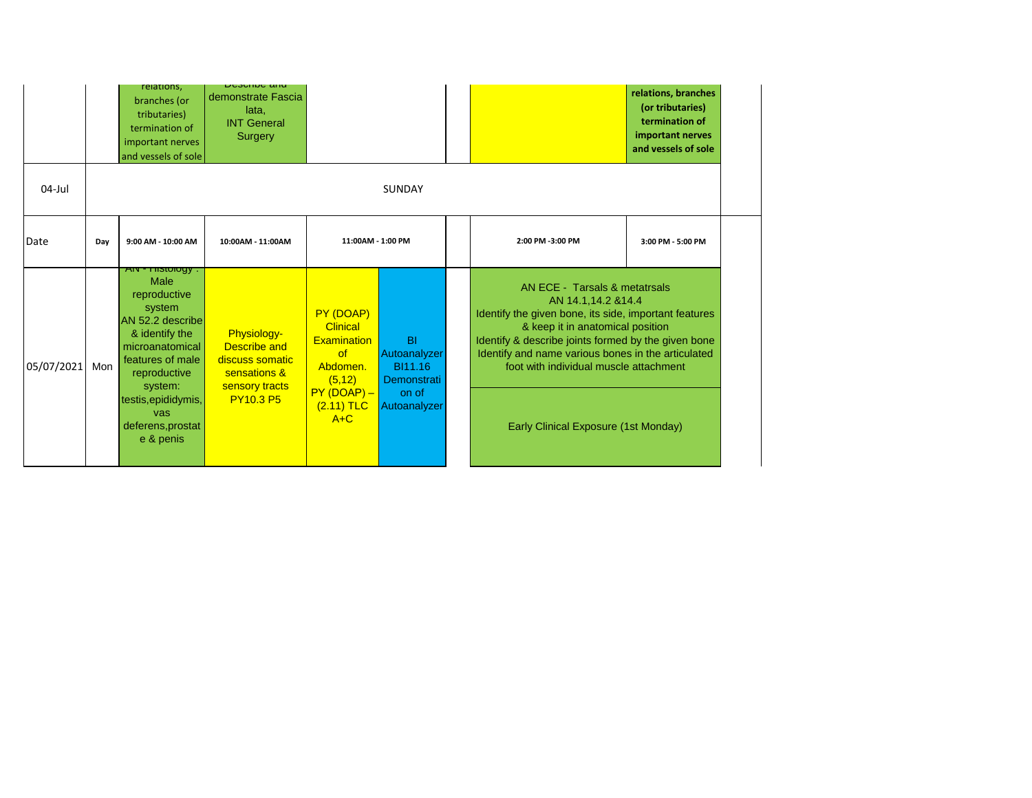|            |     | relations,<br>branches (or<br>tributaries)<br>termination of<br>important nerves<br>and vessels of sole                                                                                                                      | <b>⊃</b> αγαπος απα<br>demonstrate Fascia<br>lata,<br><b>INT General</b><br>Surgery                         |                                                                                                                          |                                                                              |                                                                                                                                                                                                                                                                                                                                                  | relations, branches<br>(or tributaries)<br>termination of<br>important nerves<br>and vessels of sole |
|------------|-----|------------------------------------------------------------------------------------------------------------------------------------------------------------------------------------------------------------------------------|-------------------------------------------------------------------------------------------------------------|--------------------------------------------------------------------------------------------------------------------------|------------------------------------------------------------------------------|--------------------------------------------------------------------------------------------------------------------------------------------------------------------------------------------------------------------------------------------------------------------------------------------------------------------------------------------------|------------------------------------------------------------------------------------------------------|
| 04-Jul     |     |                                                                                                                                                                                                                              |                                                                                                             |                                                                                                                          | <b>SUNDAY</b>                                                                |                                                                                                                                                                                                                                                                                                                                                  |                                                                                                      |
| Date       | Day | 9:00 AM - 10:00 AM                                                                                                                                                                                                           | 10:00AM - 11:00AM                                                                                           | 11:00AM - 1:00 PM                                                                                                        |                                                                              | 2:00 PM -3:00 PM                                                                                                                                                                                                                                                                                                                                 | 3:00 PM - 5:00 PM                                                                                    |
| 05/07/2021 | Mon | $ATY = 1150000y$ .<br>Male<br>reproductive<br>system<br>AN 52.2 describe<br>& identify the<br>microanatomical<br>features of male<br>reproductive<br>system:<br>testis, epididymis,<br>vas<br>deferens, prostat<br>e & penis | <b>Physiology-</b><br>Describe and<br>discuss somatic<br>sensations &<br>sensory tracts<br><b>PY10.3 P5</b> | PY (DOAP)<br><b>Clinical</b><br><b>Examination</b><br>of<br>Abdomen.<br>(5, 12)<br>$PY(DOAP) -$<br>$(2.11)$ TLC<br>$A+C$ | <b>BI</b><br>Autoanalyzer<br>BI11.16<br>Demonstrati<br>on of<br>Autoanalyzer | AN ECE - Tarsals & metatrsals<br>AN 14.1,14.2 & 14.4<br>Identify the given bone, its side, important features<br>& keep it in anatomical position<br>Identify & describe joints formed by the given bone<br>Identify and name various bones in the articulated<br>foot with individual muscle attachment<br>Early Clinical Exposure (1st Monday) |                                                                                                      |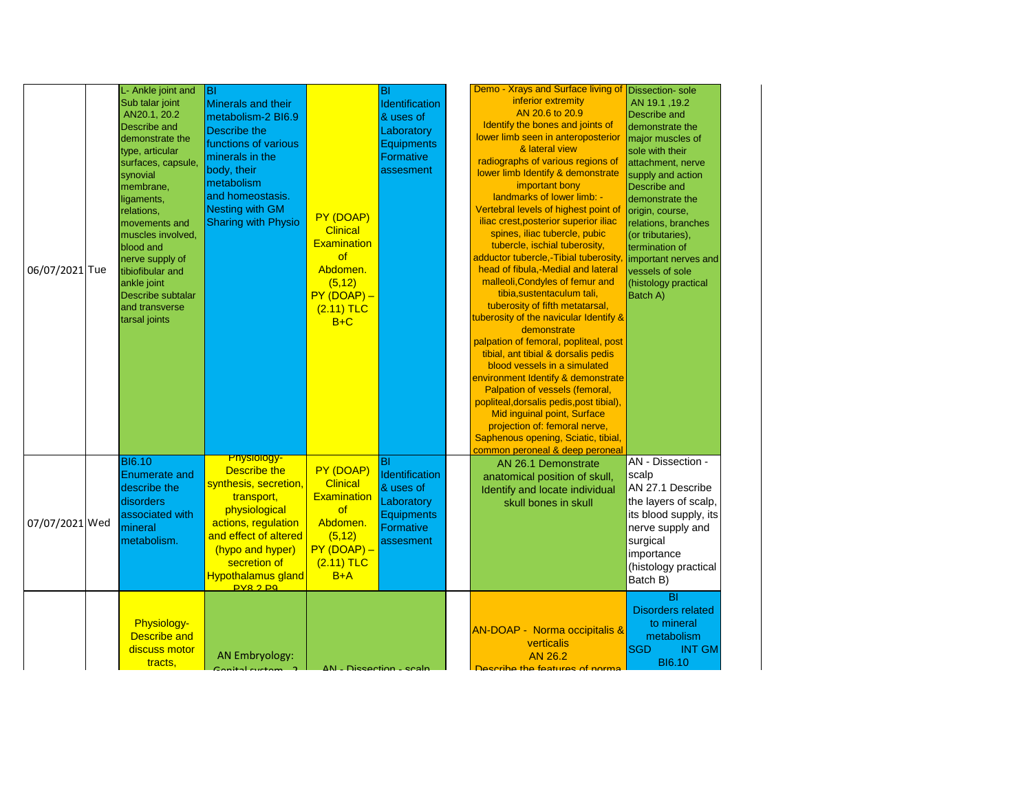| 06/07/2021 Tue | L- Ankle joint and<br>Sub talar joint<br>AN20.1, 20.2<br>Describe and<br>demonstrate the<br>type, articular<br>surfaces, capsule,<br>synovial<br>membrane,<br>ligaments,<br>relations,<br>movements and<br>muscles involved,<br>blood and<br>nerve supply of<br>tibiofibular and<br>ankle joint<br>Describe subtalar<br>and transverse<br>tarsal joints | ĪВI<br>Minerals and their<br>metabolism-2 BI6.9<br>Describe the<br>functions of various<br>minerals in the<br>body, their<br>metabolism<br>and homeostasis.<br><b>Nesting with GM</b><br><b>Sharing with Physio</b>                | PY (DOAP)<br><b>Clinical</b><br><b>Examination</b><br>of<br>Abdomen.<br>(5, 12)<br>$PY(DOAP) -$<br>$(2.11)$ TLC<br>$B+C$ | BI<br>Identification<br>& uses of<br>Laboratory<br><b>Equipments</b><br>Formative<br>assesment  | Demo - Xrays and Surface living of<br>inferior extremity<br>AN 20.6 to 20.9<br>Identify the bones and joints of<br>lower limb seen in anteroposterior<br>& lateral view<br>radiographs of various regions of<br>lower limb Identify & demonstrate<br>important bony<br>landmarks of lower limb: -<br>Vertebral levels of highest point of<br>iliac crest, posterior superior iliac<br>spines, iliac tubercle, pubic<br>tubercle, ischial tuberosity,<br>adductor tubercle,-Tibial tuberosity<br>head of fibula,-Medial and lateral<br>malleoli, Condyles of femur and<br>tibia, sustentaculum tali,<br>tuberosity of fifth metatarsal,<br>tuberosity of the navicular Identify &<br>demonstrate<br>palpation of femoral, popliteal, post<br>tibial, ant tibial & dorsalis pedis<br>blood vessels in a simulated<br>environment Identify & demonstrate<br>Palpation of vessels (femoral,<br>popliteal, dorsalis pedis, post tibial),<br>Mid inguinal point, Surface<br>projection of: femoral nerve,<br>Saphenous opening, Sciatic, tibial,<br>common peroneal & deep peroneal | <b>Dissection-</b> sole<br>AN 19.1, 19.2<br>Describe and<br>demonstrate the<br>major muscles of<br>sole with their<br>attachment, nerve<br>supply and action<br><b>Describe and</b><br>demonstrate the<br>origin, course,<br>relations, branches<br>(or tributaries),<br>termination of<br>important nerves and<br>vessels of sole<br>(histology practical<br>Batch A) |
|----------------|---------------------------------------------------------------------------------------------------------------------------------------------------------------------------------------------------------------------------------------------------------------------------------------------------------------------------------------------------------|------------------------------------------------------------------------------------------------------------------------------------------------------------------------------------------------------------------------------------|--------------------------------------------------------------------------------------------------------------------------|-------------------------------------------------------------------------------------------------|-------------------------------------------------------------------------------------------------------------------------------------------------------------------------------------------------------------------------------------------------------------------------------------------------------------------------------------------------------------------------------------------------------------------------------------------------------------------------------------------------------------------------------------------------------------------------------------------------------------------------------------------------------------------------------------------------------------------------------------------------------------------------------------------------------------------------------------------------------------------------------------------------------------------------------------------------------------------------------------------------------------------------------------------------------------------------------|------------------------------------------------------------------------------------------------------------------------------------------------------------------------------------------------------------------------------------------------------------------------------------------------------------------------------------------------------------------------|
| 07/07/2021 Wed | <b>BI6.10</b><br><b>Enumerate and</b><br>describe the<br>disorders<br>associated with<br>mineral<br>metabolism.                                                                                                                                                                                                                                         | <mark>-Physiology</mark><br>Describe the<br>synthesis, secretion,<br>transport,<br>physiological<br>actions, regulation<br>and effect of altered<br>(hypo and hyper)<br>secretion of<br><b>Hypothalamus gland</b><br><b>PY82PQ</b> | PY (DOAP)<br><b>Clinical</b><br><b>Examination</b><br>of<br>Abdomen.<br>(5, 12)<br>$PY(DOAP) -$<br>$(2.11)$ TLC<br>$B+A$ | lвı<br>Identification<br>& uses of<br>Laboratory<br><b>Equipments</b><br>Formative<br>assesment | AN 26.1 Demonstrate<br>anatomical position of skull,<br>Identify and locate individual<br>skull bones in skull                                                                                                                                                                                                                                                                                                                                                                                                                                                                                                                                                                                                                                                                                                                                                                                                                                                                                                                                                                | AN - Dissection -<br>scalp<br>AN 27.1 Describe<br>the layers of scalp,<br>its blood supply, its<br>nerve supply and<br>surgical<br>importance<br>(histology practical<br>Batch B)                                                                                                                                                                                      |
|                | <b>Physiology-</b><br><b>Describe and</b><br>discuss motor<br>tracts,                                                                                                                                                                                                                                                                                   | <b>AN Embryology:</b>                                                                                                                                                                                                              | AN - Diccortion - crain                                                                                                  |                                                                                                 | <b>AN-DOAP - Norma occipitalis &amp;</b><br>verticalis<br>AN 26.2<br>Deceribe the features of norms                                                                                                                                                                                                                                                                                                                                                                                                                                                                                                                                                                                                                                                                                                                                                                                                                                                                                                                                                                           | $\overline{BI}$<br><b>Disorders related</b><br>to mineral<br>metabolism<br><b>SGD</b><br><b>INT GM</b><br><b>BI6.10</b>                                                                                                                                                                                                                                                |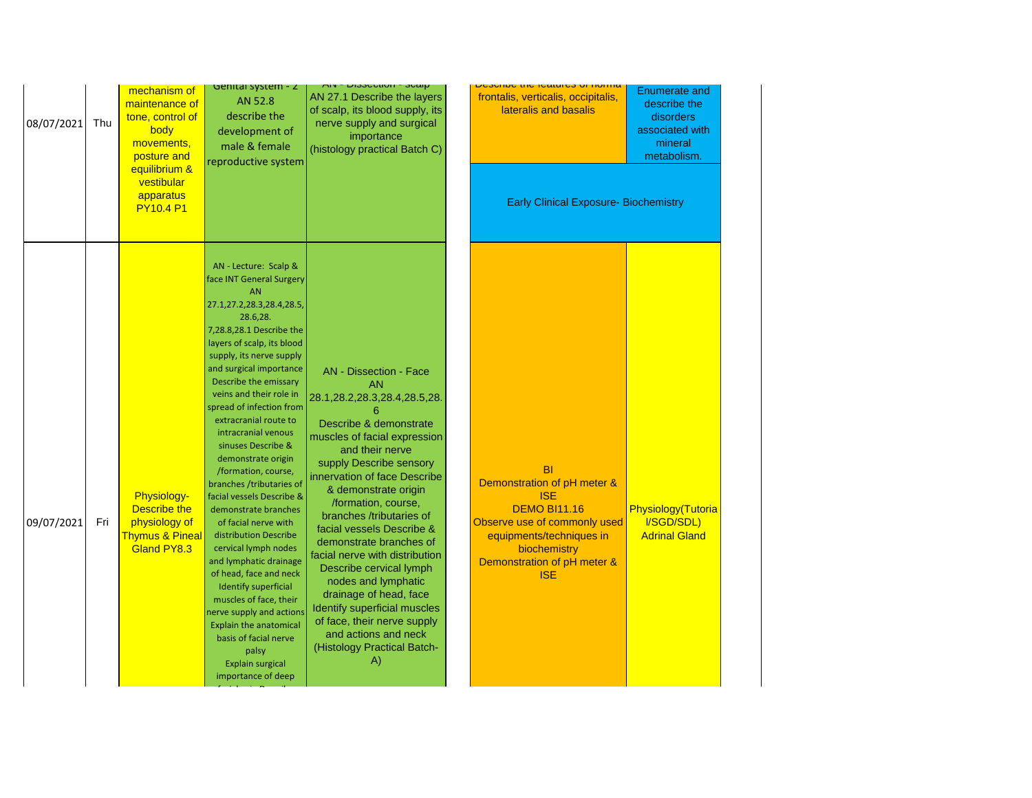| 08/07/2021 | Thu | mechanism of<br>maintenance of<br>tone, control of<br>body<br>movements,<br>posture and<br>equilibrium &<br>vestibular<br>apparatus | Genital System - Z<br>AN 52.8<br>describe the<br>development of<br>male & female<br>reproductive system                                                                                                                                                                                                                                                                                                                                                                                                                                                                                                                                                                                                                                                                                                                                     | AIN - רוטווטסטוע - אור<br>AN 27.1 Describe the layers<br>of scalp, its blood supply, its<br>nerve supply and surgical<br>importance<br>(histology practical Batch C)                                                                                                                                                                                                                                                                                                                                                                                                                                        | <u>אווווטרו וט כסומונוסט שווווטרט</u><br>frontalis, verticalis, occipitalis,<br>lateralis and basalis                                                                                                  | <b>Enumerate and</b><br>describe the<br>disorders<br>associated with<br>mineral<br>metabolism. |
|------------|-----|-------------------------------------------------------------------------------------------------------------------------------------|---------------------------------------------------------------------------------------------------------------------------------------------------------------------------------------------------------------------------------------------------------------------------------------------------------------------------------------------------------------------------------------------------------------------------------------------------------------------------------------------------------------------------------------------------------------------------------------------------------------------------------------------------------------------------------------------------------------------------------------------------------------------------------------------------------------------------------------------|-------------------------------------------------------------------------------------------------------------------------------------------------------------------------------------------------------------------------------------------------------------------------------------------------------------------------------------------------------------------------------------------------------------------------------------------------------------------------------------------------------------------------------------------------------------------------------------------------------------|--------------------------------------------------------------------------------------------------------------------------------------------------------------------------------------------------------|------------------------------------------------------------------------------------------------|
|            |     | <b>PY10.4 P1</b>                                                                                                                    |                                                                                                                                                                                                                                                                                                                                                                                                                                                                                                                                                                                                                                                                                                                                                                                                                                             |                                                                                                                                                                                                                                                                                                                                                                                                                                                                                                                                                                                                             | <b>Early Clinical Exposure- Biochemistry</b>                                                                                                                                                           |                                                                                                |
| 09/07/2021 | Fri | <b>Physiology-</b><br><b>Describe the</b><br>physiology of<br><b>Thymus &amp; Pineal</b><br>Gland PY8.3                             | AN - Lecture: Scalp &<br>face INT General Surgery<br><b>AN</b><br>27.1,27.2,28.3,28.4,28.5,<br>28.6,28.<br>7,28.8,28.1 Describe the<br>layers of scalp, its blood<br>supply, its nerve supply<br>and surgical importance<br>Describe the emissary<br>veins and their role in<br>spread of infection from<br>extracranial route to<br>intracranial venous<br>sinuses Describe &<br>demonstrate origin<br>/formation, course,<br>branches /tributaries of<br>facial vessels Describe &<br>demonstrate branches<br>of facial nerve with<br>distribution Describe<br>cervical lymph nodes<br>and lymphatic drainage<br>of head, face and neck<br>Identify superficial<br>muscles of face, their<br>nerve supply and actions<br><b>Explain the anatomical</b><br>basis of facial nerve<br>palsy<br><b>Explain surgical</b><br>importance of deep | <b>AN</b> - Dissection - Face<br><b>AN</b><br>28.1, 28.2, 28.3, 28.4, 28.5, 28.<br>Describe & demonstrate<br>muscles of facial expression<br>and their nerve<br>supply Describe sensory<br>innervation of face Describe<br>& demonstrate origin<br>/formation, course,<br>branches /tributaries of<br>facial vessels Describe &<br>demonstrate branches of<br>facial nerve with distribution<br>Describe cervical lymph<br>nodes and lymphatic<br>drainage of head, face<br><b>Identify superficial muscles</b><br>of face, their nerve supply<br>and actions and neck<br>(Histology Practical Batch-<br>A) | <b>BI</b><br>Demonstration of pH meter &<br><b>ISE</b><br><b>DEMO BI11.16</b><br>Observe use of commonly used<br>equipments/techniques in<br>biochemistry<br>Demonstration of pH meter &<br><b>ISE</b> | Physiology(Tutoria<br>I/SGD/SDL)<br><b>Adrinal Gland</b>                                       |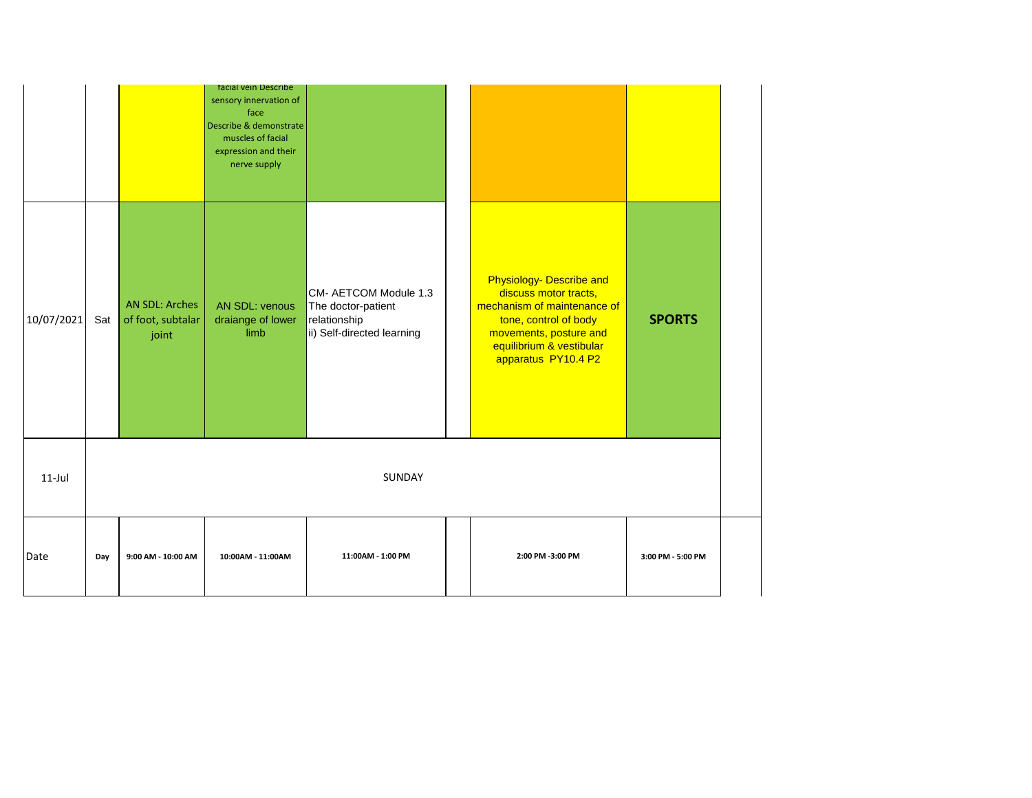|            |     |                                                     | tacial vein Describe<br>sensory innervation of<br>face<br>Describe & demonstrate<br>muscles of facial<br>expression and their<br>nerve supply |                                                                                           |                                                                                                                                                                                        |                   |
|------------|-----|-----------------------------------------------------|-----------------------------------------------------------------------------------------------------------------------------------------------|-------------------------------------------------------------------------------------------|----------------------------------------------------------------------------------------------------------------------------------------------------------------------------------------|-------------------|
| 10/07/2021 | Sat | <b>AN SDL: Arches</b><br>of foot, subtalar<br>joint | <b>AN SDL: venous</b><br>draiange of lower<br>limb                                                                                            | CM- AETCOM Module 1.3<br>The doctor-patient<br>relationship<br>ii) Self-directed learning | Physiology- Describe and<br>discuss motor tracts,<br>mechanism of maintenance of<br>tone, control of body<br>movements, posture and<br>equilibrium & vestibular<br>apparatus PY10.4 P2 | <b>SPORTS</b>     |
| $11$ -Jul  |     |                                                     |                                                                                                                                               | SUNDAY                                                                                    |                                                                                                                                                                                        |                   |
| Date       | Day | 9:00 AM - 10:00 AM                                  | 10:00AM - 11:00AM                                                                                                                             | 11:00AM - 1:00 PM                                                                         | 2:00 PM -3:00 PM                                                                                                                                                                       | 3:00 PM - 5:00 PM |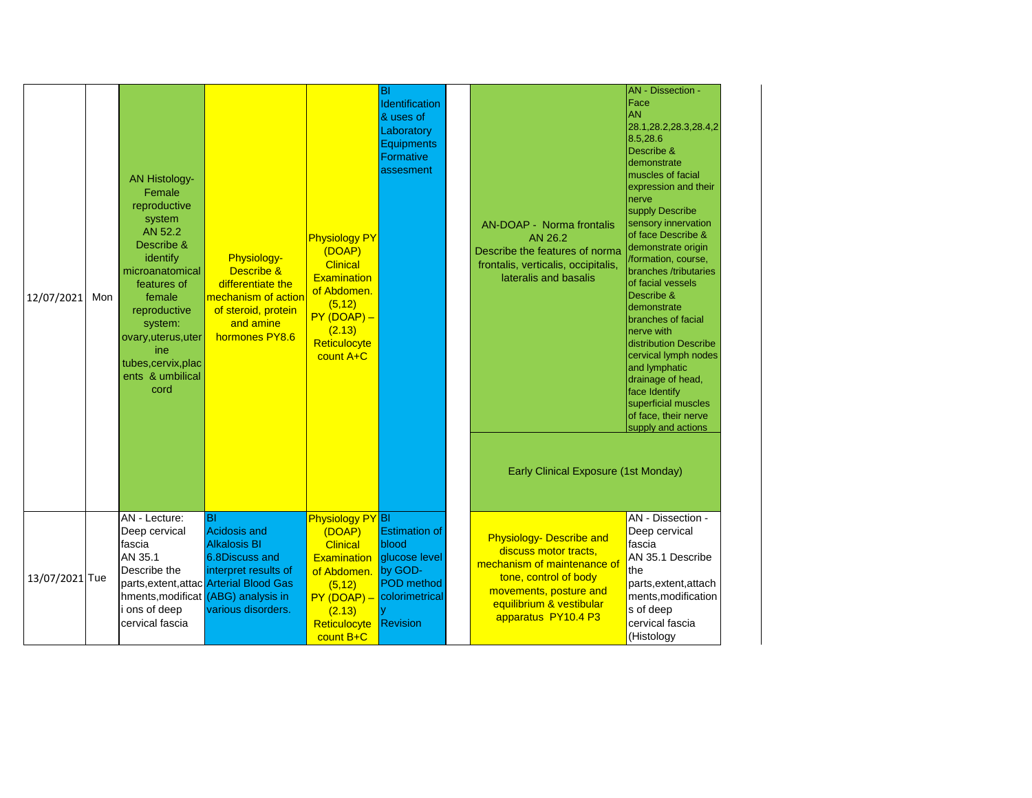| 12/07/2021     | Mon | <b>AN Histology-</b><br>Female<br>reproductive<br>system<br>AN 52.2<br>Describe &<br>identify<br>microanatomical<br>features of<br>female<br>reproductive<br>system:<br>ovary, uterus, uter<br>ine<br>tubes, cervix, plac<br>ents & umbilical<br>cord | Physiology-<br>Describe &<br>differentiate the<br>mechanism of action<br>of steroid, protein<br>and amine<br>hormones PY8.6                                                                               | <b>Physiology PY</b><br>(DOAP)<br><b>Clinical</b><br><b>Examination</b><br>of Abdomen.<br>(5, 12)<br>$PY(DOAP) -$<br>(2.13)<br>Reticulocyte<br>count A+C | BI<br>Identification<br>& uses of<br>Laboratory<br><b>Equipments</b><br>Formative<br>assesment                                  | <b>AN-DOAP - Norma frontalis</b><br>AN 26.2<br>Describe the features of norma<br>frontalis, verticalis, occipitalis,<br>lateralis and basalis<br>Early Clinical Exposure (1st Monday)         | <b>AN</b> - Dissection -<br>Face<br><b>AN</b><br>28.1, 28.2, 28.3, 28.4, 2<br>8.5,28.6<br>Describe &<br>demonstrate<br>muscles of facial<br>expression and their<br>nerve<br>supply Describe<br>sensory innervation<br>of face Describe &<br>demonstrate origin<br>/formation, course,<br>branches /tributaries<br>of facial vessels<br>Describe &<br>demonstrate<br>branches of facial<br>nerve with<br>distribution Describe<br>cervical lymph nodes<br>and lymphatic<br>drainage of head,<br>face Identify<br>superficial muscles<br>of face, their nerve<br>supply and actions |
|----------------|-----|-------------------------------------------------------------------------------------------------------------------------------------------------------------------------------------------------------------------------------------------------------|-----------------------------------------------------------------------------------------------------------------------------------------------------------------------------------------------------------|----------------------------------------------------------------------------------------------------------------------------------------------------------|---------------------------------------------------------------------------------------------------------------------------------|-----------------------------------------------------------------------------------------------------------------------------------------------------------------------------------------------|------------------------------------------------------------------------------------------------------------------------------------------------------------------------------------------------------------------------------------------------------------------------------------------------------------------------------------------------------------------------------------------------------------------------------------------------------------------------------------------------------------------------------------------------------------------------------------|
| 13/07/2021 Tue |     | AN - Lecture:<br>Deep cervical<br>fascia<br>AN 35.1<br>Describe the<br>i ons of deep<br>cervical fascia                                                                                                                                               | <b>BI</b><br><b>Acidosis and</b><br><b>Alkalosis BI</b><br>6.8Discuss and<br>interpret results of<br>parts, extent, attac Arterial Blood Gas<br>hments, modificat (ABG) analysis in<br>various disorders. | Physiology PY BI<br>(DOAP)<br><b>Clinical</b><br>of Abdomen.<br>(5, 12)<br>$PY(DOAP) -$<br>(2.13)<br>Reticulocyte<br>count B+C                           | <b>Estimation of</b><br>blood<br><b>Examination glucose level</b><br>by GOD-<br><b>POD</b> method<br>colorimetrical<br>Revision | <b>Physiology- Describe and</b><br>discuss motor tracts,<br>mechanism of maintenance of<br>tone, control of body<br>movements, posture and<br>equilibrium & vestibular<br>apparatus PY10.4 P3 | AN - Dissection -<br>Deep cervical<br>fascia<br>AN 35.1 Describe<br>the<br>parts, extent, attach<br>ments, modification<br>s of deep<br>cervical fascia<br>(Histology                                                                                                                                                                                                                                                                                                                                                                                                              |

Practical Batch A)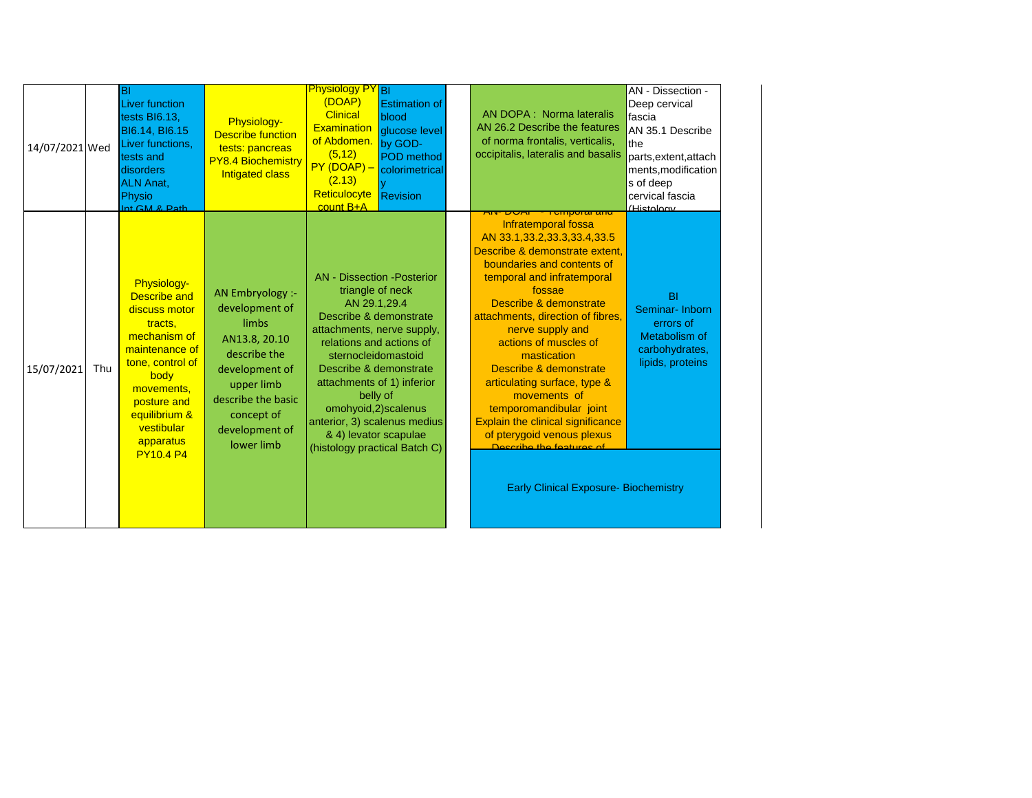| 14/07/2021 Wed    | ΙBΙ<br>Liver function<br>tests BI6.13,<br><b>BI6.14, BI6.15</b><br>Liver functions,<br>tests and<br>disorders<br><b>ALN Anat,</b><br>Physio<br>Int GM & Path                                                              | Physiology-<br><b>Describe function</b><br>tests: pancreas<br><b>PY8.4 Biochemistry</b><br><b>Intigated class</b>                                                                | <b>Physiology PY</b> BI<br>(DOAP)<br><b>Estimation of</b><br><b>Clinical</b><br>blood<br>Examination<br>glucose level<br>of Abdomen.<br>by GOD-<br>(5, 12)<br><b>POD</b> method<br>$PY(DOAP) -$ colorimetrical<br>(2.13)<br>Reticulocyte<br>Revision<br>count B+A                                                                                                      | AN DOPA : Norma lateralis<br>AN 26.2 Describe the features<br>of norma frontalis, verticalis,<br>occipitalis, lateralis and basalis<br><del>i cinporal anu</del><br><u>אטש יוא</u>                                                                                                                                                                                                                                                                                                                                                               | AN - Dissection -<br>Deep cervical<br>fascia<br>AN 35.1 Describe<br>the<br>parts, extent, attach<br>ments, modification<br>s of deep<br>cervical fascia<br>/Histology |
|-------------------|---------------------------------------------------------------------------------------------------------------------------------------------------------------------------------------------------------------------------|----------------------------------------------------------------------------------------------------------------------------------------------------------------------------------|------------------------------------------------------------------------------------------------------------------------------------------------------------------------------------------------------------------------------------------------------------------------------------------------------------------------------------------------------------------------|--------------------------------------------------------------------------------------------------------------------------------------------------------------------------------------------------------------------------------------------------------------------------------------------------------------------------------------------------------------------------------------------------------------------------------------------------------------------------------------------------------------------------------------------------|-----------------------------------------------------------------------------------------------------------------------------------------------------------------------|
| 15/07/2021<br>Thu | Physiology-<br><b>Describe and</b><br>discuss motor<br>tracts,<br>mechanism of<br>maintenance of<br>tone, control of<br>body<br>movements,<br>posture and<br>equilibrium &<br>vestibular<br>apparatus<br><b>PY10.4 P4</b> | AN Embryology :-<br>development of<br>limbs<br>AN13.8, 20.10<br>describe the<br>development of<br>upper limb<br>describe the basic<br>concept of<br>development of<br>lower limb | <b>AN</b> - Dissection - Posterior<br>triangle of neck<br>AN 29.1,29.4<br>Describe & demonstrate<br>attachments, nerve supply,<br>relations and actions of<br>sternocleidomastoid<br>Describe & demonstrate<br>attachments of 1) inferior<br>belly of<br>omohyoid,2)scalenus<br>anterior, 3) scalenus medius<br>& 4) levator scapulae<br>(histology practical Batch C) | Infratemporal fossa<br>AN 33.1,33.2,33.3,33.4,33.5<br>Describe & demonstrate extent,<br>boundaries and contents of<br>temporal and infratemporal<br>fossae<br>Describe & demonstrate<br>attachments, direction of fibres,<br>nerve supply and<br>actions of muscles of<br>mastication<br>Describe & demonstrate<br>articulating surface, type &<br>movements of<br>temporomandibular joint<br><b>Explain the clinical significance</b><br>of pterygoid venous plexus<br>Describe the features of<br><b>Early Clinical Exposure- Biochemistry</b> | BI<br>Seminar-Inborn<br>errors of<br>Metabolism of<br>carbohydrates,<br>lipids, proteins                                                                              |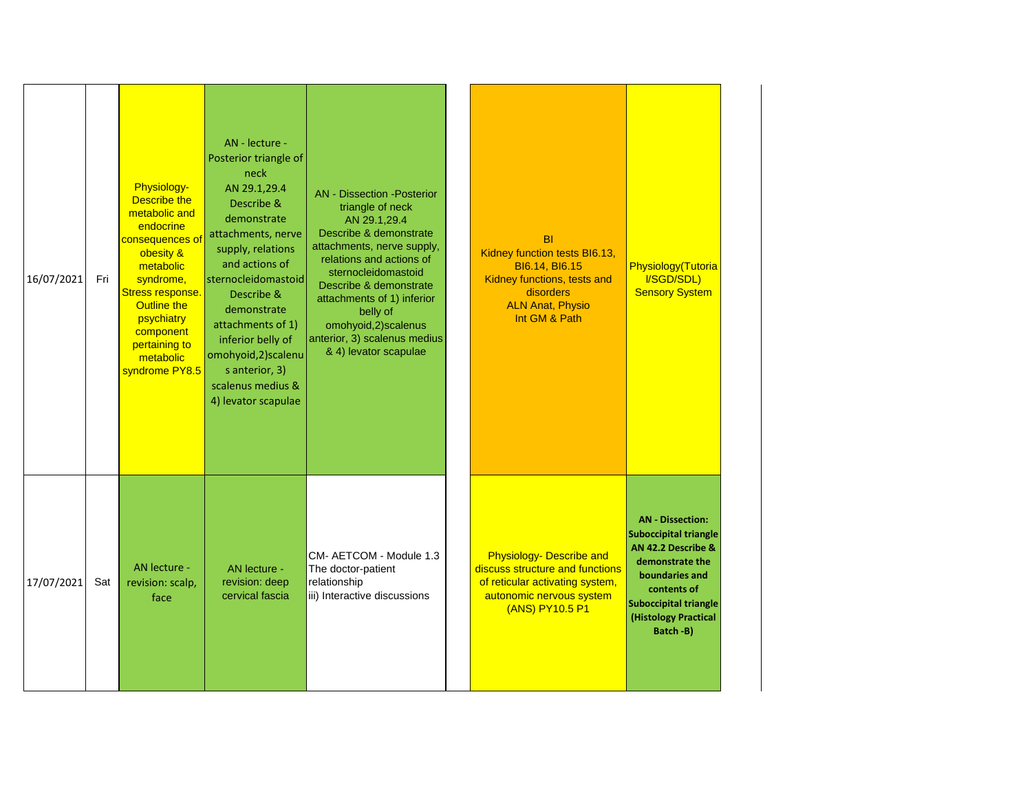| 16/07/2021 | Fri | Physiology-<br>Describe the<br>metabolic and<br>endocrine<br>consequences of<br>obesity &<br>metabolic<br>syndrome,<br>Stress response.<br><b>Outline the</b><br>psychiatry<br>component<br>pertaining to<br>metabolic<br>syndrome PY8.5 | AN - lecture -<br>Posterior triangle of<br>neck<br>AN 29.1,29.4<br>Describe &<br>demonstrate<br>attachments, nerve<br>supply, relations<br>and actions of<br>sternocleidomastoid<br>Describe &<br>demonstrate<br>attachments of 1)<br>inferior belly of<br>omohyoid, 2) scalenu<br>s anterior, 3)<br>scalenus medius &<br>4) levator scapulae | <b>AN</b> - Dissection - Posterior<br>triangle of neck<br>AN 29.1,29.4<br>Describe & demonstrate<br>attachments, nerve supply,<br>relations and actions of<br>sternocleidomastoid<br>Describe & demonstrate<br>attachments of 1) inferior<br>belly of<br>omohyoid,2)scalenus<br>anterior, 3) scalenus medius<br>& 4) levator scapulae | B <sub>l</sub><br>Kidney function tests BI6.13,<br>BI6.14, BI6.15<br>Kidney functions, tests and<br>disorders<br><b>ALN Anat, Physio</b><br>Int GM & Path | Physiology(Tutoria<br>I/SGD/SDL)<br><b>Sensory System</b>                                                                                                                                             |
|------------|-----|------------------------------------------------------------------------------------------------------------------------------------------------------------------------------------------------------------------------------------------|-----------------------------------------------------------------------------------------------------------------------------------------------------------------------------------------------------------------------------------------------------------------------------------------------------------------------------------------------|---------------------------------------------------------------------------------------------------------------------------------------------------------------------------------------------------------------------------------------------------------------------------------------------------------------------------------------|-----------------------------------------------------------------------------------------------------------------------------------------------------------|-------------------------------------------------------------------------------------------------------------------------------------------------------------------------------------------------------|
| 17/07/2021 | Sat | AN lecture -<br>revision: scalp,<br>face                                                                                                                                                                                                 | AN lecture -<br>revision: deep<br>cervical fascia                                                                                                                                                                                                                                                                                             | CM- AETCOM - Module 1.3<br>The doctor-patient<br>relationship<br>iii) Interactive discussions                                                                                                                                                                                                                                         | <b>Physiology- Describe and</b><br>discuss structure and functions<br>of reticular activating system,<br>autonomic nervous system<br>(ANS) PY10.5 P1      | <b>AN</b> - Dissection:<br><b>Suboccipital triangle</b><br>AN 42.2 Describe &<br>demonstrate the<br>boundaries and<br>contents of<br><b>Suboccipital triangle</b><br>(Histology Practical<br>Batch-B) |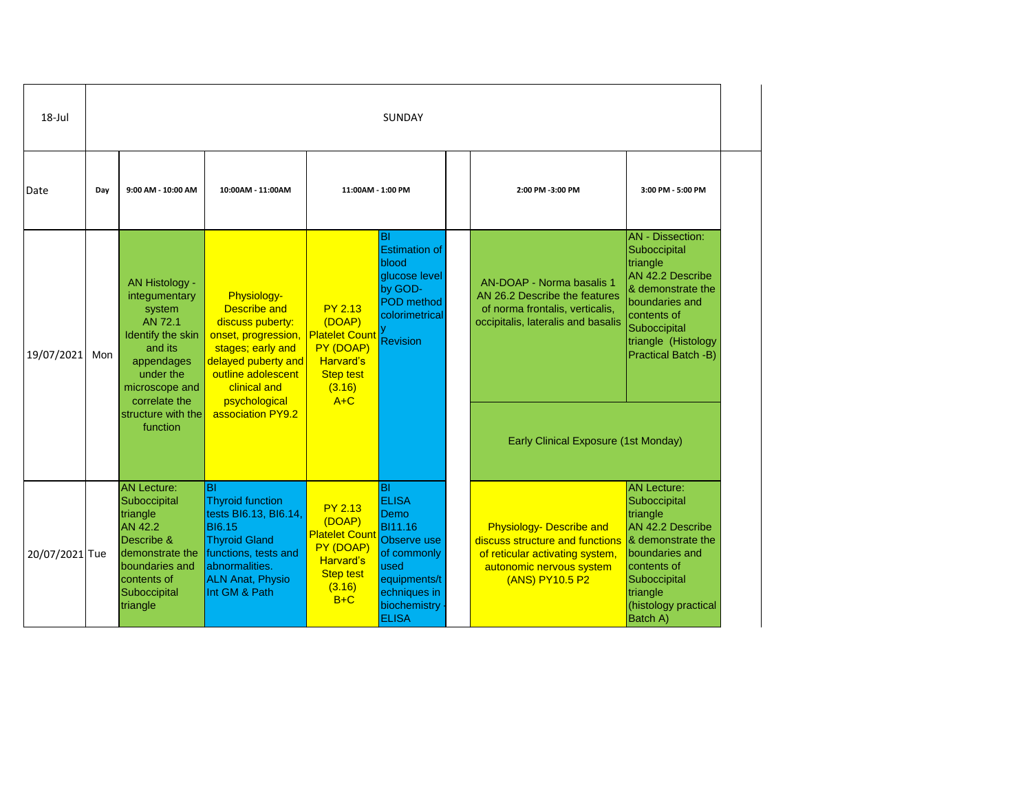| $18 -$ Jul     |     | SUNDAY                                                                                                                                                                               |                                                                                                                                                                                                       |                                                                                                                           |                                                                                                                                                    |  |                                                                                                                                                                             |                                                                                                                                                                                                    |  |  |  |  |  |  |                  |                   |
|----------------|-----|--------------------------------------------------------------------------------------------------------------------------------------------------------------------------------------|-------------------------------------------------------------------------------------------------------------------------------------------------------------------------------------------------------|---------------------------------------------------------------------------------------------------------------------------|----------------------------------------------------------------------------------------------------------------------------------------------------|--|-----------------------------------------------------------------------------------------------------------------------------------------------------------------------------|----------------------------------------------------------------------------------------------------------------------------------------------------------------------------------------------------|--|--|--|--|--|--|------------------|-------------------|
| Date           | Day | 9:00 AM - 10:00 AM                                                                                                                                                                   | 10:00AM - 11:00AM                                                                                                                                                                                     | 11:00AM - 1:00 PM                                                                                                         |                                                                                                                                                    |  |                                                                                                                                                                             |                                                                                                                                                                                                    |  |  |  |  |  |  | 2:00 PM -3:00 PM | 3:00 PM - 5:00 PM |
| 19/07/2021     | Mon | AN Histology -<br>integumentary<br>system<br>AN 72.1<br>Identify the skin<br>and its<br>appendages<br>under the<br>microscope and<br>correlate the<br>structure with the<br>function | Physiology-<br><b>Describe and</b><br>discuss puberty:<br>onset, progression,<br>stages; early and<br>delayed puberty and<br>outline adolescent<br>clinical and<br>psychological<br>association PY9.2 | <b>PY 2.13</b><br>(DOAP)<br><b>Platelet Count</b><br>PY (DOAP)<br><b>Harvard's</b><br><b>Step test</b><br>(3.16)<br>$A+C$ | BI<br><b>Estimation of</b><br>blood<br>glucose level<br>by GOD-<br>POD method<br>colorimetrical<br><b>Revision</b>                                 |  | AN-DOAP - Norma basalis 1<br>AN 26.2 Describe the features<br>of norma frontalis, verticalis,<br>occipitalis, lateralis and basalis<br>Early Clinical Exposure (1st Monday) | <b>AN</b> - Dissection:<br>Suboccipital<br>triangle<br>AN 42.2 Describe<br>& demonstrate the<br>boundaries and<br>contents of<br>Suboccipital<br>triangle (Histology<br><b>Practical Batch -B)</b> |  |  |  |  |  |  |                  |                   |
| 20/07/2021 Tue |     | <b>AN Lecture:</b><br>Suboccipital<br>triangle<br><b>AN 42.2</b><br>Describe &<br>demonstrate the<br>boundaries and<br>contents of<br>Suboccipital<br>triangle                       | BI<br><b>Thyroid function</b><br>tests BI6.13, BI6.14,<br><b>BI6.15</b><br><b>Thyroid Gland</b><br>functions, tests and<br>abnormalities.<br><b>ALN Anat, Physio</b><br>Int GM & Path                 | <b>PY 2.13</b><br>(DOAP)<br><b>Platelet Count</b><br>PY (DOAP)<br><b>Harvard's</b><br><b>Step test</b><br>(3.16)<br>$B+C$ | <b>BI</b><br><b>ELISA</b><br>Demo<br>BI11.16<br>Observe use<br>of commonly<br>used<br>equipments/t<br>echniques in<br>biochemistry<br><b>ELISA</b> |  | <b>Physiology- Describe and</b><br>discuss structure and functions<br>of reticular activating system,<br>autonomic nervous system<br>(ANS) PY10.5 P2                        | <b>AN Lecture:</b><br>Suboccipital<br>triangle<br>AN 42.2 Describe<br>& demonstrate the<br>boundaries and<br>contents of<br>Suboccipital<br>triangle<br>(histology practical<br>Batch A)           |  |  |  |  |  |  |                  |                   |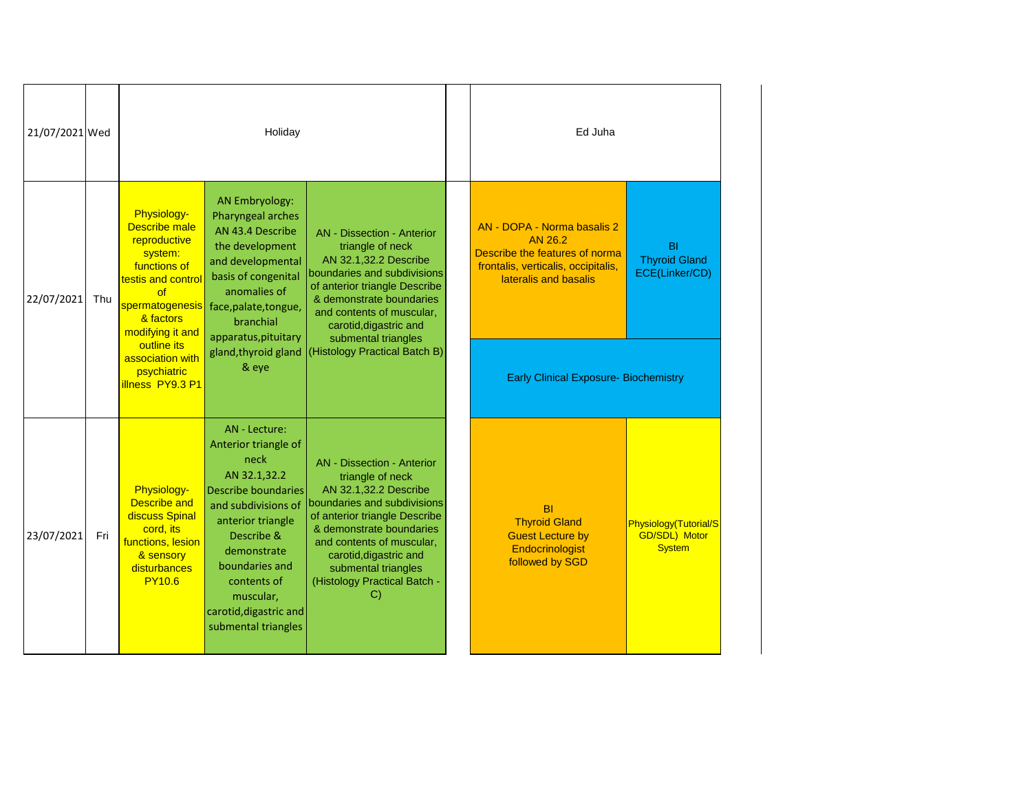| 21/07/2021 Wed |     |                                                                                                                                                                                                   | Holiday                                                                                                                                                                                                                                                                                                                                                                                                                                                                                                                          |                                                                                                                                                                                                                                                                                                           |  | Ed Juha                                                                                                                                  |                                                                |
|----------------|-----|---------------------------------------------------------------------------------------------------------------------------------------------------------------------------------------------------|----------------------------------------------------------------------------------------------------------------------------------------------------------------------------------------------------------------------------------------------------------------------------------------------------------------------------------------------------------------------------------------------------------------------------------------------------------------------------------------------------------------------------------|-----------------------------------------------------------------------------------------------------------------------------------------------------------------------------------------------------------------------------------------------------------------------------------------------------------|--|------------------------------------------------------------------------------------------------------------------------------------------|----------------------------------------------------------------|
| 22/07/2021     | Thu | Physiology-<br><b>Describe</b> male<br>reproductive<br>system:<br>functions of<br>testis and control<br>of<br>spermatogenesis<br>& factors<br>modifying it and<br>outline its<br>association with | <b>AN Embryology:</b><br>Pharyngeal arches<br>AN 43.4 Describe<br><b>AN</b> - Dissection - Anterior<br>the development<br>triangle of neck<br>AN 32.1,32.2 Describe<br>and developmental<br>boundaries and subdivisions<br>basis of congenital<br>of anterior triangle Describe<br>anomalies of<br>& demonstrate boundaries<br>face, palate, tongue,<br>and contents of muscular,<br>branchial<br>carotid, digastric and<br>apparatus, pituitary<br>submental triangles<br>(Histology Practical Batch B)<br>gland, thyroid gland |                                                                                                                                                                                                                                                                                                           |  | AN - DOPA - Norma basalis 2<br>AN 26.2<br>Describe the features of norma<br>frontalis, verticalis, occipitalis,<br>lateralis and basalis | BI<br><b>Thyroid Gland</b><br>ECE(Linker/CD)                   |
|                |     | psychiatric<br>illness PY9.3 P1                                                                                                                                                                   | & eye                                                                                                                                                                                                                                                                                                                                                                                                                                                                                                                            |                                                                                                                                                                                                                                                                                                           |  | <b>Early Clinical Exposure- Biochemistry</b>                                                                                             |                                                                |
| 23/07/2021     | Fri | Physiology-<br><b>Describe and</b><br>discuss Spinal<br>cord, its<br>functions, lesion<br>& sensory<br>disturbances<br><b>PY10.6</b>                                                              | AN - Lecture:<br>Anterior triangle of<br>neck<br>AN 32.1,32.2<br><b>Describe boundaries</b><br>and subdivisions of<br>anterior triangle<br>Describe &<br>demonstrate<br>boundaries and<br>contents of<br>muscular,<br>carotid, digastric and<br>submental triangles                                                                                                                                                                                                                                                              | <b>AN</b> - Dissection - Anterior<br>triangle of neck<br>AN 32.1,32.2 Describe<br>boundaries and subdivisions<br>of anterior triangle Describe<br>& demonstrate boundaries<br>and contents of muscular,<br>carotid, digastric and<br>submental triangles<br>(Histology Practical Batch -<br>$\mathcal{C}$ |  | <b>BI</b><br><b>Thyroid Gland</b><br><b>Guest Lecture by</b><br>Endocrinologist<br>followed by SGD                                       | Physiology(Tutorial/S<br><b>GD/SDL) Motor</b><br><b>System</b> |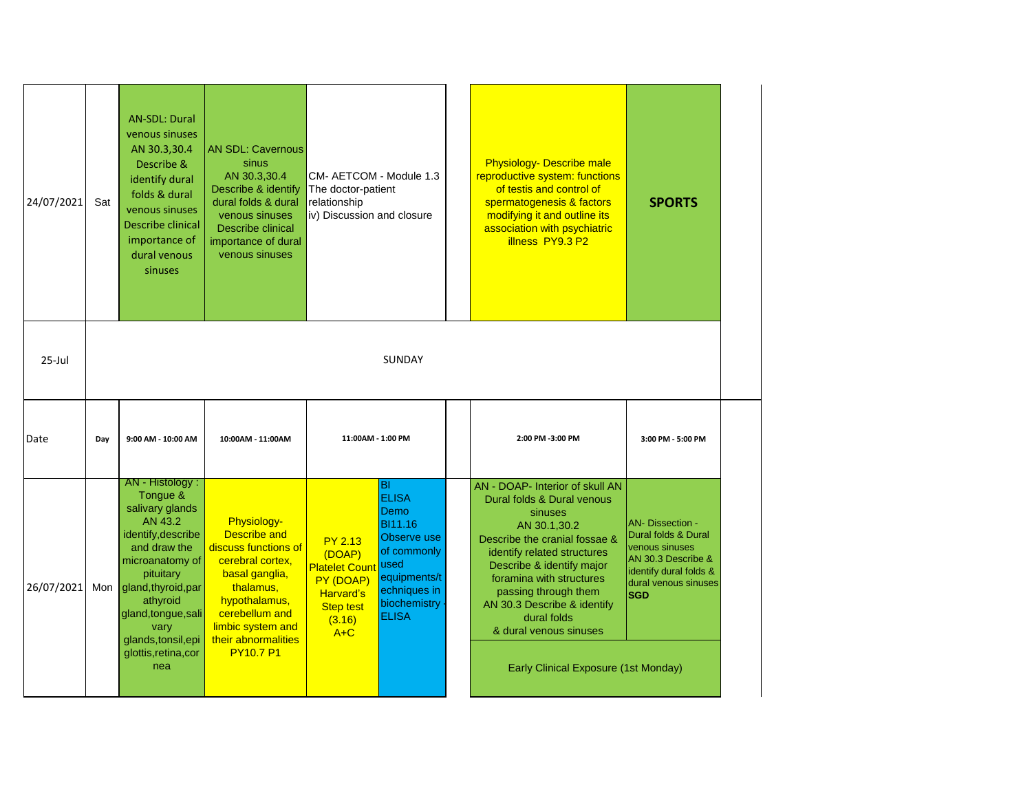| 24/07/2021  | Sat | <b>AN-SDL: Dural</b><br>venous sinuses<br>AN 30.3,30.4<br>Describe &<br>identify dural<br>folds & dural<br>venous sinuses<br>Describe clinical<br>importance of<br>dural venous<br>sinuses                                                              | <b>AN SDL: Cavernous</b><br>sinus<br>AN 30.3,30.4<br>Describe & identify<br>dural folds & dural<br>venous sinuses<br>Describe clinical<br>importance of dural<br>venous sinuses                                  | CM- AETCOM - Module 1.3<br>The doctor-patient<br>relationship<br>iv) Discussion and closure                               |                                                                                                                                                                   | <b>Physiology- Describe male</b><br>reproductive system: functions<br>of testis and control of<br>spermatogenesis & factors<br>modifying it and outline its<br>association with psychiatric<br>illness PY9.3 P2                                                                                                                                           | <b>SPORTS</b>                                                                                                                                          |
|-------------|-----|---------------------------------------------------------------------------------------------------------------------------------------------------------------------------------------------------------------------------------------------------------|------------------------------------------------------------------------------------------------------------------------------------------------------------------------------------------------------------------|---------------------------------------------------------------------------------------------------------------------------|-------------------------------------------------------------------------------------------------------------------------------------------------------------------|-----------------------------------------------------------------------------------------------------------------------------------------------------------------------------------------------------------------------------------------------------------------------------------------------------------------------------------------------------------|--------------------------------------------------------------------------------------------------------------------------------------------------------|
| $25 -$ Jul  |     |                                                                                                                                                                                                                                                         |                                                                                                                                                                                                                  |                                                                                                                           | SUNDAY                                                                                                                                                            |                                                                                                                                                                                                                                                                                                                                                           |                                                                                                                                                        |
| <b>Date</b> | Day | 9:00 AM - 10:00 AM                                                                                                                                                                                                                                      | 10:00AM - 11:00AM                                                                                                                                                                                                | 11:00AM - 1:00 PM                                                                                                         |                                                                                                                                                                   | 2:00 PM -3:00 PM                                                                                                                                                                                                                                                                                                                                          | 3:00 PM - 5:00 PM                                                                                                                                      |
| 26/07/2021  | Mon | AN - Histology:<br>Tongue &<br>salivary glands<br>AN 43.2<br>identify, describe<br>and draw the<br>microanatomy of<br>pituitary<br>gland, thyroid, par<br>athyroid<br>gland, tongue, sali<br>vary<br>glands, tonsil, epi<br>glottis, retina, cor<br>nea | Physiology-<br><b>Describe and</b><br>discuss functions of<br>cerebral cortex,<br>basal ganglia,<br>thalamus,<br>hypothalamus,<br>cerebellum and<br>limbic system and<br>their abnormalities<br><b>PY10.7 P1</b> | <b>PY 2.13</b><br>(DOAP)<br><b>Platelet Count</b><br>PY (DOAP)<br><b>Harvard's</b><br><b>Step test</b><br>(3.16)<br>$A+C$ | <b>BI</b><br><b>ELISA</b><br>Demo<br><b>BI11.16</b><br><b>Observe</b> use<br>of commonly<br>lused<br>equipments/t<br>echniques in<br>biochemistry<br><b>ELISA</b> | AN - DOAP- Interior of skull AN<br>Dural folds & Dural venous<br>sinuses<br>AN 30.1,30.2<br>Describe the cranial fossae &<br>identify related structures<br>Describe & identify major<br>foramina with structures<br>passing through them<br>AN 30.3 Describe & identify<br>dural folds<br>& dural venous sinuses<br>Early Clinical Exposure (1st Monday) | <b>AN- Dissection -</b><br>Dural folds & Dural<br>venous sinuses<br>AN 30.3 Describe &<br>identify dural folds &<br>dural venous sinuses<br><b>SGD</b> |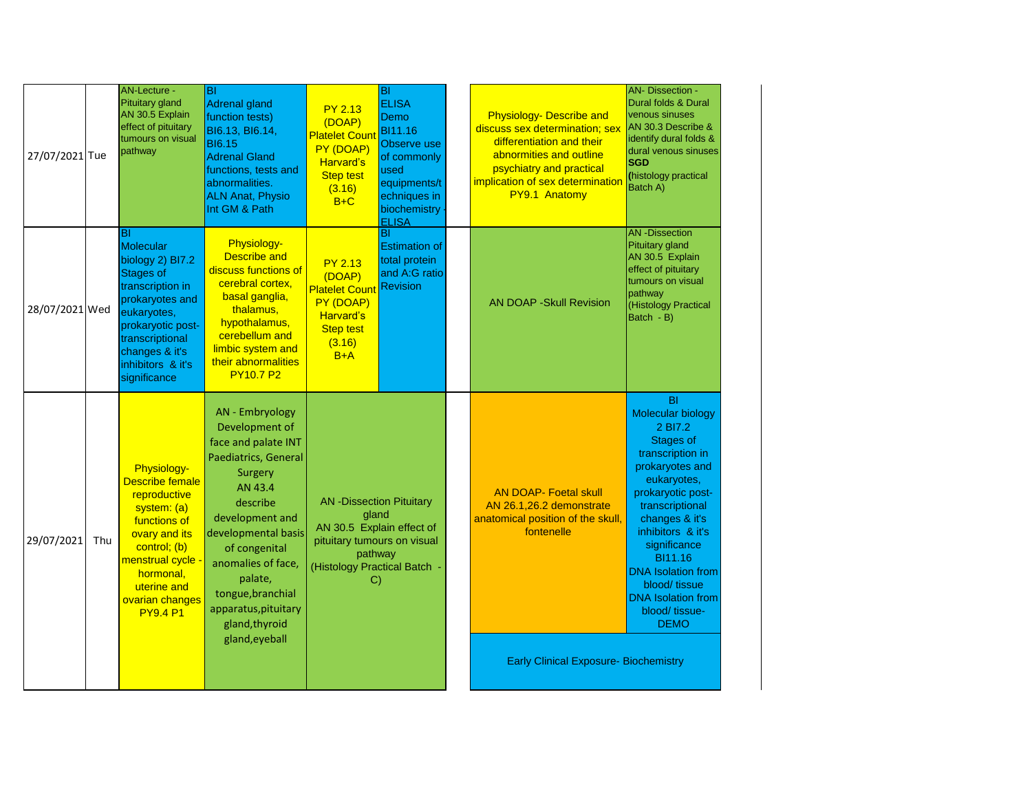| 27/07/2021 Tue |     | AN-Lecture -<br>Pituitary gland<br>AN 30.5 Explain<br>effect of pituitary<br>tumours on visual<br>pathway                                                                                                     | lвı<br>Adrenal gland<br>function tests)<br>BI6.13, BI6.14,<br><b>BI6.15</b><br><b>Adrenal Gland</b><br>functions, tests and<br>abnormalities.<br><b>ALN Anat, Physio</b><br>Int GM & Path                                                                                                       | <b>PY 2.13</b><br>(DOAP)<br><b>Platelet Cour</b><br>PY (DOAP)<br><b>Harvard's</b><br><b>Step test</b><br>(3.16)<br>$B+C$                             | <b>BI</b><br><b>ELISA</b><br>Demo<br>BI11.16<br>Observe use<br>of commonly<br>used<br>equipments/t<br>echniques in<br>biochemistry<br><b>ELISA</b> | <b>Physiology- Describe and</b><br>discuss sex determination; sex<br>differentiation and their<br>abnormities and outline<br>psychiatry and practical<br>implication of sex determination<br>PY9.1 Anatomy | <b>AN- Dissection -</b><br>Dural folds & Dural<br>venous sinuses<br>AN 30.3 Describe &<br>identify dural folds &<br>dural venous sinuses<br><b>SGD</b><br>(histology practical<br>Batch A)                                                                                                                                                       |
|----------------|-----|---------------------------------------------------------------------------------------------------------------------------------------------------------------------------------------------------------------|-------------------------------------------------------------------------------------------------------------------------------------------------------------------------------------------------------------------------------------------------------------------------------------------------|------------------------------------------------------------------------------------------------------------------------------------------------------|----------------------------------------------------------------------------------------------------------------------------------------------------|------------------------------------------------------------------------------------------------------------------------------------------------------------------------------------------------------------|--------------------------------------------------------------------------------------------------------------------------------------------------------------------------------------------------------------------------------------------------------------------------------------------------------------------------------------------------|
| 28/07/2021 Wed |     | lBI<br>Molecular<br>biology 2) BI7.2<br><b>Stages of</b><br>transcription in<br>prokaryotes and<br>eukaryotes,<br>prokaryotic post-<br>transcriptional<br>changes & it's<br>inhibitors & it's<br>significance | <b>Physiology-</b><br><b>Describe and</b><br>discuss functions of<br>cerebral cortex,<br>basal ganglia,<br>thalamus,<br>hypothalamus,<br>cerebellum and<br>limbic system and<br>their abnormalities<br><b>PY10.7 P2</b>                                                                         | <b>PY 2.13</b><br>(DOAP)<br><b>Platelet Cour</b><br>PY (DOAP)<br><b>Harvard's</b><br><b>Step test</b><br>(3.16)<br>$B+A$                             | BI<br><b>Estimation of</b><br>total protein<br>and A:G ratio<br><b>Revision</b>                                                                    | <b>AN DOAP - Skull Revision</b>                                                                                                                                                                            | <b>AN-Dissection</b><br>Pituitary gland<br>AN 30.5 Explain<br>effect of pituitary<br>tumours on visual<br>pathway<br>(Histology Practical<br>Batch - B)                                                                                                                                                                                          |
| 29/07/2021     | Thu | Physiology-<br><b>Describe female</b><br>reproductive<br>system: (a)<br>functions of<br>ovary and its<br>control; (b)<br>menstrual cycle -<br>hormonal,<br>uterine and<br>ovarian changes<br><b>PY9.4 P1</b>  | AN - Embryology<br>Development of<br>face and palate INT<br>Paediatrics, General<br>Surgery<br>AN 43.4<br>describe<br>development and<br>developmental basis<br>of congenital<br>anomalies of face,<br>palate,<br>tongue, branchial<br>apparatus, pituitary<br>gland, thyroid<br>gland, eyeball | <b>AN-Dissection Pituitary</b><br>gland<br>AN 30.5 Explain effect of<br>pituitary tumours on visual<br>pathway<br>(Histology Practical Batch -<br>C) |                                                                                                                                                    | <b>AN DOAP- Foetal skull</b><br>AN 26.1,26.2 demonstrate<br>anatomical position of the skull,<br>fontenelle<br><b>Early Clinical Exposure- Biochemistry</b>                                                | <b>BI</b><br><b>Molecular biology</b><br>2 BI7.2<br><b>Stages of</b><br>transcription in<br>prokaryotes and<br>eukaryotes,<br>prokaryotic post-<br>transcriptional<br>changes & it's<br>inhibitors & it's<br>significance<br>BI11.16<br><b>DNA</b> Isolation from<br>blood/ tissue<br><b>DNA</b> Isolation from<br>blood/ tissue-<br><b>DEMO</b> |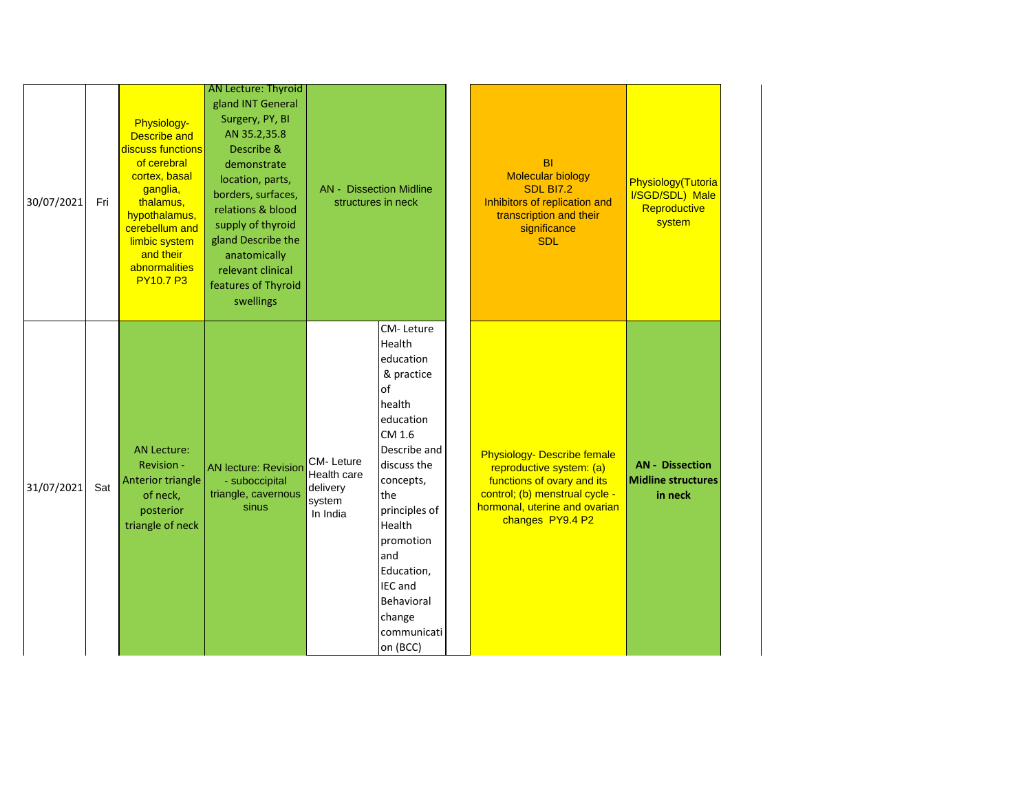|            |     |                                                                                                                                                                                                                        | <b>AN Lecture: Thyroid</b>                                                                                                                                                                                                                                           |                                                                   |                                                                                                                                                                                                                                                                             |                                                                                                                                                                                     |                                                                 |
|------------|-----|------------------------------------------------------------------------------------------------------------------------------------------------------------------------------------------------------------------------|----------------------------------------------------------------------------------------------------------------------------------------------------------------------------------------------------------------------------------------------------------------------|-------------------------------------------------------------------|-----------------------------------------------------------------------------------------------------------------------------------------------------------------------------------------------------------------------------------------------------------------------------|-------------------------------------------------------------------------------------------------------------------------------------------------------------------------------------|-----------------------------------------------------------------|
| 30/07/2021 | Fri | Physiology-<br><b>Describe and</b><br>discuss functions<br>of cerebral<br>cortex, basal<br>ganglia,<br>thalamus,<br>hypothalamus,<br>cerebellum and<br>limbic system<br>and their<br>abnormalities<br><b>PY10.7 P3</b> | gland INT General<br>Surgery, PY, BI<br>AN 35.2,35.8<br>Describe &<br>demonstrate<br>location, parts,<br>borders, surfaces,<br>relations & blood<br>supply of thyroid<br>gland Describe the<br>anatomically<br>relevant clinical<br>features of Thyroid<br>swellings |                                                                   | <b>AN - Dissection Midline</b><br>structures in neck                                                                                                                                                                                                                        | <b>BI</b><br><b>Molecular biology</b><br><b>SDL BI7.2</b><br>Inhibitors of replication and<br>transcription and their<br>significance<br><b>SDL</b>                                 | Physiology(Tutoria<br>I/SGD/SDL) Male<br>Reproductive<br>system |
| 31/07/2021 | Sat | <b>AN Lecture:</b><br>Revision -<br>Anterior triangle<br>of neck,<br>posterior<br>triangle of neck                                                                                                                     | <b>AN lecture: Revision</b><br>- suboccipital<br>triangle, cavernous<br>sinus                                                                                                                                                                                        | <b>CM-Leture</b><br>Health care<br>delivery<br>system<br>In India | CM-Leture<br>Health<br>education<br>& practice<br>of<br>health<br>education<br>CM 1.6<br>Describe and<br>discuss the<br>concepts,<br>the<br>principles of<br>Health<br>promotion<br>land<br>Education,<br><b>IEC</b> and<br>Behavioral<br>change<br>communicati<br>on (BCC) | <b>Physiology- Describe female</b><br>reproductive system: (a)<br>functions of ovary and its<br>control; (b) menstrual cycle -<br>hormonal, uterine and ovarian<br>changes PY9.4 P2 | <b>AN - Dissection</b><br><b>Midline structures</b><br>in neck  |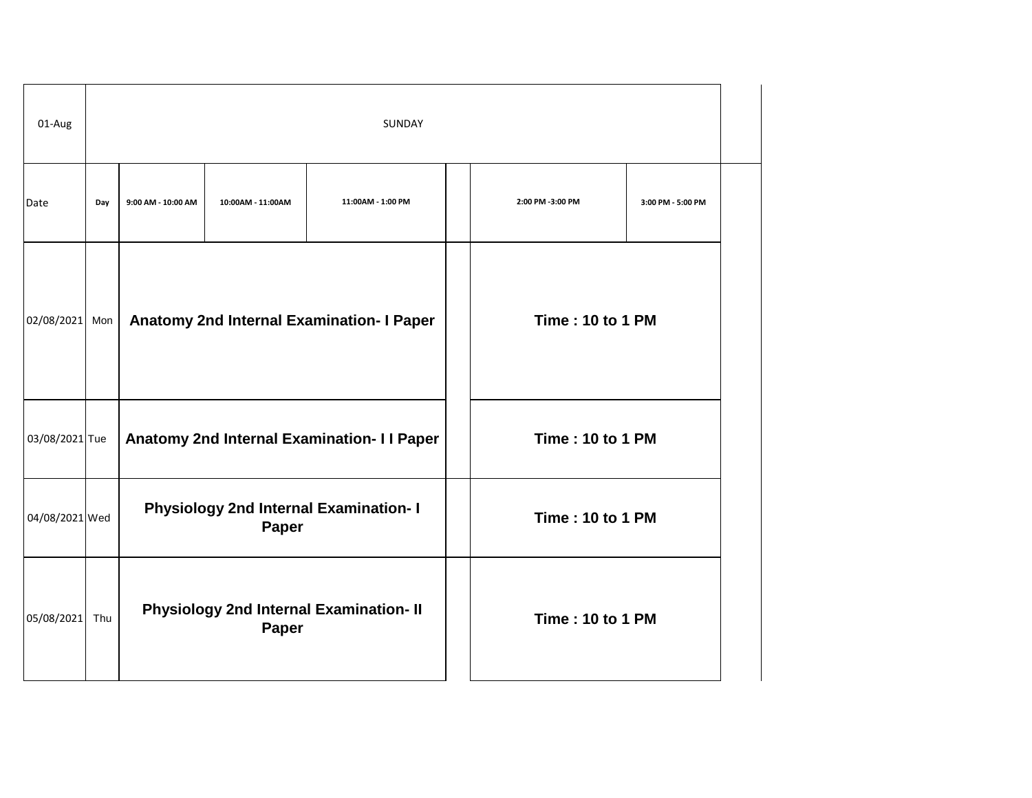| 01-Aug         | SUNDAY |                                                               |                   |                                                |  |                         |                   |  |  |
|----------------|--------|---------------------------------------------------------------|-------------------|------------------------------------------------|--|-------------------------|-------------------|--|--|
| Date           | Day    | 9:00 AM - 10:00 AM                                            | 10:00AM - 11:00AM | 11:00AM - 1:00 PM                              |  | 2:00 PM -3:00 PM        | 3:00 PM - 5:00 PM |  |  |
| 02/08/2021     | Mon    |                                                               |                   | Anatomy 2nd Internal Examination- I Paper      |  | <b>Time: 10 to 1 PM</b> |                   |  |  |
| 03/08/2021 Tue |        |                                                               |                   | Anatomy 2nd Internal Examination- I I Paper    |  | <b>Time: 10 to 1 PM</b> |                   |  |  |
| 04/08/2021 Wed |        | <b>Physiology 2nd Internal Examination- I</b><br><b>Paper</b> |                   |                                                |  | <b>Time: 10 to 1 PM</b> |                   |  |  |
| 05/08/2021     | Thu    |                                                               | Paper             | <b>Physiology 2nd Internal Examination- II</b> |  | <b>Time: 10 to 1 PM</b> |                   |  |  |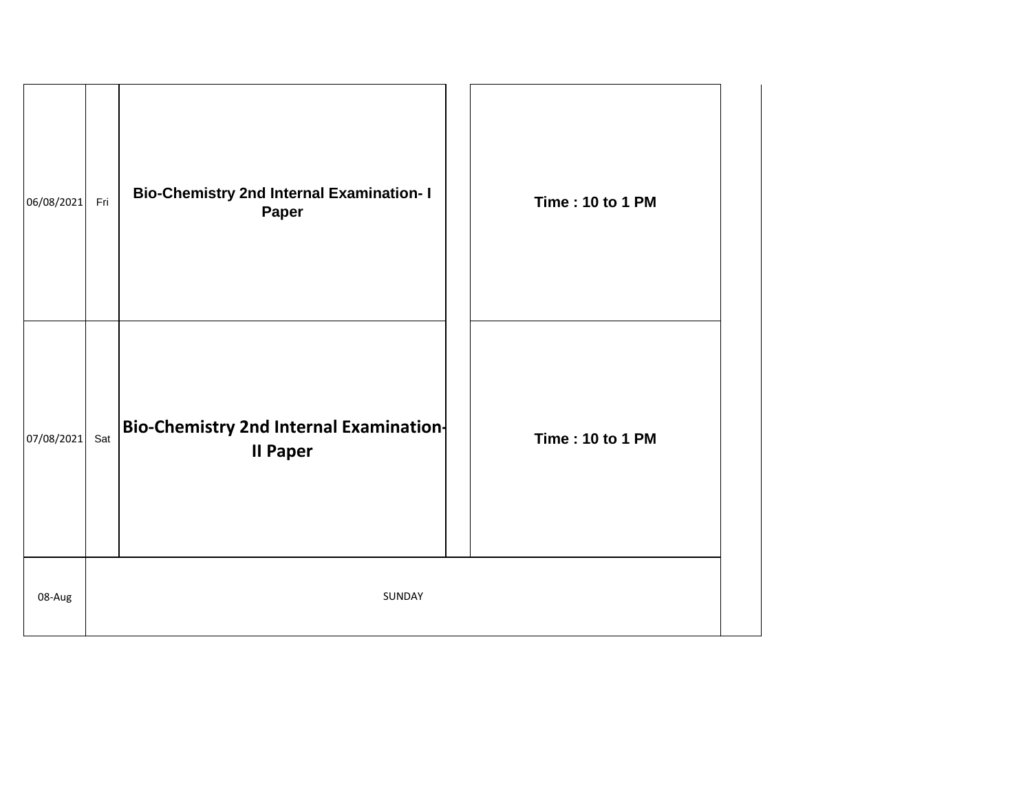| 06/08/2021 | Fri | <b>Bio-Chemistry 2nd Internal Examination- I</b><br>Paper         | <b>Time: 10 to 1 PM</b> |
|------------|-----|-------------------------------------------------------------------|-------------------------|
| 07/08/2021 | Sat | <b>Bio-Chemistry 2nd Internal Examination-</b><br><b>II Paper</b> | <b>Time: 10 to 1 PM</b> |
| 08-Aug     |     | SUNDAY                                                            |                         |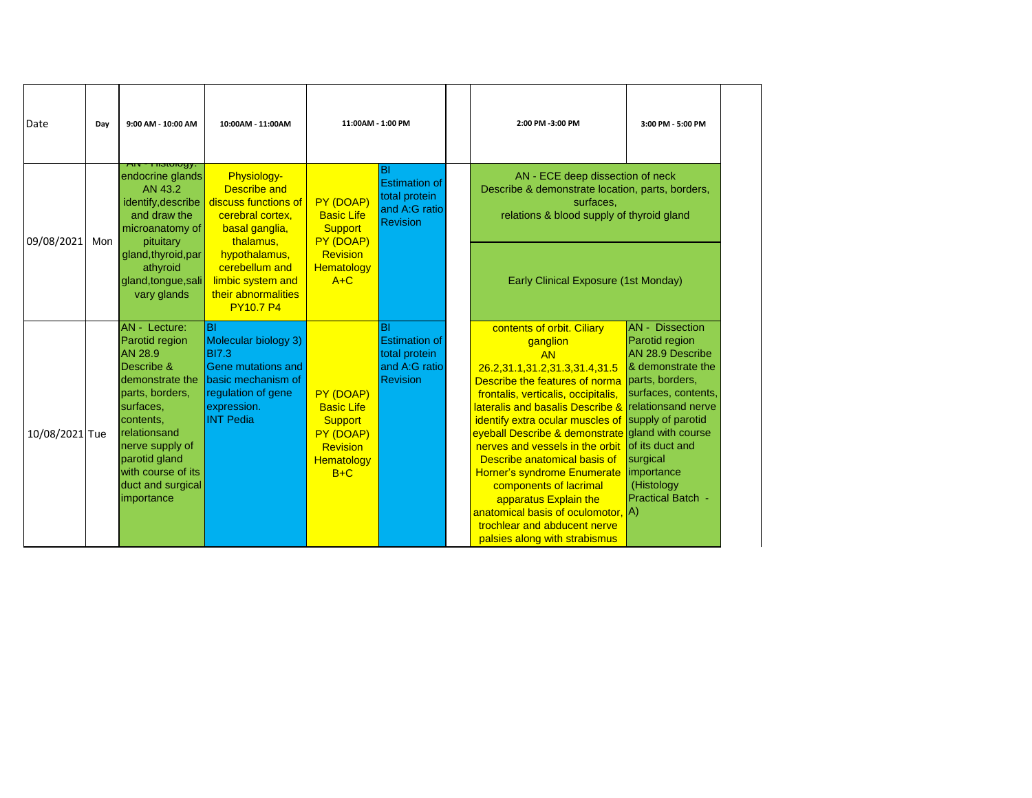| Date           | Day | 9:00 AM - 10:00 AM                                                                                                                                                                                                                                  | 10:00AM - 11:00AM                                                                                                                                      | 11:00AM - 1:00 PM                                                                                       |                                                                                        | 2:00 PM -3:00 PM                                                                                                                                                                                                                                                                                                                                                                                                                                                                                                                                   | 3:00 PM - 5:00 PM                                                                                                                                                                                                                                                   |
|----------------|-----|-----------------------------------------------------------------------------------------------------------------------------------------------------------------------------------------------------------------------------------------------------|--------------------------------------------------------------------------------------------------------------------------------------------------------|---------------------------------------------------------------------------------------------------------|----------------------------------------------------------------------------------------|----------------------------------------------------------------------------------------------------------------------------------------------------------------------------------------------------------------------------------------------------------------------------------------------------------------------------------------------------------------------------------------------------------------------------------------------------------------------------------------------------------------------------------------------------|---------------------------------------------------------------------------------------------------------------------------------------------------------------------------------------------------------------------------------------------------------------------|
| 09/08/2021     | Mon | ⊤ποιοιογγ.<br>endocrine glands<br>AN 43.2<br>identify, describe<br>and draw the<br>microanatomy of<br>pituitary                                                                                                                                     | Physiology-<br><b>Describe and</b><br>discuss functions of<br>cerebral cortex,<br>basal ganglia,<br>thalamus,                                          | PY (DOAP)<br><b>Basic Life</b><br><b>Support</b><br>PY (DOAP)                                           | <b>BI</b><br><b>Estimation of</b><br>total protein<br>and A:G ratio<br><b>Revision</b> | AN - ECE deep dissection of neck<br>Describe & demonstrate location, parts, borders,<br>surfaces,<br>relations & blood supply of thyroid gland                                                                                                                                                                                                                                                                                                                                                                                                     |                                                                                                                                                                                                                                                                     |
|                |     | gland, thyroid, par<br>athyroid<br>gland, tongue, sali<br>vary glands                                                                                                                                                                               | hypothalamus,<br>cerebellum and<br>limbic system and<br>their abnormalities<br><b>PY10.7 P4</b>                                                        | Revision<br>Hematology<br>$A+C$                                                                         |                                                                                        | Early Clinical Exposure (1st Monday)                                                                                                                                                                                                                                                                                                                                                                                                                                                                                                               |                                                                                                                                                                                                                                                                     |
| 10/08/2021 Tue |     | <b>AN</b> - Lecture:<br>Parotid region<br><b>AN 28.9</b><br>Describe &<br>demonstrate the<br>parts, borders,<br>surfaces,<br>contents,<br>relationsand<br>nerve supply of<br>parotid gland<br>with course of its<br>duct and surgical<br>importance | <b>BI</b><br>Molecular biology 3)<br><b>BI7.3</b><br>Gene mutations and<br>basic mechanism of<br>regulation of gene<br>expression.<br><b>INT Pedia</b> | PY (DOAP)<br><b>Basic Life</b><br><b>Support</b><br>PY (DOAP)<br>Revision<br><b>Hematology</b><br>$B+C$ | <b>BI</b><br><b>Estimation of</b><br>total protein<br>and A:G ratio<br><b>Revision</b> | contents of orbit. Ciliary<br>ganglion<br><b>AN</b><br>26.2,31.1,31.2,31.3,31.4,31.5<br>Describe the features of norma<br>frontalis, verticalis, occipitalis,<br>lateralis and basalis Describe &<br>identify extra ocular muscles of<br>eyeball Describe & demonstrate gland with course<br>nerves and vessels in the orbit<br>Describe anatomical basis of<br>Horner's syndrome Enumerate<br>components of lacrimal<br>apparatus Explain the<br>anatomical basis of oculomotor,<br>trochlear and abducent nerve<br>palsies along with strabismus | <b>AN</b> - Dissection<br>Parotid region<br>AN 28.9 Describe<br>& demonstrate the<br>parts, borders,<br>surfaces, contents,<br>relationsand nerve<br>supply of parotid<br>of its duct and<br>surgical<br>importance<br>(Histology<br><b>Practical Batch -</b><br>A) |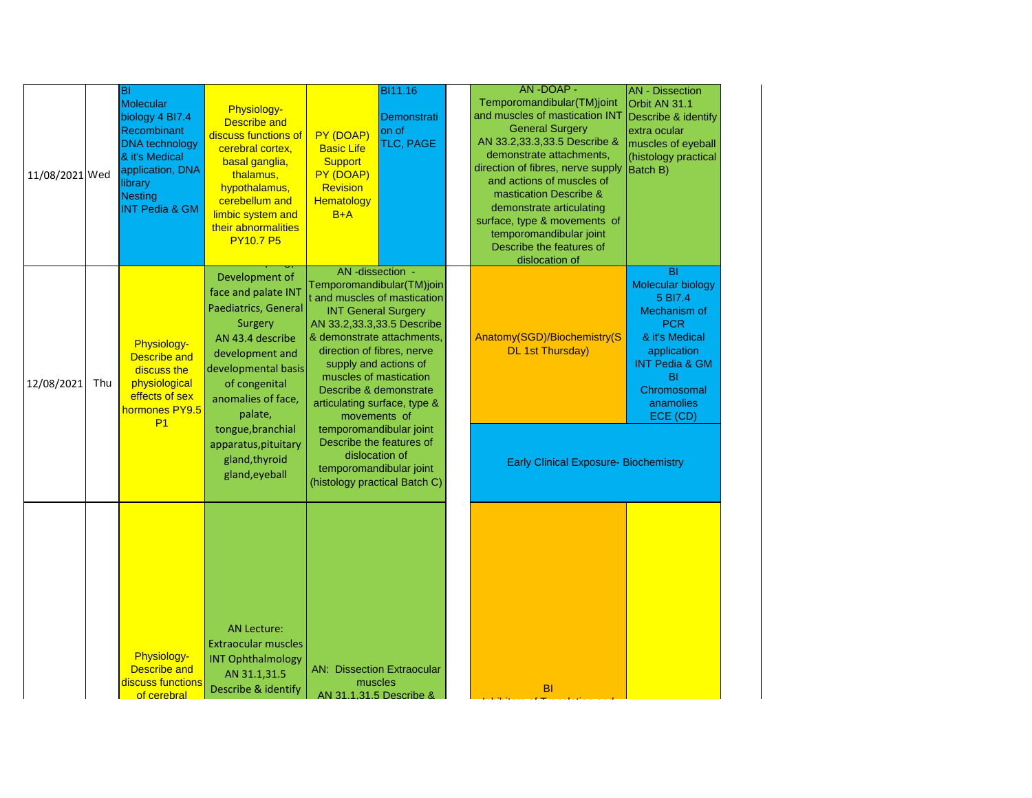| 11/08/2021 Wed |     | BI<br><b>Molecular</b><br>biology 4 BI7.4<br>Recombinant<br><b>DNA</b> technology<br>& it's Medical<br>application, DNA<br>library<br><b>Nesting</b><br><b>INT Pedia &amp; GM</b> | <b>Physiology-</b><br><b>Describe and</b><br>discuss functions of<br>cerebral cortex,<br>basal ganglia,<br>thalamus,<br>hypothalamus,<br>cerebellum and<br>limbic system and<br>their abnormalities<br><b>PY10.7 P5</b>                                                   | PY (DOAP)<br><b>Basic Life</b><br><b>Support</b><br>PY (DOAP)<br>Revision<br>Hematology<br>$B+A$                                                                                                                                                                                                                             | <b>BI11.16</b><br>Demonstrati<br>on of<br>TLC, PAGE                                                   | AN-DOAP-<br>Temporomandibular(TM)joint<br>and muscles of mastication INT<br><b>General Surgery</b><br>AN 33.2,33.3,33.5 Describe &<br>demonstrate attachments,<br>direction of fibres, nerve supply<br>and actions of muscles of<br>mastication Describe &<br>demonstrate articulating<br>surface, type & movements of<br>temporomandibular joint<br>Describe the features of<br>dislocation of | <b>AN</b> - Dissection<br>Orbit AN 31.1<br>Describe & identify<br>extra ocular<br>muscles of eyeball<br>(histology practical<br><b>Batch B)</b>                                                        |
|----------------|-----|-----------------------------------------------------------------------------------------------------------------------------------------------------------------------------------|---------------------------------------------------------------------------------------------------------------------------------------------------------------------------------------------------------------------------------------------------------------------------|------------------------------------------------------------------------------------------------------------------------------------------------------------------------------------------------------------------------------------------------------------------------------------------------------------------------------|-------------------------------------------------------------------------------------------------------|-------------------------------------------------------------------------------------------------------------------------------------------------------------------------------------------------------------------------------------------------------------------------------------------------------------------------------------------------------------------------------------------------|--------------------------------------------------------------------------------------------------------------------------------------------------------------------------------------------------------|
| 12/08/2021     | Thu | Physiology-<br><b>Describe and</b><br>discuss the<br>physiological<br>effects of sex<br>hormones PY9.5<br>P <sub>1</sub>                                                          | Development of<br>face and palate INT<br>Paediatrics, General<br>Surgery<br>AN 43.4 describe<br>development and<br>developmental basis<br>of congenital<br>anomalies of face,<br>palate,<br>tongue, branchial<br>apparatus, pituitary<br>gland, thyroid<br>gland, eyeball | AN-dissection -<br><b>INT General Surgery</b><br>AN 33.2,33.3,33.5 Describe<br>& demonstrate attachments,<br>direction of fibres, nerve<br>supply and actions of<br>muscles of mastication<br>articulating surface, type &<br>movements of<br>temporomandibular joint<br>Describe the features of<br>temporomandibular joint | Temporomandibular(TM)join<br>t and muscles of mastication<br>Describe & demonstrate<br>dislocation of | Anatomy(SGD)/Biochemistry(S<br><b>DL 1st Thursday)</b><br><b>Early Clinical Exposure- Biochemistry</b>                                                                                                                                                                                                                                                                                          | <b>BI</b><br><b>Molecular biology</b><br>5 BI7.4<br>Mechanism of<br><b>PCR</b><br>& it's Medical<br>application<br><b>INT Pedia &amp; GM</b><br>B <sub>l</sub><br>Chromosomal<br>anamolies<br>ECE (CD) |
|                |     | Physiology-<br><b>Describe and</b><br>discuss functions<br>of cerebral                                                                                                            | <b>AN Lecture:</b><br><b>Extraocular muscles</b><br><b>INT Ophthalmology</b><br>AN 31.1,31.5<br>Describe & identify                                                                                                                                                       | <b>AN: Dissection Extraocular</b><br>muscles                                                                                                                                                                                                                                                                                 | (histology practical Batch C)<br>AN 31.1.31.5 Describe &                                              | <b>BI</b>                                                                                                                                                                                                                                                                                                                                                                                       |                                                                                                                                                                                                        |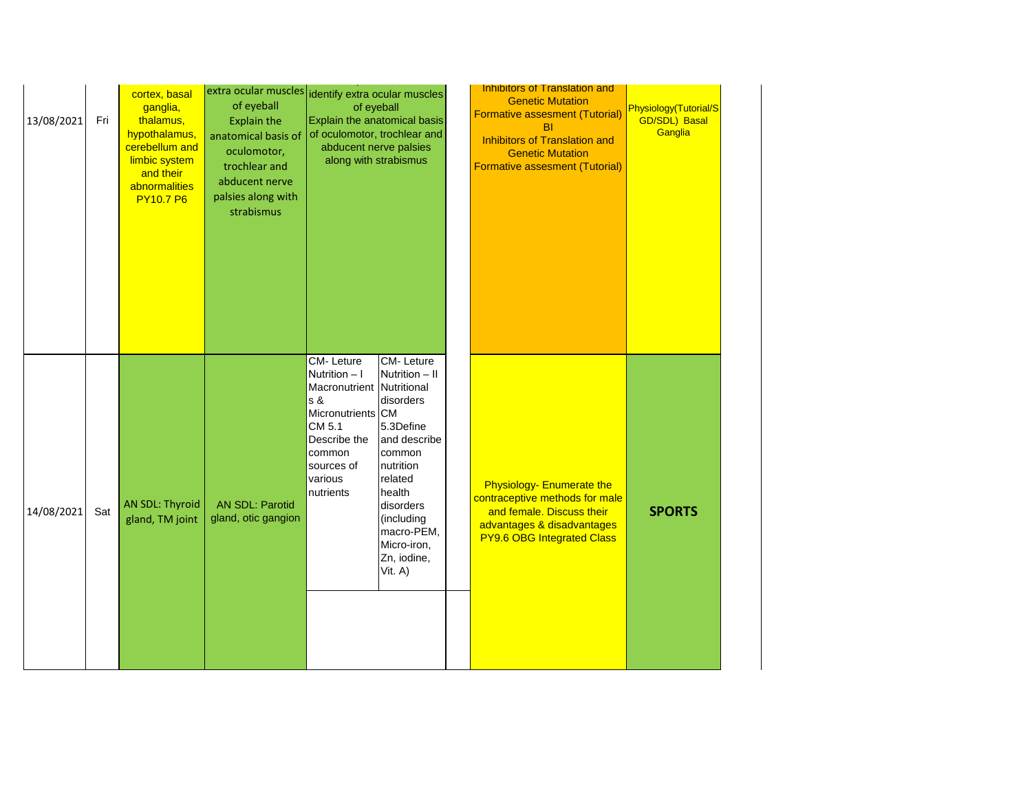| 13/08/2021 | Fri | cortex, basal<br>ganglia,<br>thalamus,<br>hypothalamus,<br>cerebellum and<br>limbic system<br>and their<br>abnormalities<br><b>PY10.7 P6</b> | extra ocular muscles dentify extra ocular muscles<br>of eyeball<br><b>Explain the</b><br>anatomical basis of<br>oculomotor,<br>trochlear and<br>abducent nerve<br>palsies along with<br>strabismus | of eyeball<br>Explain the anatomical basis<br>of oculomotor, trochlear and<br>abducent nerve palsies<br>along with strabismus                                 |                                                                                                                                                                                                        | Inhibitors of Translation and<br><b>Genetic Mutation</b><br><b>Formative assesment (Tutorial)</b><br><b>BI</b><br><b>Inhibitors of Translation and</b><br><b>Genetic Mutation</b><br><b>Formative assesment (Tutorial)</b> | Physiology(Tutorial/S<br><b>GD/SDL) Basal</b><br>Ganglia |
|------------|-----|----------------------------------------------------------------------------------------------------------------------------------------------|----------------------------------------------------------------------------------------------------------------------------------------------------------------------------------------------------|---------------------------------------------------------------------------------------------------------------------------------------------------------------|--------------------------------------------------------------------------------------------------------------------------------------------------------------------------------------------------------|----------------------------------------------------------------------------------------------------------------------------------------------------------------------------------------------------------------------------|----------------------------------------------------------|
| 14/08/2021 | Sat | AN SDL: Thyroid<br>gland, TM joint                                                                                                           | <b>AN SDL: Parotid</b><br>gland, otic gangion                                                                                                                                                      | CM-Leture<br>Nutrition - I<br>Macronutrient Nutritional<br>s &<br>Micronutrients CM<br>CM 5.1<br>Describe the<br>common<br>sources of<br>various<br>nutrients | CM-Leture<br>Nutrition - II<br>disorders<br>5.3Define<br>and describe<br>common<br>nutrition<br>related<br>health<br>disorders<br>(including<br>macro-PEM,<br>Micro-iron,<br>Zn, iodine,<br>Vit. $A$ ) | <b>Physiology- Enumerate the</b><br>contraceptive methods for male<br>and female. Discuss their<br>advantages & disadvantages<br><b>PY9.6 OBG Integrated Class</b>                                                         | <b>SPORTS</b>                                            |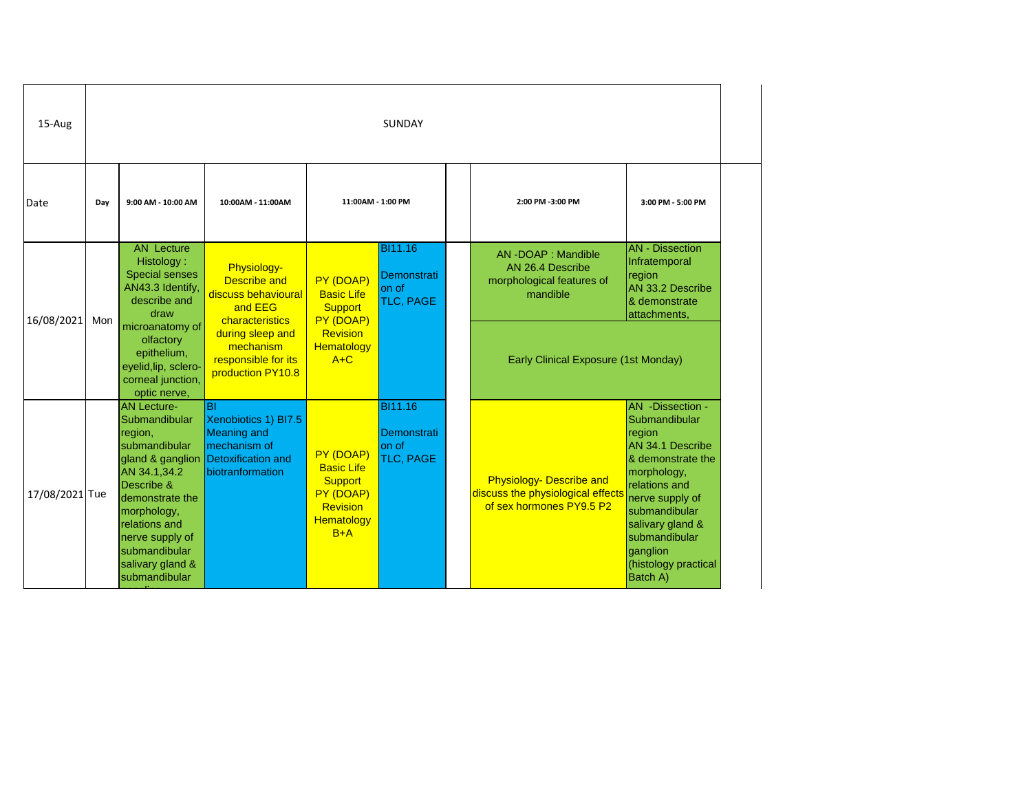| 15-Aug         | <b>SUNDAY</b> |                                                                                                                                                                                                                                               |                                                                                                                                                                        |                                                                                                         |                                                     |  |                                                                                           |                                                                                                                                                                                                                                               |  |  |  |
|----------------|---------------|-----------------------------------------------------------------------------------------------------------------------------------------------------------------------------------------------------------------------------------------------|------------------------------------------------------------------------------------------------------------------------------------------------------------------------|---------------------------------------------------------------------------------------------------------|-----------------------------------------------------|--|-------------------------------------------------------------------------------------------|-----------------------------------------------------------------------------------------------------------------------------------------------------------------------------------------------------------------------------------------------|--|--|--|
| Date           | Day           | 9:00 AM - 10:00 AM                                                                                                                                                                                                                            | 10:00AM - 11:00AM                                                                                                                                                      | 11:00AM - 1:00 PM                                                                                       |                                                     |  | 2:00 PM -3:00 PM                                                                          | 3:00 PM - 5:00 PM                                                                                                                                                                                                                             |  |  |  |
| 16/08/2021     | Mon           | <b>AN Lecture</b><br>Histology:<br><b>Special senses</b><br>AN43.3 Identify,<br>describe and<br>draw                                                                                                                                          | Physiology-<br><b>Describe and</b><br>discuss behavioural<br>and EEG                                                                                                   | PY (DOAP)<br><b>Basic Life</b><br><b>Support</b>                                                        | BI11.16<br>Demonstrati<br>on of<br>TLC, PAGE        |  | AN-DOAP: Mandible<br>AN 26.4 Describe<br>morphological features of<br>mandible            | <b>AN</b> - Dissection<br>Infratemporal<br>region<br>AN 33.2 Describe<br>& demonstrate<br>attachments,                                                                                                                                        |  |  |  |
|                |               | olfactory<br>epithelium,<br>eyelid, lip, sclero-<br>corneal junction,<br>optic nerve,                                                                                                                                                         | characteristics<br>PY (DOAP)<br>microanatomy of<br>during sleep and<br>Revision<br>mechanism<br><b>Hematology</b><br>responsible for its<br>$A+C$<br>production PY10.8 |                                                                                                         |                                                     |  | <b>Early Clinical Exposure (1st Monday)</b>                                               |                                                                                                                                                                                                                                               |  |  |  |
| 17/08/2021 Tue |               | <b>AN Lecture-</b><br>Submandibular<br>region,<br>submandibular<br>gland & ganglion<br>AN 34.1,34.2<br>Describe &<br>demonstrate the<br>morphology,<br>relations and<br>nerve supply of<br>submandibular<br>salivary gland &<br>submandibular | BI<br>Xenobiotics 1) BI7.5<br><b>Meaning and</b><br>mechanism of<br><b>Detoxification and</b><br>biotranformation                                                      | PY (DOAP)<br><b>Basic Life</b><br><b>Support</b><br>PY (DOAP)<br>Revision<br><b>Hematology</b><br>$B+A$ | <b>BI11.16</b><br>Demonstrati<br>on of<br>TLC, PAGE |  | Physiology- Describe and<br>discuss the physiological effects<br>of sex hormones PY9.5 P2 | AN -Dissection -<br>Submandibular<br>region<br>AN 34.1 Describe<br>& demonstrate the<br>morphology,<br>relations and<br>nerve supply of<br>submandibular<br>salivary gland &<br>submandibular<br>ganglion<br>(histology practical<br>Batch A) |  |  |  |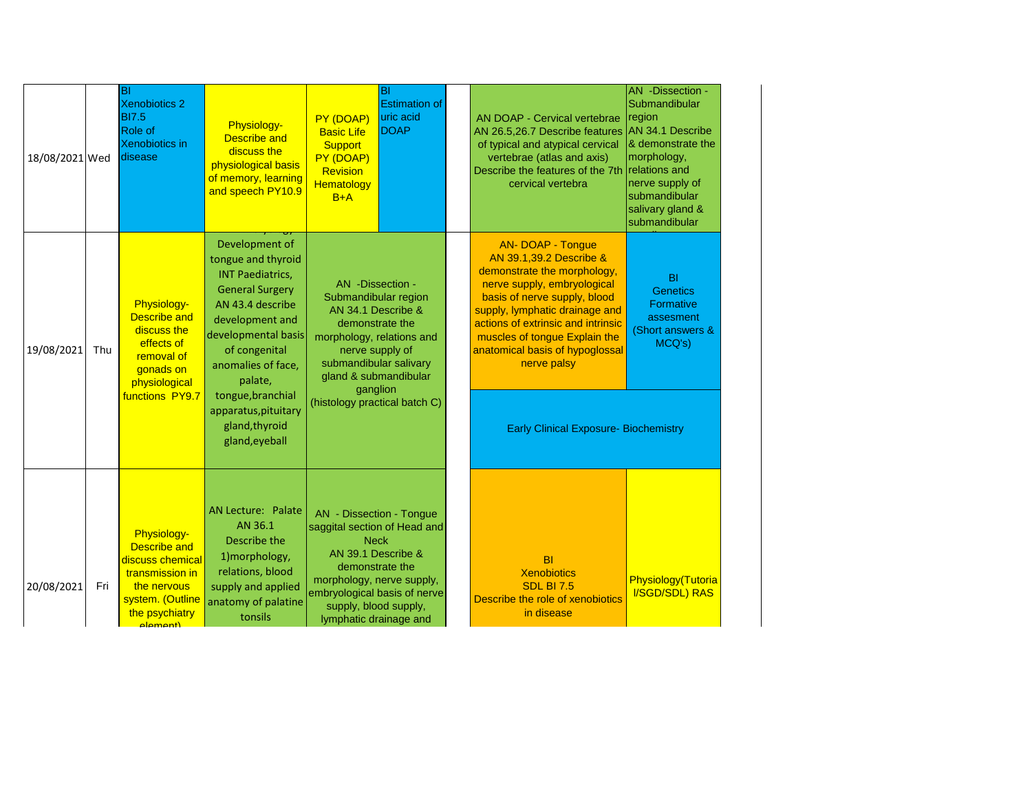| 18/08/2021 Wed |     | lвı<br><b>Xenobiotics 2</b><br><b>BI7.5</b><br><b>Role of</b><br><b>Xenobiotics in</b><br>disease                                          | Physiology-<br><b>Describe and</b><br>discuss the<br>physiological basis<br>of memory, learning<br>and speech PY10.9                                                                                                           | PY (DOAP)<br><b>Basic Life</b><br><b>Support</b><br>PY (DOAP)<br>Revision<br>Hematology<br>$B+A$                                                                                                                                 | BI<br><b>Estimation of</b><br>uric acid<br><b>DOAP</b> | AN DOAP - Cervical vertebrae<br>AN 26.5,26.7 Describe features<br>of typical and atypical cervical<br>vertebrae (atlas and axis)<br>Describe the features of the 7th<br>cervical vertebra                                                                                                                    | AN -Dissection -<br>Submandibular<br>region<br>AN 34.1 Describe<br>& demonstrate the<br>morphology,<br>relations and<br>nerve supply of<br>submandibular<br>salivary gland &<br>submandibular |
|----------------|-----|--------------------------------------------------------------------------------------------------------------------------------------------|--------------------------------------------------------------------------------------------------------------------------------------------------------------------------------------------------------------------------------|----------------------------------------------------------------------------------------------------------------------------------------------------------------------------------------------------------------------------------|--------------------------------------------------------|--------------------------------------------------------------------------------------------------------------------------------------------------------------------------------------------------------------------------------------------------------------------------------------------------------------|-----------------------------------------------------------------------------------------------------------------------------------------------------------------------------------------------|
| 19/08/2021     | Thu | Physiology-<br><b>Describe and</b><br>discuss the<br>effects of<br>removal of<br>gonads on<br>physiological<br>functions PY9.7             | Development of<br>tongue and thyroid<br><b>INT Paediatrics,</b><br><b>General Surgery</b><br>AN 43.4 describe<br>development and<br>developmental basis<br>of congenital<br>anomalies of face,<br>palate,<br>tongue, branchial | AN -Dissection -<br>Submandibular region<br>AN 34.1 Describe &<br>demonstrate the<br>morphology, relations and<br>nerve supply of<br>submandibular salivary<br>gland & submandibular<br>ganglion                                 |                                                        | <b>AN- DOAP - Tongue</b><br>AN 39.1,39.2 Describe &<br>demonstrate the morphology,<br>nerve supply, embryological<br>basis of nerve supply, blood<br>supply, lymphatic drainage and<br>actions of extrinsic and intrinsic<br>muscles of tongue Explain the<br>anatomical basis of hypoglossal<br>nerve palsy | <b>BI</b><br><b>Genetics</b><br>Formative<br>assesment<br>(Short answers &<br>MCQ's)                                                                                                          |
|                |     |                                                                                                                                            | apparatus, pituitary<br>gland, thyroid<br>gland, eyeball                                                                                                                                                                       | (histology practical batch C)                                                                                                                                                                                                    |                                                        | <b>Early Clinical Exposure- Biochemistry</b>                                                                                                                                                                                                                                                                 |                                                                                                                                                                                               |
| 20/08/2021     | Fri | Physiology-<br><b>Describe and</b><br>discuss chemical<br>transmission in<br>the nervous<br>system. (Outline<br>the psychiatry<br>alamant) | <b>AN Lecture: Palate</b><br>AN 36.1<br>Describe the<br>1) morphology,<br>relations, blood<br>supply and applied<br>anatomy of palatine<br>tonsils                                                                             | AN - Dissection - Tongue<br>saggital section of Head and<br><b>Neck</b><br>AN 39.1 Describe &<br>demonstrate the<br>morphology, nerve supply,<br>embryological basis of nerve<br>supply, blood supply,<br>lymphatic drainage and |                                                        | <b>BI</b><br><b>Xenobiotics</b><br><b>SDL BI 7.5</b><br>Describe the role of xenobiotics<br>in disease                                                                                                                                                                                                       | Physiology(Tutoria<br><b>I/SGD/SDL) RAS</b>                                                                                                                                                   |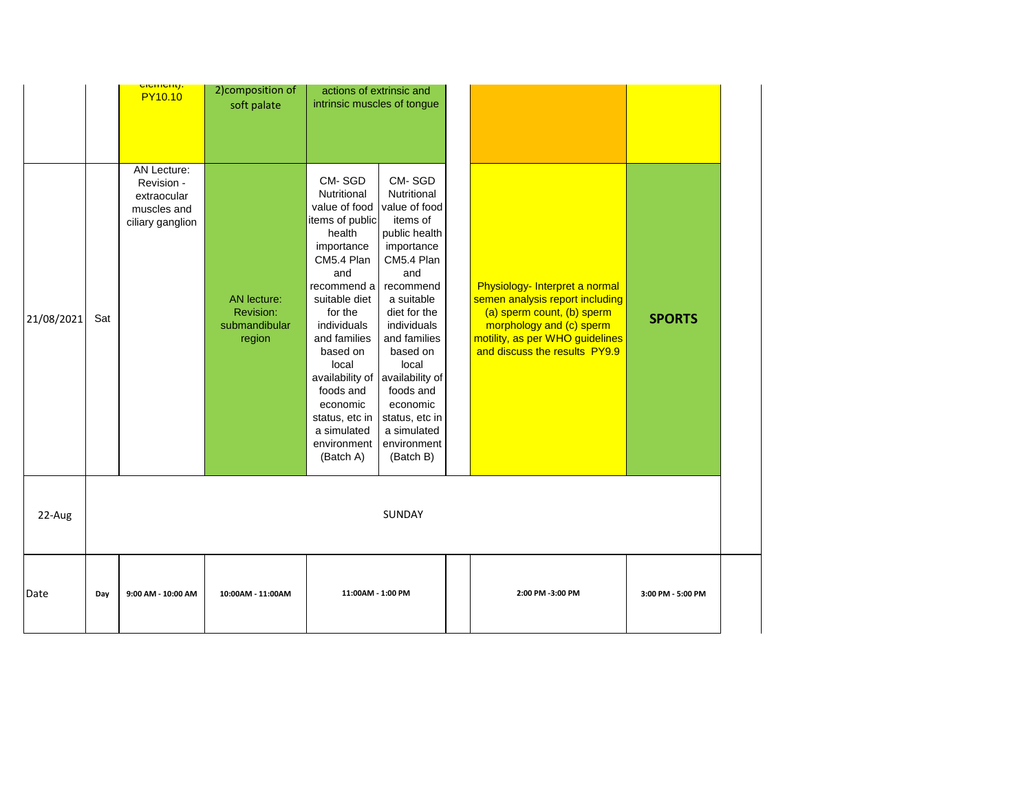|            |     | <mark>ciement).</mark><br><b>PY10.10</b>                                    | 2) composition of<br>soft palate                    | actions of extrinsic and<br>intrinsic muscles of tongue                                                                                                                                                                                                                                                        |                                                                                                                                                                                                                                                                                                                |                                                                                                                                                                                                 |                   |
|------------|-----|-----------------------------------------------------------------------------|-----------------------------------------------------|----------------------------------------------------------------------------------------------------------------------------------------------------------------------------------------------------------------------------------------------------------------------------------------------------------------|----------------------------------------------------------------------------------------------------------------------------------------------------------------------------------------------------------------------------------------------------------------------------------------------------------------|-------------------------------------------------------------------------------------------------------------------------------------------------------------------------------------------------|-------------------|
| 21/08/2021 | Sat | AN Lecture:<br>Revision -<br>extraocular<br>muscles and<br>ciliary ganglion | AN lecture:<br>Revision:<br>submandibular<br>region | CM-SGD<br>Nutritional<br>value of food<br>items of public<br>health<br>importance<br>CM5.4 Plan<br>and<br>recommend a<br>suitable diet<br>for the<br>individuals<br>and families<br>based on<br>local<br>availability of<br>foods and<br>economic<br>status, etc in<br>a simulated<br>environment<br>(Batch A) | CM-SGD<br>Nutritional<br>value of food<br>items of<br>public health<br>importance<br>CM5.4 Plan<br>and<br>recommend<br>a suitable<br>diet for the<br>individuals<br>and families<br>based on<br>local<br>availability of<br>foods and<br>economic<br>status, etc in<br>a simulated<br>environment<br>(Batch B) | Physiology- Interpret a normal<br>semen analysis report including<br>(a) sperm count, (b) sperm<br>morphology and (c) sperm<br>motility, as per WHO guidelines<br>and discuss the results PY9.9 | <b>SPORTS</b>     |
| 22-Aug     |     |                                                                             |                                                     |                                                                                                                                                                                                                                                                                                                | <b>SUNDAY</b>                                                                                                                                                                                                                                                                                                  |                                                                                                                                                                                                 |                   |
| Date       | Day | 9:00 AM - 10:00 AM                                                          | 10:00AM - 11:00AM                                   | 11:00AM - 1:00 PM                                                                                                                                                                                                                                                                                              |                                                                                                                                                                                                                                                                                                                | 2:00 PM -3:00 PM                                                                                                                                                                                | 3:00 PM - 5:00 PM |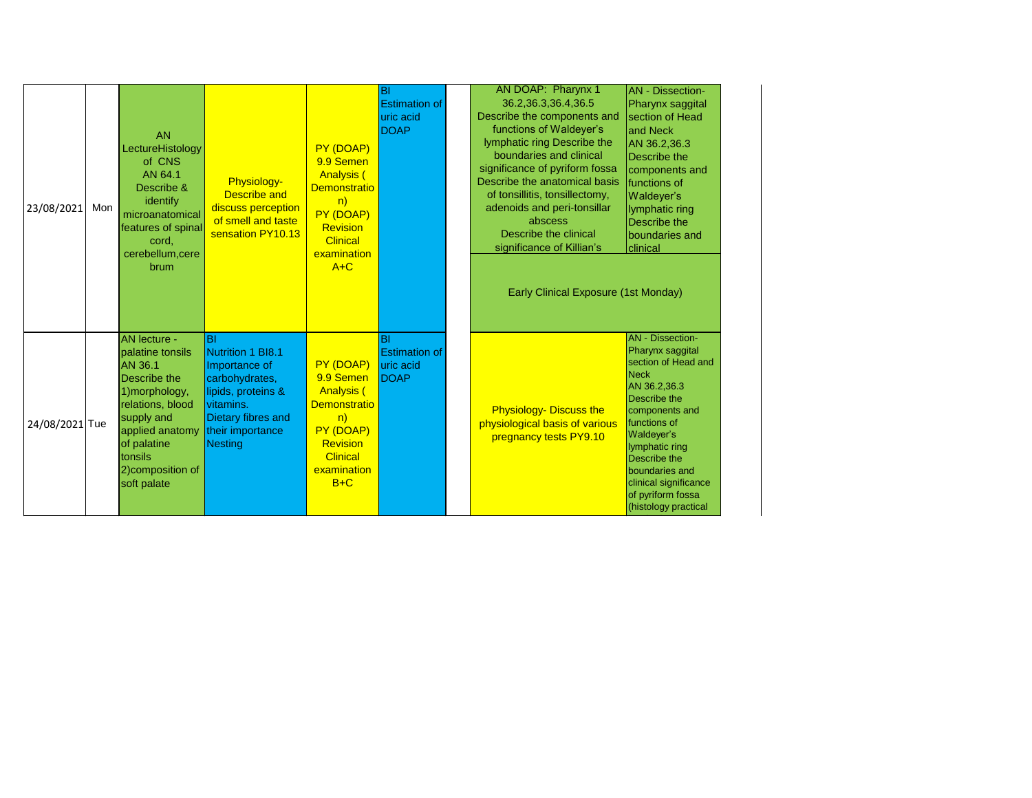| 23/08/2021     | Mon | <b>AN</b><br>LectureHistology<br>of CNS<br>AN 64.1<br>Describe &<br>identify<br>microanatomical<br>features of spinal<br>cord,<br>cerebellum, cere<br>brum                                                     | Physiology-<br><b>Describe and</b><br>discuss perception<br>of smell and taste<br>sensation PY10.13                                                       | PY (DOAP)<br>9.9 Semen<br><b>Analysis (</b><br><b>Demonstratio</b><br>n)<br>PY (DOAP)<br>Revision<br><b>Clinical</b><br>examination<br>$A+C$        | BI<br><b>Estimation of</b><br>uric acid<br><b>DOAP</b>         | AN DOAP: Pharynx 1<br>36.2, 36.3, 36.4, 36.5<br>Describe the components and<br>functions of Waldeyer's<br>lymphatic ring Describe the<br>boundaries and clinical<br>significance of pyriform fossa<br>Describe the anatomical basis<br>of tonsillitis, tonsillectomy,<br>adenoids and peri-tonsillar<br>abscess<br><b>Describe the clinical</b><br>significance of Killian's<br>Early Clinical Exposure (1st Monday) | <b>AN</b> - Dissection-<br>Pharynx saggital<br>section of Head<br>and Neck<br>AN 36.2,36.3<br>Describe the<br>components and<br>functions of<br>Waldeyer's<br>lymphatic ring<br><b>Describe the</b><br>boundaries and<br>clinical                                                           |
|----------------|-----|----------------------------------------------------------------------------------------------------------------------------------------------------------------------------------------------------------------|-----------------------------------------------------------------------------------------------------------------------------------------------------------|-----------------------------------------------------------------------------------------------------------------------------------------------------|----------------------------------------------------------------|----------------------------------------------------------------------------------------------------------------------------------------------------------------------------------------------------------------------------------------------------------------------------------------------------------------------------------------------------------------------------------------------------------------------|---------------------------------------------------------------------------------------------------------------------------------------------------------------------------------------------------------------------------------------------------------------------------------------------|
| 24/08/2021 Tue |     | <b>AN lecture -</b><br>palatine tonsils<br><b>AN 36.1</b><br>Describe the<br>1) morphology,<br>relations, blood<br>supply and<br>applied anatomy<br>of palatine<br>tonsils<br>2) composition of<br>soft palate | <b>BI</b><br>Nutrition 1 BI8.1<br>Importance of<br>carbohydrates,<br>lipids, proteins &<br>vitamins.<br>Dietary fibres and<br>their importance<br>Nesting | PY (DOAP)<br>9.9 Semen<br><b>Analysis (</b><br><b>Demonstratio</b><br>n)<br>PY (DOAP)<br><b>Revision</b><br><b>Clinical</b><br>examination<br>$B+C$ | <b>BI</b><br><b>Estimation of</b><br>uric acid<br><b>IDOAP</b> | <b>Physiology- Discuss the</b><br>physiological basis of various<br>pregnancy tests PY9.10                                                                                                                                                                                                                                                                                                                           | <b>AN</b> - Dissection-<br>Pharynx saggital<br>section of Head and<br><b>Neck</b><br>AN 36.2,36.3<br>Describe the<br>components and<br>functions of<br>Waldeyer's<br>lymphatic ring<br>Describe the<br>boundaries and<br>clinical significance<br>of pyriform fossa<br>(histology practical |

 $\overline{\phantom{a}}$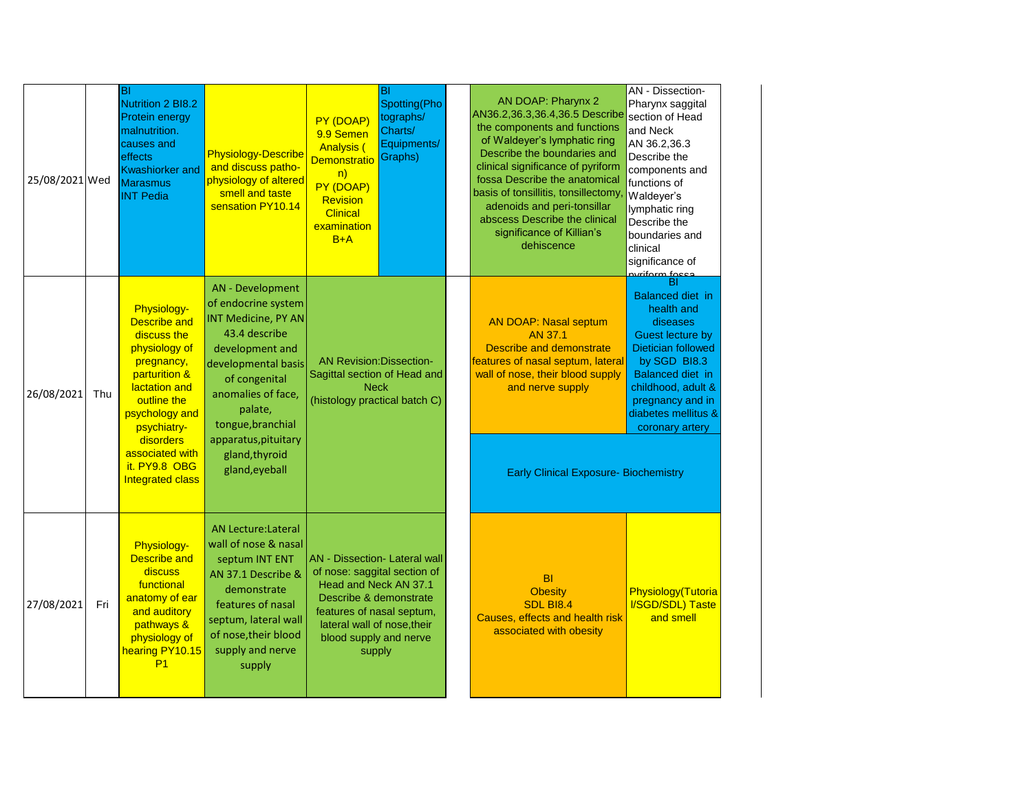| 25/08/2021 Wed |     | ĪВI<br>Nutrition 2 BI8.2<br><b>Protein energy</b><br>malnutrition.<br>causes and<br>effects<br><b>Kwashiorker and</b><br><b>Marasmus</b><br><b>INT Pedia</b>                                                                            | <b>Physiology-Describe</b><br>and discuss patho-<br>physiology of altered<br>smell and taste<br>sensation PY10.14                                                                                                                                            | PY (DOAP)<br>9.9 Semen<br><b>Analysis (</b><br><b>Demonstratio</b><br>n)<br>PY (DOAP)<br>Revision<br><b>Clinical</b><br>examination<br>$B+A$                                                                      | ΙBΙ<br>Spotting(Pho<br>tographs/<br>Charts/<br>Equipments/<br>Graphs) | AN DOAP: Pharynx 2<br>AN36.2,36.3,36.4,36.5 Describe<br>the components and functions<br>of Waldeyer's lymphatic ring<br>Describe the boundaries and<br>clinical significance of pyriform<br>fossa Describe the anatomical<br>basis of tonsillitis, tonsillectomy<br>adenoids and peri-tonsillar<br>abscess Describe the clinical<br>significance of Killian's<br>dehiscence | AN - Dissection-<br>Pharynx saggital<br>section of Head<br>and Neck<br>AN 36.2,36.3<br>Describe the<br>components and<br>functions of<br>Waldeyer's<br>lymphatic ring<br>Describe the<br>boundaries and<br>clinical<br>significance of<br><u>svriform focca</u> |
|----------------|-----|-----------------------------------------------------------------------------------------------------------------------------------------------------------------------------------------------------------------------------------------|--------------------------------------------------------------------------------------------------------------------------------------------------------------------------------------------------------------------------------------------------------------|-------------------------------------------------------------------------------------------------------------------------------------------------------------------------------------------------------------------|-----------------------------------------------------------------------|-----------------------------------------------------------------------------------------------------------------------------------------------------------------------------------------------------------------------------------------------------------------------------------------------------------------------------------------------------------------------------|-----------------------------------------------------------------------------------------------------------------------------------------------------------------------------------------------------------------------------------------------------------------|
| 26/08/2021     | Thu | Physiology-<br><b>Describe and</b><br>discuss the<br>physiology of<br>pregnancy,<br>parturition &<br>lactation and<br>outline the<br>psychology and<br>psychiatry-<br>disorders<br>associated with<br>it. PY9.8 OBG<br>Integrated class | AN - Development<br>of endocrine system<br>INT Medicine, PY AN<br>43.4 describe<br>development and<br>developmental basis<br>of congenital<br>anomalies of face,<br>palate,<br>tongue, branchial<br>apparatus, pituitary<br>gland, thyroid<br>gland, eyeball | <b>AN Revision:Dissection-</b><br>Sagittal section of Head and<br><b>Neck</b><br>(histology practical batch C)                                                                                                    |                                                                       | <b>AN DOAP: Nasal septum</b><br>AN 37.1<br><b>Describe and demonstrate</b><br>features of nasal septum, lateral<br>wall of nose, their blood supply<br>and nerve supply<br><b>Early Clinical Exposure- Biochemistry</b>                                                                                                                                                     | <b>Balanced diet in</b><br>health and<br>diseases<br>Guest lecture by<br>Dietician followed<br>by SGD BI8.3<br>Balanced diet in<br>childhood, adult &<br>pregnancy and in<br>diabetes mellitus &<br>coronary artery                                             |
| 27/08/2021     | Fri | Physiology-<br>Describe and<br>discuss<br>functional<br>anatomy of ear<br>and auditory<br>pathways &<br>physiology of<br>hearing PY10.15<br>P <sub>1</sub>                                                                              | <b>AN Lecture:Lateral</b><br>wall of nose & nasal<br>septum INT ENT<br>AN 37.1 Describe &<br>demonstrate<br>features of nasal<br>septum, lateral wall<br>of nose, their blood<br>supply and nerve<br>supply                                                  | AN - Dissection - Lateral wall<br>of nose: saggital section of<br>Head and Neck AN 37.1<br>Describe & demonstrate<br>features of nasal septum,<br>lateral wall of nose, their<br>blood supply and nerve<br>supply |                                                                       | <b>BI</b><br><b>Obesity</b><br><b>SDL BI8.4</b><br>Causes, effects and health risk<br>associated with obesity                                                                                                                                                                                                                                                               | Physiology(Tutoria<br><b>I/SGD/SDL) Taste</b><br>and smell                                                                                                                                                                                                      |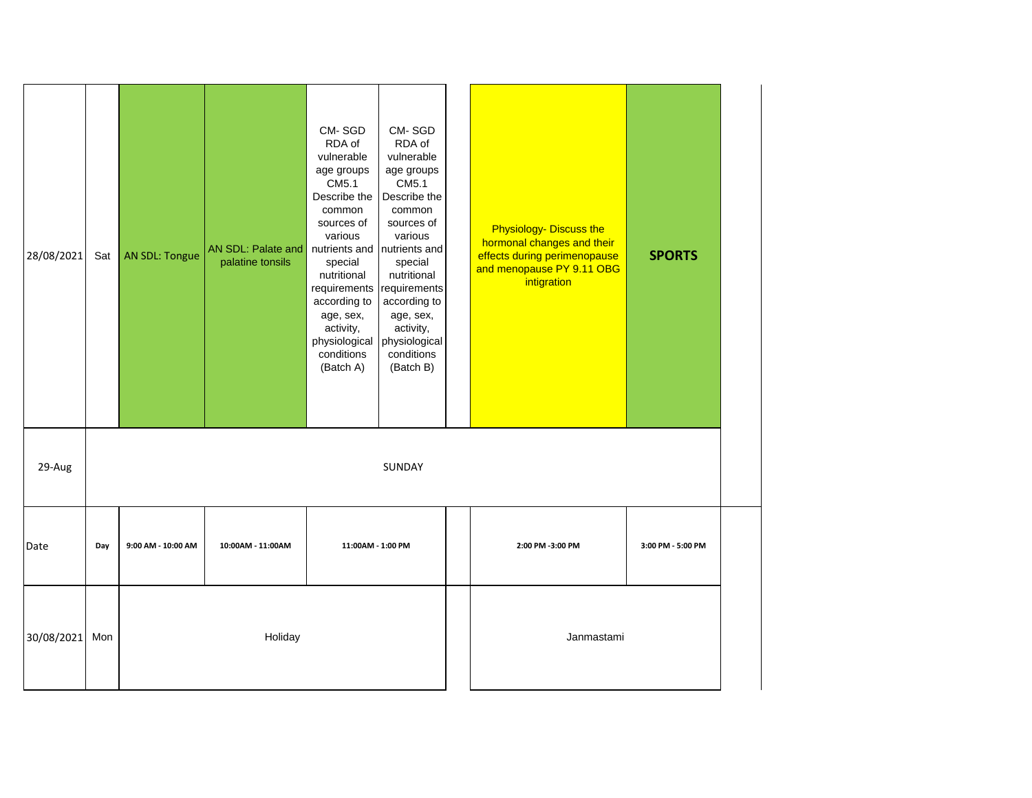| 28/08/2021 | Sat | <b>AN SDL: Tongue</b> | AN SDL: Palate and<br>palatine tonsils | CM-SGD<br>RDA of<br>vulnerable<br>age groups<br>CM5.1<br>Describe the<br>common<br>sources of<br>various<br>nutrients and   nutrients and<br>special<br>nutritional<br>requirements<br>according to<br>age, sex,<br>activity,<br>physiological<br>conditions<br>(Batch A) | CM-SGD<br>RDA of<br>vulnerable<br>age groups<br>CM5.1<br>Describe the<br>common<br>sources of<br>various<br>special<br>nutritional<br>requirements<br>according to<br>age, sex,<br>activity,<br>physiological<br>conditions<br>(Batch B) |  | <b>Physiology- Discuss the</b><br>hormonal changes and their<br>effects during perimenopause<br>and menopause PY 9.11 OBG<br>intigration | <b>SPORTS</b>     |
|------------|-----|-----------------------|----------------------------------------|---------------------------------------------------------------------------------------------------------------------------------------------------------------------------------------------------------------------------------------------------------------------------|------------------------------------------------------------------------------------------------------------------------------------------------------------------------------------------------------------------------------------------|--|------------------------------------------------------------------------------------------------------------------------------------------|-------------------|
| 29-Aug     |     |                       |                                        |                                                                                                                                                                                                                                                                           | SUNDAY                                                                                                                                                                                                                                   |  |                                                                                                                                          |                   |
| Date       | Day | 9:00 AM - 10:00 AM    | 10:00AM - 11:00AM                      | 11:00AM - 1:00 PM                                                                                                                                                                                                                                                         |                                                                                                                                                                                                                                          |  | 2:00 PM -3:00 PM                                                                                                                         | 3:00 PM - 5:00 PM |
| 30/08/2021 | Mon |                       | Holiday                                |                                                                                                                                                                                                                                                                           |                                                                                                                                                                                                                                          |  | Janmastami                                                                                                                               |                   |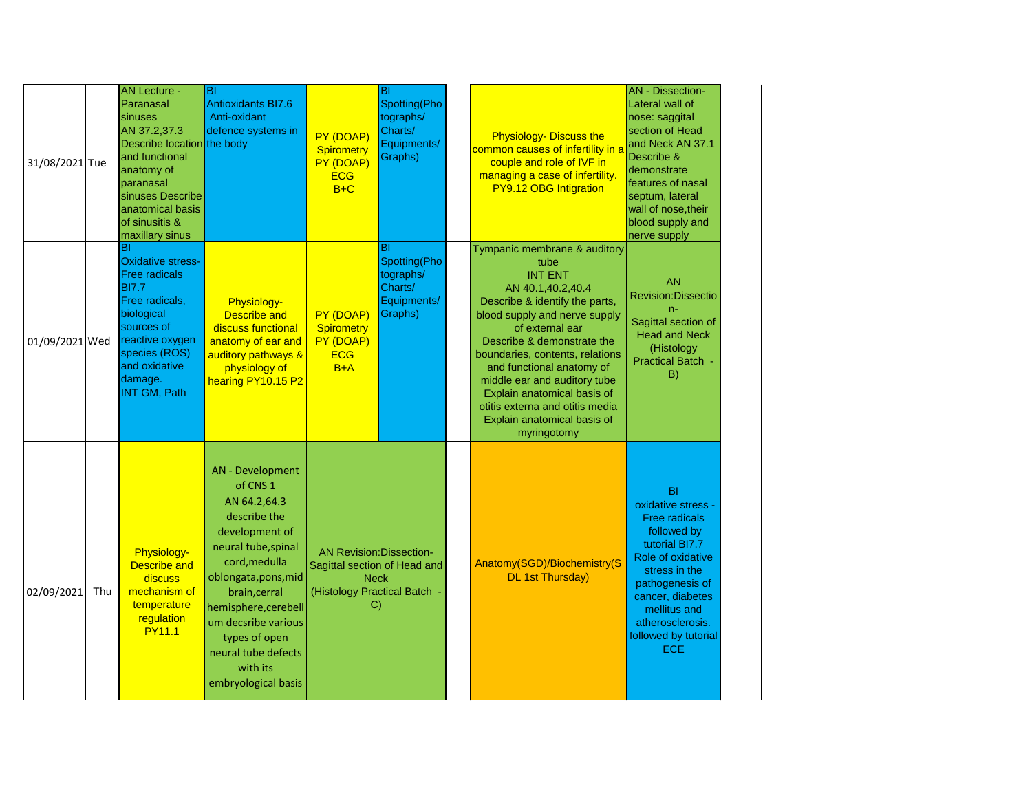| 31/08/2021 Tue |     | <b>AN Lecture -</b><br>Paranasal<br>sinuses<br>AN 37.2,37.3<br>Describe location the body<br>and functional<br>anatomy of<br>paranasal<br>sinuses Describe<br>anatomical basis<br>of sinusitis &<br>maxillary sinus | Iвı<br><b>Antioxidants BI7.6</b><br>Anti-oxidant<br>defence systems in                                                                                                                                                                                                                                      | PY (DOAP)<br><b>Spirometry</b><br>PY (DOAP)<br><b>ECG</b><br>$B+C$                            | BI<br>Spotting(Pho<br>tographs/<br>Charts/<br>Equipments/<br>Graphs)        | <b>Physiology- Discuss the</b><br>common causes of infertility in a<br>couple and role of IVF in<br>managing a case of infertility.<br>PY9.12 OBG Intigration                                                                                                                                                                                                                                                   | <b>AN</b> - Dissection-<br>Lateral wall of<br>nose: saggital<br>section of Head<br>and Neck AN 37.1<br>Describe &<br>demonstrate<br>features of nasal<br>septum, lateral<br>wall of nose, their<br>blood supply and<br>nerve supply             |
|----------------|-----|---------------------------------------------------------------------------------------------------------------------------------------------------------------------------------------------------------------------|-------------------------------------------------------------------------------------------------------------------------------------------------------------------------------------------------------------------------------------------------------------------------------------------------------------|-----------------------------------------------------------------------------------------------|-----------------------------------------------------------------------------|-----------------------------------------------------------------------------------------------------------------------------------------------------------------------------------------------------------------------------------------------------------------------------------------------------------------------------------------------------------------------------------------------------------------|-------------------------------------------------------------------------------------------------------------------------------------------------------------------------------------------------------------------------------------------------|
| 01/09/2021 Wed |     | lBI<br><b>Oxidative stress-</b><br><b>Free radicals</b><br><b>BI7.7</b><br>Free radicals,<br>biological<br>sources of<br>reactive oxygen<br>species (ROS)<br>and oxidative<br>damage.<br><b>INT GM, Path</b>        | Physiology-<br><b>Describe and</b><br>discuss functional<br>anatomy of ear and<br>auditory pathways &<br>physiology of<br>hearing PY10.15 P2                                                                                                                                                                | PY (DOAP)<br><b>Spirometry</b><br>PY (DOAP)<br><b>ECG</b><br>$B+A$                            | <b>BI</b><br>Spotting(Pho<br>tographs/<br>Charts/<br>Equipments/<br>Graphs) | Tympanic membrane & auditory<br>tube<br><b>INT ENT</b><br>AN 40.1,40.2,40.4<br>Describe & identify the parts,<br>blood supply and nerve supply<br>of external ear<br>Describe & demonstrate the<br>boundaries, contents, relations<br>and functional anatomy of<br>middle ear and auditory tube<br>Explain anatomical basis of<br>otitis externa and otitis media<br>Explain anatomical basis of<br>myringotomy | <b>AN</b><br><b>Revision:Dissectio</b><br>n-<br>Sagittal section of<br><b>Head and Neck</b><br>(Histology<br><b>Practical Batch</b><br>B)                                                                                                       |
| 02/09/2021     | Thu | Physiology-<br><b>Describe and</b><br>discuss<br>mechanism of<br>temperature<br>regulation<br><b>PY11.1</b>                                                                                                         | <b>AN</b> - Development<br>of CNS <sub>1</sub><br>AN 64.2,64.3<br>describe the<br>development of<br>neural tube, spinal<br>cord, medulla<br>oblongata, pons, mid<br>brain, cerral<br>hemisphere, cerebell<br>um decsribe various<br>types of open<br>neural tube defects<br>with its<br>embryological basis | <b>AN Revision: Dissection-</b><br><b>Neck</b><br>(Histology Practical Batch<br>$\mathcal{C}$ | Sagittal section of Head and                                                | Anatomy(SGD)/Biochemistry(S<br><b>DL 1st Thursday)</b>                                                                                                                                                                                                                                                                                                                                                          | <b>BI</b><br>oxidative stress -<br><b>Free radicals</b><br>followed by<br>tutorial BI7.7<br>Role of oxidative<br>stress in the<br>pathogenesis of<br>cancer, diabetes<br>mellitus and<br>atherosclerosis.<br>followed by tutorial<br><b>ECE</b> |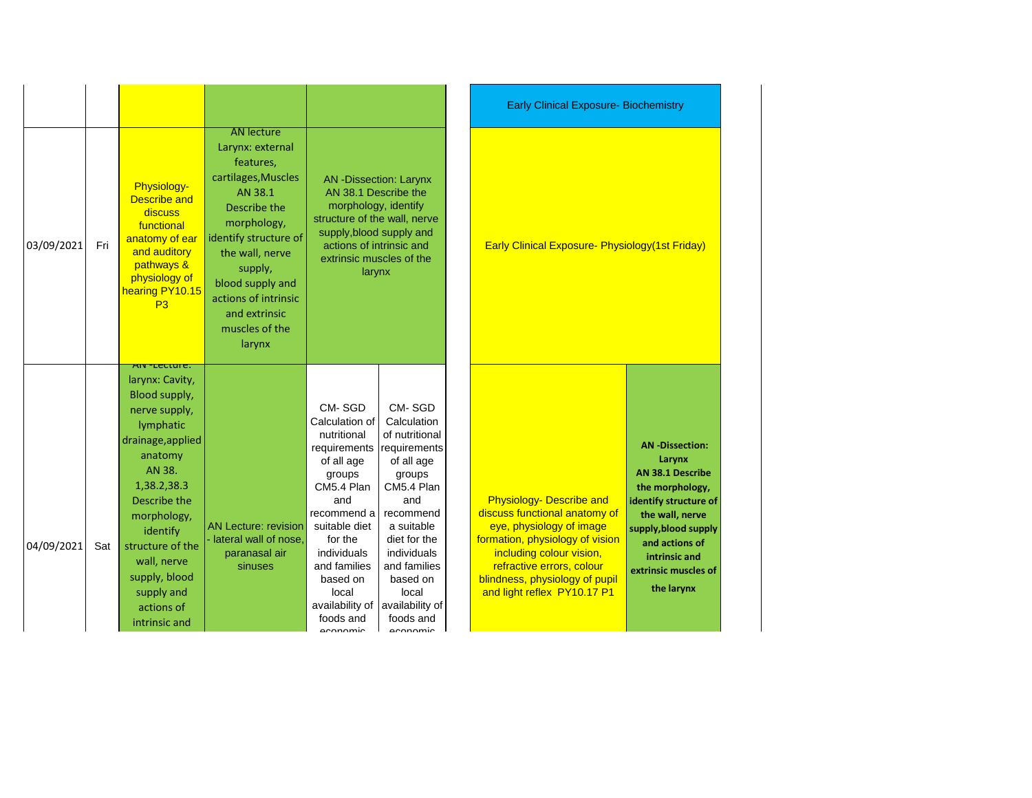|            |     |                                                                                                                                                                                                                                                                                                |                                                                                                                                                                                                                                                                     |                                                                                                                                                                                                                                                 |                                                                                                                                                                                                                                                 | <b>Early Clinical Exposure- Biochemistry</b>                                                                                                                                                                                                                                                                                                                                                                                                                                            |
|------------|-----|------------------------------------------------------------------------------------------------------------------------------------------------------------------------------------------------------------------------------------------------------------------------------------------------|---------------------------------------------------------------------------------------------------------------------------------------------------------------------------------------------------------------------------------------------------------------------|-------------------------------------------------------------------------------------------------------------------------------------------------------------------------------------------------------------------------------------------------|-------------------------------------------------------------------------------------------------------------------------------------------------------------------------------------------------------------------------------------------------|-----------------------------------------------------------------------------------------------------------------------------------------------------------------------------------------------------------------------------------------------------------------------------------------------------------------------------------------------------------------------------------------------------------------------------------------------------------------------------------------|
| 03/09/2021 | Fri | Physiology-<br><b>Describe and</b><br>discuss<br>functional<br>anatomy of ear<br>and auditory<br>pathways &<br>physiology of<br>hearing PY10.15<br>P3                                                                                                                                          | <b>AN lecture</b><br>Larynx: external<br>features,<br>cartilages, Muscles<br>AN 38.1<br>Describe the<br>morphology,<br>identify structure of<br>the wall, nerve<br>supply,<br>blood supply and<br>actions of intrinsic<br>and extrinsic<br>muscles of the<br>larynx | <b>AN</b> -Dissection: Larynx<br>AN 38.1 Describe the<br>morphology, identify<br>structure of the wall, nerve<br>supply, blood supply and<br>actions of intrinsic and<br>extrinsic muscles of the<br>larynx                                     |                                                                                                                                                                                                                                                 | <b>Early Clinical Exposure- Physiology (1st Friday)</b>                                                                                                                                                                                                                                                                                                                                                                                                                                 |
| 04/09/2021 | Sat | <del>Aiv-lecture.</del><br>larynx: Cavity,<br>Blood supply,<br>nerve supply,<br>lymphatic<br>drainage, applied<br>anatomy<br>AN 38.<br>1,38.2,38.3<br>Describe the<br>morphology,<br>identify<br>structure of the<br>wall, nerve<br>supply, blood<br>supply and<br>actions of<br>intrinsic and | <b>AN Lecture: revision</b><br>- lateral wall of nose,<br>paranasal air<br>sinuses                                                                                                                                                                                  | CM-SGD<br>Calculation of<br>nutritional<br>requirements<br>of all age<br>groups<br>CM5.4 Plan<br>and<br>recommend a<br>suitable diet<br>for the<br>individuals<br>and families<br>based on<br>local<br>availability of<br>foods and<br>aconomic | CM-SGD<br>Calculation<br>of nutritional<br>requirements<br>of all age<br>groups<br>CM5.4 Plan<br>and<br>recommend<br>a suitable<br>diet for the<br>individuals<br>and families<br>based on<br>local<br>availability of<br>foods and<br>aconomic | <b>AN-Dissection:</b><br>Larynx<br><b>AN 38.1 Describe</b><br>the morphology,<br><b>Physiology- Describe and</b><br>identify structure of<br>discuss functional anatomy of<br>the wall, nerve<br>eye, physiology of image<br>supply, blood supply<br>formation, physiology of vision<br>and actions of<br>including colour vision,<br>intrinsic and<br>refractive errors, colour<br>extrinsic muscles of<br>blindness, physiology of pupil<br>the larynx<br>and light reflex PY10.17 P1 |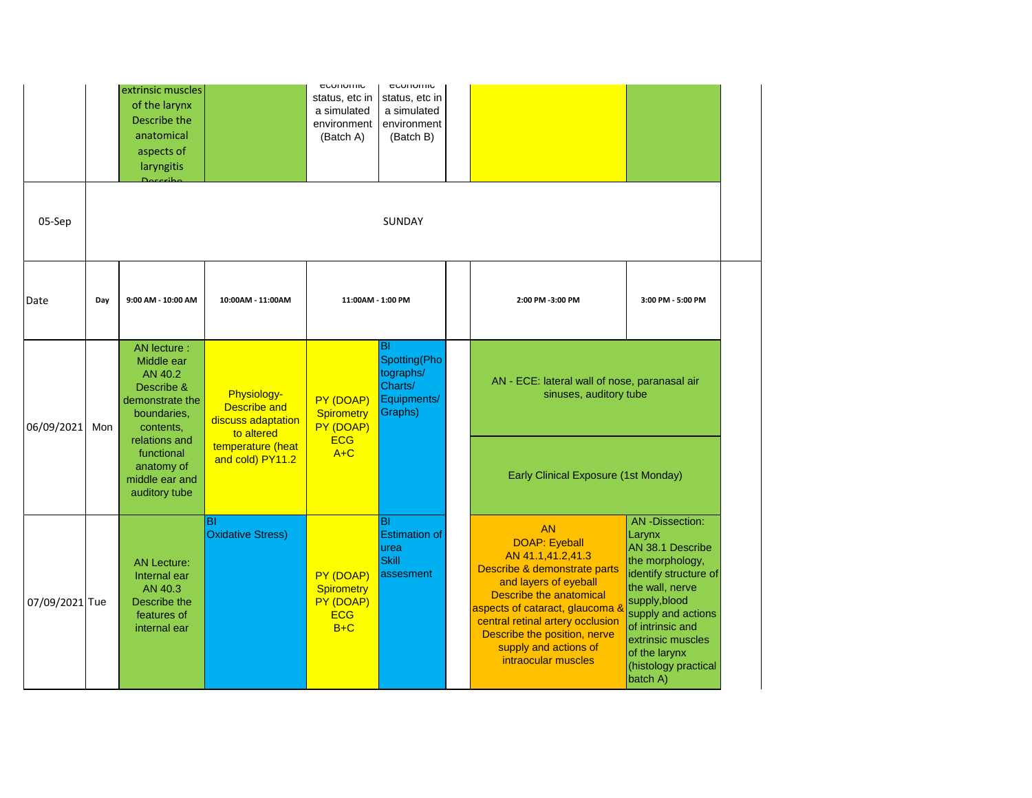|                |     | extrinsic muscles<br>of the larynx<br>Describe the<br>anatomical<br>aspects of<br>laryngitis<br>Doceribo            |                                                                        | <b>CONTIOLITIO</b><br>status, etc in<br>a simulated<br>environment<br>(Batch A) | <b>CUUTUITIU</b><br>status, etc in<br>a simulated<br>environment<br>(Batch B) |                                                                                                                                                                                                                                                                                                   |                                                                                                                                                                                                                                                  |  |
|----------------|-----|---------------------------------------------------------------------------------------------------------------------|------------------------------------------------------------------------|---------------------------------------------------------------------------------|-------------------------------------------------------------------------------|---------------------------------------------------------------------------------------------------------------------------------------------------------------------------------------------------------------------------------------------------------------------------------------------------|--------------------------------------------------------------------------------------------------------------------------------------------------------------------------------------------------------------------------------------------------|--|
| 05-Sep         |     |                                                                                                                     |                                                                        |                                                                                 | SUNDAY                                                                        |                                                                                                                                                                                                                                                                                                   |                                                                                                                                                                                                                                                  |  |
| Date           | Day | 9:00 AM - 10:00 AM                                                                                                  | 10:00AM - 11:00AM                                                      | 11:00AM - 1:00 PM                                                               |                                                                               | 2:00 PM -3:00 PM                                                                                                                                                                                                                                                                                  | 3:00 PM - 5:00 PM                                                                                                                                                                                                                                |  |
| 06/09/2021     | Mon | AN lecture :<br>Middle ear<br>AN 40.2<br>Describe &<br>demonstrate the<br>boundaries,<br>contents,<br>relations and | Physiology-<br><b>Describe and</b><br>discuss adaptation<br>to altered | PY (DOAP)<br><b>Spirometry</b><br>PY (DOAP)<br><b>ECG</b>                       | <b>BI</b><br>Spotting(Pho<br>tographs/<br>Charts/<br>Equipments/<br>Graphs)   | AN - ECE: lateral wall of nose, paranasal air<br>sinuses, auditory tube                                                                                                                                                                                                                           |                                                                                                                                                                                                                                                  |  |
|                |     | functional<br>anatomy of<br>middle ear and<br>auditory tube                                                         | temperature (heat<br>and cold) PY11.2                                  | $A+C$                                                                           |                                                                               | Early Clinical Exposure (1st Monday)                                                                                                                                                                                                                                                              |                                                                                                                                                                                                                                                  |  |
| 07/09/2021 Tue |     | <b>AN Lecture:</b><br>Internal ear<br>AN 40.3<br>Describe the<br>features of<br>internal ear                        | BI<br><b>Oxidative Stress)</b>                                         | PY (DOAP)<br><b>Spirometry</b><br>PY (DOAP)<br><b>ECG</b><br>$B+C$              | <b>BI</b><br><b>Estimation of</b><br>urea<br><b>Skill</b><br>assesment        | <b>AN</b><br><b>DOAP: Eyeball</b><br>AN 41.1,41.2,41.3<br>Describe & demonstrate parts<br>and layers of eyeball<br>Describe the anatomical<br>aspects of cataract, glaucoma &<br>central retinal artery occlusion<br>Describe the position, nerve<br>supply and actions of<br>intraocular muscles | AN-Dissection:<br>Larynx<br>AN 38.1 Describe<br>the morphology,<br>identify structure of<br>the wall, nerve<br>supply, blood<br>supply and actions<br>of intrinsic and<br>extrinsic muscles<br>of the larynx<br>(histology practical<br>batch A) |  |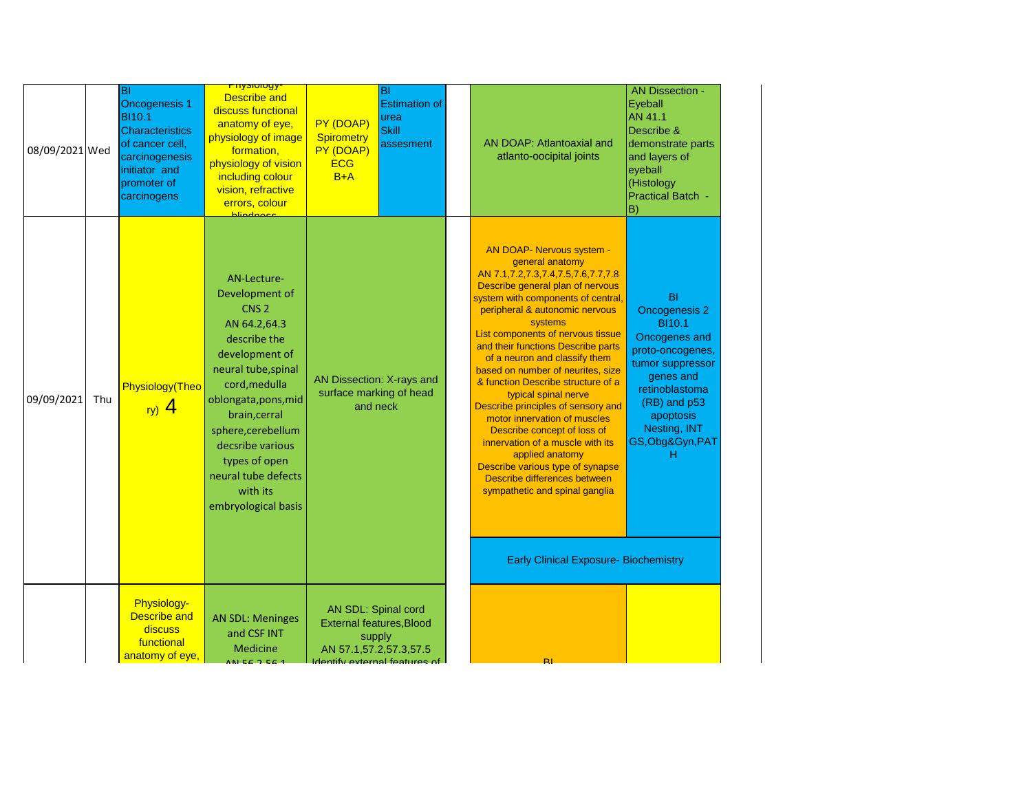| 08/09/2021 Wed |     | BI<br><b>Oncogenesis 1</b><br><b>BI10.1</b><br><b>Characteristics</b><br>of cancer cell,<br>carcinogenesis<br>initiator and<br>promoter of<br>carcinogens | <mark>rnysiology-</mark><br><b>Describe and</b><br>discuss functional<br>anatomy of eye,<br>physiology of image<br>formation,<br>physiology of vision<br>including colour<br>vision, refractive<br>errors, colour<br><b>blindnoon</b>                                                                     | BI<br><b>Estimation of</b><br>urea<br>PY (DOAP)<br><b>Skill</b><br><b>Spirometry</b><br>assesment<br>PY (DOAP)<br><b>ECG</b><br>$B+A$ | AN DOAP: Atlantoaxial and<br>atlanto-oocipital joints                                                                                                                                                                                                                                                                                                                                                                                                                                                                                                                                                                                                                                                                                             | <b>AN Dissection -</b><br>Eyeball<br>AN 41.1<br>Describe &<br>demonstrate parts<br>and layers of<br>eyeball<br>(Histology<br><b>Practical Batch -</b><br>B)                                               |
|----------------|-----|-----------------------------------------------------------------------------------------------------------------------------------------------------------|-----------------------------------------------------------------------------------------------------------------------------------------------------------------------------------------------------------------------------------------------------------------------------------------------------------|---------------------------------------------------------------------------------------------------------------------------------------|---------------------------------------------------------------------------------------------------------------------------------------------------------------------------------------------------------------------------------------------------------------------------------------------------------------------------------------------------------------------------------------------------------------------------------------------------------------------------------------------------------------------------------------------------------------------------------------------------------------------------------------------------------------------------------------------------------------------------------------------------|-----------------------------------------------------------------------------------------------------------------------------------------------------------------------------------------------------------|
| 09/09/2021     | Thu | Physiology(Theo<br>ry) $4$                                                                                                                                | AN-Lecture-<br>Development of<br>CNS <sub>2</sub><br>AN 64.2,64.3<br>describe the<br>development of<br>neural tube, spinal<br>cord, medulla<br>oblongata, pons, mid<br>brain, cerral<br>sphere, cerebellum<br>decsribe various<br>types of open<br>neural tube defects<br>with its<br>embryological basis | AN Dissection: X-rays and<br>surface marking of head<br>and neck                                                                      | <b>AN DOAP- Nervous system -</b><br>general anatomy<br>AN 7.1,7.2,7.3,7.4,7.5,7.6,7.7,7.8<br>Describe general plan of nervous<br>system with components of central,<br>peripheral & autonomic nervous<br>systems<br>List components of nervous tissue<br>and their functions Describe parts<br>of a neuron and classify them<br>based on number of neurites, size<br>& function Describe structure of a<br>typical spinal nerve<br>Describe principles of sensory and<br>motor innervation of muscles<br>Describe concept of loss of<br>innervation of a muscle with its<br>applied anatomy<br>Describe various type of synapse<br>Describe differences between<br>sympathetic and spinal ganglia<br><b>Early Clinical Exposure- Biochemistry</b> | BI<br><b>Oncogenesis 2</b><br><b>BI10.1</b><br>Oncogenes and<br>proto-oncogenes,<br>tumor suppressor<br>genes and<br>retinoblastoma<br>(RB) and p53<br>apoptosis<br>Nesting, INT<br>GS, Obg&Gyn, PAT<br>н |
|                |     | Physiology-<br><b>Describe and</b><br>discuss<br>functional<br>anatomy of eye,                                                                            | <b>AN SDL: Meninges</b><br>and CSF INT<br><b>Medicine</b><br>ALFC 2 56 4                                                                                                                                                                                                                                  | AN SDL: Spinal cord<br><b>External features, Blood</b><br>supply<br>AN 57.1,57.2,57.3,57.5<br>Identify external features of           | $\mathbf{R}$                                                                                                                                                                                                                                                                                                                                                                                                                                                                                                                                                                                                                                                                                                                                      |                                                                                                                                                                                                           |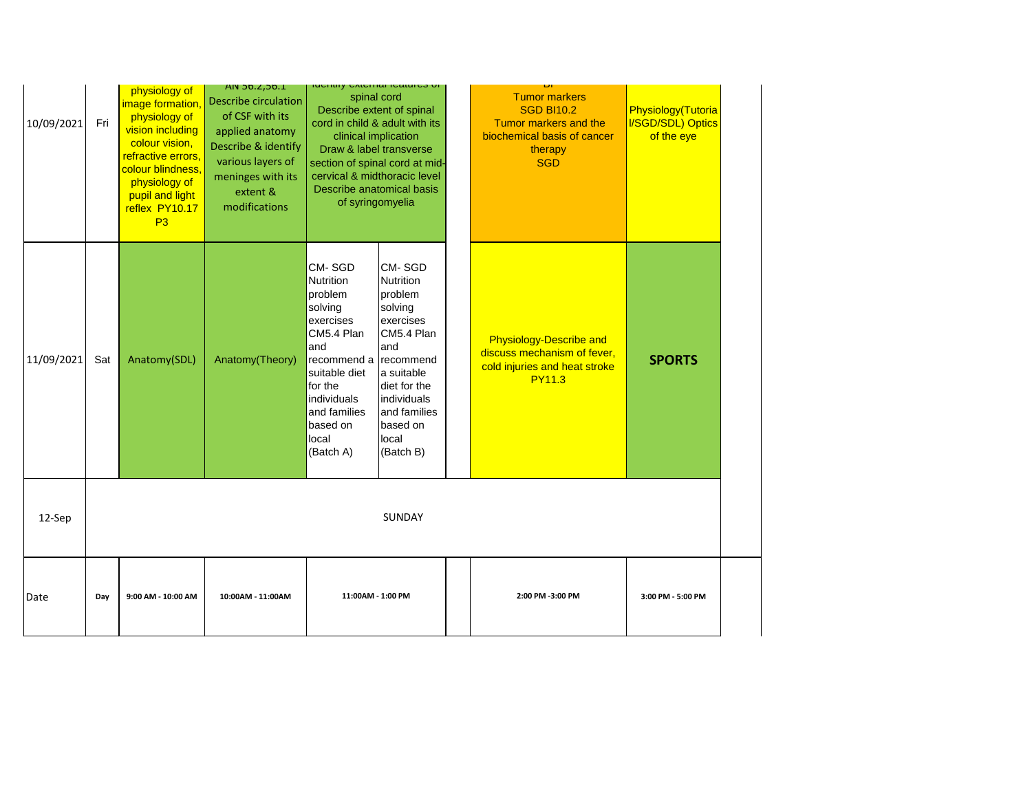| 10/09/2021 | Fri | physiology of<br>image formation,<br>physiology of<br>vision including<br>colour vision,<br>refractive errors,<br>colour blindness,<br>physiology of<br>pupil and light<br>reflex PY10.17<br>P3 | <b>AIV 30.2,30.1</b><br><b>Describe circulation</b><br>of CSF with its<br>applied anatomy<br>Describe & identify<br>various layers of<br>meninges with its<br>extent &<br>modifications | <b>INGHIFFY CARDITION IDOITING</b><br>spinal cord<br>Describe extent of spinal<br>cord in child & adult with its<br>clinical implication<br>Draw & label transverse<br>section of spinal cord at mid-<br>cervical & midthoracic level<br>Describe anatomical basis<br>of syringomyelia |                                                                                                                                                                                                       |                                                                                                                 |                   | <b>Tumor markers</b><br><b>SGD BI10.2</b><br>Tumor markers and the<br>biochemical basis of cancer<br>therapy<br><b>SGD</b> | Physiology(Tutoria<br><b>I/SGD/SDL) Optics</b><br>of the eye |
|------------|-----|-------------------------------------------------------------------------------------------------------------------------------------------------------------------------------------------------|-----------------------------------------------------------------------------------------------------------------------------------------------------------------------------------------|----------------------------------------------------------------------------------------------------------------------------------------------------------------------------------------------------------------------------------------------------------------------------------------|-------------------------------------------------------------------------------------------------------------------------------------------------------------------------------------------------------|-----------------------------------------------------------------------------------------------------------------|-------------------|----------------------------------------------------------------------------------------------------------------------------|--------------------------------------------------------------|
| 11/09/2021 | Sat | Anatomy(SDL)                                                                                                                                                                                    | Anatomy(Theory)                                                                                                                                                                         | CM-SGD<br>Nutrition<br>problem<br>solving<br>exercises<br>CM5.4 Plan<br>and<br>recommend a<br>suitable diet<br>for the<br>individuals<br>and families<br>based on<br>local<br>(Batch A)                                                                                                | CM-SGD<br><b>Nutrition</b><br>problem<br>solving<br>exercises<br>CM5.4 Plan<br>and<br><b>recommend</b><br>a suitable<br>diet for the<br>individuals<br>and families<br>based on<br>local<br>(Batch B) | <b>Physiology-Describe and</b><br>discuss mechanism of fever,<br>cold injuries and heat stroke<br><b>PY11.3</b> | <b>SPORTS</b>     |                                                                                                                            |                                                              |
| 12-Sep     |     |                                                                                                                                                                                                 |                                                                                                                                                                                         |                                                                                                                                                                                                                                                                                        | <b>SUNDAY</b>                                                                                                                                                                                         |                                                                                                                 |                   |                                                                                                                            |                                                              |
| Date       | Day | 9:00 AM - 10:00 AM                                                                                                                                                                              | 10:00AM - 11:00AM                                                                                                                                                                       | 11:00AM - 1:00 PM                                                                                                                                                                                                                                                                      |                                                                                                                                                                                                       | 2:00 PM -3:00 PM                                                                                                | 3:00 PM - 5:00 PM |                                                                                                                            |                                                              |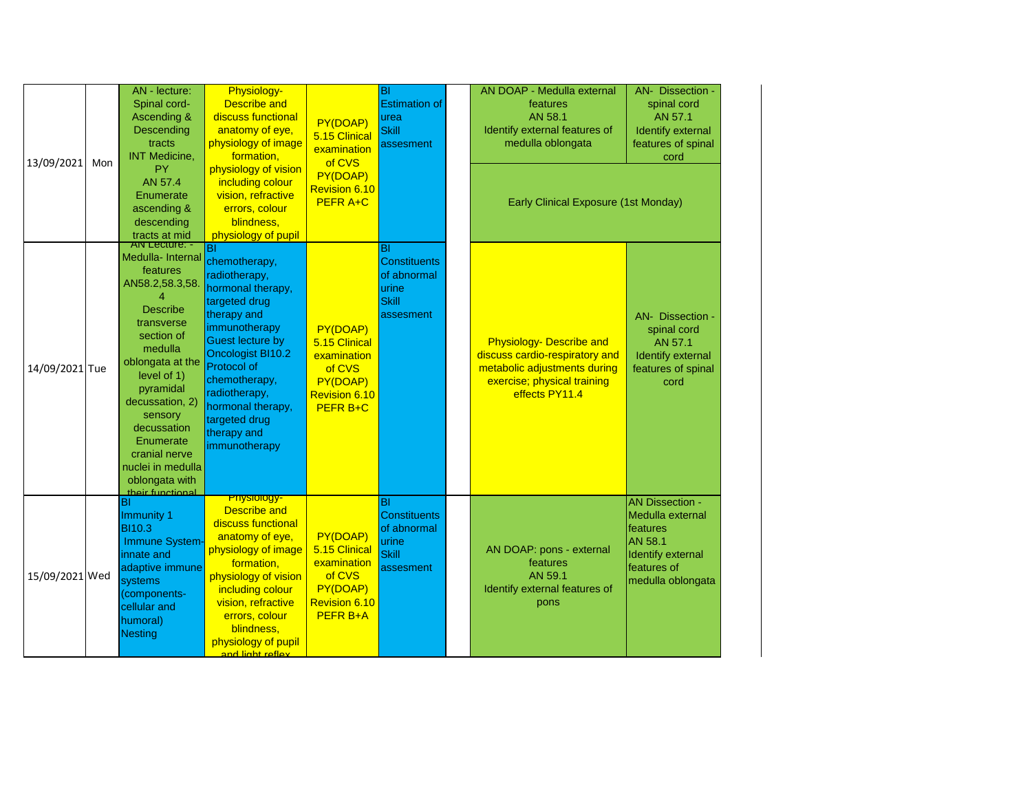| 13/09/2021     | Mon | AN - lecture:<br>Spinal cord-<br>Ascending &<br>Descending<br>tracts<br><b>INT Medicine,</b><br>PY<br>AN 57.4<br>Enumerate<br>ascending &<br>descending<br>tracts at mid                                                                                                                                                  | Physiology-<br><b>Describe and</b><br>discuss functional<br>anatomy of eye,<br>physiology of image<br>formation,<br>physiology of vision<br>including colour<br>vision, refractive<br>errors, colour<br>blindness,<br>physiology of pupil                                                | PY(DOAP)<br>5.15 Clinical<br>examination<br>of CVS<br>PY(DOAP)<br>Revision 6.10<br><b>PEFR A+C</b> | BI<br><b>Estimation of</b><br>urea<br><b>Skill</b><br>assesment                | AN DOAP - Medulla external<br>features<br>AN 58.1<br>Identify external features of<br>medulla oblongata<br>Early Clinical Exposure (1st Monday)    | AN- Dissection -<br>spinal cord<br>AN 57.1<br>Identify external<br>features of spinal<br>cord                              |
|----------------|-----|---------------------------------------------------------------------------------------------------------------------------------------------------------------------------------------------------------------------------------------------------------------------------------------------------------------------------|------------------------------------------------------------------------------------------------------------------------------------------------------------------------------------------------------------------------------------------------------------------------------------------|----------------------------------------------------------------------------------------------------|--------------------------------------------------------------------------------|----------------------------------------------------------------------------------------------------------------------------------------------------|----------------------------------------------------------------------------------------------------------------------------|
| 14/09/2021 Tue |     | <b>AIV Lecture: -</b><br>Medulla- Internal<br>features<br>AN58.2,58.3,58.<br><b>Describe</b><br>transverse<br>section of<br>medulla<br>oblongata at the<br>level of 1)<br>pyramidal<br>decussation, 2)<br>sensory<br>decussation<br>Enumerate<br>cranial nerve<br>nuclei in medulla<br>oblongata with<br>their functional | BI<br>chemotherapy,<br>radiotherapy,<br>hormonal therapy,<br>targeted drug<br>therapy and<br>immunotherapy<br><b>Guest lecture by</b><br><b>Oncologist BI10.2</b><br>Protocol of<br>chemotherapy,<br>radiotherapy,<br>hormonal therapy,<br>targeted drug<br>therapy and<br>immunotherapy | PY(DOAP)<br>5.15 Clinical<br>examination<br>of CVS<br>PY(DOAP)<br>Revision 6.10<br><b>PEFR B+C</b> | BI<br><b>Constituents</b><br>of abnormal<br>urine<br><b>Skill</b><br>assesment | <b>Physiology- Describe and</b><br>discuss cardio-respiratory and<br>metabolic adjustments during<br>exercise; physical training<br>effects PY11.4 | AN- Dissection -<br>spinal cord<br>AN 57.1<br><b>Identify external</b><br>features of spinal<br>cord                       |
| 15/09/2021 Wed |     | BI<br><b>Immunity 1</b><br>BI10.3<br>Immune System-<br>innate and<br>adaptive immune<br>systems<br>(components-<br>cellular and<br>humoral)<br><b>Nesting</b>                                                                                                                                                             | <mark>-Physiology</mark><br><b>Describe and</b><br>discuss functional<br>anatomy of eye,<br>physiology of image<br>formation,<br>physiology of vision<br>including colour<br>vision, refractive<br>errors, colour<br>blindness,<br>physiology of pupil<br>and light reflex               | PY(DOAP)<br>5.15 Clinical<br>examination<br>of CVS<br>PY(DOAP)<br>Revision 6.10<br><b>PEFR B+A</b> | BI<br><b>Constituents</b><br>of abnormal<br>urine<br><b>Skill</b><br>assesment | AN DOAP: pons - external<br>teatures<br>AN 59.1<br>Identify external features of<br>pons                                                           | <b>AN Dissection -</b><br>Medulla external<br>features<br>AN 58.1<br>Identify external<br>features of<br>medulla oblongata |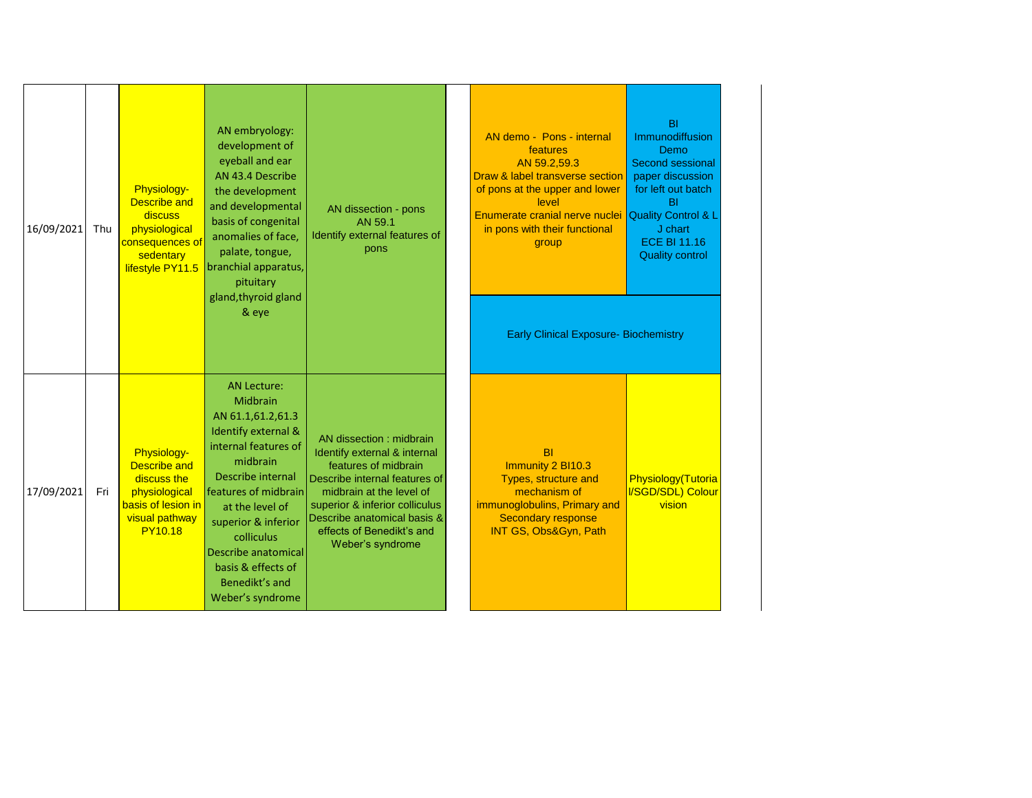| 16/09/2021 | Thu | Physiology-<br><b>Describe and</b><br>discuss<br>physiological<br><mark>consequences of</mark><br>sedentary<br>lifestyle PY11.5 | AN embryology:<br>development of<br>eyeball and ear<br>AN 43.4 Describe<br>the development<br>and developmental<br>basis of congenital<br>anomalies of face,<br>palate, tongue,<br>branchial apparatus,<br>pituitary<br>gland, thyroid gland<br>& eye                                                         | AN dissection - pons<br>AN 59.1<br>Identify external features of<br>pons                                                                                                                                                                                        | AN demo - Pons - internal<br>features<br>AN 59.2,59.3<br>Draw & label transverse section<br>of pons at the upper and lower<br>level<br>Enumerate cranial nerve nuclei<br>in pons with their functional<br>group<br><b>Early Clinical Exposure- Biochemistry</b> | BI<br>Immunodiffusion<br>Demo<br>Second sessional<br>paper discussion<br>for left out batch<br><b>BI</b><br><b>Quality Control &amp; L</b><br>J chart<br><b>ECE BI 11.16</b><br><b>Quality control</b> |
|------------|-----|---------------------------------------------------------------------------------------------------------------------------------|---------------------------------------------------------------------------------------------------------------------------------------------------------------------------------------------------------------------------------------------------------------------------------------------------------------|-----------------------------------------------------------------------------------------------------------------------------------------------------------------------------------------------------------------------------------------------------------------|-----------------------------------------------------------------------------------------------------------------------------------------------------------------------------------------------------------------------------------------------------------------|--------------------------------------------------------------------------------------------------------------------------------------------------------------------------------------------------------|
| 17/09/2021 | Fri | Physiology-<br><b>Describe and</b><br>discuss the<br>physiological<br>basis of lesion in<br>visual pathway<br><b>PY10.18</b>    | <b>AN Lecture:</b><br>Midbrain<br>AN 61.1,61.2,61.3<br>Identify external &<br>internal features of<br>midbrain<br><b>Describe internal</b><br>features of midbrain<br>at the level of<br>superior & inferior<br>colliculus<br>Describe anatomical<br>basis & effects of<br>Benedikt's and<br>Weber's syndrome | AN dissection : midbrain<br>Identify external & internal<br>features of midbrain<br>Describe internal features of<br>midbrain at the level of<br>superior & inferior colliculus<br>Describe anatomical basis &<br>effects of Benedikt's and<br>Weber's syndrome | <b>BI</b><br>Immunity 2 BI10.3<br>Types, structure and<br>mechanism of<br>immunoglobulins, Primary and<br><b>Secondary response</b><br>INT GS, Obs&Gyn, Path                                                                                                    | Physiology(Tutoria<br>I/SGD/SDL) Colour<br>vision                                                                                                                                                      |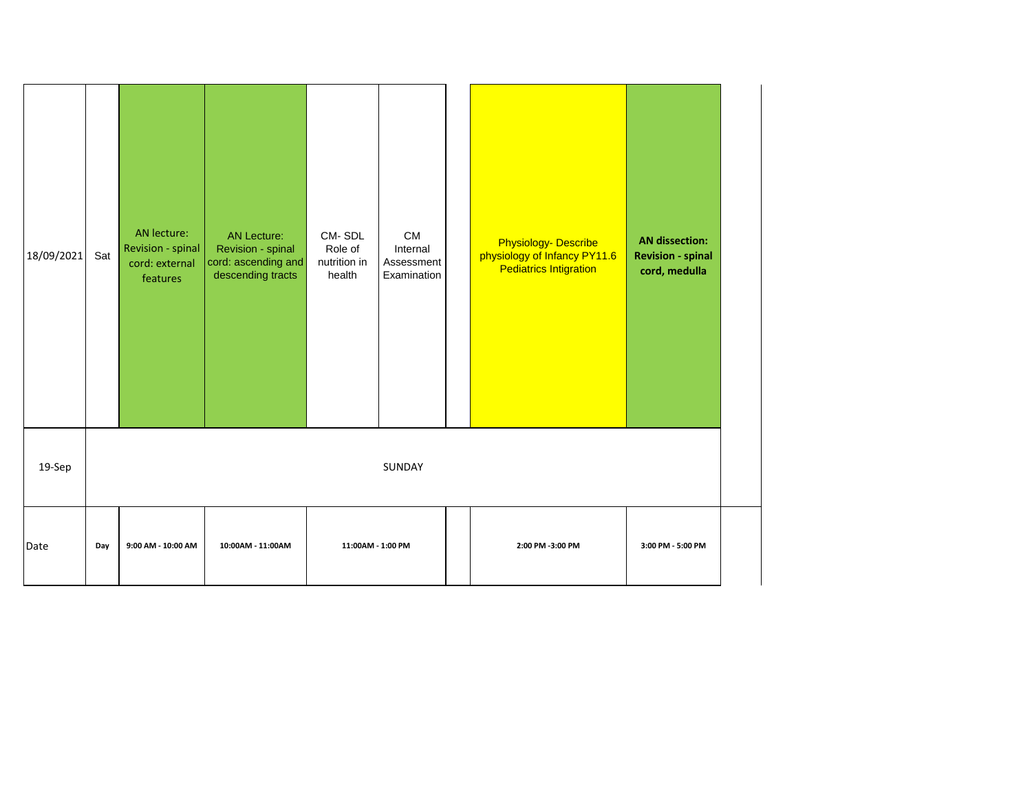| 18/09/2021 | Sat | AN lecture:<br>Revision - spinal<br>cord: external<br>features | <b>AN Lecture:</b><br>Revision - spinal<br>cord: ascending and<br>descending tracts | CM-SDL<br>Role of<br>nutrition in<br>health | CM<br>Internal<br>Assessment<br>Examination | <b>Physiology- Describe</b><br>physiology of Infancy PY11.6<br><b>Pediatrics Intigration</b> | <b>AN dissection:</b><br><b>Revision - spinal</b><br>cord, medulla |
|------------|-----|----------------------------------------------------------------|-------------------------------------------------------------------------------------|---------------------------------------------|---------------------------------------------|----------------------------------------------------------------------------------------------|--------------------------------------------------------------------|
| 19-Sep     |     |                                                                |                                                                                     |                                             | SUNDAY                                      |                                                                                              |                                                                    |
| Date       | Day | 9:00 AM - 10:00 AM                                             | 10:00AM - 11:00AM                                                                   | 11:00AM - 1:00 PM                           |                                             | 2:00 PM -3:00 PM                                                                             | 3:00 PM - 5:00 PM                                                  |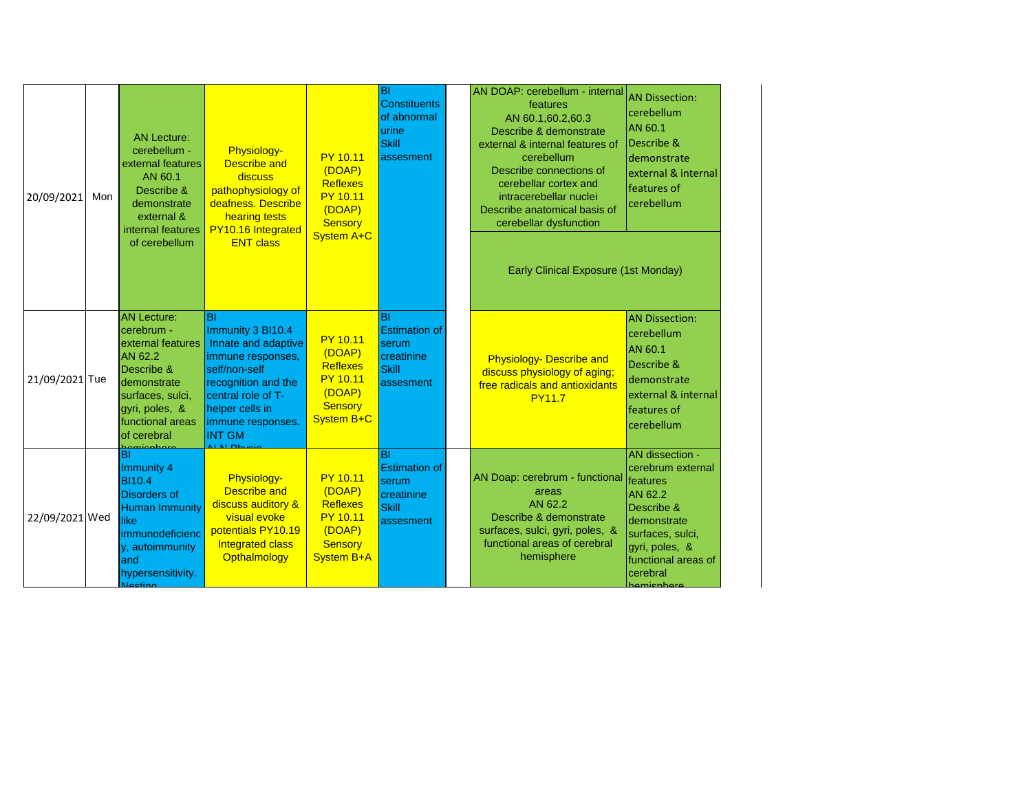| 20/09/2021     | Mon | <b>AN Lecture:</b><br>cerebellum -<br>external features<br>AN 60.1<br>Describe &<br>demonstrate<br>external &<br>internal features<br>of cerebellum                               | Physiology-<br><b>Describe and</b><br>discuss<br>pathophysiology of<br>deafness. Describe<br>hearing tests<br>PY10.16 Integrated<br><b>ENT class</b>                                       | <b>PY 10.11</b><br>(DOAP)<br><b>Reflexes</b><br><b>PY 10.11</b><br>(DOAP)<br><b>Sensory</b><br><b>System A+C</b> | ΙBΙ<br>Constituents<br>of abnormal<br>urine<br><b>Skill</b><br>assesment                    | AN DOAP: cerebellum - internal<br>features<br>AN 60.1,60.2,60.3<br>Describe & demonstrate<br>external & internal features of<br>cerebellum<br>Describe connections of<br>cerebellar cortex and<br>intracerebellar nuclei<br>Describe anatomical basis of<br>cerebellar dysfunction<br>Early Clinical Exposure (1st Monday) | <b>AN Dissection:</b><br>lcerebellum<br>AN 60.1<br>Describe &<br>demonstrate<br>external & internal<br>features of<br>cerebellum                                                      |
|----------------|-----|-----------------------------------------------------------------------------------------------------------------------------------------------------------------------------------|--------------------------------------------------------------------------------------------------------------------------------------------------------------------------------------------|------------------------------------------------------------------------------------------------------------------|---------------------------------------------------------------------------------------------|----------------------------------------------------------------------------------------------------------------------------------------------------------------------------------------------------------------------------------------------------------------------------------------------------------------------------|---------------------------------------------------------------------------------------------------------------------------------------------------------------------------------------|
| 21/09/2021 Tue |     | <b>AN Lecture:</b><br>cerebrum -<br>external features<br>AN 62.2<br>Describe &<br>demonstrate<br>surfaces, sulci,<br>gyri, poles, &<br>functional areas<br>of cerebral            | BI<br>Immunity 3 BI10.4<br>Innate and adaptive<br>immune responses,<br>self/non-self<br>recognition and the<br>central role of T-<br>helper cells in<br>immune responses.<br><b>INT GM</b> | <b>PY 10.11</b><br>(DOAP)<br><b>Reflexes</b><br><b>PY 10.11</b><br>(DOAP)<br>Sensory<br>System B+C               | $ \mathsf{B} $<br><b>Estimation of</b><br>serum<br>creatinine<br><b>Skill</b><br>assesment  | <b>Physiology- Describe and</b><br>discuss physiology of aging;<br>free radicals and antioxidants<br><b>PY11.7</b>                                                                                                                                                                                                         | <b>AN Dissection:</b><br>cerebellum<br>AN 60.1<br>Describe &<br>demonstrate<br>external & internal<br>features of<br>cerebellum                                                       |
| 22/09/2021 Wed |     | $\overline{\mathsf{B}}$<br>Immunity 4<br><b>BI10.4</b><br><b>Disorders of</b><br><b>Human Immunity</b><br>like<br>immunodeficienc<br>y, autoimmunity<br>land<br>hypersensitivity. | Physiology-<br><b>Describe and</b><br>discuss auditory &<br>visual evoke<br>potentials PY10.19<br>Integrated class<br>Opthalmology                                                         | <b>PY 10.11</b><br>(DOAP)<br><b>Reflexes</b><br><b>PY 10.11</b><br>(DOAP)<br><b>Sensory</b><br><b>System B+A</b> | $\overline{BI}$<br><b>Estimation of</b><br>serum<br>creatinine<br><b>Skill</b><br>assesment | AN Doap: cerebrum - functional<br>areas<br>AN 62.2<br>Describe & demonstrate<br>surfaces, sulci, gyri, poles, &<br>functional areas of cerebral<br>hemisphere                                                                                                                                                              | <b>AN</b> dissection -<br>cerebrum external<br>features<br>AN 62.2<br>Describe &<br>demonstrate<br>surfaces, sulci,<br>gyri, poles, &<br>functional areas of<br>cerebral<br>amienhorg |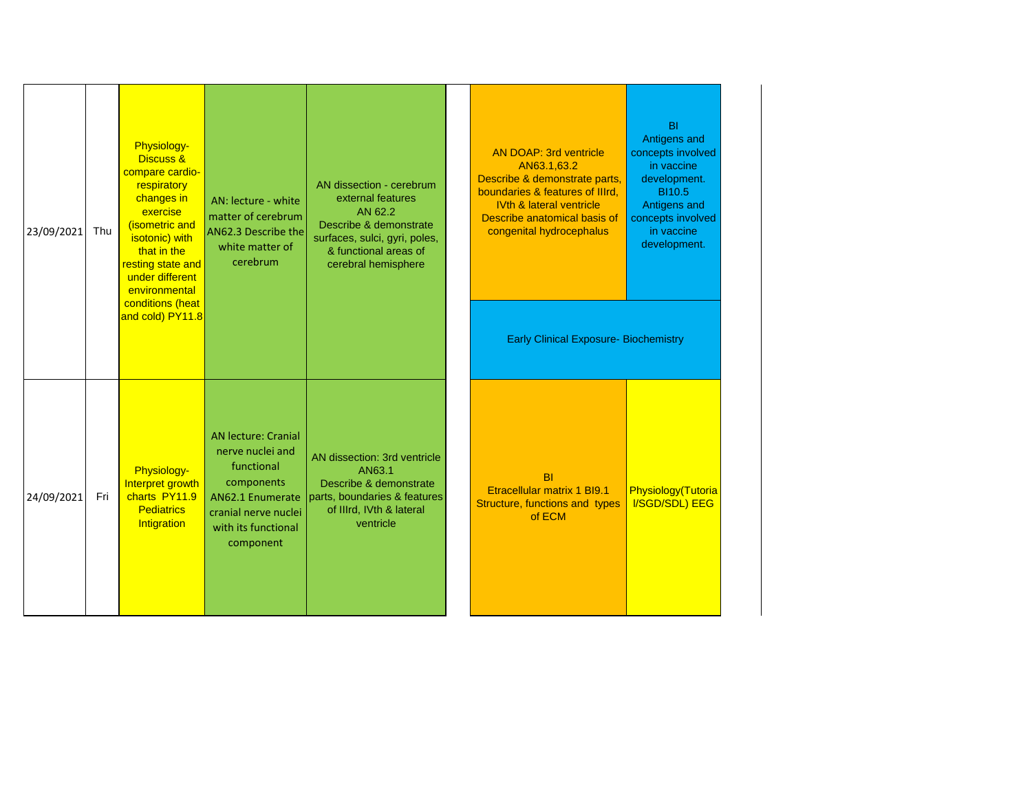| 23/09/2021 | Thu | Physiology-<br><b>Discuss &amp;</b><br>compare cardio-<br>respiratory<br>changes in<br>exercise<br>(isometric and<br>isotonic) with<br>that in the<br>resting state and<br>under different<br>environmental<br>conditions (heat<br>and cold) PY11.8 | AN: lecture - white<br>matter of cerebrum<br>AN62.3 Describe the<br>white matter of<br>cerebrum                                                            | AN dissection - cerebrum<br>external features<br>AN 62.2<br>Describe & demonstrate<br>surfaces, sulci, gyri, poles,<br>& functional areas of<br>cerebral hemisphere | <b>AN DOAP: 3rd ventricle</b><br>AN63.1,63.2<br>Describe & demonstrate parts,<br>boundaries & features of IIIrd,<br><b>IVth &amp; lateral ventricle</b><br>Describe anatomical basis of<br>congenital hydrocephalus<br><b>Early Clinical Exposure- Biochemistry</b> | <b>BI</b><br>Antigens and<br>concepts involved<br>in vaccine<br>development.<br><b>BI10.5</b><br>Antigens and<br>concepts involved<br>in vaccine<br>development. |
|------------|-----|-----------------------------------------------------------------------------------------------------------------------------------------------------------------------------------------------------------------------------------------------------|------------------------------------------------------------------------------------------------------------------------------------------------------------|---------------------------------------------------------------------------------------------------------------------------------------------------------------------|---------------------------------------------------------------------------------------------------------------------------------------------------------------------------------------------------------------------------------------------------------------------|------------------------------------------------------------------------------------------------------------------------------------------------------------------|
| 24/09/2021 | Fri | Physiology-<br>Interpret growth<br>charts PY11.9<br><b>Pediatrics</b><br>Intigration                                                                                                                                                                | <b>AN lecture: Cranial</b><br>nerve nuclei and<br>functional<br>components<br>AN62.1 Enumerate<br>cranial nerve nuclei<br>with its functional<br>component | AN dissection: 3rd ventricle<br>AN63.1<br>Describe & demonstrate<br>parts, boundaries & features<br>of IIIrd, IVth & lateral<br>ventricle                           | <b>BI</b><br>Etracellular matrix 1 BI9.1<br>Structure, functions and types<br>of ECM                                                                                                                                                                                | Physiology(Tutoria<br><b>I/SGD/SDL) EEG</b>                                                                                                                      |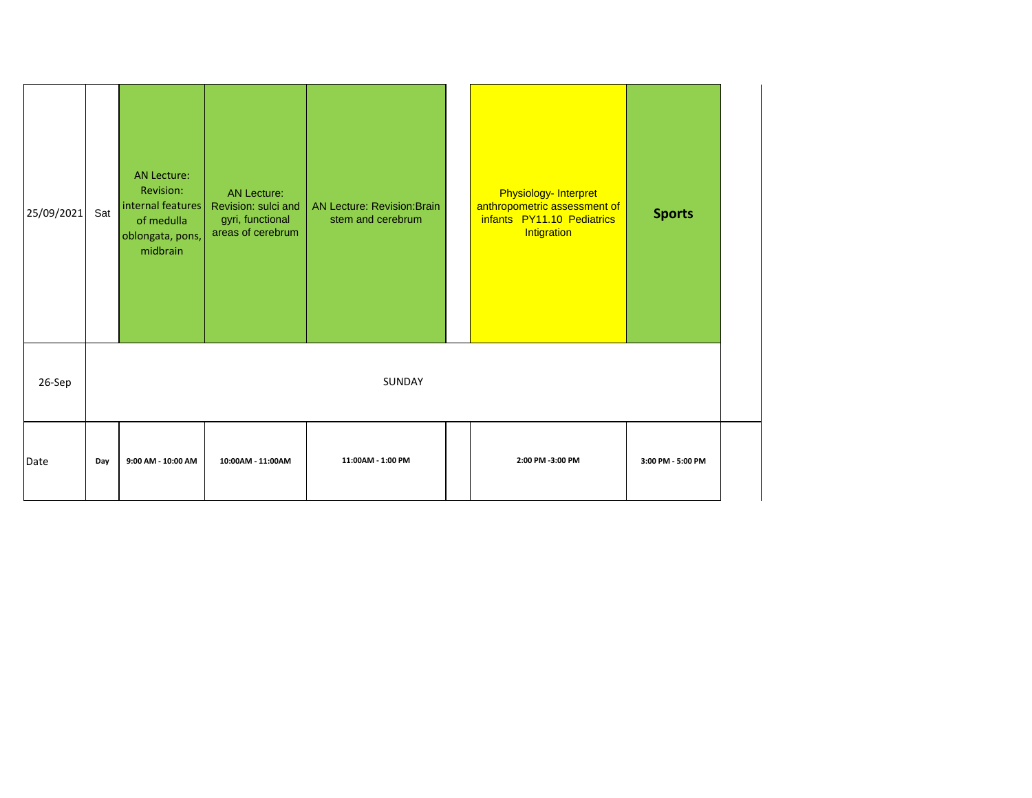| 25/09/2021 | Sat | <b>AN Lecture:</b><br>Revision:<br>internal features<br>of medulla<br>oblongata, pons,<br>midbrain | <b>AN Lecture:</b><br>Revision: sulci and<br>gyri, functional<br>areas of cerebrum | <b>AN Lecture: Revision:Brain</b><br>stem and cerebrum | Physiology- Interpret<br>anthropometric assessment of<br>infants PY11.10 Pediatrics<br>Intigration | <b>Sports</b>     |  |
|------------|-----|----------------------------------------------------------------------------------------------------|------------------------------------------------------------------------------------|--------------------------------------------------------|----------------------------------------------------------------------------------------------------|-------------------|--|
| 26-Sep     |     |                                                                                                    |                                                                                    | SUNDAY                                                 |                                                                                                    |                   |  |
| Date       | Day | 9:00 AM - 10:00 AM                                                                                 | 10:00AM - 11:00AM                                                                  | 11:00AM - 1:00 PM                                      | 2:00 PM -3:00 PM                                                                                   | 3:00 PM - 5:00 PM |  |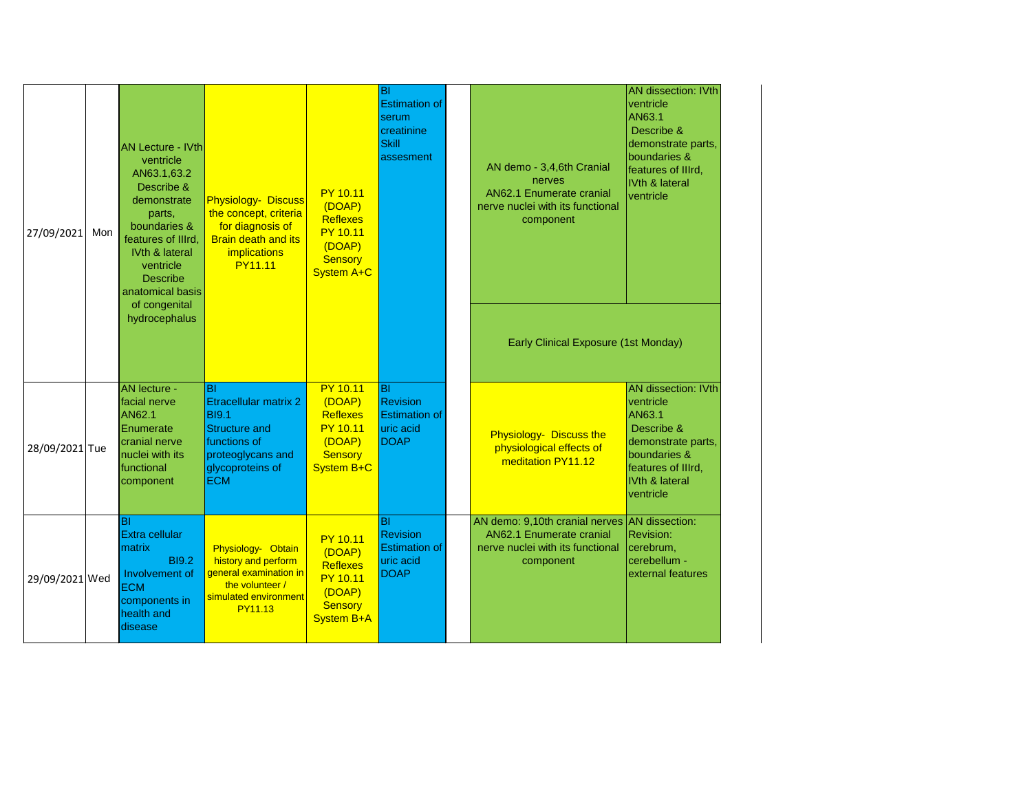| 27/09/2021     | Mon | <b>AN Lecture - IVth</b><br>ventricle<br>AN63.1,63.2<br>Describe &<br>demonstrate<br>parts,<br>boundaries &<br>features of Illrd,<br>IVth & lateral<br>ventricle<br><b>Describe</b><br>anatomical basis<br>of congenital<br>hydrocephalus | <b>Physiology- Discuss</b><br>the concept, criteria<br>for diagnosis of<br><b>Brain death and its</b><br><i>implications</i><br><b>PY11.11</b>           | <b>PY 10.11</b><br>(DOAP)<br><b>Reflexes</b><br><b>PY 10.11</b><br>(DOAP)<br><b>Sensory</b><br>System A+C | ΙBΙ<br><b>Estimation of</b><br>serum<br>creatinine<br><b>Skill</b><br>assesment | AN demo - 3,4,6th Cranial<br>nerves<br><b>AN62.1 Enumerate cranial</b><br>nerve nuclei with its functional<br>component<br>Early Clinical Exposure (1st Monday) | <b>AN dissection: IVth</b><br>ventricle<br>AN63.1<br>Describe &<br>demonstrate parts,<br>boundaries &<br>features of Illrd,<br>IVth & lateral<br>ventricle |
|----------------|-----|-------------------------------------------------------------------------------------------------------------------------------------------------------------------------------------------------------------------------------------------|----------------------------------------------------------------------------------------------------------------------------------------------------------|-----------------------------------------------------------------------------------------------------------|---------------------------------------------------------------------------------|-----------------------------------------------------------------------------------------------------------------------------------------------------------------|------------------------------------------------------------------------------------------------------------------------------------------------------------|
| 28/09/2021 Tue |     | <b>AN</b> lecture -<br>facial nerve<br><b>AN62.1</b><br>Enumerate<br>cranial nerve<br>nuclei with its<br>functional<br>component                                                                                                          | <b>BI</b><br><b>Etracellular matrix 2</b><br><b>BI9.1</b><br><b>Structure and</b><br>functions of<br>proteoglycans and<br>glycoproteins of<br><b>ECM</b> | <b>PY 10.11</b><br>(DOAP)<br><b>Reflexes</b><br><b>PY 10.11</b><br>(DOAP)<br><b>Sensory</b><br>System B+C | lвı<br><b>Revision</b><br><b>Estimation of</b><br>uric acid<br><b>DOAP</b>      | Physiology- Discuss the<br>physiological effects of<br>meditation PY11.12                                                                                       | <b>AN dissection: IVth</b><br>ventricle<br>AN63.1<br>Describe &<br>demonstrate parts,<br>boundaries &<br>features of Illrd,<br>IVth & lateral<br>ventricle |
| 29/09/2021 Wed |     | BI<br>Extra cellular<br>matrix<br><b>BI9.2</b><br>Involvement of<br><b>ECM</b><br>components in<br>health and<br>disease                                                                                                                  | Physiology- Obtain<br>history and perform<br>general examination in<br>the volunteer /<br>simulated environment<br><b>PY11.13</b>                        | <b>PY 10.11</b><br>(DOAP)<br><b>Reflexes</b><br>PY 10.11<br>(DOAP)<br><b>Sensory</b><br><b>System B+A</b> | ΙBΙ<br><b>Revision</b><br><b>Estimation of</b><br>uric acid<br><b>DOAP</b>      | AN demo: 9,10th cranial nerves AN dissection:<br><b>AN62.1 Enumerate cranial</b><br>nerve nuclei with its functional<br>component                               | <b>Revision:</b><br>cerebrum,<br>cerebellum -<br>external features                                                                                         |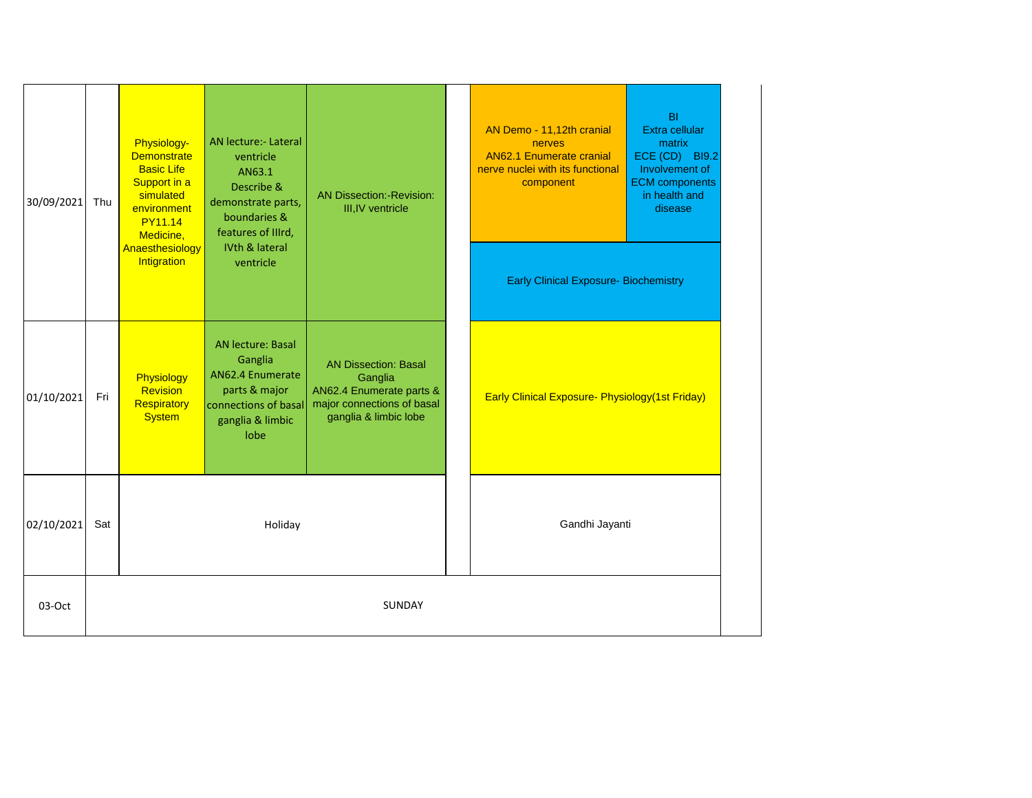| 30/09/2021 | Thu    | Physiology-<br><b>Demonstrate</b><br><b>Basic Life</b><br>Support in a<br>simulated<br>environment<br><b>PY11.14</b><br>Medicine, | <b>AN lecture:- Lateral</b><br>ventricle<br>AN63.1<br>Describe &<br>demonstrate parts,<br>boundaries &<br>features of IIIrd, | <b>AN Dissection:-Revision:</b><br>III, IV ventricle                                                                      |  | AN Demo - 11,12th cranial<br><b>nerves</b><br><b>AN62.1 Enumerate cranial</b><br>nerve nuclei with its functional<br>component | <b>BI</b><br>Extra cellular<br>matrix<br>ECE (CD) BI9.2<br>Involvement of<br><b>ECM</b> components<br>in health and<br>disease |
|------------|--------|-----------------------------------------------------------------------------------------------------------------------------------|------------------------------------------------------------------------------------------------------------------------------|---------------------------------------------------------------------------------------------------------------------------|--|--------------------------------------------------------------------------------------------------------------------------------|--------------------------------------------------------------------------------------------------------------------------------|
|            |        | Anaesthesiology<br>Intigration                                                                                                    | IVth & lateral<br>ventricle                                                                                                  |                                                                                                                           |  | <b>Early Clinical Exposure- Biochemistry</b>                                                                                   |                                                                                                                                |
| 01/10/2021 | Fri    | Physiology<br>Revision<br>Respiratory<br><b>System</b>                                                                            | <b>AN lecture: Basal</b><br>Ganglia<br>AN62.4 Enumerate<br>parts & major<br>connections of basal<br>ganglia & limbic<br>lobe | <b>AN Dissection: Basal</b><br>Ganglia<br>AN62.4 Enumerate parts &<br>major connections of basal<br>ganglia & limbic lobe |  | <b>Early Clinical Exposure- Physiology (1st Friday)</b>                                                                        |                                                                                                                                |
| 02/10/2021 | Sat    |                                                                                                                                   | Holiday                                                                                                                      |                                                                                                                           |  | Gandhi Jayanti                                                                                                                 |                                                                                                                                |
| 03-Oct     | SUNDAY |                                                                                                                                   |                                                                                                                              |                                                                                                                           |  |                                                                                                                                |                                                                                                                                |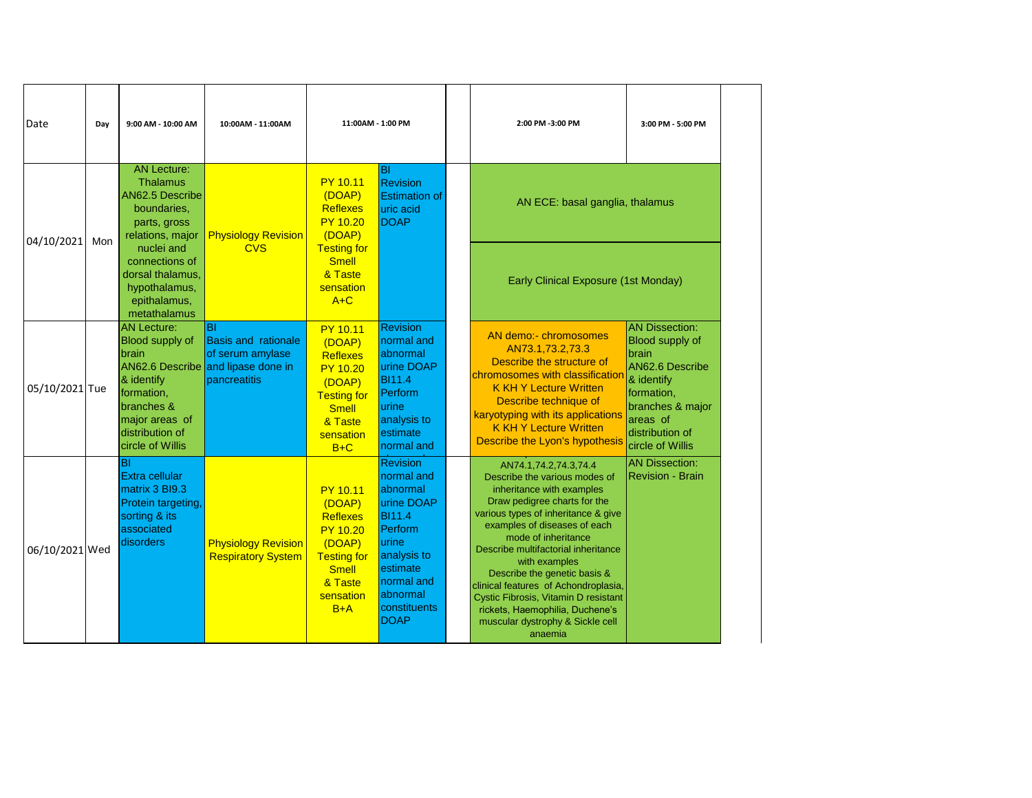| Date           | Day | 9:00 AM - 10:00 AM                                                                                                                                       | 10:00AM - 11:00AM                                                                                          | 11:00AM - 1:00 PM                                                                                                                                |                                                                                                                                                                            |                                                                                                                                                                                                                                                                                                                                                                                                                                                                             |                                                                                                                                                                         | 2:00 PM -3:00 PM | 3:00 PM - 5:00 PM |
|----------------|-----|----------------------------------------------------------------------------------------------------------------------------------------------------------|------------------------------------------------------------------------------------------------------------|--------------------------------------------------------------------------------------------------------------------------------------------------|----------------------------------------------------------------------------------------------------------------------------------------------------------------------------|-----------------------------------------------------------------------------------------------------------------------------------------------------------------------------------------------------------------------------------------------------------------------------------------------------------------------------------------------------------------------------------------------------------------------------------------------------------------------------|-------------------------------------------------------------------------------------------------------------------------------------------------------------------------|------------------|-------------------|
| 04/10/2021     | Mon | <b>AN Lecture:</b><br><b>Thalamus</b><br>AN62.5 Describe<br>boundaries,<br>parts, gross<br>relations, major                                              | <b>Physiology Revision</b>                                                                                 | <b>PY 10.11</b><br>(DOAP)<br><b>Reflexes</b><br><b>PY 10.20</b><br>(DOAP)                                                                        | BI<br><b>Revision</b><br><b>Estimation of</b><br>uric acid<br><b>DOAP</b>                                                                                                  | AN ECE: basal ganglia, thalamus                                                                                                                                                                                                                                                                                                                                                                                                                                             |                                                                                                                                                                         |                  |                   |
|                |     | nuclei and<br>connections of<br>dorsal thalamus,<br>hypothalamus,<br>epithalamus,<br>metathalamus                                                        | <b>CVS</b>                                                                                                 | <b>Testing for</b><br><b>Smell</b><br>& Taste<br>sensation<br>$A+C$                                                                              |                                                                                                                                                                            | <b>Early Clinical Exposure (1st Monday)</b>                                                                                                                                                                                                                                                                                                                                                                                                                                 |                                                                                                                                                                         |                  |                   |
| 05/10/2021 Tue |     | <b>AN Lecture:</b><br><b>Blood supply of</b><br>brain<br>& identify<br>formation,<br>branches &<br>major areas of<br>distribution of<br>circle of Willis | BI<br><b>Basis and rationale</b><br>of serum amylase<br>AN62.6 Describe and lipase done in<br>pancreatitis | <b>PY 10.11</b><br>(DOAP)<br><b>Reflexes</b><br><b>PY 10.20</b><br>(DOAP)<br><b>Testing for</b><br><b>Smell</b><br>& Taste<br>sensation<br>$B+C$ | <b>Revision</b><br>normal and<br>abnormal<br>urine DOAP<br><b>BI11.4</b><br>Perform<br>urine<br>analysis to<br>estimate<br>normal and                                      | AN demo:- chromosomes<br>AN73.1,73.2,73.3<br>Describe the structure of<br>chromosomes with classification<br><b>K KH Y Lecture Written</b><br>Describe technique of<br>karyotyping with its applications<br><b>K KH Y Lecture Written</b><br>Describe the Lyon's hypothesis                                                                                                                                                                                                 | <b>AN Dissection:</b><br>Blood supply of<br>brain<br>AN62.6 Describe<br>& identify<br>formation,<br>branches & major<br>areas of<br>distribution of<br>circle of Willis |                  |                   |
| 06/10/2021 Wed |     | lвı<br>Extra cellular<br>matrix 3 BI9.3<br>Protein targeting,<br>sorting & its<br>associated<br>disorders                                                | <b>Physiology Revision</b><br><b>Respiratory System</b>                                                    | <b>PY 10.11</b><br>(DOAP)<br><b>Reflexes</b><br><b>PY 10.20</b><br>(DOAP)<br><b>Testing for</b><br><b>Smell</b><br>& Taste<br>sensation<br>$B+A$ | <b>Revision</b><br>normal and<br>abnormal<br>urine DOAP<br><b>BI11.4</b><br>Perform<br>lurine<br>analysis to<br>estimate<br>normal and<br>abnormal<br>constituents<br>DOAP | AN74.1,74.2,74.3,74.4<br>Describe the various modes of<br>inheritance with examples<br>Draw pedigree charts for the<br>various types of inheritance & give<br>examples of diseases of each<br>mode of inheritance<br>Describe multifactorial inheritance<br>with examples<br>Describe the genetic basis &<br>clinical features of Achondroplasia,<br>Cystic Fibrosis, Vitamin D resistant<br>rickets, Haemophilia, Duchene's<br>muscular dystrophy & Sickle cell<br>anaemia | <b>AN Dissection:</b><br><b>Revision - Brain</b>                                                                                                                        |                  |                   |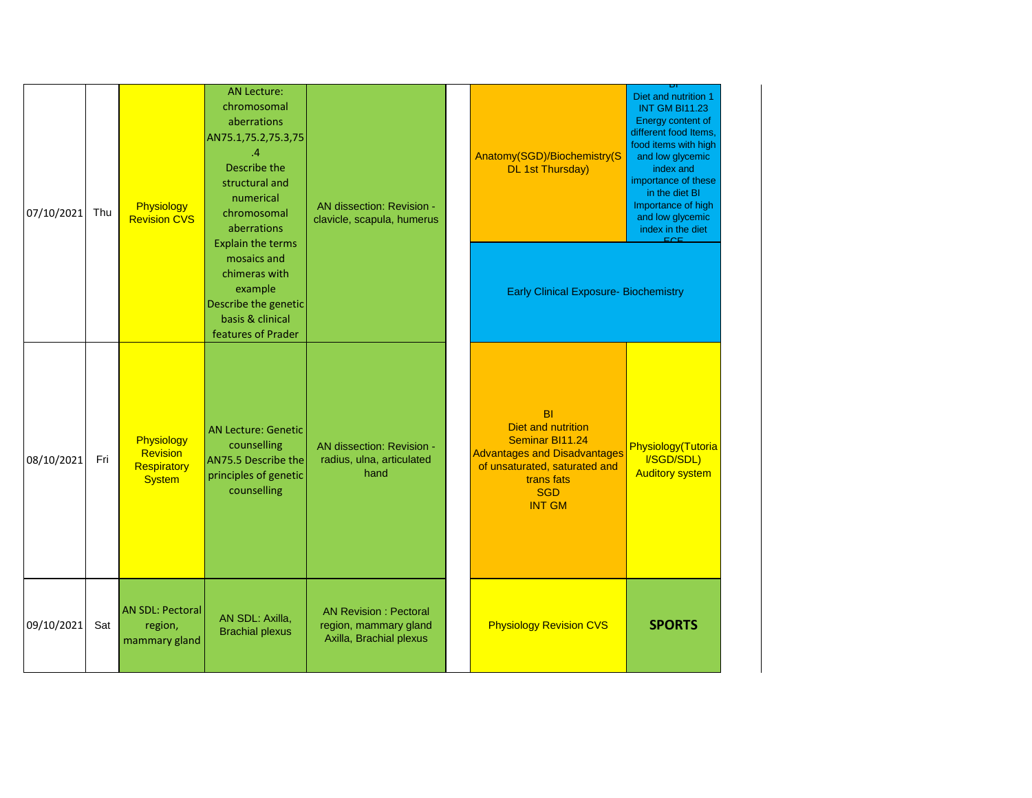| 07/10/2021 | Thu | Physiology<br><b>Revision CVS</b>                      | <b>AN Lecture:</b><br>chromosomal<br>aberrations<br>AN75.1,75.2,75.3,75<br>.4<br>Describe the<br>structural and<br>numerical<br>chromosomal<br>aberrations<br><b>Explain the terms</b> | AN dissection: Revision -<br>clavicle, scapula, humerus                          | Anatomy(SGD)/Biochemistry(S<br><b>DL 1st Thursday)</b>                                                                                                                         | Diet and nutrition 1<br><b>INT GM BI11.23</b><br>Energy content of<br>different food Items<br>food items with high<br>and low glycemic<br>index and<br>importance of these<br>in the diet BI<br>Importance of high<br>and low glycemic<br>index in the diet<br>EOE |
|------------|-----|--------------------------------------------------------|----------------------------------------------------------------------------------------------------------------------------------------------------------------------------------------|----------------------------------------------------------------------------------|--------------------------------------------------------------------------------------------------------------------------------------------------------------------------------|--------------------------------------------------------------------------------------------------------------------------------------------------------------------------------------------------------------------------------------------------------------------|
|            |     |                                                        | mosaics and<br>chimeras with<br>example<br>Describe the genetic<br>basis & clinical<br>features of Prader                                                                              |                                                                                  | <b>Early Clinical Exposure- Biochemistry</b>                                                                                                                                   |                                                                                                                                                                                                                                                                    |
| 08/10/2021 | Fri | Physiology<br>Revision<br>Respiratory<br><b>System</b> | AN Lecture: Genetic<br>counselling<br>AN75.5 Describe the<br>principles of genetic<br>counselling                                                                                      | AN dissection: Revision -<br>radius, ulna, articulated<br>hand                   | <b>BI</b><br><b>Diet and nutrition</b><br>Seminar BI11.24<br><b>Advantages and Disadvantages</b><br>of unsaturated, saturated and<br>trans fats<br><b>SGD</b><br><b>INT GM</b> | Physiology(Tutoria<br>I/SGD/SDL)<br><b>Auditory system</b>                                                                                                                                                                                                         |
| 09/10/2021 | Sat | <b>AN SDL: Pectoral</b><br>region,<br>mammary gland    | AN SDL: Axilla,<br><b>Brachial plexus</b>                                                                                                                                              | <b>AN Revision: Pectoral</b><br>region, mammary gland<br>Axilla, Brachial plexus | <b>Physiology Revision CVS</b>                                                                                                                                                 | <b>SPORTS</b>                                                                                                                                                                                                                                                      |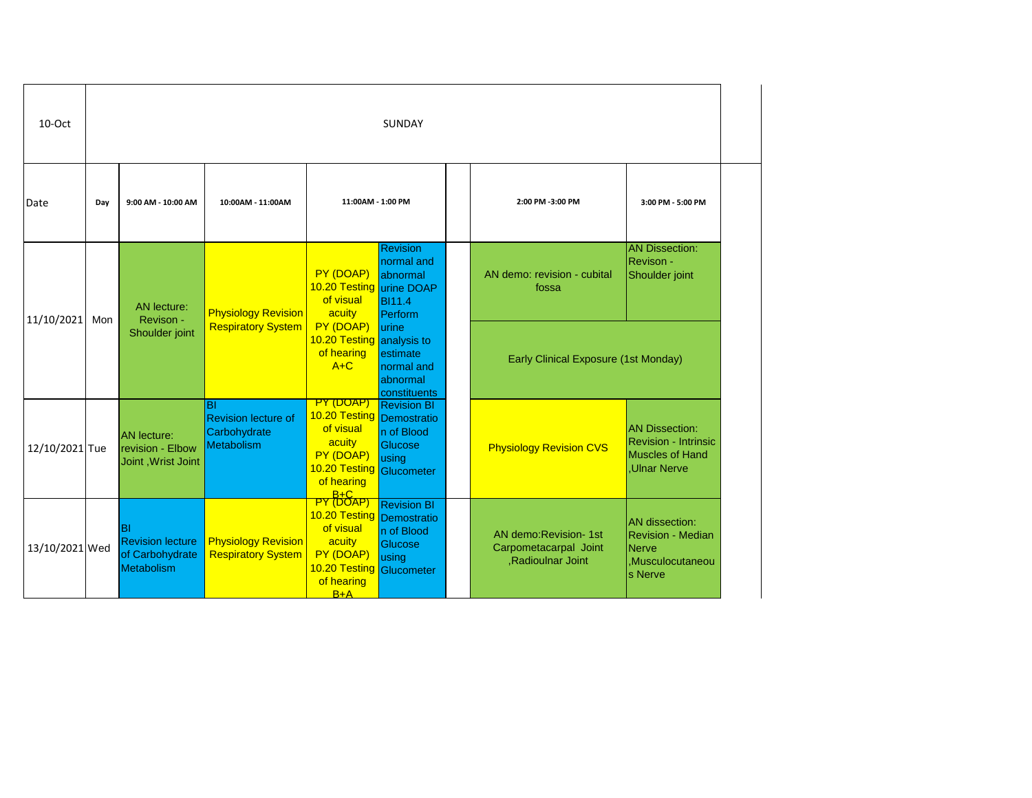| 10-Oct         |                       | SUNDAY                                                                |                                                                |                                                                                                                                         |                                                                                   |  |                                                                     |                                                                                                      |  |  |
|----------------|-----------------------|-----------------------------------------------------------------------|----------------------------------------------------------------|-----------------------------------------------------------------------------------------------------------------------------------------|-----------------------------------------------------------------------------------|--|---------------------------------------------------------------------|------------------------------------------------------------------------------------------------------|--|--|
| Date           | Day                   | 9:00 AM - 10:00 AM                                                    | 10:00AM - 11:00AM                                              | 11:00AM - 1:00 PM                                                                                                                       |                                                                                   |  | 2:00 PM -3:00 PM                                                    | 3:00 PM - 5:00 PM                                                                                    |  |  |
| 11/10/2021     |                       | <b>AN</b> lecture:<br>Revison -                                       | <b>Physiology Revision</b>                                     | PY (DOAP)<br>10.20 Testing urine DOAP<br>of visual<br>acuity                                                                            | <b>Revision</b><br>normal and<br>abnormal<br><b>BI11.4</b><br>Perform             |  | AN demo: revision - cubital<br>fossa                                | <b>AN Dissection:</b><br>Revison -<br>Shoulder joint                                                 |  |  |
|                | Mon<br>Shoulder joint |                                                                       | <b>Respiratory System</b>                                      | PY (DOAP)<br>10.20 Testing analysis to<br>of hearing<br>$A+C$                                                                           | lurine<br>estimate<br>normal and<br>abnormal<br>constituents                      |  | Early Clinical Exposure (1st Monday)                                |                                                                                                      |  |  |
| 12/10/2021 Tue |                       | <b>AN</b> lecture:<br>revision - Elbow<br>Joint, Wrist Joint          | BI<br><b>Revision lecture of</b><br>Carbohydrate<br>Metabolism | PY (DOAP)<br>10.20 Testing<br>of visual<br>acuity<br>PY (DOAP)<br>10.20 Testing<br>of hearing                                           | <b>Revision BI</b><br>Demostratio<br>n of Blood<br>Glucose<br>using<br>Glucometer |  | <b>Physiology Revision CVS</b>                                      | <b>AN Dissection:</b><br><b>Revision - Intrinsic</b><br><b>Muscles of Hand</b><br><b>Ulnar Nerve</b> |  |  |
| 13/10/2021 Wed |                       | BI<br><b>Revision lecture</b><br>of Carbohydrate<br><b>Metabolism</b> | <b>Physiology Revision</b><br><b>Respiratory System</b>        | PY B+C<br>PY (DOAP)<br>10.20 Testing Demostratio<br>of visual<br>acuity<br>PY (DOAP)<br>10.20 Testing Glucometer<br>of hearing<br>$B+A$ | <b>Revision BI</b><br>n of Blood<br>Glucose<br>using                              |  | AN demo:Revision- 1st<br>Carpometacarpal Joint<br>,Radioulnar Joint | <b>AN</b> dissection:<br><b>Revision - Median</b><br><b>Nerve</b><br>Musculocutaneou<br>s Nerve      |  |  |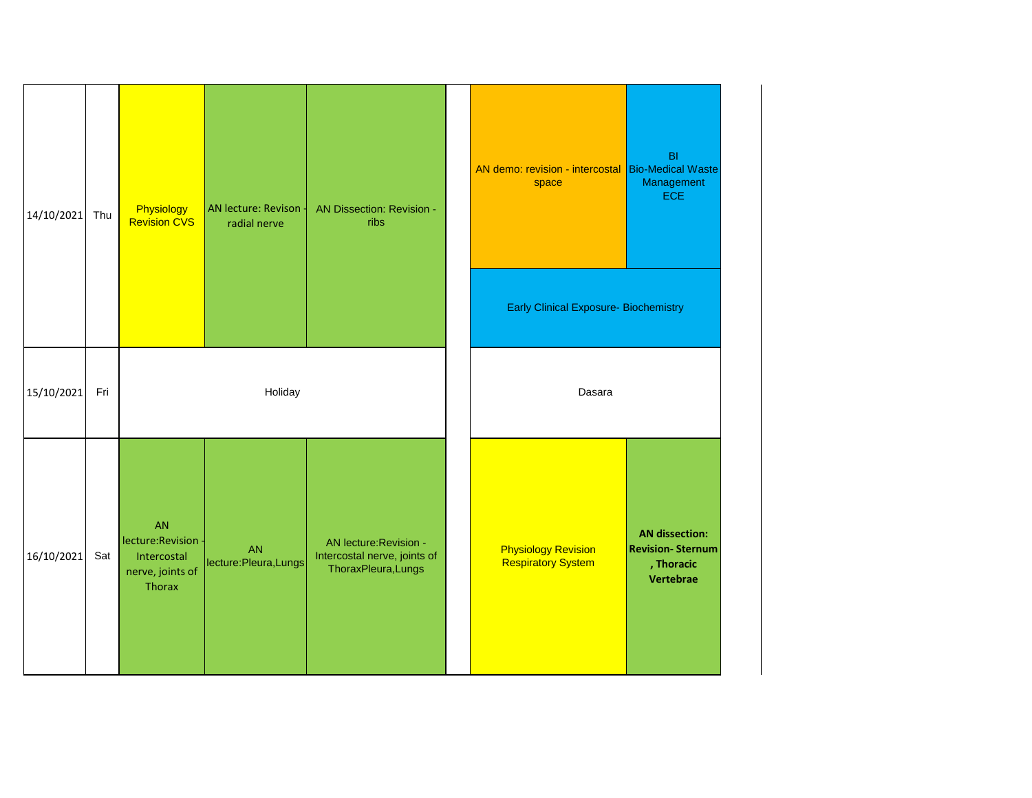| 14/10/2021     | Thu | Physiology<br><b>Revision CVS</b>                                   | AN lecture: Revison -<br>radial nerve | AN Dissection: Revision -<br>ribs                                             | B <sub>l</sub><br>AN demo: revision - intercostal<br><b>Bio-Medical Waste</b><br>Management<br>space<br><b>ECE</b><br><b>Early Clinical Exposure- Biochemistry</b> |
|----------------|-----|---------------------------------------------------------------------|---------------------------------------|-------------------------------------------------------------------------------|--------------------------------------------------------------------------------------------------------------------------------------------------------------------|
| 15/10/2021     | Fri |                                                                     | Holiday                               |                                                                               | Dasara                                                                                                                                                             |
| 16/10/2021 Sat |     | AN<br>lecture:Revision<br>Intercostal<br>nerve, joints of<br>Thorax | <b>AN</b><br>lecture: Pleura, Lungs   | AN lecture: Revision -<br>Intercostal nerve, joints of<br>ThoraxPleura, Lungs | <b>AN dissection:</b><br><b>Revision-Sternum</b><br><b>Physiology Revision</b><br><b>Respiratory System</b><br>, Thoracic<br>Vertebrae                             |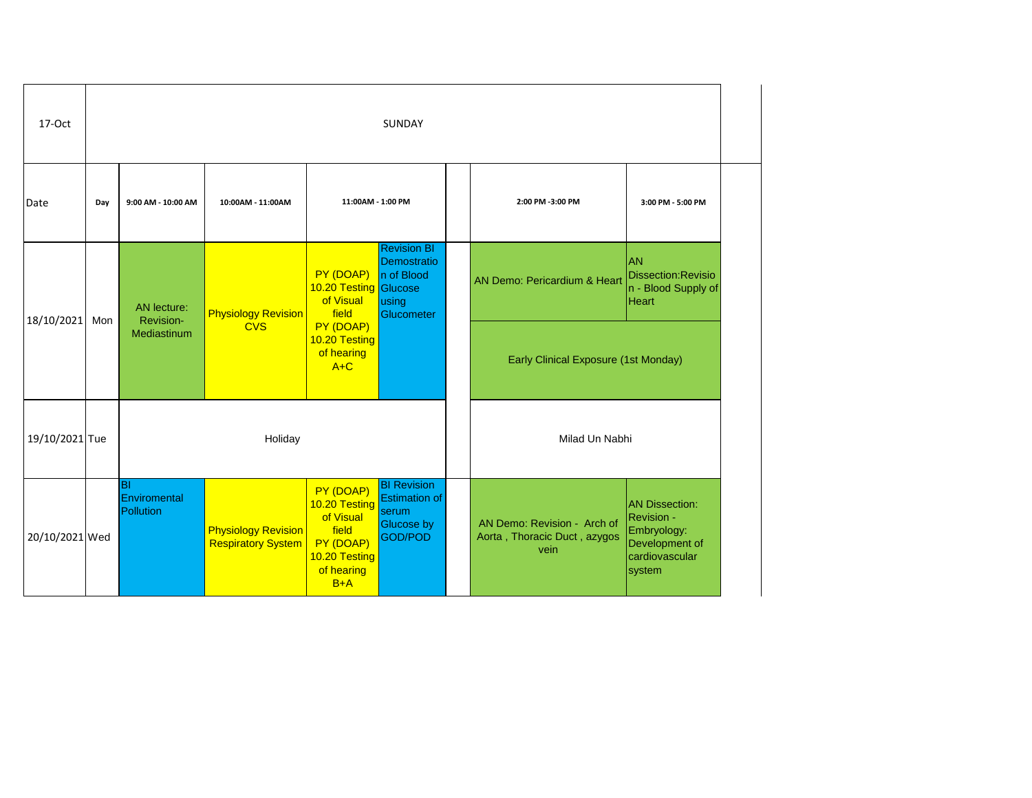| 17-Oct         | SUNDAY |                                  |                                                         |                                                                                                       |                                                                                     |  |                                                                     |                                                                                                         |
|----------------|--------|----------------------------------|---------------------------------------------------------|-------------------------------------------------------------------------------------------------------|-------------------------------------------------------------------------------------|--|---------------------------------------------------------------------|---------------------------------------------------------------------------------------------------------|
| Date           | Day    | 9:00 AM - 10:00 AM               | 10:00AM - 11:00AM                                       | 11:00AM - 1:00 PM                                                                                     |                                                                                     |  | 2:00 PM -3:00 PM                                                    | 3:00 PM - 5:00 PM                                                                                       |
| 18/10/2021     | Mon    | <b>AN</b> lecture:<br>Revision-  | <b>Physiology Revision</b>                              | PY (DOAP)<br>10.20 Testing Glucose<br>of Visual<br>field                                              | <b>Revision BI</b><br>Demostratio<br>n of Blood<br>using<br>Glucometer              |  | AN Demo: Pericardium & Heart                                        | AN<br>Dissection: Revisio<br>n - Blood Supply of<br><b>Heart</b>                                        |
|                |        | Mediastinum                      | <b>CVS</b>                                              | PY (DOAP)<br>10.20 Testing<br>of hearing<br>$A+C$                                                     |                                                                                     |  | <b>Early Clinical Exposure (1st Monday)</b>                         |                                                                                                         |
| 19/10/2021 Tue |        |                                  | Holiday                                                 |                                                                                                       |                                                                                     |  | Milad Un Nabhi                                                      |                                                                                                         |
| 20/10/2021 Wed |        | lвı<br>Enviromental<br>Pollution | <b>Physiology Revision</b><br><b>Respiratory System</b> | PY (DOAP)<br>10.20 Testing<br>of Visual<br>field<br>PY (DOAP)<br>10.20 Testing<br>of hearing<br>$B+A$ | <b>BI Revision</b><br><b>Estimation of</b><br>serum<br>Glucose by<br><b>GOD/POD</b> |  | AN Demo: Revision - Arch of<br>Aorta, Thoracic Duct, azygos<br>vein | <b>AN Dissection:</b><br><b>Revision -</b><br>Embryology:<br>Development of<br>cardiovascular<br>system |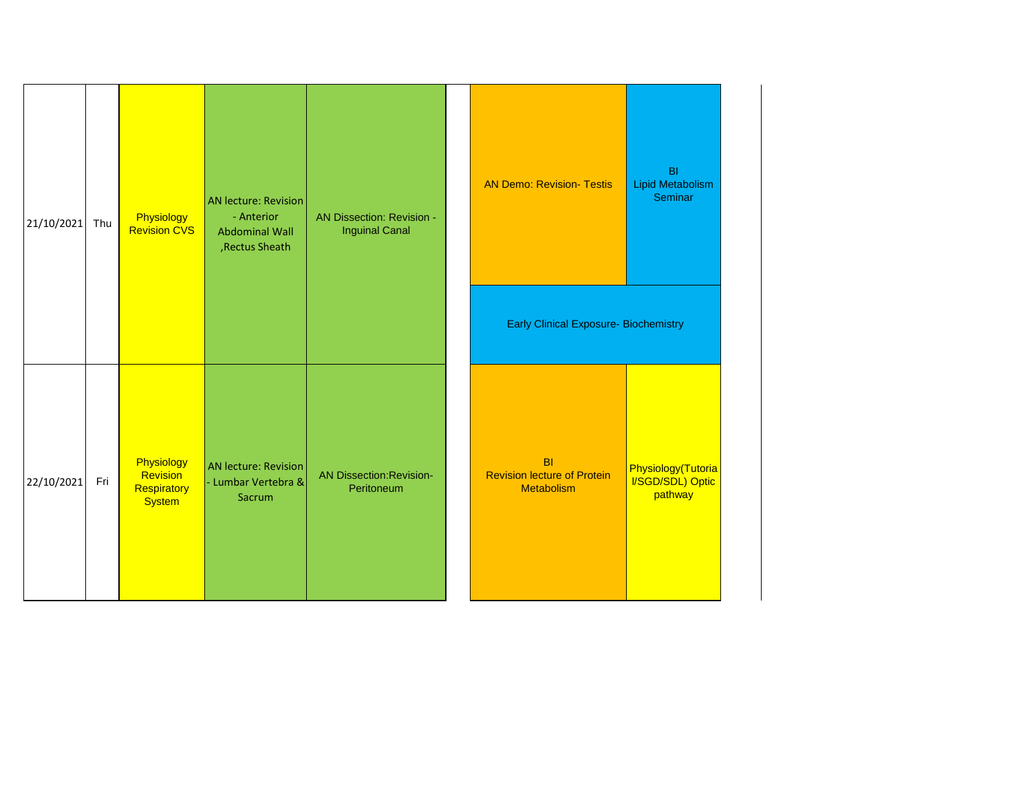| 21/10/2021 | Thu | Physiology<br><b>Revision CVS</b>                      | <b>AN lecture: Revision</b><br>- Anterior<br><b>Abdominal Wall</b><br>, Rectus Sheath | AN Dissection: Revision -<br><b>Inguinal Canal</b> | <b>AN Demo: Revision- Testis</b><br><b>Early Clinical Exposure- Biochemistry</b> | B <sub>l</sub><br>Lipid Metabolism<br>Seminar     |
|------------|-----|--------------------------------------------------------|---------------------------------------------------------------------------------------|----------------------------------------------------|----------------------------------------------------------------------------------|---------------------------------------------------|
| 22/10/2021 | Fri | Physiology<br>Revision<br>Respiratory<br><b>System</b> | <b>AN lecture: Revision</b><br>- Lumbar Vertebra &<br>Sacrum                          | <b>AN Dissection: Revision-</b><br>Peritoneum      | B <sub>l</sub><br><b>Revision lecture of Protein</b><br><b>Metabolism</b>        | Physiology(Tutoria<br>I/SGD/SDL) Optic<br>pathway |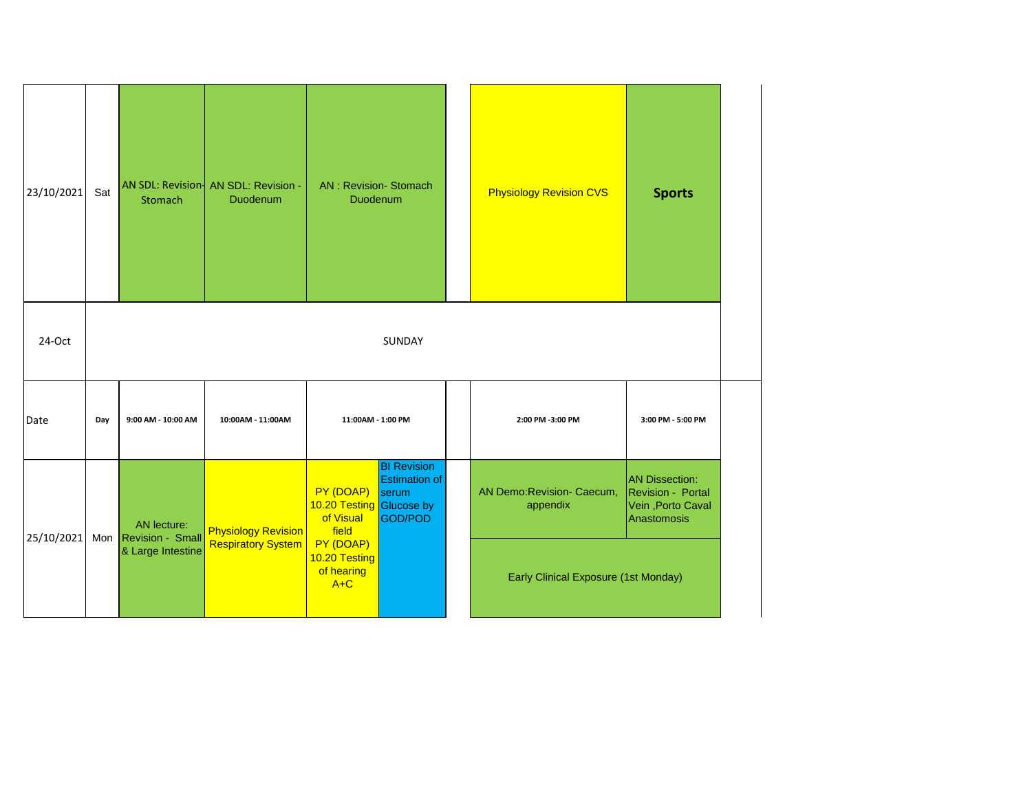| 23/10/2021 | Sat                  | Stomach            | AN SDL: Revision   AN SDL: Revision -<br>Duodenum | <b>AN: Revision-Stomach</b><br><b>Duodenum</b>              |                                                                | <b>Physiology Revision CVS</b>         | <b>Sports</b>                                                                  |
|------------|----------------------|--------------------|---------------------------------------------------|-------------------------------------------------------------|----------------------------------------------------------------|----------------------------------------|--------------------------------------------------------------------------------|
| 24-Oct     |                      |                    |                                                   |                                                             | SUNDAY                                                         |                                        |                                                                                |
| Date       | Day                  | 9:00 AM - 10:00 AM | 10:00AM - 11:00AM                                 | 11:00AM - 1:00 PM                                           |                                                                | 2:00 PM -3:00 PM                       | 3:00 PM - 5:00 PM                                                              |
|            |                      | AN lecture:        | <b>Physiology Revision</b>                        | PY (DOAP)<br>10.20 Testing Glucose by<br>of Visual<br>field | <b>BI Revision</b><br><b>Estimation of</b><br>serum<br>GOD/POD | AN Demo: Revision- Caecum,<br>appendix | <b>AN Dissection:</b><br>Revision - Portal<br>Vein, Porto Caval<br>Anastomosis |
| 25/10/2021 | Mon Revision - Small | & Large Intestine  | <b>Respiratory System</b>                         | PY (DOAP)<br>10.20 Testing<br>of hearing<br>$A+C$           |                                                                | Early Clinical Exposure (1st Monday)   |                                                                                |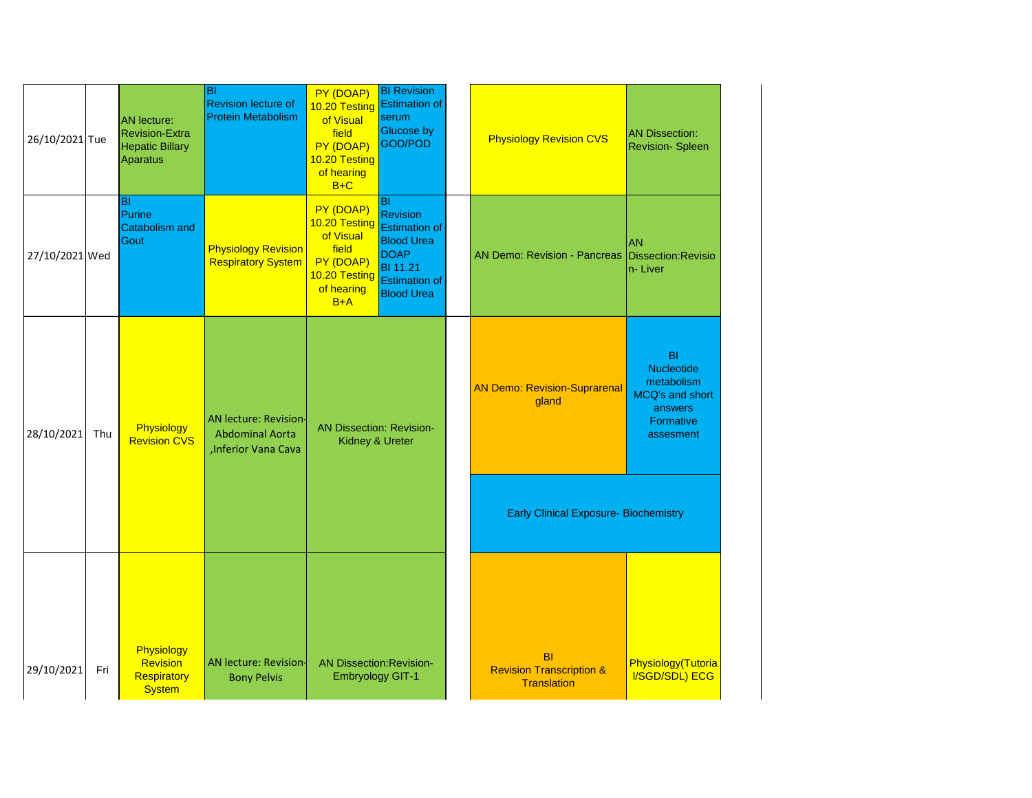| 26/10/2021 Tue |     | <b>AN</b> lecture:<br><b>Revision-Extra</b><br><b>Hepatic Billary</b><br>Aparatus | ΙBΙ<br><b>Revision lecture of</b><br><b>Protein Metabolism</b>                 | PY (DOAP)<br>10.20 Testing<br>of Visual<br>field<br>PY (DOAP)<br>10.20 Testing<br>of hearing<br>$B+C$ | <b>BI Revision</b><br><b>Estimation of</b><br>serum<br>Glucose by<br>GOD/POD                                                                             | <b>Physiology Revision CVS</b>                                         | <b>AN Dissection:</b><br><b>Revision- Spleen</b>                                       |
|----------------|-----|-----------------------------------------------------------------------------------|--------------------------------------------------------------------------------|-------------------------------------------------------------------------------------------------------|----------------------------------------------------------------------------------------------------------------------------------------------------------|------------------------------------------------------------------------|----------------------------------------------------------------------------------------|
| 27/10/2021 Wed |     | lвı<br>Purine<br><b>Catabolism and</b><br>Gout                                    | <b>Physiology Revision</b><br><b>Respiratory System</b>                        | PY (DOAP)<br>10.20 Testing<br>of Visual<br>field<br>PY (DOAP)<br>10.20 Testing<br>of hearing<br>$B+A$ | <b>BI</b><br><b>Revision</b><br><b>Estimation of</b><br><b>Blood Urea</b><br><b>DOAP</b><br><b>BI</b> 11.21<br><b>Estimation of</b><br><b>Blood Urea</b> | <b>AN Demo: Revision - Pancreas</b>                                    | <b>AN</b><br>Dissection: Revisio<br>n-Liver                                            |
| 28/10/2021     | Thu | Physiology<br><b>Revision CVS</b>                                                 | <b>AN lecture: Revision-</b><br><b>Abdominal Aorta</b><br>, Inferior Vana Cava | <b>AN Dissection: Revision-</b><br>Kidney & Ureter                                                    |                                                                                                                                                          | <b>AN Demo: Revision-Suprarenal</b><br>gland                           | BI<br>Nucleotide<br>metabolism<br>MCQ's and short<br>answers<br>Formative<br>assesment |
|                |     |                                                                                   |                                                                                |                                                                                                       |                                                                                                                                                          | <b>Early Clinical Exposure- Biochemistry</b>                           |                                                                                        |
|                |     |                                                                                   |                                                                                |                                                                                                       |                                                                                                                                                          |                                                                        |                                                                                        |
| 29/10/2021     | Fri | Physiology<br><b>Revision</b><br>Respiratory<br><b>System</b>                     | <b>AN lecture: Revision-</b><br><b>Bony Pelvis</b>                             | <b>AN Dissection: Revision-</b><br><b>Embryology GIT-1</b>                                            |                                                                                                                                                          | <b>BI</b><br><b>Revision Transcription &amp;</b><br><b>Translation</b> | Physiology(Tutoria<br>I/SGD/SDL) ECG                                                   |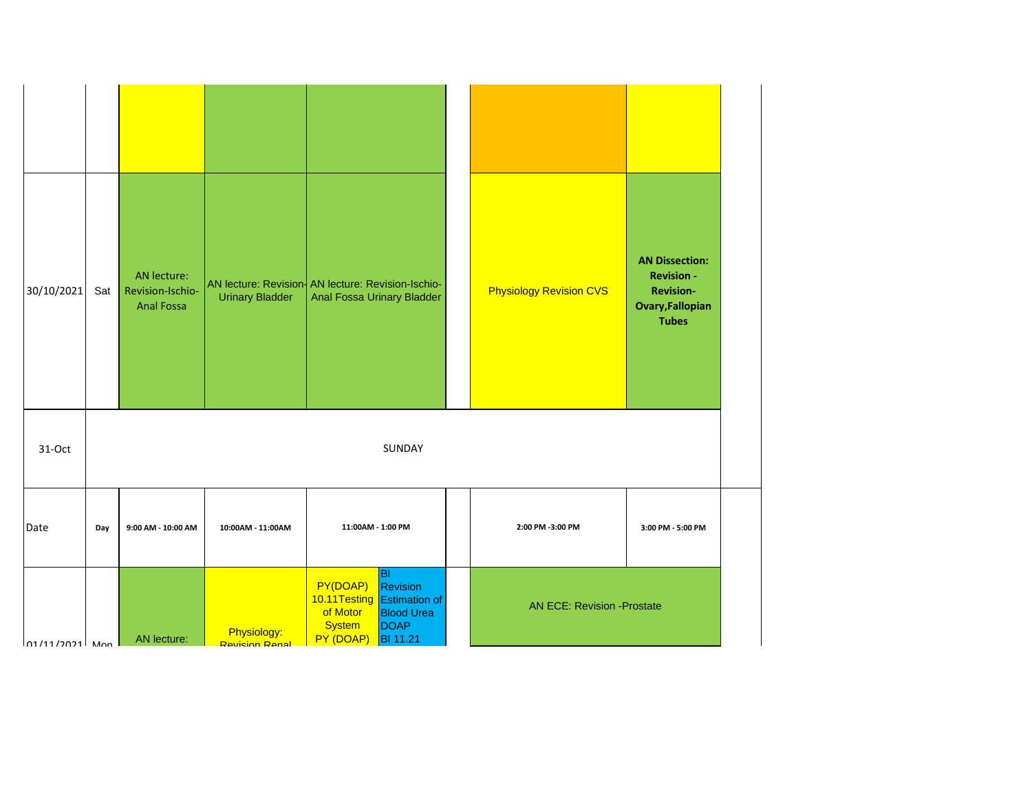| 30/10/2021                   | Sat | AN lecture:<br>Revision-Ischio-<br><b>Anal Fossa</b> | <b>Urinary Bladder</b>               | AN lecture: Revision- AN lecture: Revision-Ischio-<br>Anal Fossa Urinary Bladder                                                                           | <b>Physiology Revision CVS</b>    | <b>AN Dissection:</b><br><b>Revision -</b><br><b>Revision-</b><br><b>Ovary, Fallopian</b><br><b>Tubes</b> |
|------------------------------|-----|------------------------------------------------------|--------------------------------------|------------------------------------------------------------------------------------------------------------------------------------------------------------|-----------------------------------|-----------------------------------------------------------------------------------------------------------|
| 31-Oct                       |     |                                                      |                                      | SUNDAY                                                                                                                                                     |                                   |                                                                                                           |
| Date                         | Day | 9:00 AM - 10:00 AM                                   | 10:00AM - 11:00AM                    | 11:00AM - 1:00 PM                                                                                                                                          | 2:00 PM -3:00 PM                  | 3:00 PM - 5:00 PM                                                                                         |
| $n1/11/2021$ M <sub>on</sub> |     | AN lecture:                                          | Physiology:<br><b>Revision Renal</b> | B <br>PY(DOAP)<br>Revision<br>10.11 Testing Estimation of<br>of Motor<br><b>Blood Urea</b><br><b>System</b><br><b>DOAP</b><br>PY (DOAP)<br><b>BI</b> 11.21 | <b>AN ECE: Revision -Prostate</b> |                                                                                                           |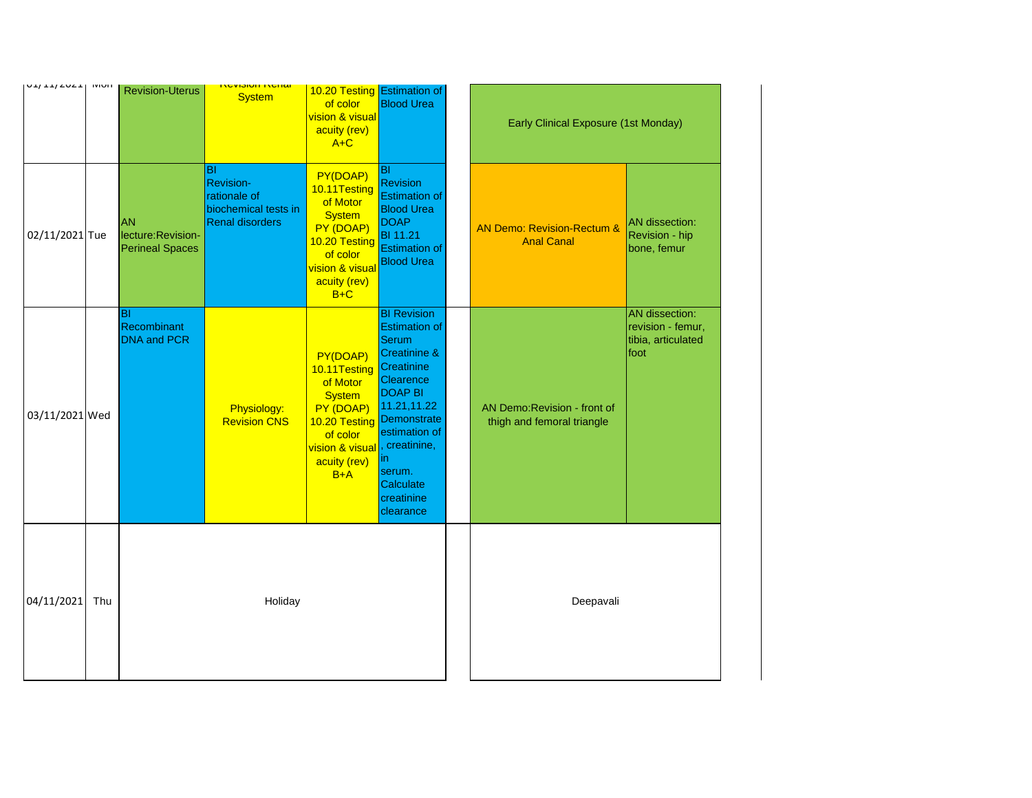| $U + I + I + U + I$ IVIUII |     | <b>Revision-Uterus</b>                                    | <u>ווסווסגו ווטוטוזסאו</u><br><b>System</b>                                                     | 10.20 Testing Estimation of<br>of color<br><b>vision &amp; visual</b><br>acuity (rev)<br>$A+C$                                                         | <b>Blood Urea</b>                                                                                                                                                                                                                                           | <b>Early Clinical Exposure (1st Monday)</b>                |                                                                   |
|----------------------------|-----|-----------------------------------------------------------|-------------------------------------------------------------------------------------------------|--------------------------------------------------------------------------------------------------------------------------------------------------------|-------------------------------------------------------------------------------------------------------------------------------------------------------------------------------------------------------------------------------------------------------------|------------------------------------------------------------|-------------------------------------------------------------------|
| 02/11/2021 Tue             |     | <b>AN</b><br>lecture: Revision-<br><b>Perineal Spaces</b> | <b>BI</b><br><b>Revision-</b><br>rationale of<br>biochemical tests in<br><b>Renal disorders</b> | PY(DOAP)<br>10.11Testing<br>of Motor<br><b>System</b><br>PY (DOAP)<br>10.20 Testing<br>of color<br><b>vision &amp; visual</b><br>acuity (rev)<br>$B+C$ | <b>BI</b><br><b>Revision</b><br><b>Estimation of</b><br><b>Blood Urea</b><br><b>DOAP</b><br><b>BI</b> 11.21<br><b>Estimation of</b><br><b>Blood Urea</b>                                                                                                    | AN Demo: Revision-Rectum &<br><b>Anal Canal</b>            | <b>AN</b> dissection:<br>Revision - hip<br>bone, femur            |
| 03/11/2021 Wed             |     | IBI<br>Recombinant<br><b>DNA and PCR</b>                  | Physiology:<br><b>Revision CNS</b>                                                              | PY(DOAP)<br>10.11Testing<br>of Motor<br><b>System</b><br>PY (DOAP)<br>10.20 Testing<br>of color<br><b>vision &amp; visual</b><br>acuity (rev)<br>$B+A$ | <b>BI Revision</b><br><b>Estimation of</b><br><b>Serum</b><br><b>Creatinine &amp;</b><br>Creatinine<br>Clearence<br><b>DOAP BI</b><br>11.21,11.22<br>Demonstrate<br>estimation of<br>, creatinine,<br>in.<br>serum.<br>Calculate<br>creatinine<br>clearance | AN Demo: Revision - front of<br>thigh and femoral triangle | AN dissection:<br>revision - femur,<br>tibia, articulated<br>foot |
| 04/11/2021                 | Thu |                                                           | Holiday                                                                                         |                                                                                                                                                        |                                                                                                                                                                                                                                                             | Deepavali                                                  |                                                                   |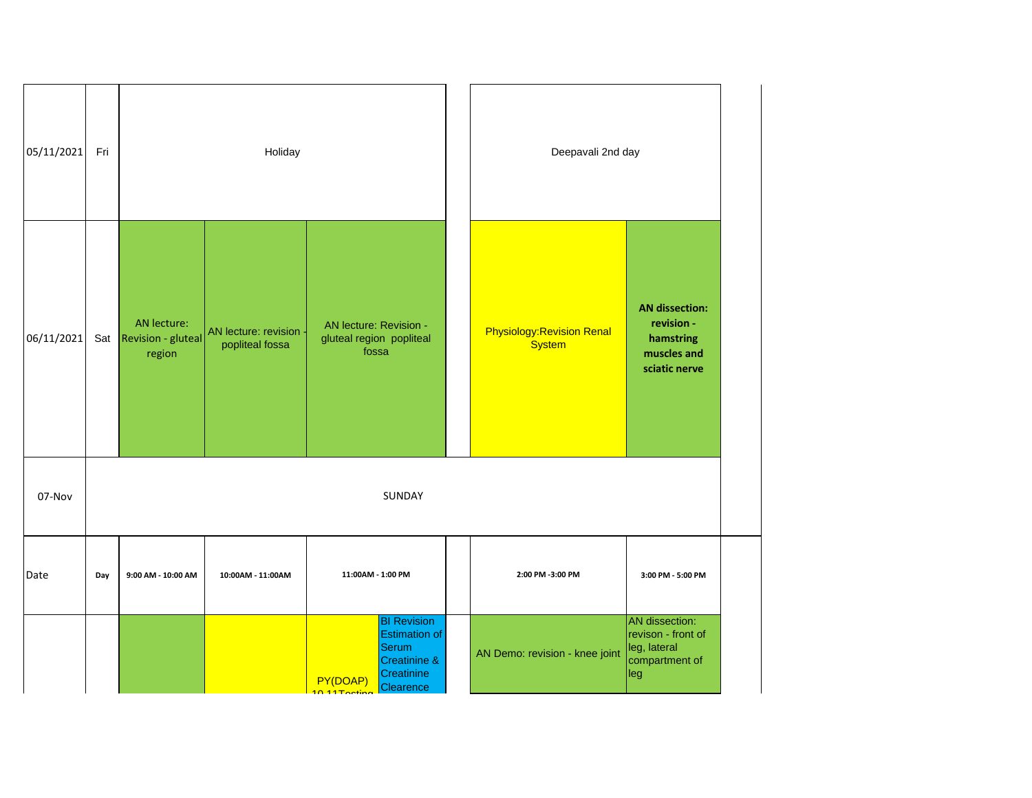| 05/11/2021 | Fri |                                                 | Holiday                                 |                                                             |                                                                                                       |  | Deepavali 2nd day                                  |                                                                                  |
|------------|-----|-------------------------------------------------|-----------------------------------------|-------------------------------------------------------------|-------------------------------------------------------------------------------------------------------|--|----------------------------------------------------|----------------------------------------------------------------------------------|
| 06/11/2021 |     | AN lecture:<br>Sat Revision - gluteal<br>region | AN lecture: revision<br>popliteal fossa | AN lecture: Revision -<br>gluteal region popliteal<br>fossa |                                                                                                       |  | <b>Physiology: Revision Renal</b><br><b>System</b> | <b>AN dissection:</b><br>revision -<br>hamstring<br>muscles and<br>sciatic nerve |
| 07-Nov     |     |                                                 |                                         |                                                             | SUNDAY                                                                                                |  |                                                    |                                                                                  |
| Date       | Day | 9:00 AM - 10:00 AM                              | 10:00AM - 11:00AM                       | 11:00AM - 1:00 PM                                           |                                                                                                       |  | 2:00 PM -3:00 PM                                   | 3:00 PM - 5:00 PM                                                                |
|            |     |                                                 |                                         | PY(DOAP)<br>$10.11$ Taating                                 | <b>BI Revision</b><br><b>Estimation of</b><br><b>Serum</b><br>Creatinine &<br>Creatinine<br>Clearence |  | AN Demo: revision - knee joint                     | AN dissection:<br>revison - front of<br>leg, lateral<br>compartment of<br>leg    |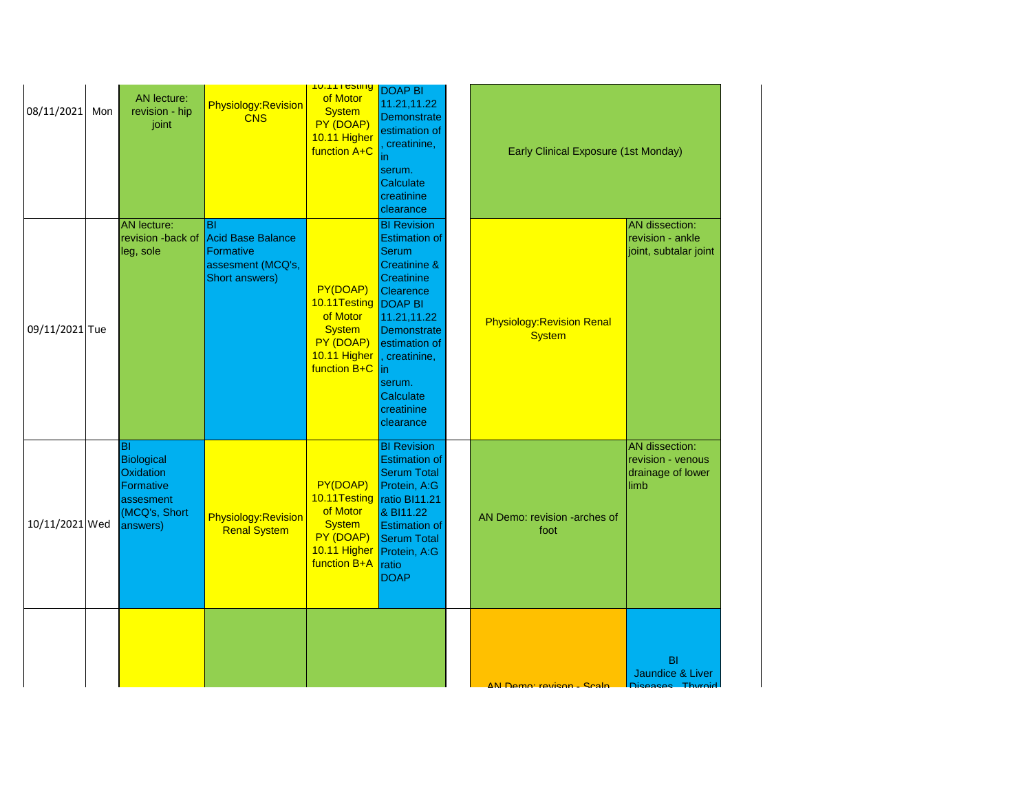| 08/11/2021     | Mon | AN lecture:<br>revision - hip<br>joint                                                | Physiology:Revision<br><b>CNS</b>                                                         | <b>TU. LET USUNG</b><br>of Motor<br><b>System</b><br>PY (DOAP)<br>10.11 Higher<br>function A+C                        | <b>DOAP BI</b><br>11.21,11.22<br><b>Demonstrate</b><br>estimation of<br>creatinine,<br>in<br>serum.<br>Calculate<br>creatinine<br>clearance                                                                                                                        | Early Clinical Exposure (1st Monday)               |                                                                  |
|----------------|-----|---------------------------------------------------------------------------------------|-------------------------------------------------------------------------------------------|-----------------------------------------------------------------------------------------------------------------------|--------------------------------------------------------------------------------------------------------------------------------------------------------------------------------------------------------------------------------------------------------------------|----------------------------------------------------|------------------------------------------------------------------|
| 09/11/2021 Tue |     | <b>AN</b> lecture:<br>revision -back of<br>leg, sole                                  | <b>BI</b><br><b>Acid Base Balance</b><br>Formative<br>assesment (MCQ's,<br>Short answers) | PY(DOAP)<br>10.11Testing<br>of Motor<br><b>System</b><br>PY (DOAP)<br>10.11 Higher<br>function B+C                    | <b>BI Revision</b><br><b>Estimation of</b><br><b>Serum</b><br><b>Creatinine &amp;</b><br><b>Creatinine</b><br>Clearence<br><b>DOAP BI</b><br>11.21,11.22<br>Demonstrate<br>estimation of<br>, creatinine,<br> in<br>serum.<br>Calculate<br>creatinine<br>clearance | <b>Physiology: Revision Renal</b><br><b>System</b> | AN dissection:<br>revision - ankle<br>joint, subtalar joint      |
| 10/11/2021 Wed |     | lвı<br>Biological<br>Oxidation<br>Formative<br>assesment<br>(MCQ's, Short<br>answers) | Physiology:Revision<br><b>Renal System</b>                                                | PY(DOAP)<br>10.11Testing<br>of Motor<br><b>System</b><br>PY (DOAP)<br>10.11 Higher Protein, A:G<br>function B+A ratio | <b>BI Revision</b><br><b>Estimation of</b><br><b>Serum Total</b><br>Protein, A:G<br>ratio BI11.21<br>& BI11.22<br><b>Estimation of</b><br><b>Serum Total</b><br><b>DOAP</b>                                                                                        | AN Demo: revision -arches of<br>foot               | AN dissection:<br>revision - venous<br>drainage of lower<br>limb |
|                |     |                                                                                       |                                                                                           |                                                                                                                       |                                                                                                                                                                                                                                                                    | AN Damo: ravison - Scalp                           | <b>BI</b><br>Jaundice & Liver<br>Diegaege Thuroid                |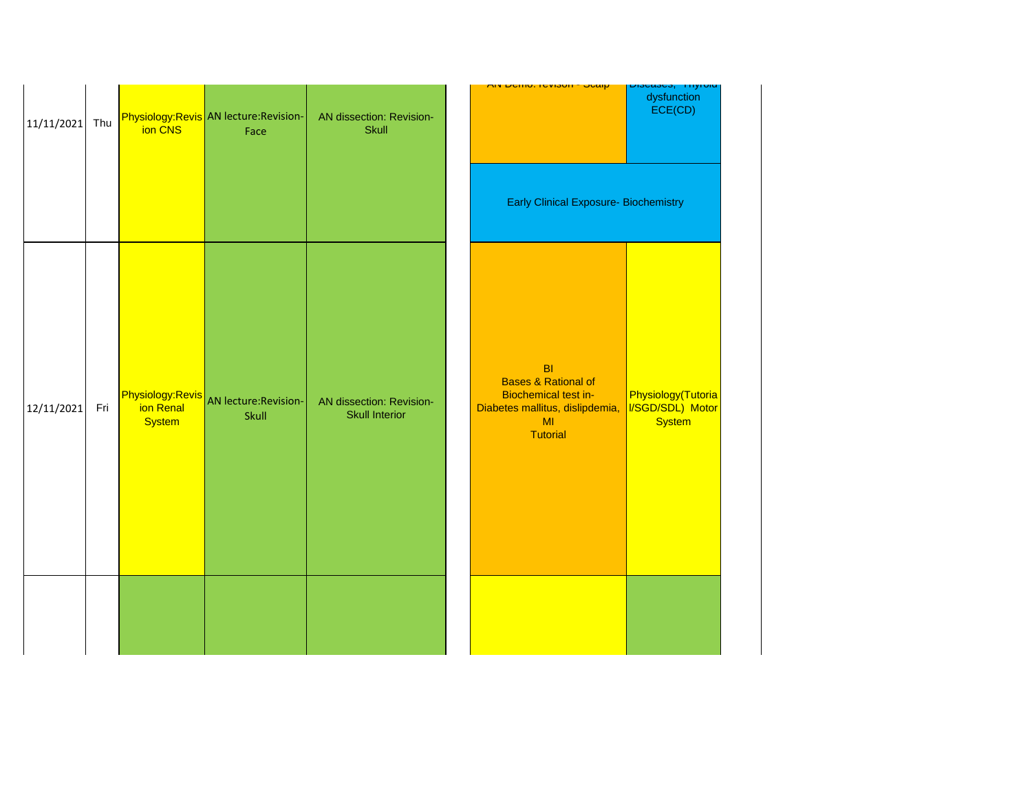| 11/11/2021 | Thu | ion CNS                                               | Physiology:Revis AN lecture:Revision-<br>Face | AN dissection: Revision-<br><b>Skull</b>          | <u> רווע דוווט, ופעוסטון - טעמון </u>                                                                                                       | pipeases, miyiviu<br>dysfunction<br>ECE(CD)             |
|------------|-----|-------------------------------------------------------|-----------------------------------------------|---------------------------------------------------|---------------------------------------------------------------------------------------------------------------------------------------------|---------------------------------------------------------|
|            |     |                                                       |                                               |                                                   | <b>Early Clinical Exposure- Biochemistry</b>                                                                                                |                                                         |
| 12/11/2021 | Fri | <b>Physiology:Revis</b><br>ion Renal<br><b>System</b> | AN lecture: Revision-<br>Skull                | AN dissection: Revision-<br><b>Skull Interior</b> | B <sub>l</sub><br><b>Bases &amp; Rational of</b><br><b>Biochemical test in-</b><br>Diabetes mallitus, dislipdemia,<br>MI<br><b>Tutorial</b> | Physiology(Tutoria<br>I/SGD/SDL) Motor<br><b>System</b> |
|            |     |                                                       |                                               |                                                   |                                                                                                                                             |                                                         |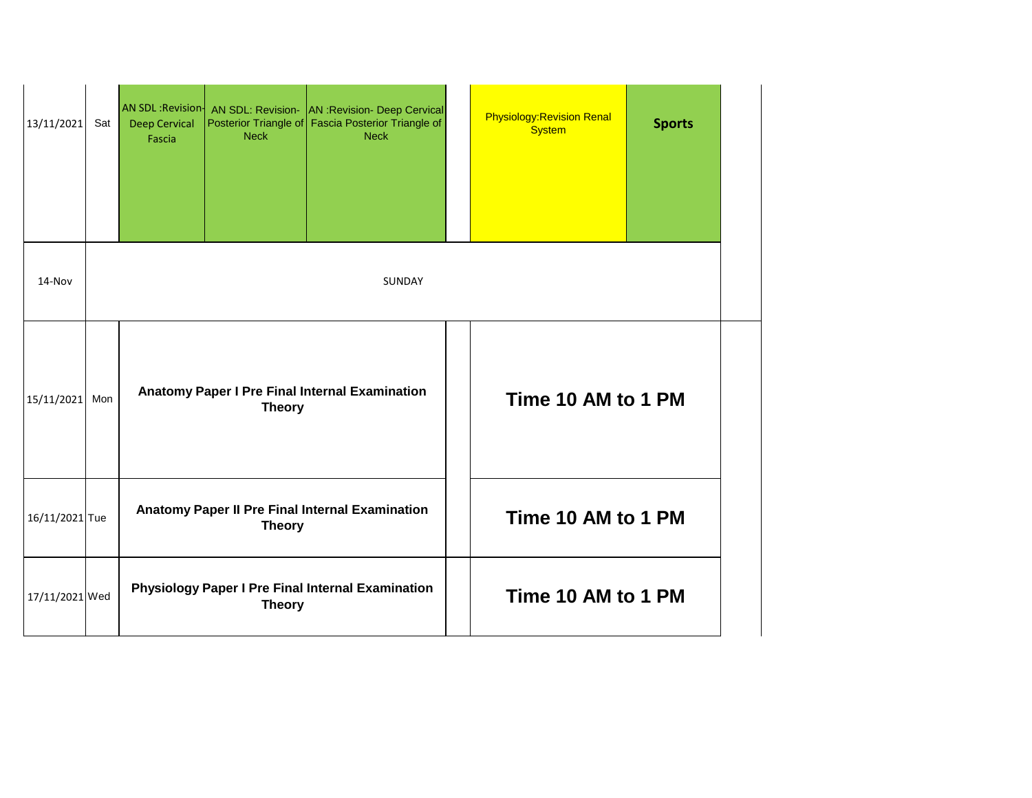| 13/11/2021     | Sat | <b>Deep Cervical</b><br>Fascia | <b>Neck</b>   | AN SDL : Revision   AN SDL: Revision - AN : Revision - Deep Cervical<br>Posterior Triangle of Fascia Posterior Triangle of<br><b>Neck</b> |  | <b>Physiology: Revision Renal</b><br><b>System</b> | <b>Sports</b> |
|----------------|-----|--------------------------------|---------------|-------------------------------------------------------------------------------------------------------------------------------------------|--|----------------------------------------------------|---------------|
|                |     |                                |               |                                                                                                                                           |  |                                                    |               |
| 14-Nov         |     | <b>SUNDAY</b>                  |               |                                                                                                                                           |  |                                                    |               |
| 15/11/2021     | Mon |                                | <b>Theory</b> | <b>Anatomy Paper I Pre Final Internal Examination</b>                                                                                     |  | Time 10 AM to 1 PM                                 |               |
| 16/11/2021 Tue |     |                                | <b>Theory</b> | Anatomy Paper II Pre Final Internal Examination                                                                                           |  | Time 10 AM to 1 PM                                 |               |
| 17/11/2021 Wed |     |                                | <b>Theory</b> | <b>Physiology Paper I Pre Final Internal Examination</b>                                                                                  |  | Time 10 AM to 1 PM                                 |               |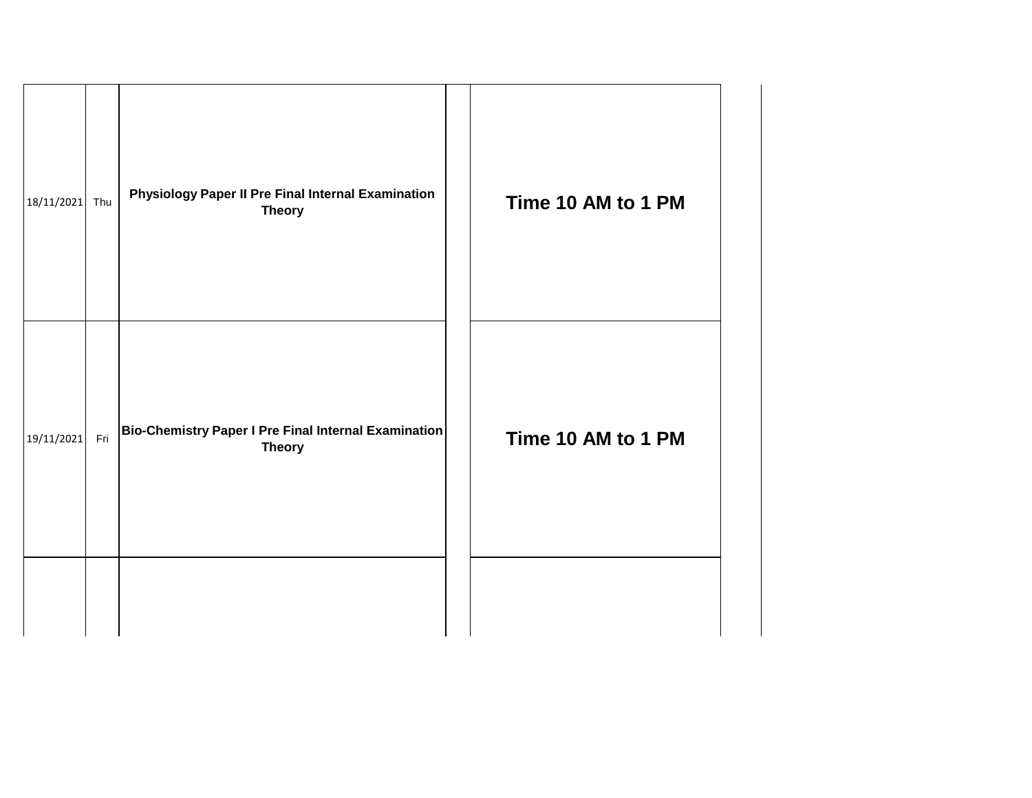| 18/11/2021 | Thu | <b>Physiology Paper II Pre Final Internal Examination</b><br><b>Theory</b> | Time 10 AM to 1 PM |
|------------|-----|----------------------------------------------------------------------------|--------------------|
| 19/11/2021 | Fri | Bio-Chemistry Paper I Pre Final Internal Examination<br><b>Theory</b>      | Time 10 AM to 1 PM |
|            |     |                                                                            |                    |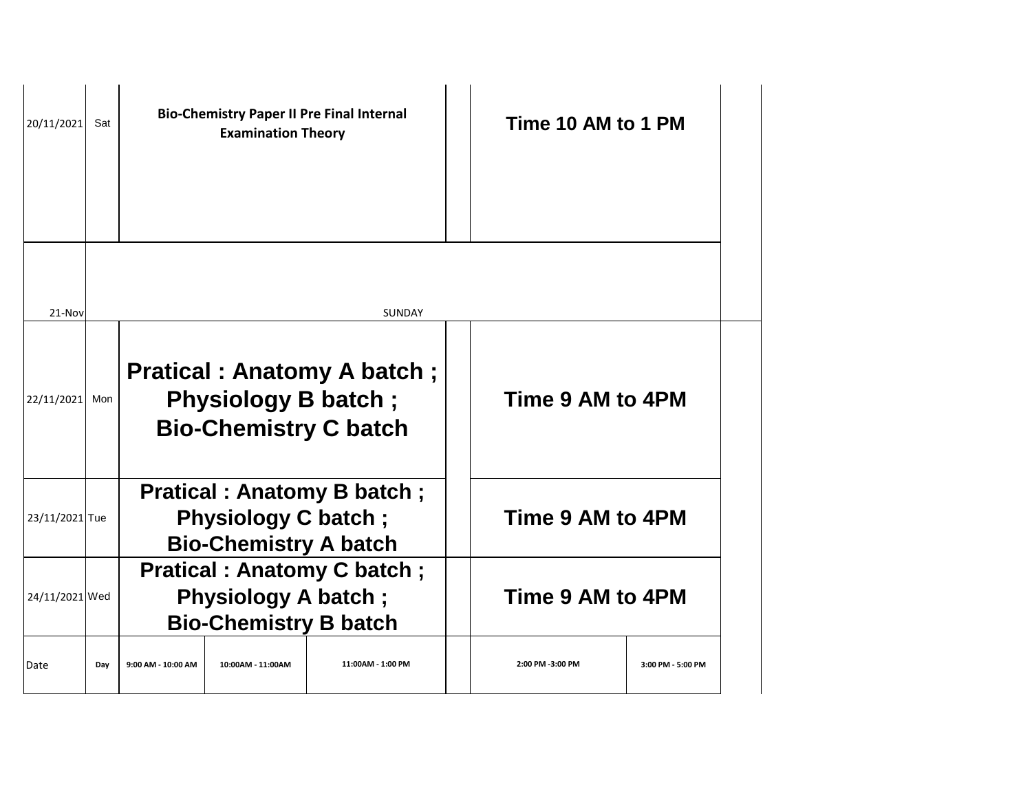| 20/11/2021     | Sat |                    | <b>Bio-Chemistry Paper II Pre Final Internal</b><br><b>Examination Theory</b> |                                                                     | Time 10 AM to 1 PM |                   |
|----------------|-----|--------------------|-------------------------------------------------------------------------------|---------------------------------------------------------------------|--------------------|-------------------|
| 21-Nov         |     |                    |                                                                               | <b>SUNDAY</b>                                                       |                    |                   |
| 22/11/2021     | Mon |                    | <b>Physiology B batch;</b>                                                    | <b>Pratical : Anatomy A batch ;</b><br><b>Bio-Chemistry C batch</b> | Time 9 AM to 4PM   |                   |
| 23/11/2021 Tue |     |                    | <b>Physiology C batch;</b><br><b>Bio-Chemistry A batch</b>                    | <b>Pratical: Anatomy B batch;</b>                                   | Time 9 AM to 4PM   |                   |
| 24/11/2021 Wed |     |                    | <b>Physiology A batch;</b><br><b>Bio-Chemistry B batch</b>                    | <b>Pratical: Anatomy C batch;</b>                                   | Time 9 AM to 4PM   |                   |
| Date           | Day | 9:00 AM - 10:00 AM | 10:00AM - 11:00AM                                                             | 11:00AM - 1:00 PM                                                   | 2:00 PM -3:00 PM   | 3:00 PM - 5:00 PM |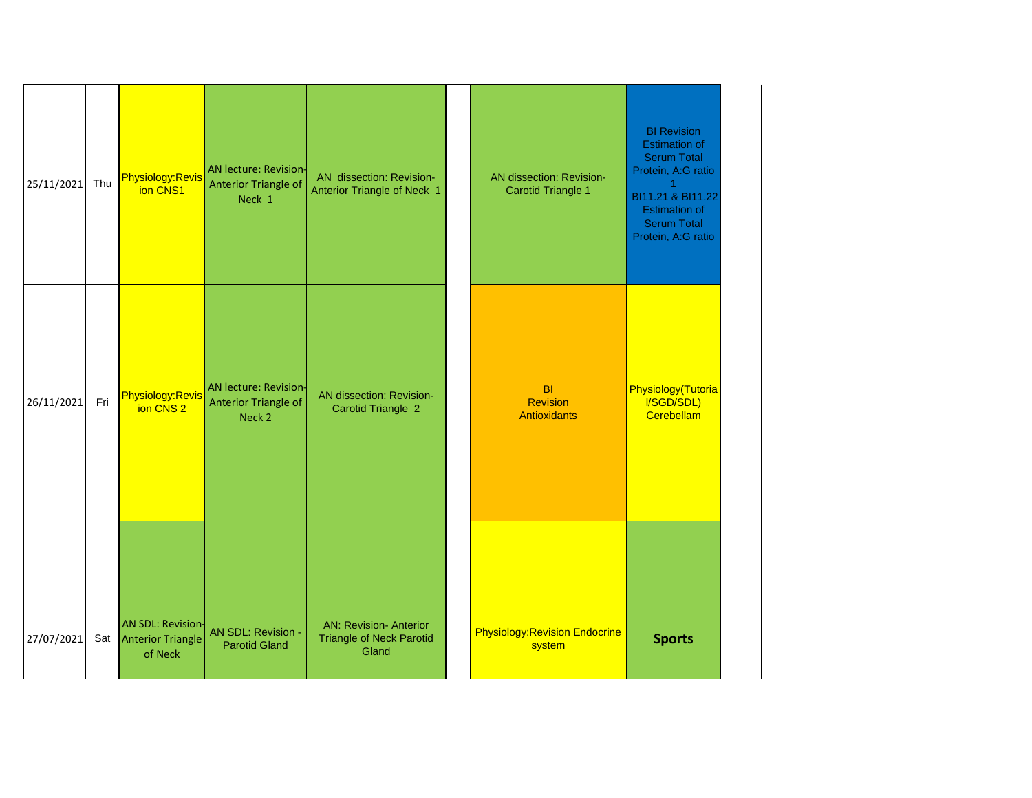| 25/11/2021 | Thu | Physiology:Revis<br>ion CNS1                                 | <b>AN lecture: Revision-</b><br><b>Anterior Triangle of</b><br>Neck 1 | AN dissection: Revision-<br><b>Anterior Triangle of Neck 1</b>            | AN dissection: Revision-<br><b>Carotid Triangle 1</b> | <b>BI Revision</b><br><b>Estimation of</b><br><b>Serum Total</b><br>Protein, A:G ratio<br>BI11.21 & BI11.22<br><b>Estimation of</b><br><b>Serum Total</b><br>Protein, A:G ratio |
|------------|-----|--------------------------------------------------------------|-----------------------------------------------------------------------|---------------------------------------------------------------------------|-------------------------------------------------------|---------------------------------------------------------------------------------------------------------------------------------------------------------------------------------|
| 26/11/2021 | Fri | Physiology:Revis<br>ion CNS <sub>2</sub>                     | AN lecture: Revision-<br>Anterior Triangle of<br>Neck 2               | AN dissection: Revision-<br><b>Carotid Triangle 2</b>                     | <b>BI</b><br><b>Revision</b><br><b>Antioxidants</b>   | Physiology(Tutoria<br>I/SGD/SDL)<br>Cerebellam                                                                                                                                  |
| 27/07/2021 |     | <b>AN SDL: Revision-</b><br>Sat Anterior Triangle<br>of Neck | AN SDL: Revision -<br><b>Parotid Gland</b>                            | <b>AN: Revision- Anterior</b><br><b>Triangle of Neck Parotid</b><br>Gland | <b>Physiology: Revision Endocrine</b><br>system       | <b>Sports</b>                                                                                                                                                                   |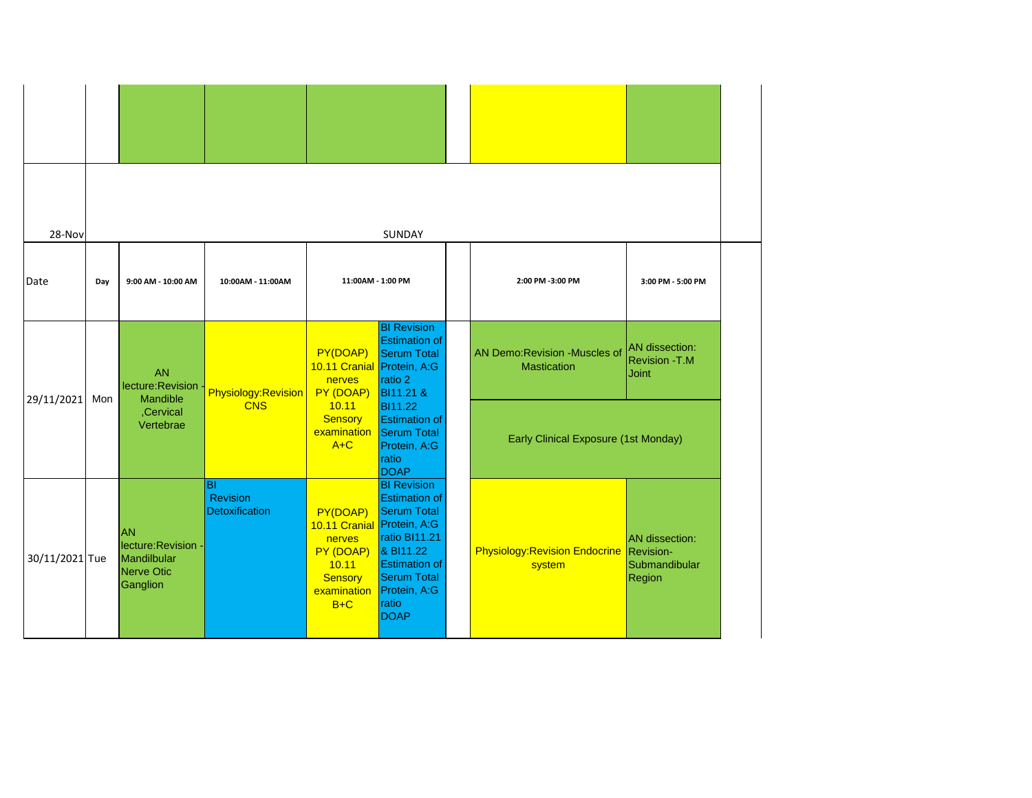| 28-Nov         |     |                                                                           |                                                                                                                                              |                                                                                                                                    | SUNDAY                                                                                                                                                                                               |                                                                |                                                  |
|----------------|-----|---------------------------------------------------------------------------|----------------------------------------------------------------------------------------------------------------------------------------------|------------------------------------------------------------------------------------------------------------------------------------|------------------------------------------------------------------------------------------------------------------------------------------------------------------------------------------------------|----------------------------------------------------------------|--------------------------------------------------|
| Date           | Day | 9:00 AM - 10:00 AM                                                        | 10:00AM - 11:00AM                                                                                                                            | 11:00AM - 1:00 PM                                                                                                                  |                                                                                                                                                                                                      | 2:00 PM -3:00 PM                                               | 3:00 PM - 5:00 PM                                |
| 29/11/2021     | Mon | <b>AN</b><br>lecture: Revision<br>Mandible<br>,Cervical<br>Vertebrae      | PY(DOAP)<br>10.11 Cranial Protein, A:G<br>nerves<br>Physiology:Revision<br>PY (DOAP)<br><b>CNS</b><br>10.11<br><b>Sensory</b><br>examination | <b>BI Revision</b><br><b>Estimation of</b><br><b>Serum Total</b><br>ratio 2<br>BI11.21 &<br><b>BI11.22</b><br><b>Estimation of</b> | AN Demo: Revision - Muscles of<br>Mastication                                                                                                                                                        | <b>AN</b> dissection:<br><b>Revision - T.M</b><br><b>Joint</b> |                                                  |
|                |     |                                                                           |                                                                                                                                              | $A+C$                                                                                                                              | <b>Serum Total</b><br>Protein, A:G<br>ratio<br><b>DOAP</b>                                                                                                                                           | <b>Early Clinical Exposure (1st Monday)</b>                    |                                                  |
| 30/11/2021 Tue |     | <b>AN</b><br>lecture: Revision -<br>Mandilbular<br>Nerve Otic<br>Ganglion | B <sub>l</sub><br>Revision<br>Detoxification                                                                                                 | PY(DOAP)<br>10.11 Cranial<br>nerves<br>PY (DOAP)<br>10.11<br><b>Sensory</b><br>examination<br>$B+C$                                | <b>BI Revision</b><br><b>Estimation of</b><br><b>Serum Total</b><br>Protein, A:G<br>ratio BI11.21<br>& BI11.22<br><b>Estimation of</b><br><b>Serum Total</b><br>Protein, A:G<br>ratio<br><b>DOAP</b> | <b>Physiology: Revision Endocrine Revision-</b><br>system      | <b>AN</b> dissection:<br>Submandibular<br>Region |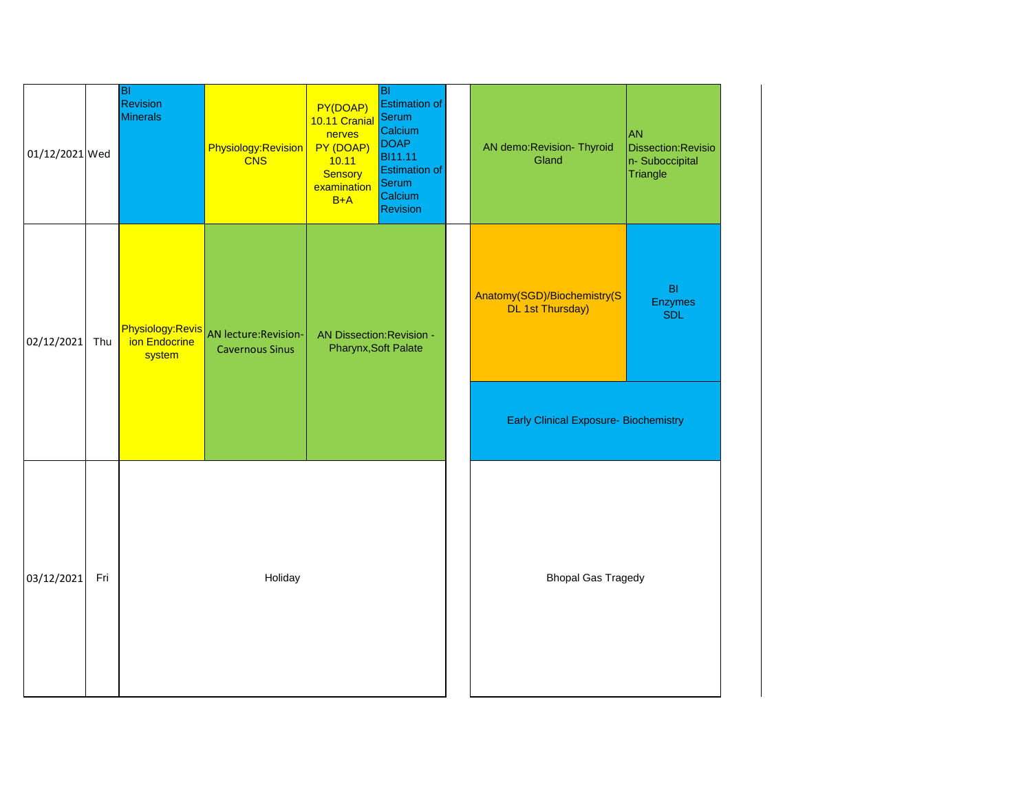| 01/12/2021 Wed |     | BI<br>Revision<br><b>Minerals</b> | Physiology:Revision<br><b>CNS</b>                               | PY(DOAP)<br>10.11 Cranial<br>nerves<br>PY (DOAP)<br>10.11<br><b>Sensory</b><br>examination<br>$B+A$ | BI<br><b>Estimation of</b><br>Serum<br>Calcium<br><b>DOAP</b><br><b>BI11.11</b><br><b>Estimation of</b><br>Serum<br>Calcium<br><b>Revision</b> | AN demo: Revision- Thyroid<br>Gland                    | <b>JAN</b><br>Dissection: Revisio<br>n- Suboccipital<br>Triangle |
|----------------|-----|-----------------------------------|-----------------------------------------------------------------|-----------------------------------------------------------------------------------------------------|------------------------------------------------------------------------------------------------------------------------------------------------|--------------------------------------------------------|------------------------------------------------------------------|
| 02/12/2021     | Thu | ion Endocrine<br>system           | Physiology:Revis AN lecture:Revision-<br><b>Cavernous Sinus</b> | <b>AN Dissection: Revision -</b><br>Pharynx, Soft Palate                                            |                                                                                                                                                | Anatomy(SGD)/Biochemistry(S<br><b>DL 1st Thursday)</b> | B <sub>l</sub><br>Enzymes<br><b>SDL</b>                          |
|                |     |                                   |                                                                 |                                                                                                     |                                                                                                                                                | <b>Early Clinical Exposure- Biochemistry</b>           |                                                                  |
| 03/12/2021     | Fri |                                   | Holiday                                                         |                                                                                                     |                                                                                                                                                | <b>Bhopal Gas Tragedy</b>                              |                                                                  |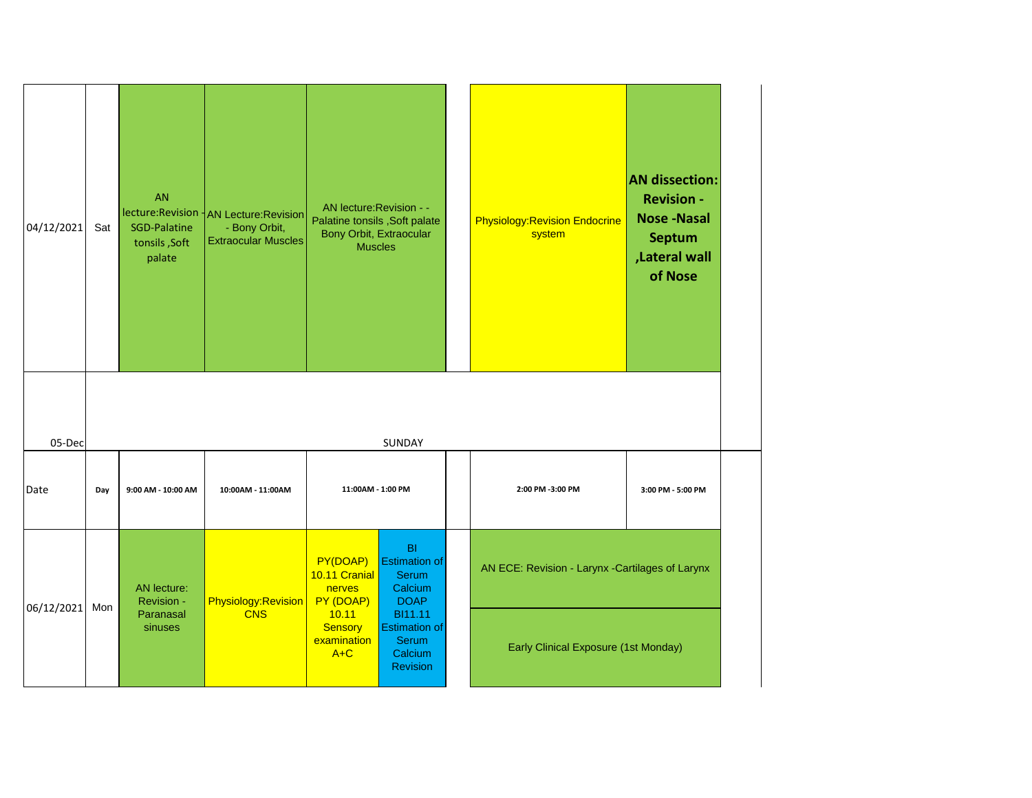| 04/12/2021     | Sat | <b>AN</b><br><b>SGD-Palatine</b><br>tonsils, Soft<br>palate | lecture:Revision   AN Lecture:Revision<br>- Bony Orbit,<br><b>Extraocular Muscles</b> | AN lecture: Revision - -<br>Palatine tonsils , Soft palate<br>Bony Orbit, Extraocular<br><b>Muscles</b> |                                                                                                         | <b>Physiology: Revision Endocrine</b><br>system  | <b>AN dissection:</b><br><b>Revision -</b><br><b>Nose-Nasal</b><br><b>Septum</b><br>,Lateral wall<br>of Nose |
|----------------|-----|-------------------------------------------------------------|---------------------------------------------------------------------------------------|---------------------------------------------------------------------------------------------------------|---------------------------------------------------------------------------------------------------------|--------------------------------------------------|--------------------------------------------------------------------------------------------------------------|
| 05-Dec<br>Date | Day | 9:00 AM - 10:00 AM                                          | 10:00AM - 11:00AM                                                                     | 11:00AM - 1:00 PM                                                                                       | <b>SUNDAY</b>                                                                                           | 2:00 PM -3:00 PM                                 | 3:00 PM - 5:00 PM                                                                                            |
| 06/12/2021     | Mon | AN lecture:<br>Revision -<br>Paranasal<br>sinuses           | Physiology:Revision<br><b>CNS</b>                                                     | PY(DOAP)<br>10.11 Cranial<br>nerves<br>PY (DOAP)<br>10.11<br><b>Sensory</b>                             | BI<br><b>Estimation of</b><br><b>Serum</b><br>Calcium<br><b>DOAP</b><br>BI11.11<br><b>Estimation of</b> | AN ECE: Revision - Larynx - Cartilages of Larynx |                                                                                                              |
|                |     |                                                             |                                                                                       | examination<br>$A+C$                                                                                    | <b>Serum</b><br>Calcium<br>Revision                                                                     | <b>Early Clinical Exposure (1st Monday)</b>      |                                                                                                              |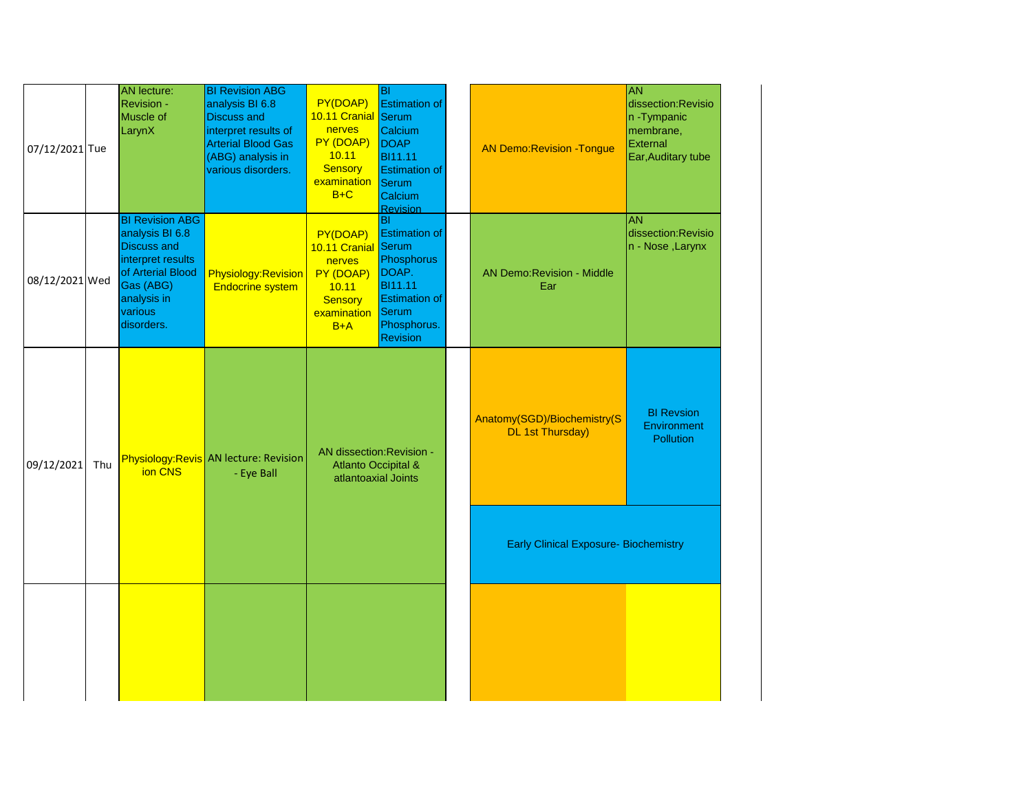| 07/12/2021 Tue |     | AN lecture:<br><b>Revision -</b><br>Muscle of<br>LarynX                                                                                                        | <b>BI Revision ABG</b><br>analysis BI 6.8<br><b>Discuss and</b><br>interpret results of<br><b>Arterial Blood Gas</b><br>(ABG) analysis in<br>various disorders. | PY(DOAP)<br>10.11 Cranial Serum<br>nerves<br>PY (DOAP)<br>10.11<br><b>Sensory</b><br>examination<br>$B+C$ | lвı<br><b>Estimation of</b><br>Calcium<br><b>DOAP</b><br><b>BI11.11</b><br><b>Estimation of</b><br>Serum<br>Calcium<br><b>Revision</b>           | <b>AN Demo:Revision -Tongue</b>                        | <b>AN</b><br>dissection: Revisio<br>n -Tympanic<br>membrane,<br>External<br>Ear, Auditary tube |
|----------------|-----|----------------------------------------------------------------------------------------------------------------------------------------------------------------|-----------------------------------------------------------------------------------------------------------------------------------------------------------------|-----------------------------------------------------------------------------------------------------------|--------------------------------------------------------------------------------------------------------------------------------------------------|--------------------------------------------------------|------------------------------------------------------------------------------------------------|
| 08/12/2021 Wed |     | <b>BI Revision ABG</b><br>analysis BI 6.8<br><b>Discuss and</b><br>interpret results<br>of Arterial Blood<br>Gas (ABG)<br>analysis in<br>various<br>disorders. | Physiology: Revision<br><b>Endocrine system</b>                                                                                                                 | PY(DOAP)<br>10.11 Cranial<br>nerves<br>PY (DOAP)<br>10.11<br><b>Sensory</b><br>examination<br>$B+A$       | ΙBΙ<br><b>Estimation of</b><br>Serum<br>Phosphorus<br>DOAP.<br><b>BI11.11</b><br><b>Estimation of</b><br>Serum<br>Phosphorus.<br><b>Revision</b> | <b>AN Demo:Revision - Middle</b><br>Ear                | <b>AN</b><br>dissection: Revisio<br>n - Nose , Larynx                                          |
| 09/12/2021     | Thu | ion CNS                                                                                                                                                        | Physiology: Revis AN lecture: Revision<br>- Eye Ball                                                                                                            | AN dissection: Revision -<br><b>Atlanto Occipital &amp;</b><br>atlantoaxial Joints                        |                                                                                                                                                  | Anatomy(SGD)/Biochemistry(S<br><b>DL 1st Thursday)</b> | <b>BI Revsion</b><br><b>Environment</b><br><b>Pollution</b>                                    |
|                |     |                                                                                                                                                                |                                                                                                                                                                 |                                                                                                           |                                                                                                                                                  | <b>Early Clinical Exposure- Biochemistry</b>           |                                                                                                |
|                |     |                                                                                                                                                                |                                                                                                                                                                 |                                                                                                           |                                                                                                                                                  |                                                        |                                                                                                |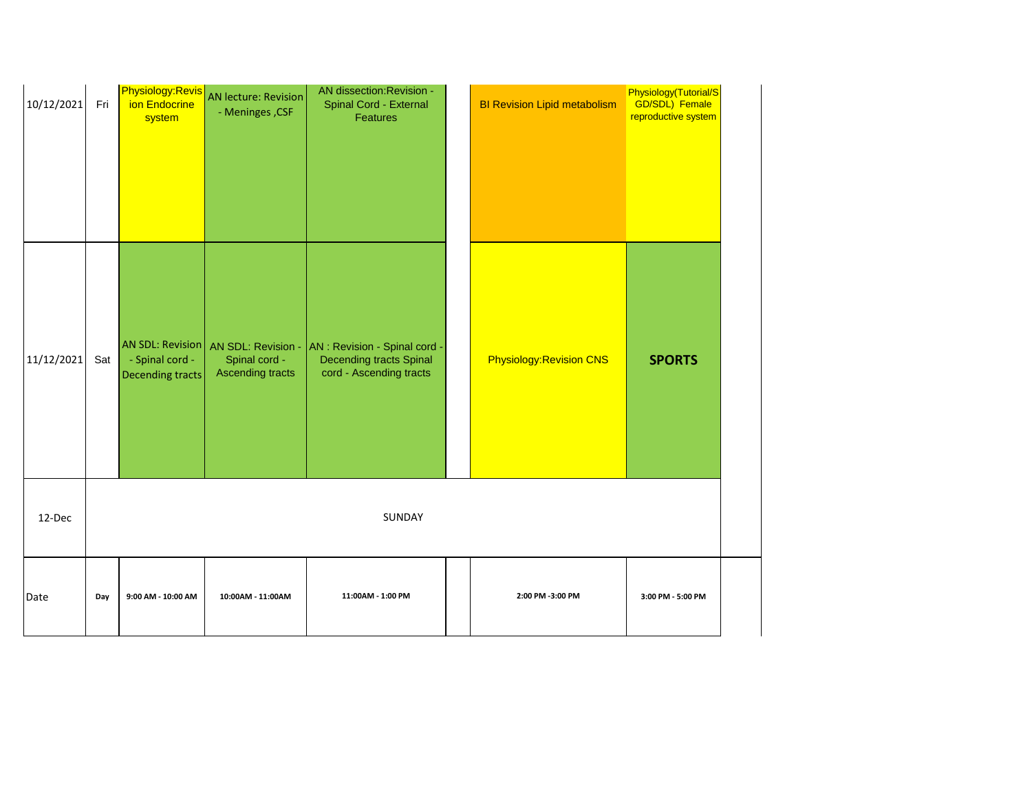| 10/12/2021 | Fri | Physiology:Revis<br>ion Endocrine<br>system             | <b>AN lecture: Revision</b><br>- Meninges, CSF | AN dissection: Revision -<br><b>Spinal Cord - External</b><br>Features                                        | <b>BI Revision Lipid metabolism</b> | Physiology(Tutorial/S<br><b>GD/SDL)</b> Female<br>reproductive system |
|------------|-----|---------------------------------------------------------|------------------------------------------------|---------------------------------------------------------------------------------------------------------------|-------------------------------------|-----------------------------------------------------------------------|
| 11/12/2021 | Sat | AN SDL: Revision<br>- Spinal cord -<br>Decending tracts | Spinal cord -<br><b>Ascending tracts</b>       | AN SDL: Revision - AN : Revision - Spinal cord -<br><b>Decending tracts Spinal</b><br>cord - Ascending tracts | <b>Physiology: Revision CNS</b>     | <b>SPORTS</b>                                                         |
| 12-Dec     |     |                                                         |                                                | SUNDAY                                                                                                        |                                     |                                                                       |
| Date       | Day | 9:00 AM - 10:00 AM                                      | 10:00AM - 11:00AM                              | 11:00AM - 1:00 PM                                                                                             | 2:00 PM -3:00 PM                    | 3:00 PM - 5:00 PM                                                     |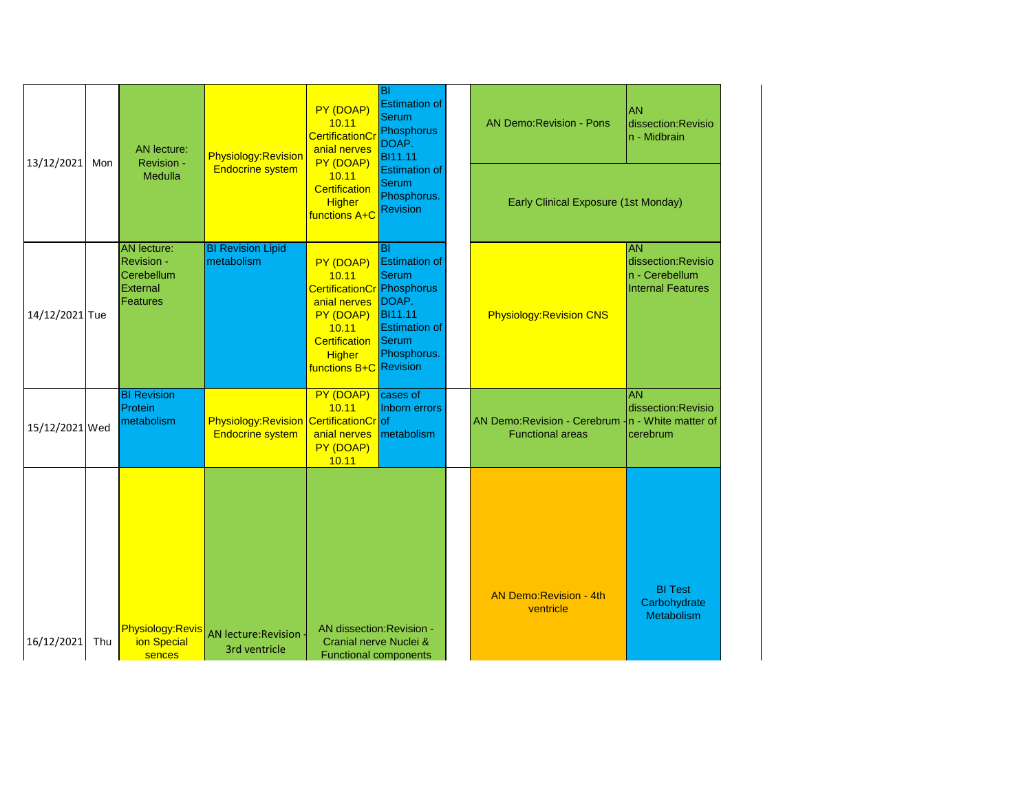| 13/12/2021     | Mon | <b>AN lecture:</b><br>Revision -<br>Medulla                                   | <b>Physiology: Revision</b><br><b>Endocrine system</b>                   | PY (DOAP)<br>10.11<br><b>CertificationCi</b><br>anial nerves<br>PY (DOAP)<br>10.11                                                                        | <b>BI</b><br><b>Estimation of</b><br><b>Serum</b><br>Phosphorus<br>DOAP.<br><b>BI11.11</b><br><b>Estimation of</b>                  | <b>AN Demo:Revision - Pons</b>                                                | <b>AN</b><br>dissection: Revisio<br>n - Midbrain                              |
|----------------|-----|-------------------------------------------------------------------------------|--------------------------------------------------------------------------|-----------------------------------------------------------------------------------------------------------------------------------------------------------|-------------------------------------------------------------------------------------------------------------------------------------|-------------------------------------------------------------------------------|-------------------------------------------------------------------------------|
|                |     |                                                                               |                                                                          | <b>Certification</b><br><b>Higher</b><br>functions A+C                                                                                                    | <b>Serum</b><br>Phosphorus.<br><b>Revision</b>                                                                                      | Early Clinical Exposure (1st Monday)                                          |                                                                               |
| 14/12/2021 Tue |     | <b>AN</b> lecture:<br><b>Revision -</b><br>Cerebellum<br>External<br>Features | <b>BI Revision Lipid</b><br>metabolism                                   | PY (DOAP)<br>10.11<br><b>CertificationCr</b> Phosphorus<br>anial nerves<br>PY (DOAP)<br>10.11<br>Certification<br><b>Higher</b><br>functions B+C Revision | <b>BI</b><br><b>Estimation of</b><br><b>Serum</b><br>DOAP.<br><b>BI11.11</b><br><b>Estimation of</b><br><b>Serum</b><br>Phosphorus. | <b>Physiology: Revision CNS</b>                                               | <b>AN</b><br>dissection:Revisio<br>n - Cerebellum<br><b>Internal Features</b> |
| 15/12/2021 Wed |     | <b>BI Revision</b><br>Protein<br>metabolism                                   | <b>Physiology:Revision CertificationCroof</b><br><b>Endocrine system</b> | PY (DOAP)<br>10.11<br>anial nerves<br>PY (DOAP)<br>10.11                                                                                                  | cases of<br>Inborn errors<br>metabolism                                                                                             | AN Demo: Revision - Cerebrum - n - White matter of<br><b>Functional areas</b> | <b>AN</b><br>dissection: Revisio<br>cerebrum                                  |
| 16/12/2021     | Thu | <b>Physiology:Revis</b><br>ion Special<br>sences                              | AN lecture: Revision<br>3rd ventricle                                    | AN dissection: Revision -<br>Cranial nerve Nuclei &<br><b>Functional components</b>                                                                       |                                                                                                                                     | <b>AN Demo: Revision - 4th</b><br>ventricle                                   | <b>BI</b> Test<br>Carbohydrate<br>Metabolism                                  |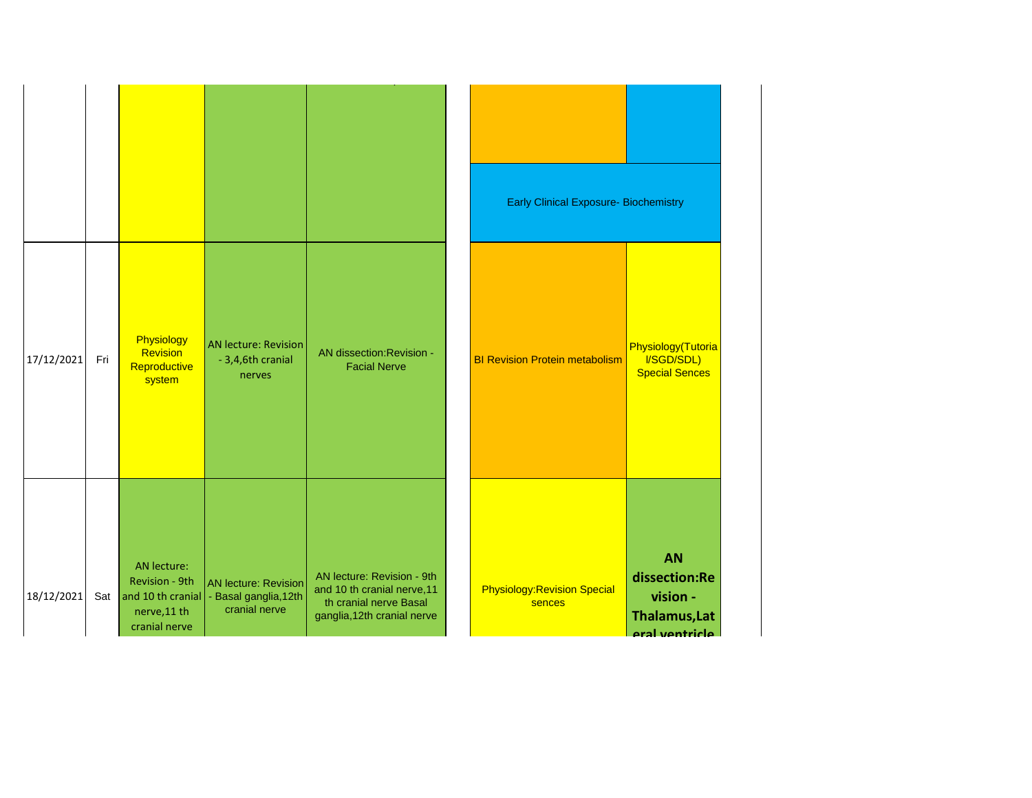|            |     |                                                                                     |                                                                       |                                                                                                                    | <b>Early Clinical Exposure- Biochemistry</b>  |                                                                           |
|------------|-----|-------------------------------------------------------------------------------------|-----------------------------------------------------------------------|--------------------------------------------------------------------------------------------------------------------|-----------------------------------------------|---------------------------------------------------------------------------|
| 17/12/2021 | Fri | Physiology<br>Revision<br>Reproductive<br>system                                    | <b>AN lecture: Revision</b><br>- 3,4,6th cranial<br>nerves            | AN dissection: Revision -<br><b>Facial Nerve</b>                                                                   | <b>BI Revision Protein metabolism</b>         | Physiology(Tutoria<br>I/SGD/SDL)<br><b>Special Sences</b>                 |
| 18/12/2021 | Sat | AN lecture:<br>Revision - 9th<br>and 10 th cranial<br>nerve, 11 th<br>cranial nerve | <b>AN lecture: Revision</b><br>- Basal ganglia, 12th<br>cranial nerve | AN lecture: Revision - 9th<br>and 10 th cranial nerve, 11<br>th cranial nerve Basal<br>ganglia, 12th cranial nerve | <b>Physiology: Revision Special</b><br>sences | <b>AN</b><br>dissection:Re<br>vision -<br>Thalamus, Lat<br>aral ventricle |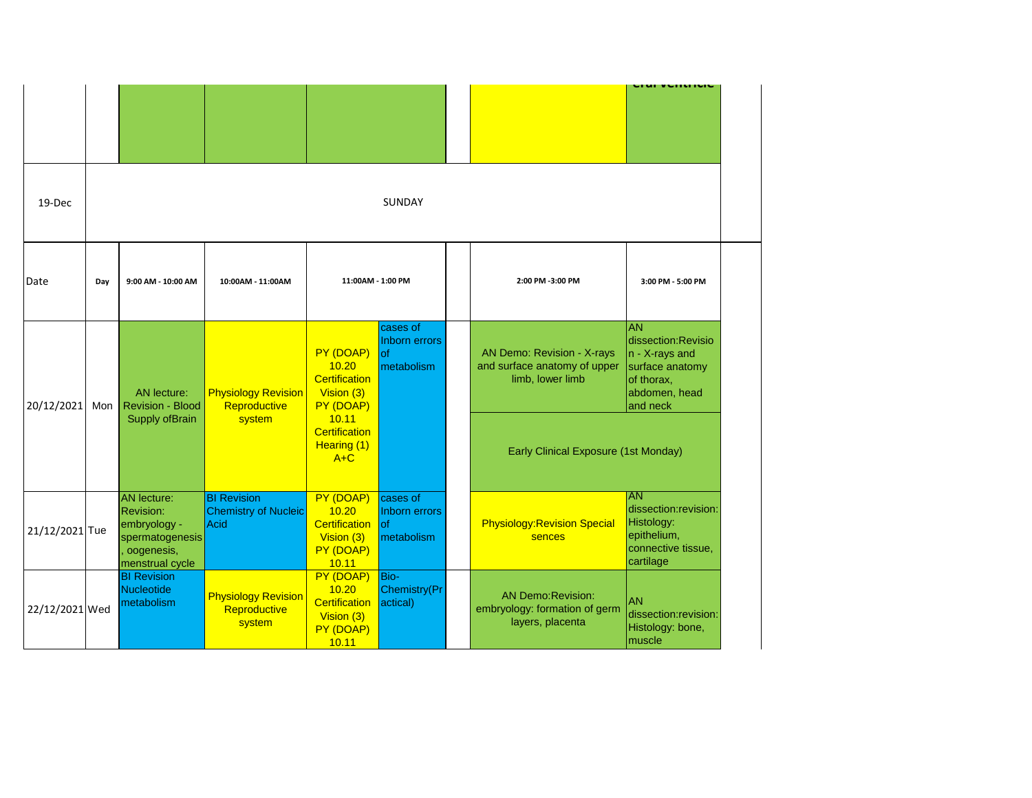|                |     |                                                                                                            |                                                           |                                                                         |                                                |  |                                                                                | הו מריכוונווטוכ                                                                                                     |  |  |
|----------------|-----|------------------------------------------------------------------------------------------------------------|-----------------------------------------------------------|-------------------------------------------------------------------------|------------------------------------------------|--|--------------------------------------------------------------------------------|---------------------------------------------------------------------------------------------------------------------|--|--|
| 19-Dec         |     | SUNDAY                                                                                                     |                                                           |                                                                         |                                                |  |                                                                                |                                                                                                                     |  |  |
| Date           | Day | 9:00 AM - 10:00 AM                                                                                         | 10:00AM - 11:00AM                                         | 11:00AM - 1:00 PM                                                       |                                                |  | 2:00 PM -3:00 PM                                                               | 3:00 PM - 5:00 PM                                                                                                   |  |  |
| 20/12/2021     | Mon | <b>AN</b> lecture:<br>Revision - Blood                                                                     | <b>Physiology Revision</b><br>Reproductive                | PY (DOAP)<br>10.20<br><b>Certification</b><br>Vision (3)<br>PY (DOAP)   | cases of<br>Inborn errors<br>lof<br>metabolism |  | AN Demo: Revision - X-rays<br>and surface anatomy of upper<br>limb, lower limb | <b>AN</b><br>dissection: Revisio<br>$n - X$ -rays and<br>surface anatomy<br>of thorax,<br>abdomen, head<br>and neck |  |  |
|                |     | Supply ofBrain                                                                                             | system                                                    | 10.11<br><b>Certification</b><br>Hearing (1)<br>$A+C$                   |                                                |  | <b>Early Clinical Exposure (1st Monday)</b>                                    |                                                                                                                     |  |  |
| 21/12/2021 Tue |     | <b>AN</b> lecture:<br><b>Revision:</b><br>embryology -<br>spermatogenesis<br>oogenesis,<br>menstrual cycle | <b>BI Revision</b><br><b>Chemistry of Nucleic</b><br>Acid | PY (DOAP)<br>10.20<br>Certification<br>Vision (3)<br>PY (DOAP)<br>10.11 | cases of<br>Inborn errors<br>lof<br>metabolism |  | <b>Physiology: Revision Special</b><br>sences                                  | <b>AN</b><br>dissection:revision:<br>Histology:<br>epithelium,<br>connective tissue,<br>cartilage                   |  |  |
| 22/12/2021 Wed |     | <b>BI Revision</b><br>Nucleotide<br>metabolism                                                             | <b>Physiology Revision</b><br>Reproductive<br>system      | PY (DOAP)<br>10.20<br>Certification<br>Vision (3)<br>PY (DOAP)<br>10.11 | Bio-<br>Chemistry(Pr<br>actical)               |  | <b>AN Demo:Revision:</b><br>embryology: formation of germ<br>layers, placenta  | <b>AN</b><br>dissection:revision:<br>Histology: bone,<br>muscle                                                     |  |  |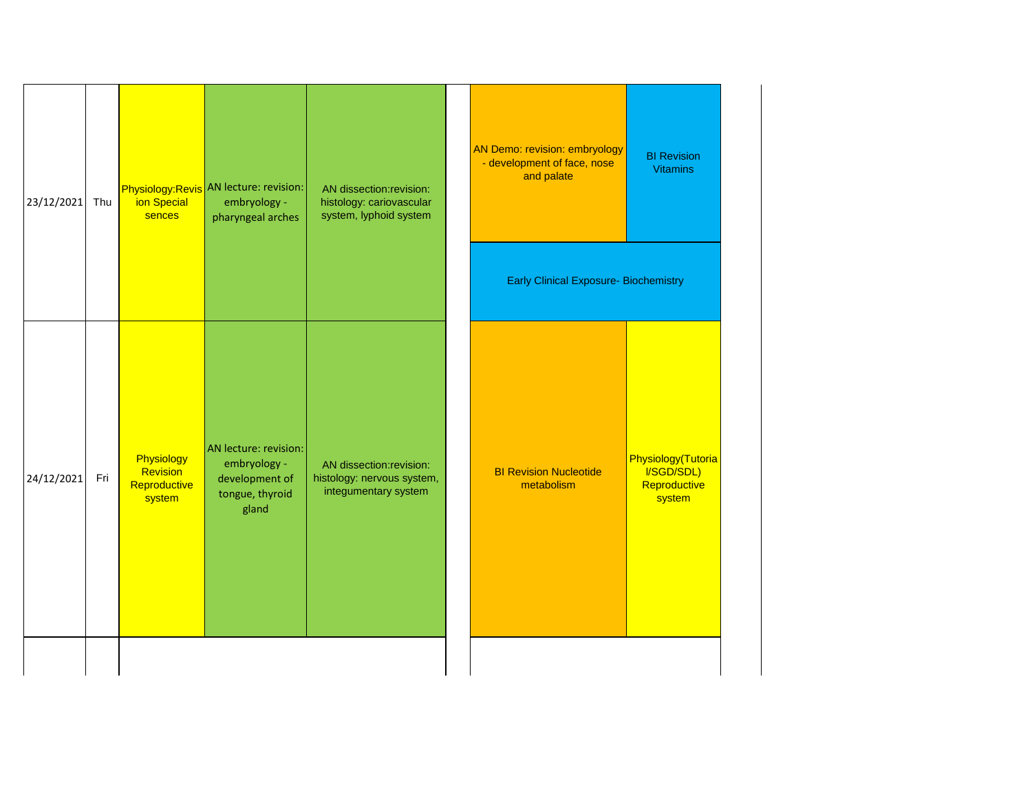| 23/12/2021 | Thu | ion Special<br>sences                            | Physiology: Revis AN lecture: revision:<br>embryology -<br>pharyngeal arches        | AN dissection: revision:<br>histology: cariovascular<br>system, lyphoid system | AN Demo: revision: embryology<br>- development of face, nose<br>and palate | <b>BI Revision</b><br><b>Vitamins</b>                      |
|------------|-----|--------------------------------------------------|-------------------------------------------------------------------------------------|--------------------------------------------------------------------------------|----------------------------------------------------------------------------|------------------------------------------------------------|
|            |     |                                                  |                                                                                     |                                                                                | <b>Early Clinical Exposure- Biochemistry</b>                               |                                                            |
| 24/12/2021 | Fri | Physiology<br>Revision<br>Reproductive<br>system | AN lecture: revision:<br>embryology -<br>development of<br>tongue, thyroid<br>gland | AN dissection: revision:<br>histology: nervous system,<br>integumentary system | <b>BI Revision Nucleotide</b><br>metabolism                                | Physiology(Tutoria<br>I/SGD/SDL)<br>Reproductive<br>system |
|            |     |                                                  |                                                                                     |                                                                                |                                                                            |                                                            |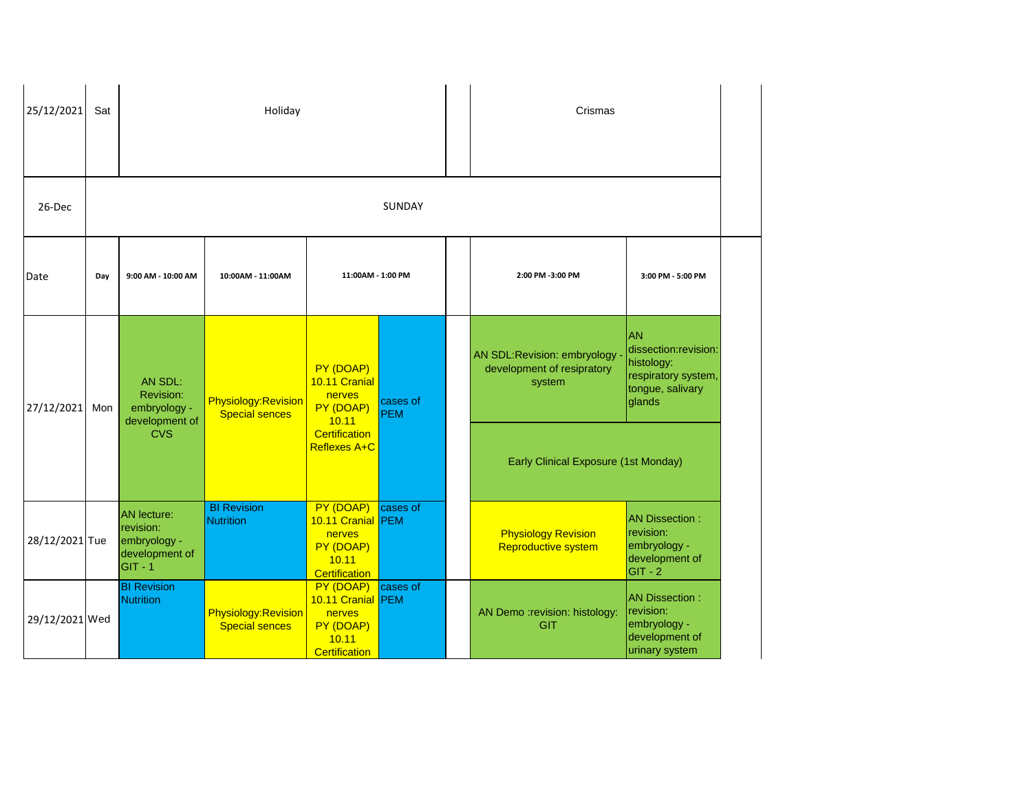| 25/12/2021     | Sat |                                                                                | Holiday                                              |                                                                                        |                        |                   | Crismas                                                             |                                                                                                      |
|----------------|-----|--------------------------------------------------------------------------------|------------------------------------------------------|----------------------------------------------------------------------------------------|------------------------|-------------------|---------------------------------------------------------------------|------------------------------------------------------------------------------------------------------|
| 26-Dec         |     |                                                                                |                                                      |                                                                                        | <b>SUNDAY</b>          |                   |                                                                     |                                                                                                      |
| Date           | Day | 9:00 AM - 10:00 AM                                                             | 10:00AM - 11:00AM                                    | 11:00AM - 1:00 PM                                                                      | 2:00 PM -3:00 PM       | 3:00 PM - 5:00 PM |                                                                     |                                                                                                      |
| 27/12/2021     | Mon | AN SDL:<br>Revision:<br>embryology -<br>development of                         | <b>Physiology: Revision</b><br><b>Special sences</b> | PY (DOAP)<br>10.11 Cranial<br>nerves<br>PY (DOAP)<br>10.11                             | cases of<br><b>PEM</b> |                   | AN SDL:Revision: embryology<br>development of resipratory<br>system | <b>AN</b><br>dissection:revision:<br>histology:<br>respiratory system,<br>tongue, salivary<br>glands |
|                |     | <b>CVS</b>                                                                     |                                                      | <b>Certification</b><br>Reflexes A+C                                                   |                        |                   | Early Clinical Exposure (1st Monday)                                |                                                                                                      |
| 28/12/2021 Tue |     | <b>AN</b> lecture:<br>revision:<br>embryology -<br>development of<br>$GIT - 1$ | <b>BI</b> Revision<br><b>Nutrition</b>               | PY (DOAP)<br>10.11 Cranial PEM<br>nerves<br>PY (DOAP)<br>10.11<br><b>Certification</b> | cases of               |                   | <b>Physiology Revision</b><br>Reproductive system                   | <b>AN Dissection:</b><br>revision:<br>embryology -<br>development of<br>$GIT - 2$                    |
| 29/12/2021 Wed |     | <b>BI Revision</b><br><b>Nutrition</b>                                         | <b>Physiology: Revision</b><br><b>Special sences</b> | PY (DOAP)<br>10.11 Cranial PEM<br>nerves<br>PY (DOAP)<br>10.11<br><b>Certification</b> | cases of               |                   | AN Demo :revision: histology:<br><b>GIT</b>                         | <b>AN Dissection:</b><br>revision:<br>embryology -<br>development of<br>urinary system               |